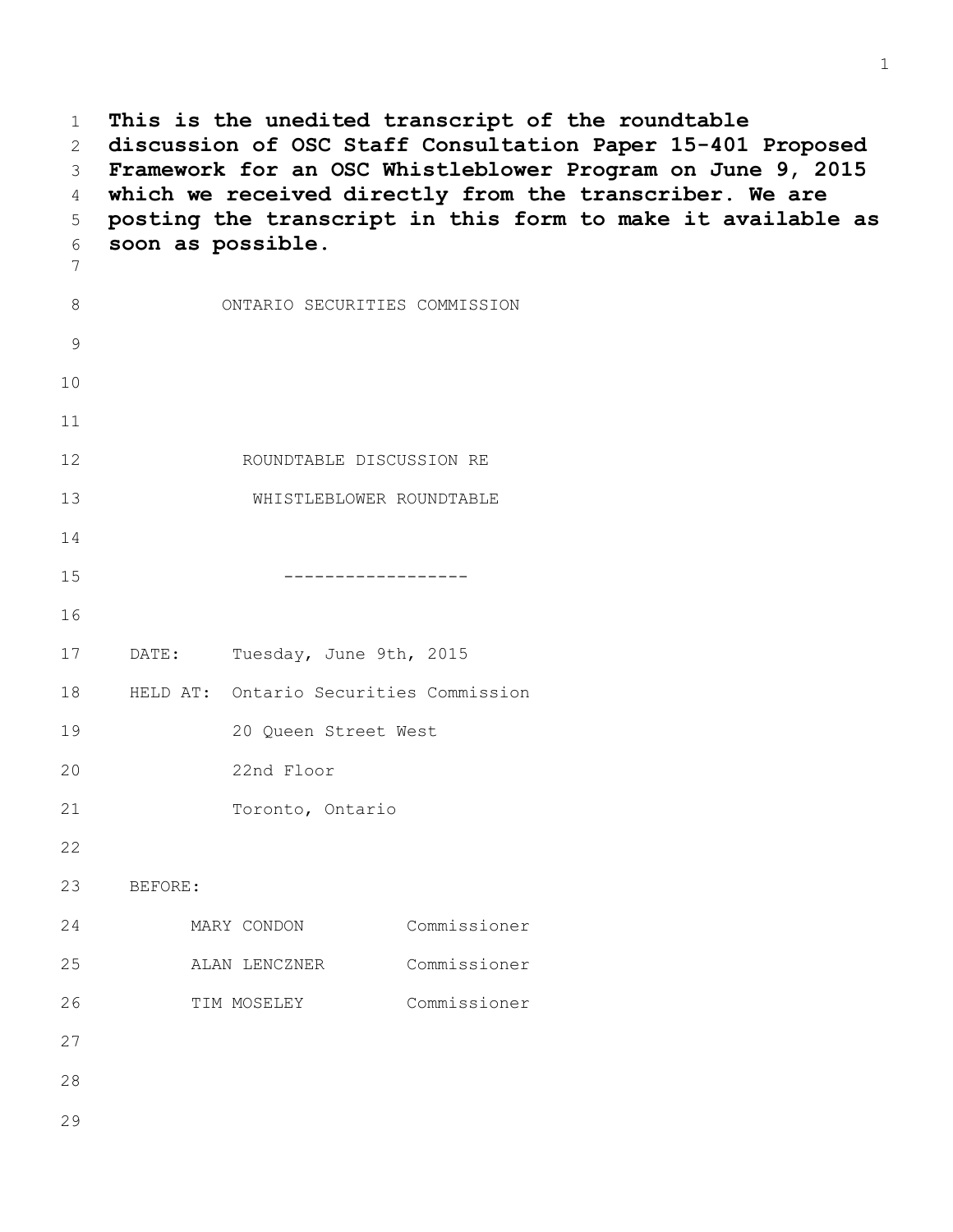1 **This is the unedited transcript of the roundtable**  2 **discussion of OSC Staff Consultation Paper 15-401 Proposed**  3 **Framework for an OSC Whistleblower Program on June 9, 2015** 4 **which we received directly from the transcriber. We are**  5 **posting the transcript in this form to make it available as**  6 **soon as possible.** 7 8 ONTARIO SECURITIES COMMISSION 9 10 11 12 ROUNDTABLE DISCUSSION RE 13 WHISTLEBLOWER ROUNDTABLE 14 15 ------------------ 16 17 DATE: Tuesday, June 9th, 2015 18 HELD AT: Ontario Securities Commission 19 20 Queen Street West 20 22nd Floor 21 Toronto, Ontario 22 23 BEFORE: 24 MARY CONDON Commissioner 25 ALAN LENCZNER Commissioner 26 TIM MOSELEY Commissioner 27 28 29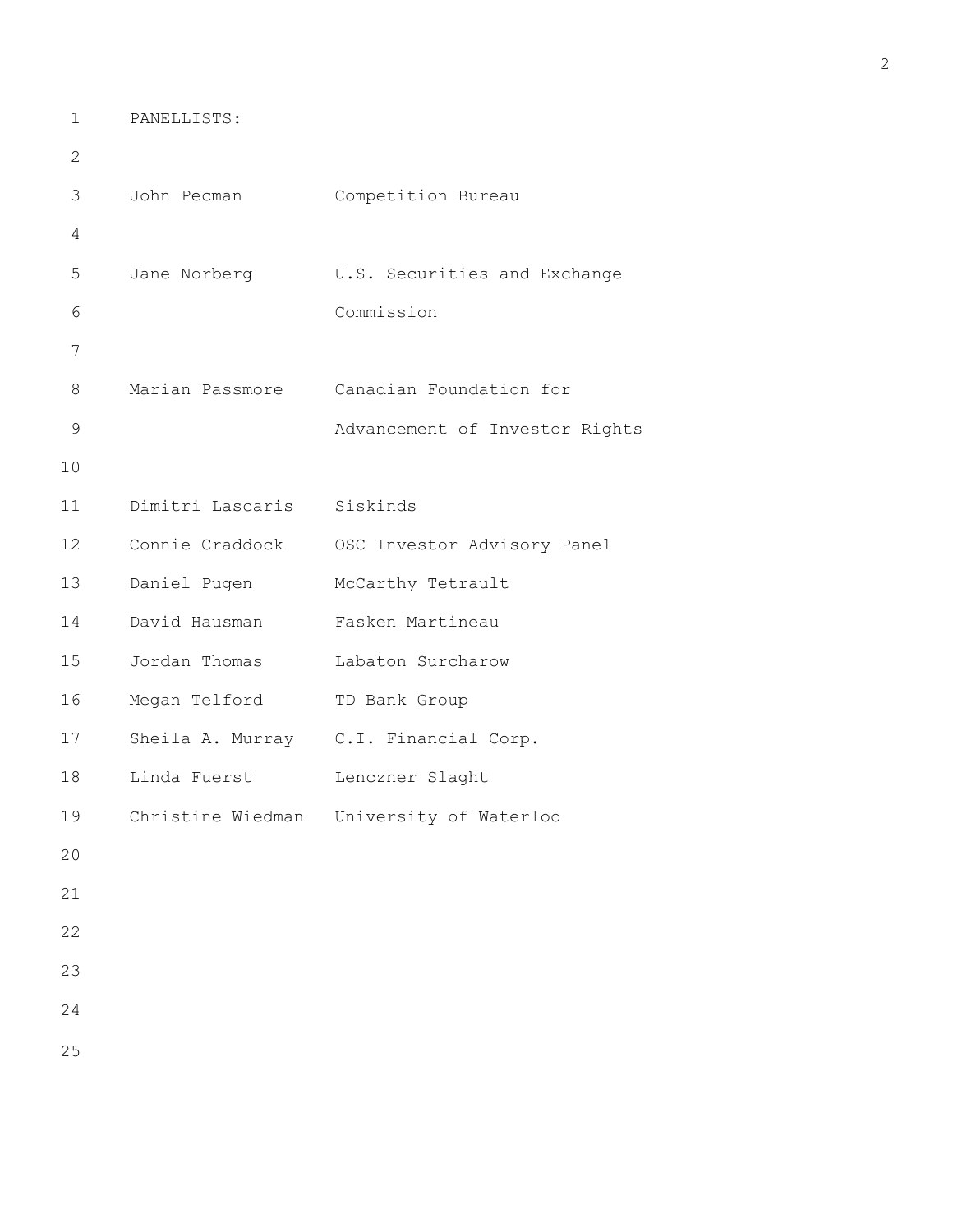1 PANELLISTS:

```
2 
3 John Pecman Competition Bureau
4 
5 Jane Norberg U.S. Securities and Exchange
6 Commission
7 
8 Marian Passmore Canadian Foundation for
9 Advancement of Investor Rights
10 
11 Dimitri Lascaris Siskinds
12 Connie Craddock OSC Investor Advisory Panel
13 Daniel Pugen McCarthy Tetrault
14 David Hausman Fasken Martineau
15 Jordan Thomas Labaton Surcharow
16 Megan Telford TD Bank Group
17 Sheila A. Murray C.I. Financial Corp.
18 Linda Fuerst Lenczner Slaght
19 Christine Wiedman University of Waterloo
20 
21 
22 
23 
24
```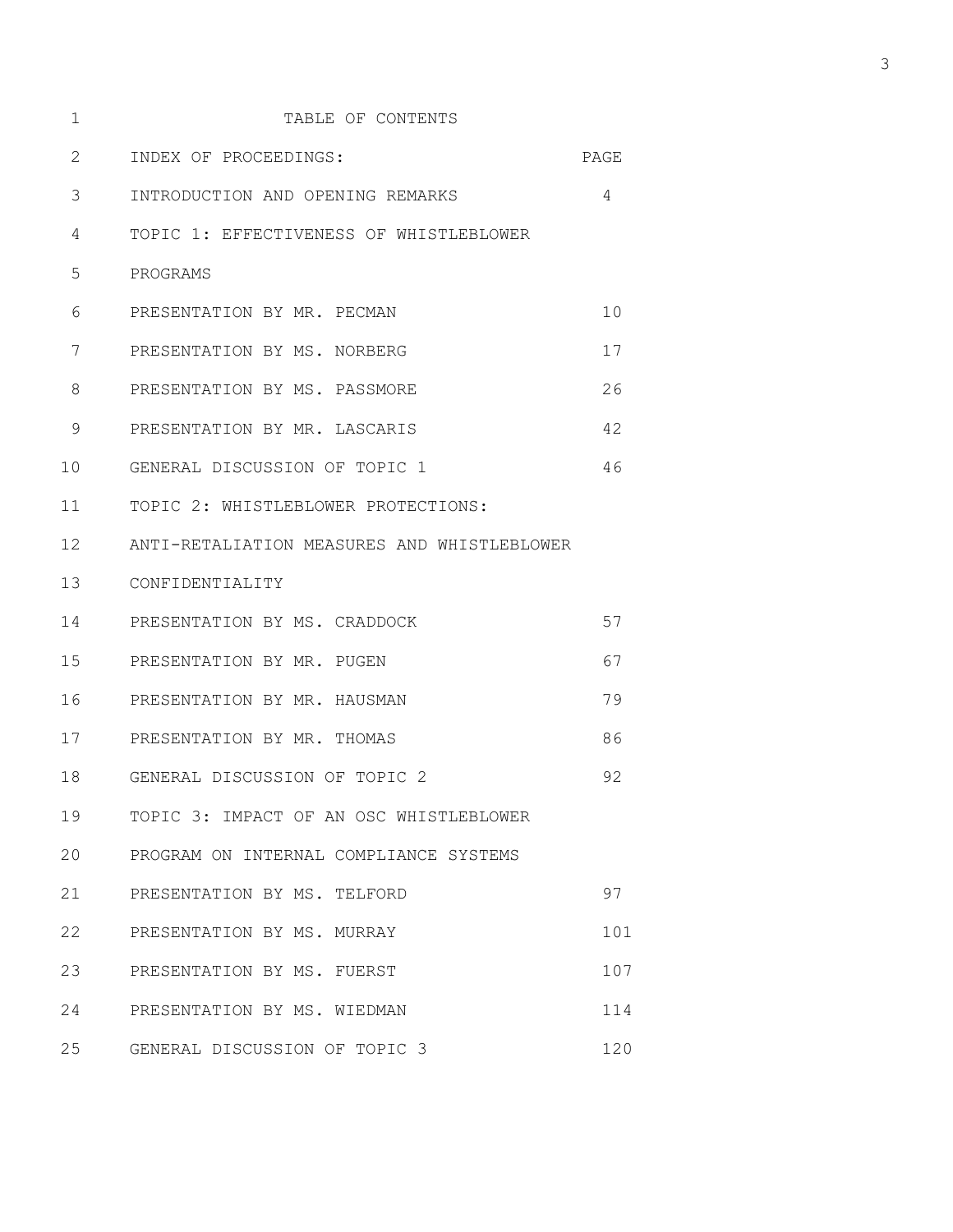| 1  | TABLE OF CONTENTS                           |      |
|----|---------------------------------------------|------|
| 2  | INDEX OF PROCEEDINGS:                       | PAGE |
| 3  | INTRODUCTION AND OPENING REMARKS            | 4    |
| 4  | TOPIC 1: EFFECTIVENESS OF WHISTLEBLOWER     |      |
| 5  | PROGRAMS                                    |      |
| 6  | PRESENTATION BY MR. PECMAN                  | 10   |
| 7  | PRESENTATION BY MS. NORBERG                 | 17   |
| 8  | PRESENTATION BY MS. PASSMORE                | 26   |
| 9  | PRESENTATION BY MR. LASCARIS                | 42   |
| 10 | GENERAL DISCUSSION OF TOPIC 1               | 46   |
| 11 | TOPIC 2: WHISTLEBLOWER PROTECTIONS:         |      |
| 12 | ANTI-RETALIATION MEASURES AND WHISTLEBLOWER |      |
| 13 | CONFIDENTIALITY                             |      |
| 14 | PRESENTATION BY MS. CRADDOCK                | 57   |
| 15 | PRESENTATION BY MR. PUGEN                   | 67   |
| 16 | PRESENTATION BY MR. HAUSMAN                 | 79   |
| 17 | PRESENTATION BY MR. THOMAS                  | 86   |
| 18 | GENERAL DISCUSSION OF TOPIC 2               | 92   |
| 19 | TOPIC 3: IMPACT OF AN OSC WHISTLEBLOWER     |      |
| 20 | PROGRAM ON INTERNAL COMPLIANCE SYSTEMS      |      |
| 21 | PRESENTATION BY MS. TELFORD                 | 97   |
| 22 | PRESENTATION BY MS. MURRAY                  | 101  |
| 23 | PRESENTATION BY MS. FUERST                  | 107  |
| 24 | PRESENTATION BY MS. WIEDMAN                 | 114  |
| 25 | GENERAL DISCUSSION OF TOPIC 3               | 120  |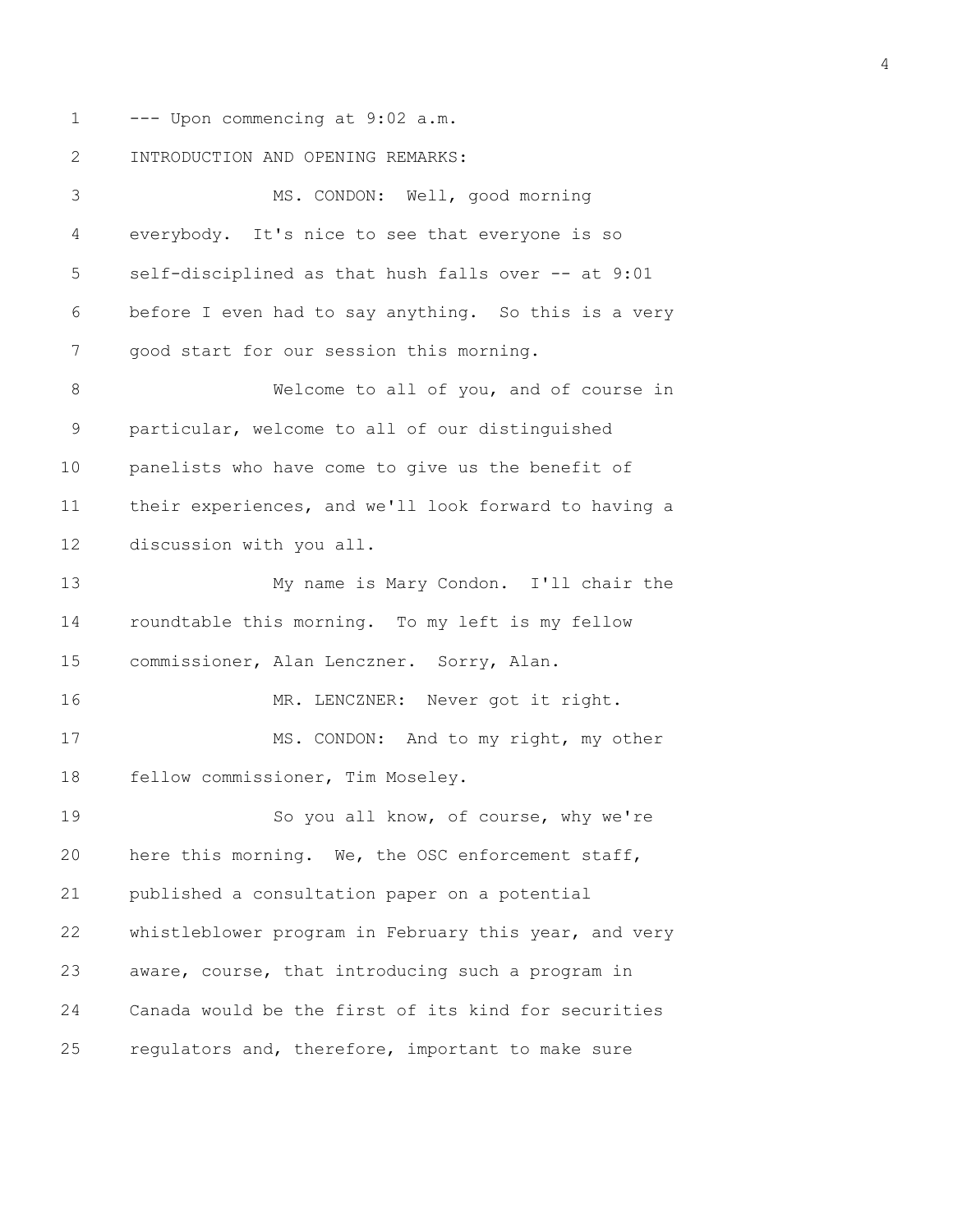1 --- Upon commencing at 9:02 a.m.

2 INTRODUCTION AND OPENING REMARKS:

3 MS. CONDON: Well, good morning 4 everybody. It's nice to see that everyone is so 5 self-disciplined as that hush falls over -- at 9:01 6 before I even had to say anything. So this is a very 7 good start for our session this morning. 8 Welcome to all of you, and of course in 9 particular, welcome to all of our distinguished 10 panelists who have come to give us the benefit of 11 their experiences, and we'll look forward to having a 12 discussion with you all. 13 My name is Mary Condon. I'll chair the 14 roundtable this morning. To my left is my fellow 15 commissioner, Alan Lenczner. Sorry, Alan. 16 MR. LENCZNER: Never got it right. 17 MS. CONDON: And to my right, my other 18 fellow commissioner, Tim Moseley. 19 So you all know, of course, why we're 20 here this morning. We, the OSC enforcement staff, 21 published a consultation paper on a potential 22 whistleblower program in February this year, and very 23 aware, course, that introducing such a program in 24 Canada would be the first of its kind for securities 25 regulators and, therefore, important to make sure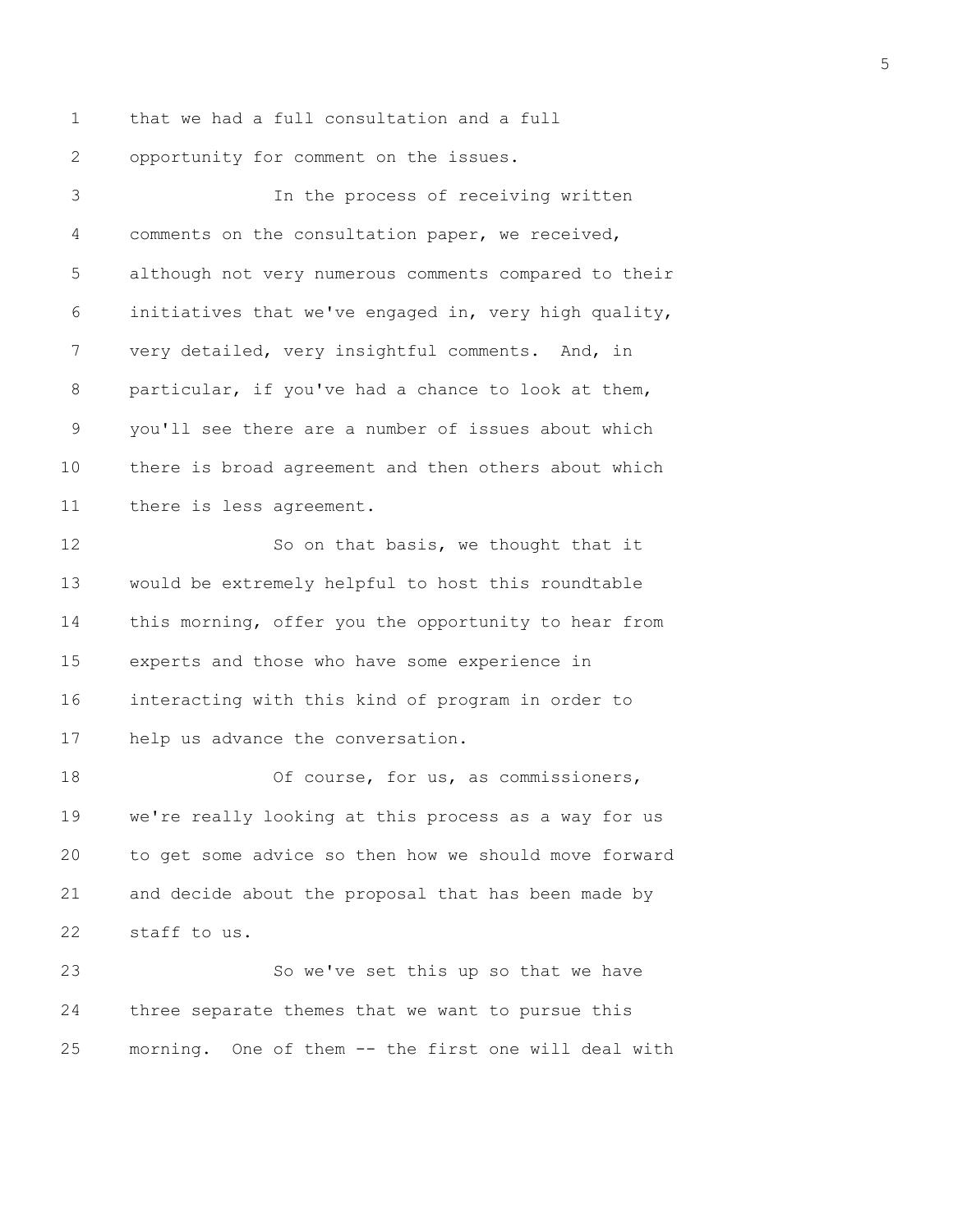1 that we had a full consultation and a full 2 opportunity for comment on the issues.

3 In the process of receiving written 4 comments on the consultation paper, we received, 5 although not very numerous comments compared to their 6 initiatives that we've engaged in, very high quality, 7 very detailed, very insightful comments. And, in 8 particular, if you've had a chance to look at them, 9 you'll see there are a number of issues about which 10 there is broad agreement and then others about which 11 there is less agreement. 12 So on that basis, we thought that it 13 would be extremely helpful to host this roundtable 14 this morning, offer you the opportunity to hear from 15 experts and those who have some experience in 16 interacting with this kind of program in order to 17 help us advance the conversation. 18 Of course, for us, as commissioners, 19 we're really looking at this process as a way for us 20 to get some advice so then how we should move forward 21 and decide about the proposal that has been made by 22 staff to us. 23 So we've set this up so that we have 24 three separate themes that we want to pursue this 25 morning. One of them -- the first one will deal with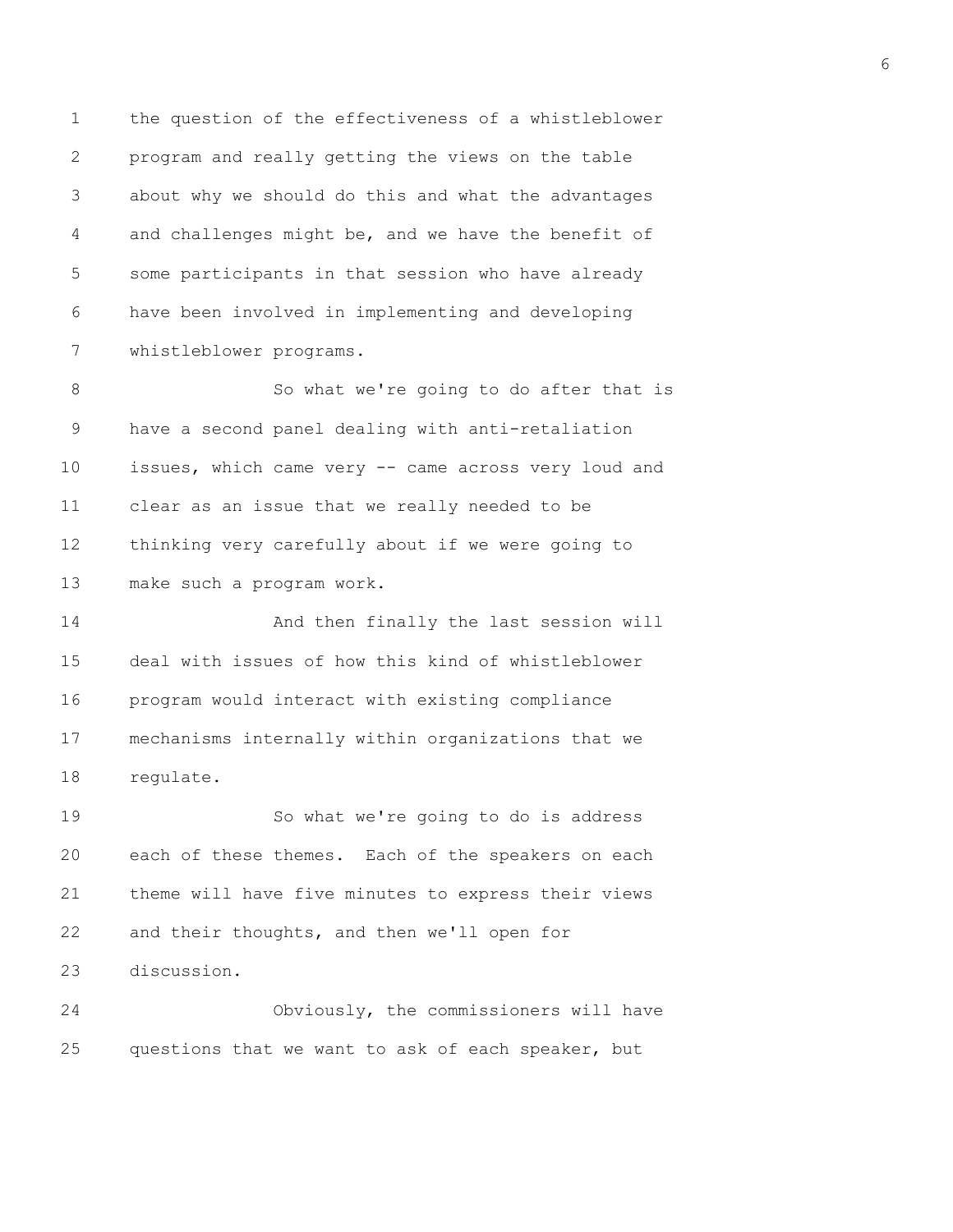1 the question of the effectiveness of a whistleblower 2 program and really getting the views on the table 3 about why we should do this and what the advantages 4 and challenges might be, and we have the benefit of 5 some participants in that session who have already 6 have been involved in implementing and developing 7 whistleblower programs.

8 So what we're going to do after that is 9 have a second panel dealing with anti-retaliation 10 issues, which came very -- came across very loud and 11 clear as an issue that we really needed to be 12 thinking very carefully about if we were going to 13 make such a program work.

14 And then finally the last session will 15 deal with issues of how this kind of whistleblower 16 program would interact with existing compliance 17 mechanisms internally within organizations that we 18 regulate.

19 So what we're going to do is address 20 each of these themes. Each of the speakers on each 21 theme will have five minutes to express their views 22 and their thoughts, and then we'll open for 23 discussion.

24 Obviously, the commissioners will have 25 questions that we want to ask of each speaker, but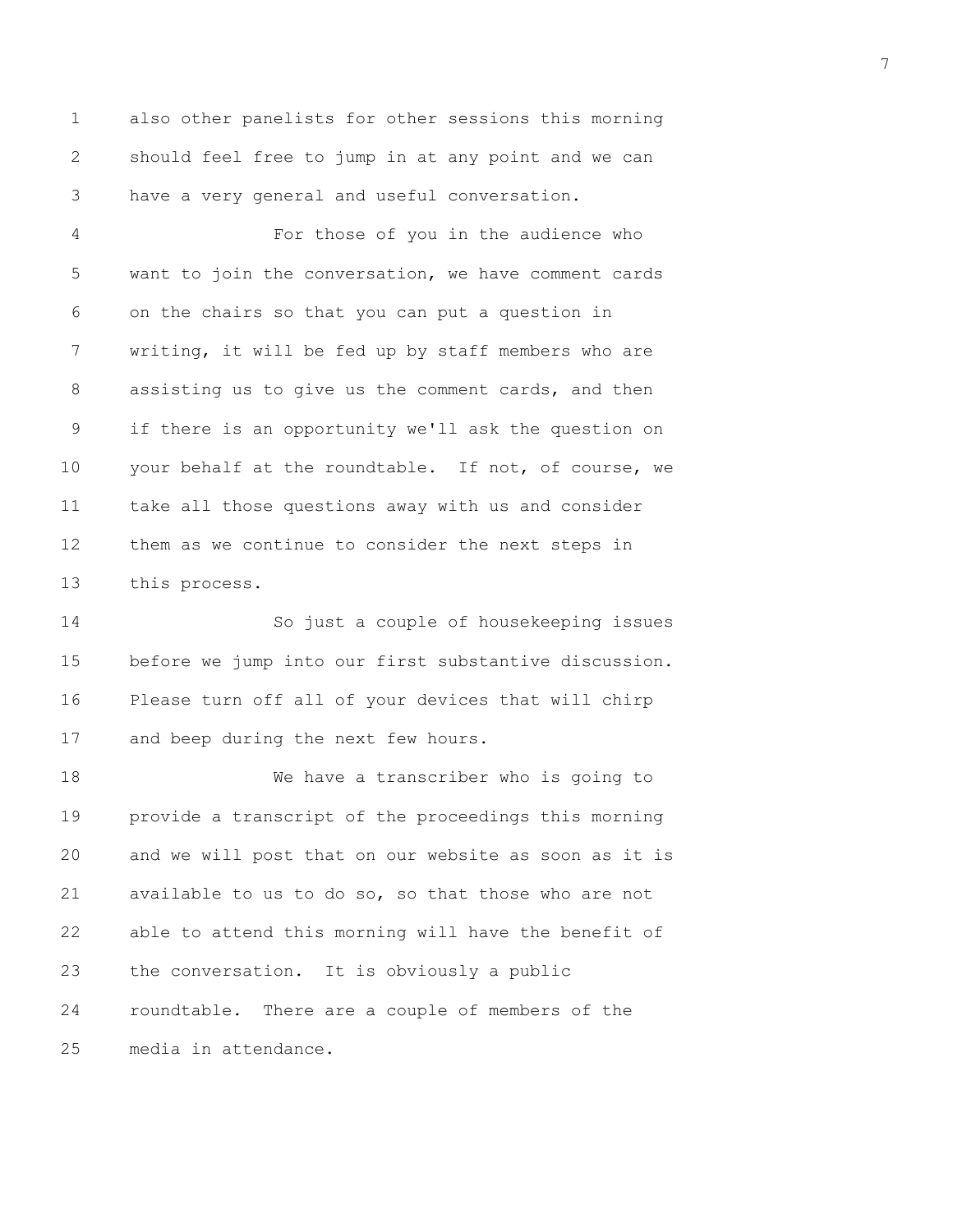1 also other panelists for other sessions this morning 2 should feel free to jump in at any point and we can 3 have a very general and useful conversation.

4 For those of you in the audience who 5 want to join the conversation, we have comment cards 6 on the chairs so that you can put a question in 7 writing, it will be fed up by staff members who are 8 assisting us to give us the comment cards, and then 9 if there is an opportunity we'll ask the question on 10 your behalf at the roundtable. If not, of course, we 11 take all those questions away with us and consider 12 them as we continue to consider the next steps in 13 this process.

14 So just a couple of housekeeping issues 15 before we jump into our first substantive discussion. 16 Please turn off all of your devices that will chirp 17 and beep during the next few hours.

18 We have a transcriber who is going to 19 provide a transcript of the proceedings this morning 20 and we will post that on our website as soon as it is 21 available to us to do so, so that those who are not 22 able to attend this morning will have the benefit of 23 the conversation. It is obviously a public 24 roundtable. There are a couple of members of the 25 media in attendance.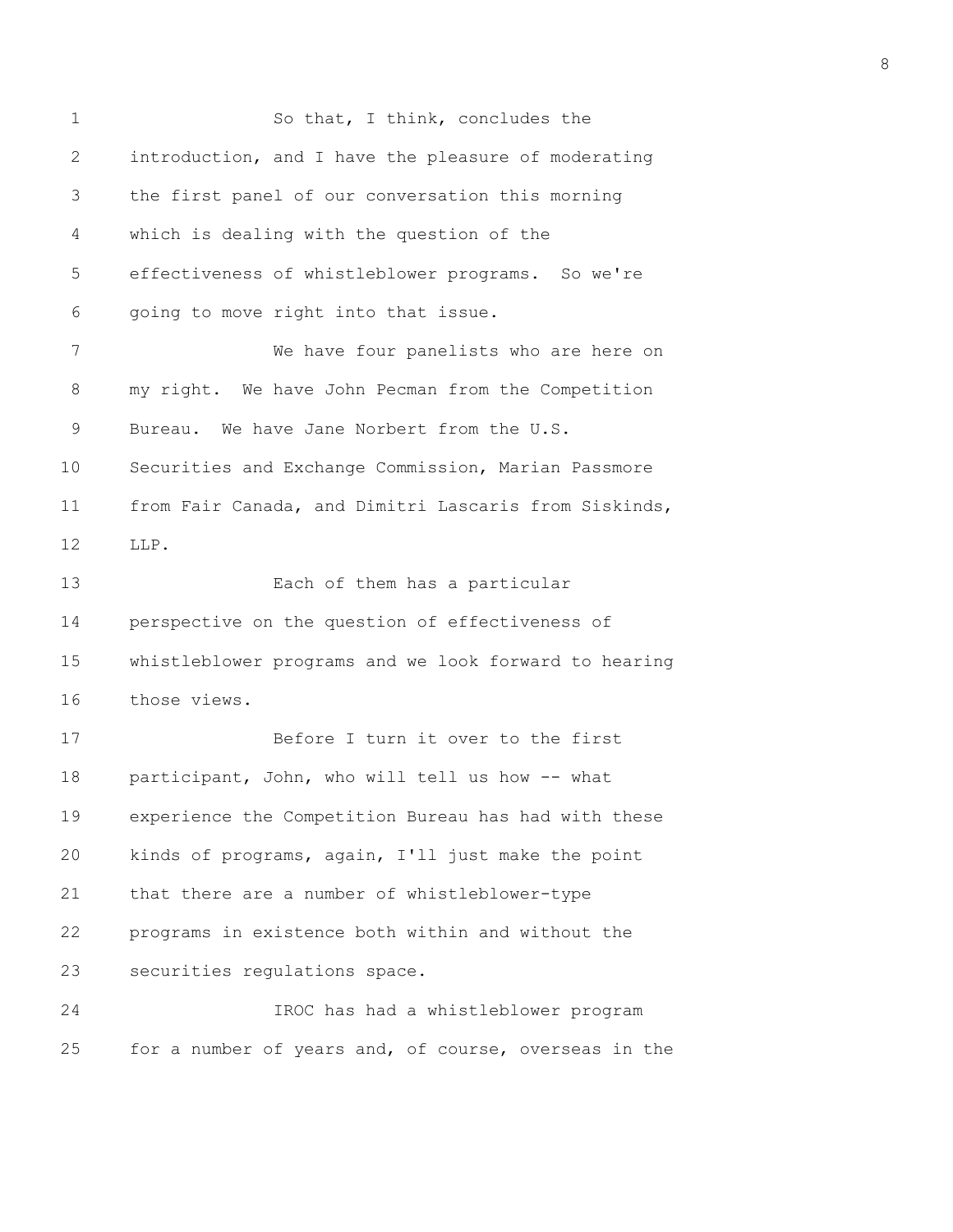| $\mathbf 1$ | So that, I think, concludes the                       |
|-------------|-------------------------------------------------------|
| 2           | introduction, and I have the pleasure of moderating   |
| 3           | the first panel of our conversation this morning      |
| 4           | which is dealing with the question of the             |
| 5           | effectiveness of whistleblower programs. So we're     |
| 6           | going to move right into that issue.                  |
| 7           | We have four panelists who are here on                |
| 8           | my right. We have John Pecman from the Competition    |
| 9           | Bureau. We have Jane Norbert from the U.S.            |
| 10          | Securities and Exchange Commission, Marian Passmore   |
| 11          | from Fair Canada, and Dimitri Lascaris from Siskinds, |
| 12          | LLP.                                                  |
| 13          | Each of them has a particular                         |
| 14          | perspective on the question of effectiveness of       |
| 15          | whistleblower programs and we look forward to hearing |
| 16          | those views.                                          |
| 17          | Before I turn it over to the first                    |
| 18          | participant, John, who will tell us how -- what       |
| 19          | experience the Competition Bureau has had with these  |
| 20          | kinds of programs, again, I'll just make the point    |
| 21          | that there are a number of whistleblower-type         |
| 22          | programs in existence both within and without the     |
| 23          | securities regulations space.                         |
| 24          | IROC has had a whistleblower program                  |
| 25          | for a number of years and, of course, overseas in the |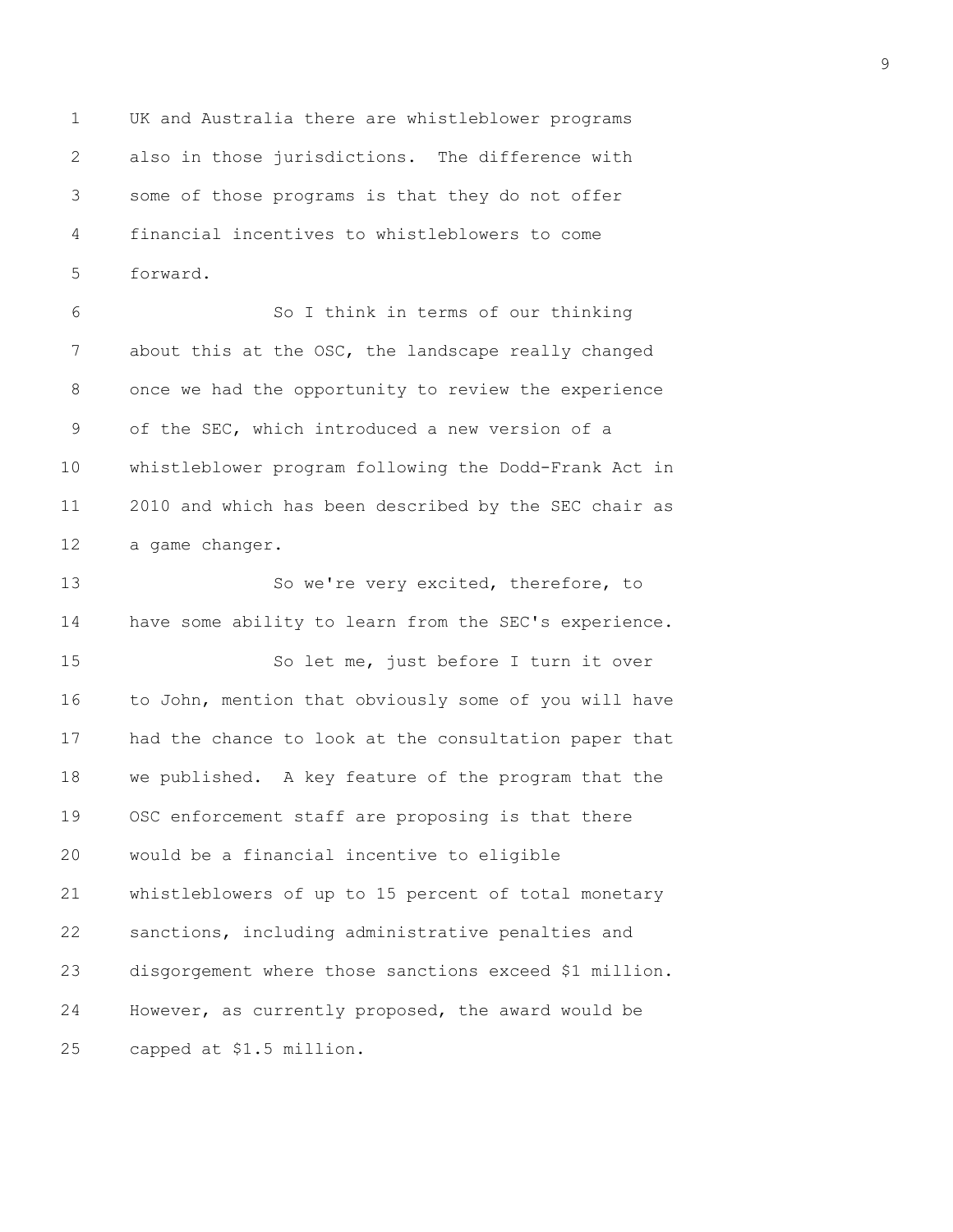1 UK and Australia there are whistleblower programs 2 also in those jurisdictions. The difference with 3 some of those programs is that they do not offer 4 financial incentives to whistleblowers to come 5 forward.

6 So I think in terms of our thinking 7 about this at the OSC, the landscape really changed 8 once we had the opportunity to review the experience 9 of the SEC, which introduced a new version of a 10 whistleblower program following the Dodd-Frank Act in 11 2010 and which has been described by the SEC chair as 12 a game changer.

13 So we're very excited, therefore, to 14 have some ability to learn from the SEC's experience. 15 So let me, just before I turn it over 16 to John, mention that obviously some of you will have 17 had the chance to look at the consultation paper that 18 we published. A key feature of the program that the 19 OSC enforcement staff are proposing is that there 20 would be a financial incentive to eligible 21 whistleblowers of up to 15 percent of total monetary 22 sanctions, including administrative penalties and 23 disgorgement where those sanctions exceed \$1 million. 24 However, as currently proposed, the award would be 25 capped at \$1.5 million.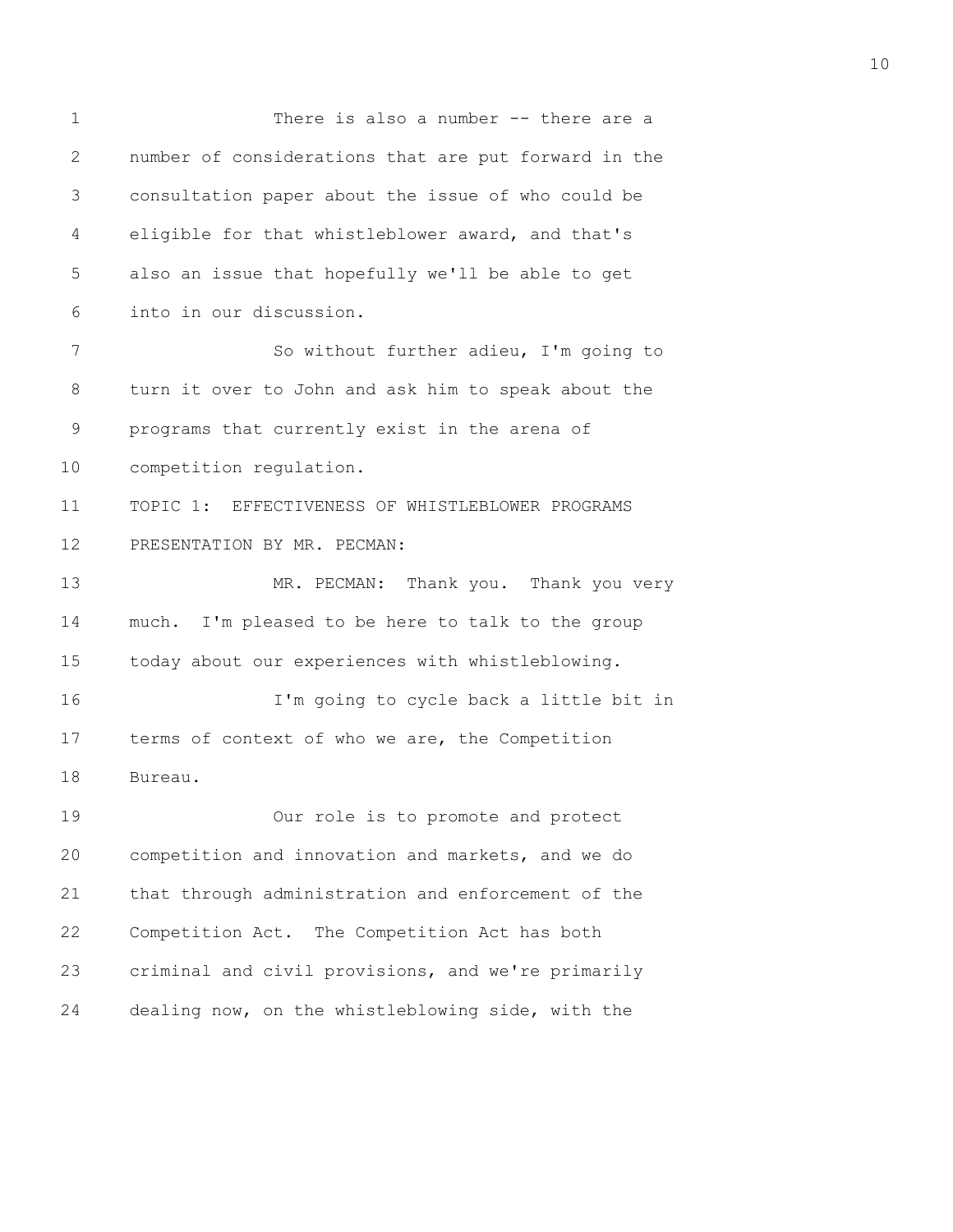| $\mathbf 1$     | There is also a number -- there are a                |
|-----------------|------------------------------------------------------|
| $\overline{2}$  | number of considerations that are put forward in the |
| 3               | consultation paper about the issue of who could be   |
| 4               | eligible for that whistleblower award, and that's    |
| 5               | also an issue that hopefully we'll be able to get    |
| 6               | into in our discussion.                              |
| 7               | So without further adieu, I'm going to               |
| 8               | turn it over to John and ask him to speak about the  |
| 9               | programs that currently exist in the arena of        |
| 10              | competition regulation.                              |
| 11              | TOPIC 1: EFFECTIVENESS OF WHISTLEBLOWER PROGRAMS     |
| 12 <sup>°</sup> | PRESENTATION BY MR. PECMAN:                          |
| 13              | MR. PECMAN: Thank you. Thank you very                |
| 14              | much. I'm pleased to be here to talk to the group    |
| 15              | today about our experiences with whistleblowing.     |
| 16              | I'm going to cycle back a little bit in              |
| 17              | terms of context of who we are, the Competition      |
| 18              | Bureau.                                              |
| 19              | Our role is to promote and protect                   |
| 20              | competition and innovation and markets, and we do    |
| 21              | that through administration and enforcement of the   |
| 22              | Competition Act. The Competition Act has both        |
| 23              | criminal and civil provisions, and we're primarily   |
|                 |                                                      |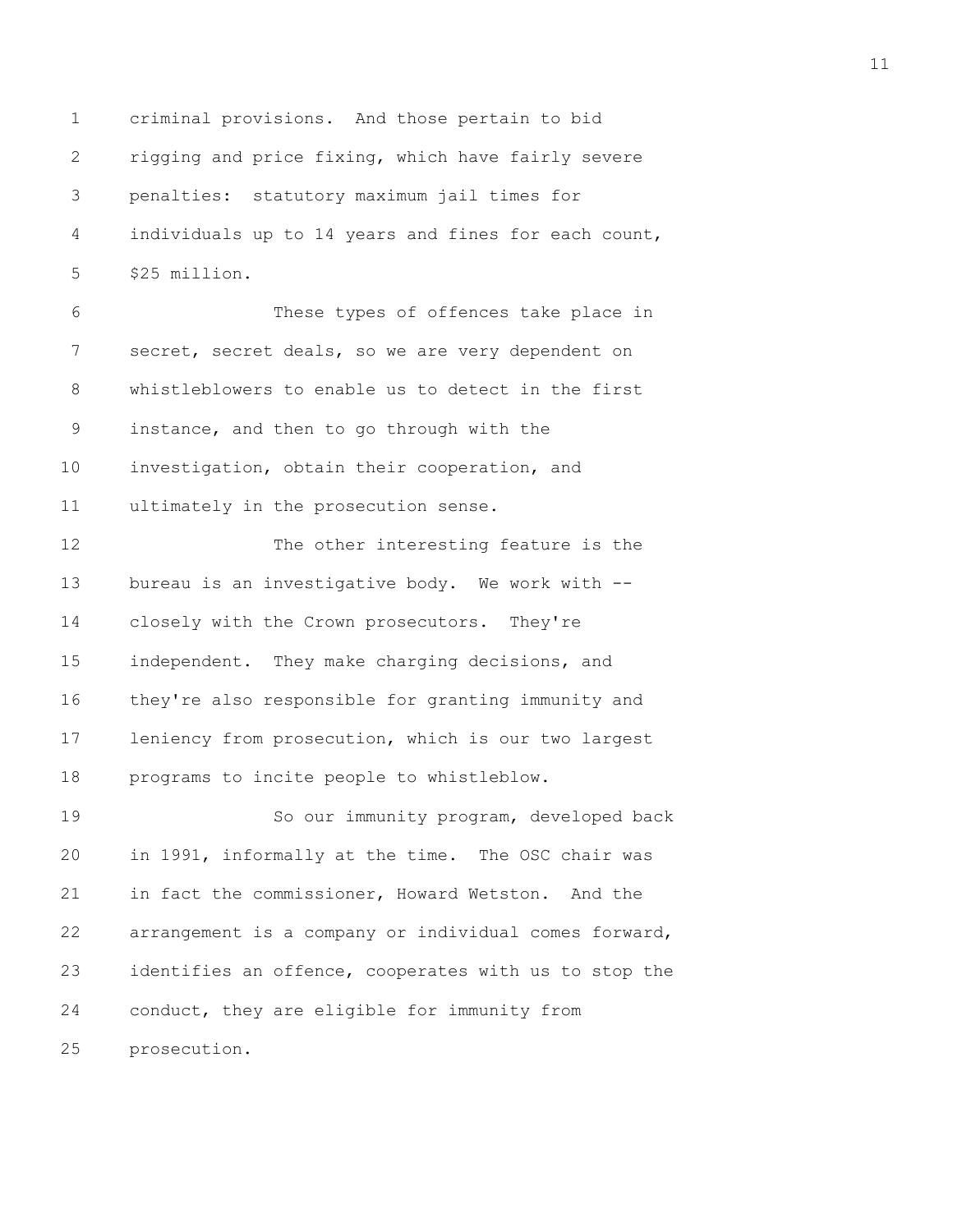1 criminal provisions. And those pertain to bid 2 rigging and price fixing, which have fairly severe 3 penalties: statutory maximum jail times for 4 individuals up to 14 years and fines for each count, 5 \$25 million.

6 These types of offences take place in 7 secret, secret deals, so we are very dependent on 8 whistleblowers to enable us to detect in the first 9 instance, and then to go through with the 10 investigation, obtain their cooperation, and 11 ultimately in the prosecution sense.

12 The other interesting feature is the 13 bureau is an investigative body. We work with -- 14 closely with the Crown prosecutors. They're 15 independent. They make charging decisions, and 16 they're also responsible for granting immunity and 17 leniency from prosecution, which is our two largest 18 programs to incite people to whistleblow.

19 So our immunity program, developed back 20 in 1991, informally at the time. The OSC chair was 21 in fact the commissioner, Howard Wetston. And the 22 arrangement is a company or individual comes forward, 23 identifies an offence, cooperates with us to stop the 24 conduct, they are eligible for immunity from 25 prosecution.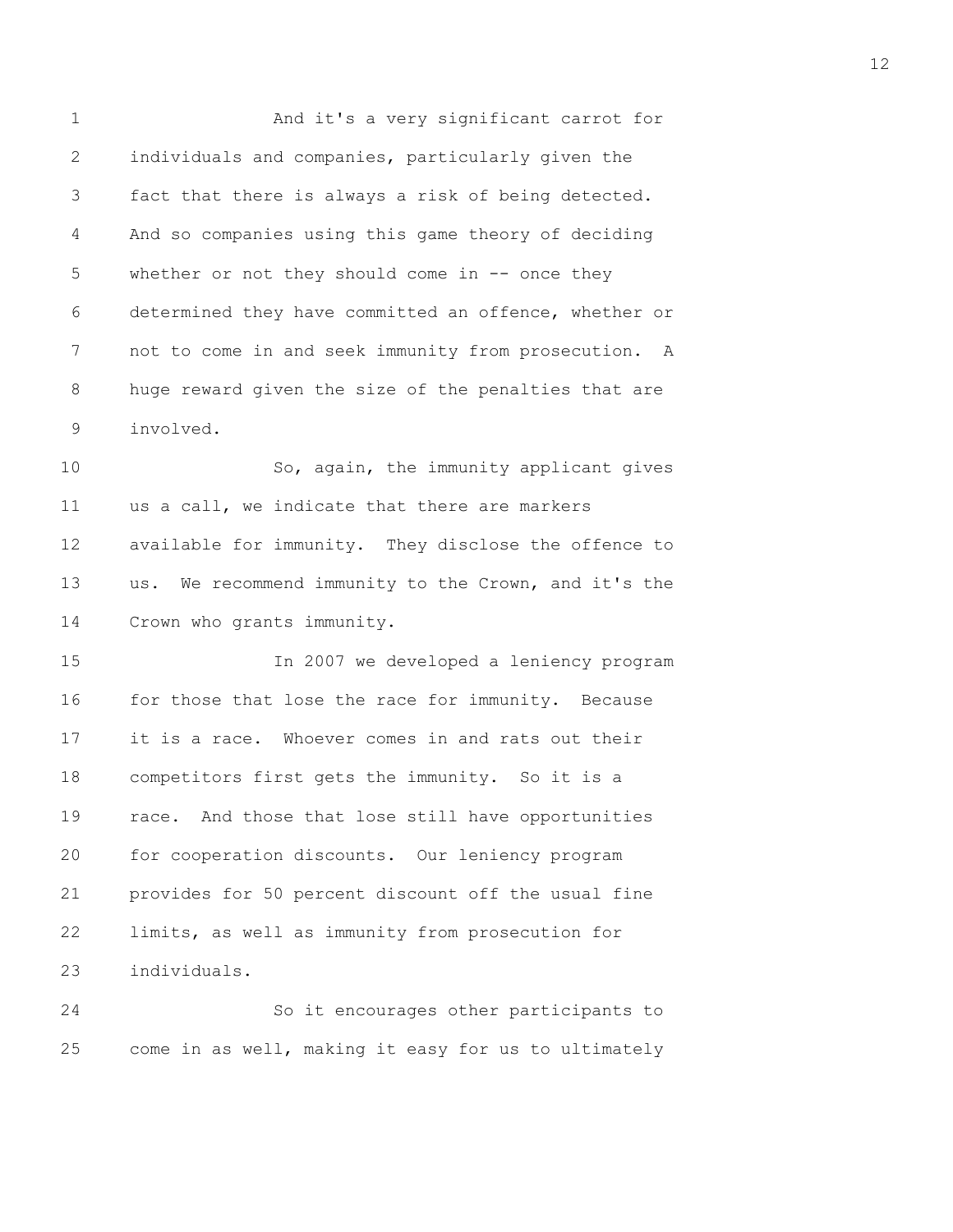1 And it's a very significant carrot for 2 individuals and companies, particularly given the 3 fact that there is always a risk of being detected. 4 And so companies using this game theory of deciding 5 whether or not they should come in -- once they 6 determined they have committed an offence, whether or 7 not to come in and seek immunity from prosecution. A 8 huge reward given the size of the penalties that are 9 involved. 10 So, again, the immunity applicant gives 11 us a call, we indicate that there are markers 12 available for immunity. They disclose the offence to 13 us. We recommend immunity to the Crown, and it's the 14 Crown who grants immunity. 15 In 2007 we developed a leniency program 16 for those that lose the race for immunity. Because 17 it is a race. Whoever comes in and rats out their 18 competitors first gets the immunity. So it is a 19 race. And those that lose still have opportunities 20 for cooperation discounts. Our leniency program 21 provides for 50 percent discount off the usual fine 22 limits, as well as immunity from prosecution for 23 individuals. 24 So it encourages other participants to

25 come in as well, making it easy for us to ultimately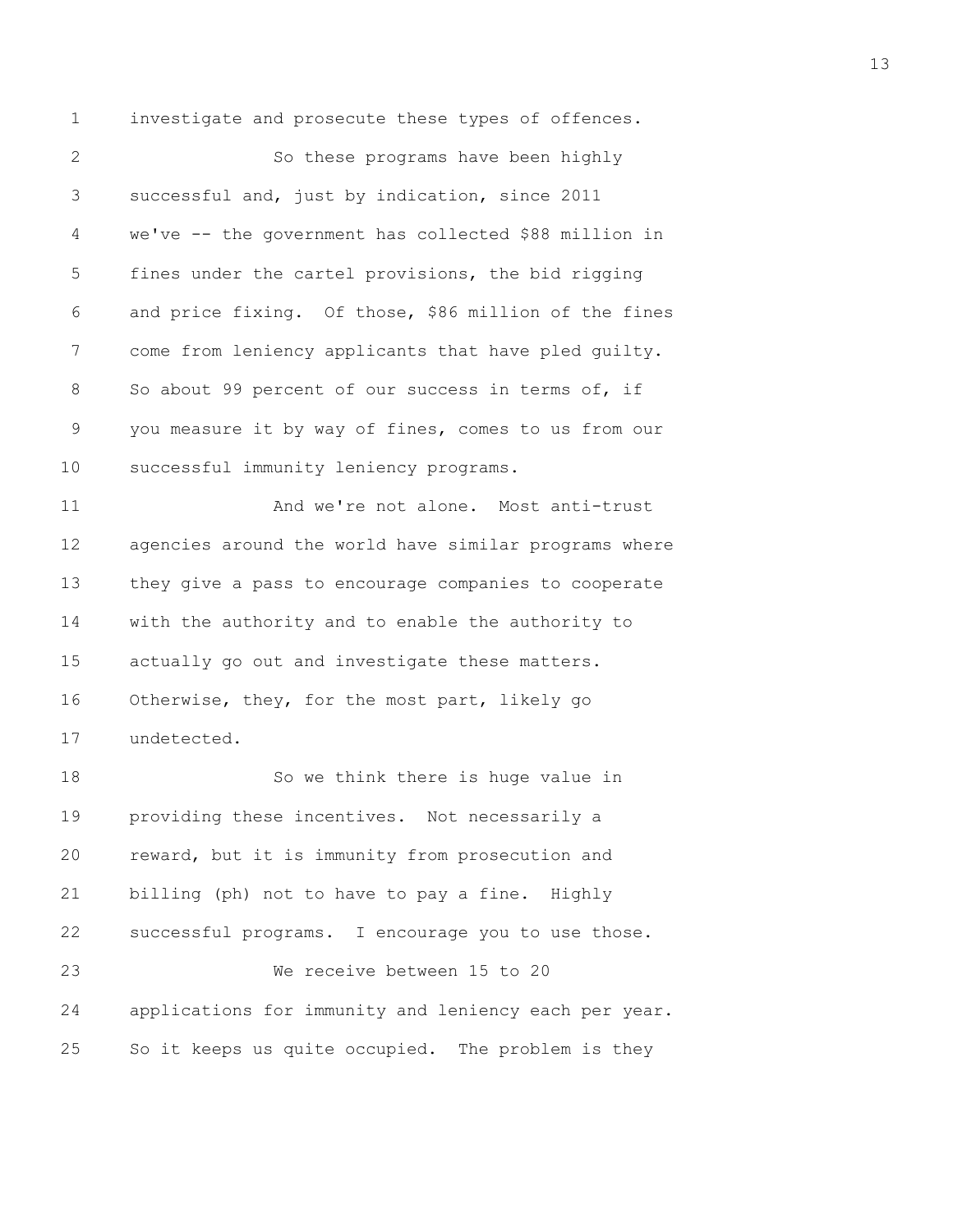1 investigate and prosecute these types of offences. 2 So these programs have been highly 3 successful and, just by indication, since 2011 4 we've -- the government has collected \$88 million in 5 fines under the cartel provisions, the bid rigging 6 and price fixing. Of those, \$86 million of the fines 7 come from leniency applicants that have pled guilty. 8 So about 99 percent of our success in terms of, if 9 you measure it by way of fines, comes to us from our 10 successful immunity leniency programs. 11 And we're not alone. Most anti-trust 12 agencies around the world have similar programs where 13 they give a pass to encourage companies to cooperate 14 with the authority and to enable the authority to 15 actually go out and investigate these matters. 16 Otherwise, they, for the most part, likely go 17 undetected. 18 So we think there is huge value in 19 providing these incentives. Not necessarily a 20 reward, but it is immunity from prosecution and 21 billing (ph) not to have to pay a fine. Highly 22 successful programs. I encourage you to use those. 23 We receive between 15 to 20 24 applications for immunity and leniency each per year. 25 So it keeps us quite occupied. The problem is they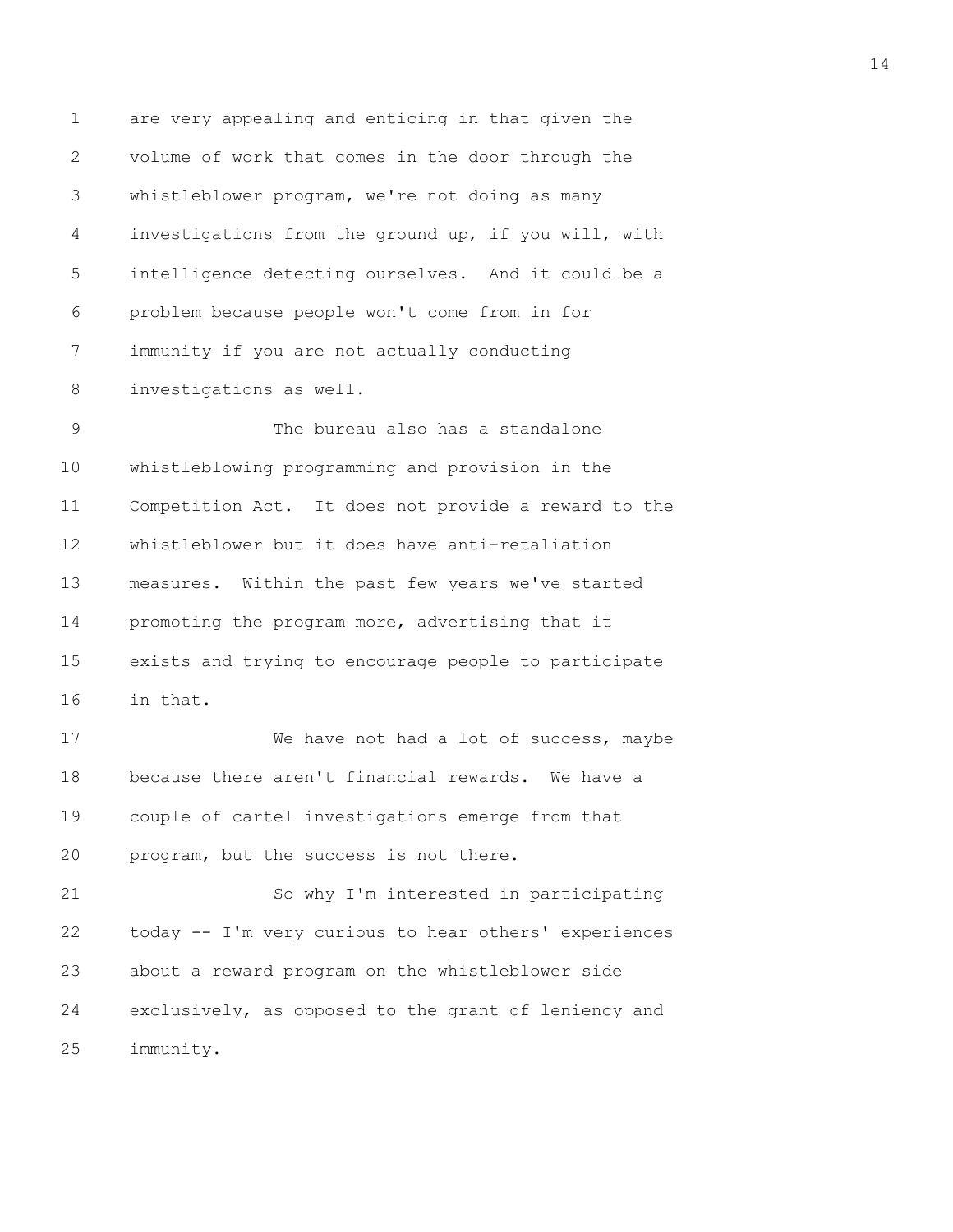1 are very appealing and enticing in that given the 2 volume of work that comes in the door through the 3 whistleblower program, we're not doing as many 4 investigations from the ground up, if you will, with 5 intelligence detecting ourselves. And it could be a 6 problem because people won't come from in for 7 immunity if you are not actually conducting 8 investigations as well. 9 The bureau also has a standalone

10 whistleblowing programming and provision in the 11 Competition Act. It does not provide a reward to the 12 whistleblower but it does have anti-retaliation 13 measures. Within the past few years we've started 14 promoting the program more, advertising that it 15 exists and trying to encourage people to participate 16 in that.

17 We have not had a lot of success, maybe 18 because there aren't financial rewards. We have a 19 couple of cartel investigations emerge from that 20 program, but the success is not there.

21 So why I'm interested in participating 22 today -- I'm very curious to hear others' experiences 23 about a reward program on the whistleblower side 24 exclusively, as opposed to the grant of leniency and 25 immunity.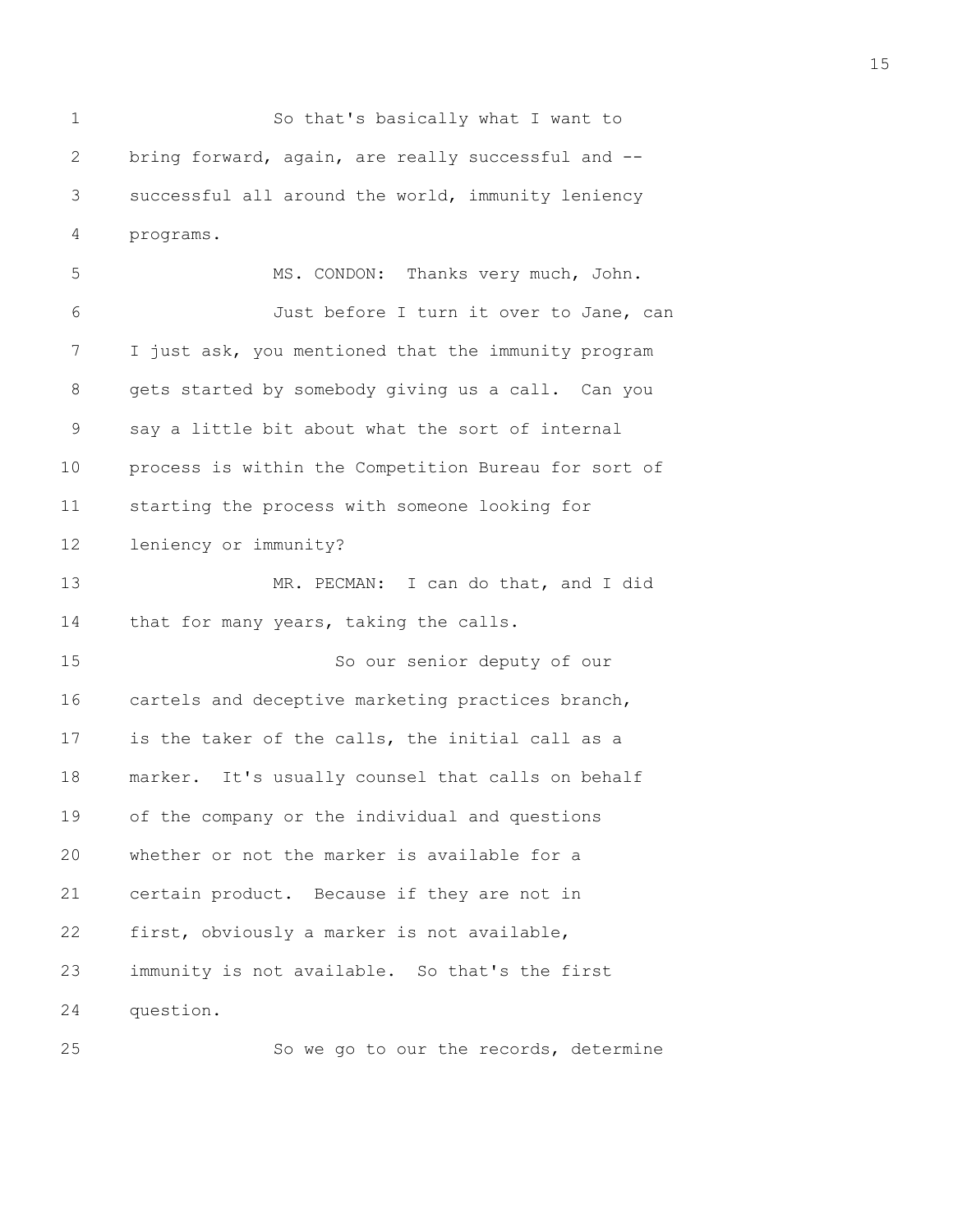1 So that's basically what I want to 2 bring forward, again, are really successful and -- 3 successful all around the world, immunity leniency 4 programs.

5 MS. CONDON: Thanks very much, John. 6 Just before I turn it over to Jane, can 7 I just ask, you mentioned that the immunity program 8 gets started by somebody giving us a call. Can you 9 say a little bit about what the sort of internal 10 process is within the Competition Bureau for sort of 11 starting the process with someone looking for 12 leniency or immunity? 13 MR. PECMAN: I can do that, and I did 14 that for many years, taking the calls. 15 So our senior deputy of our 16 cartels and deceptive marketing practices branch, 17 is the taker of the calls, the initial call as a 18 marker. It's usually counsel that calls on behalf 19 of the company or the individual and questions 20 whether or not the marker is available for a 21 certain product. Because if they are not in 22 first, obviously a marker is not available, 23 immunity is not available. So that's the first 24 question.

25 So we go to our the records, determine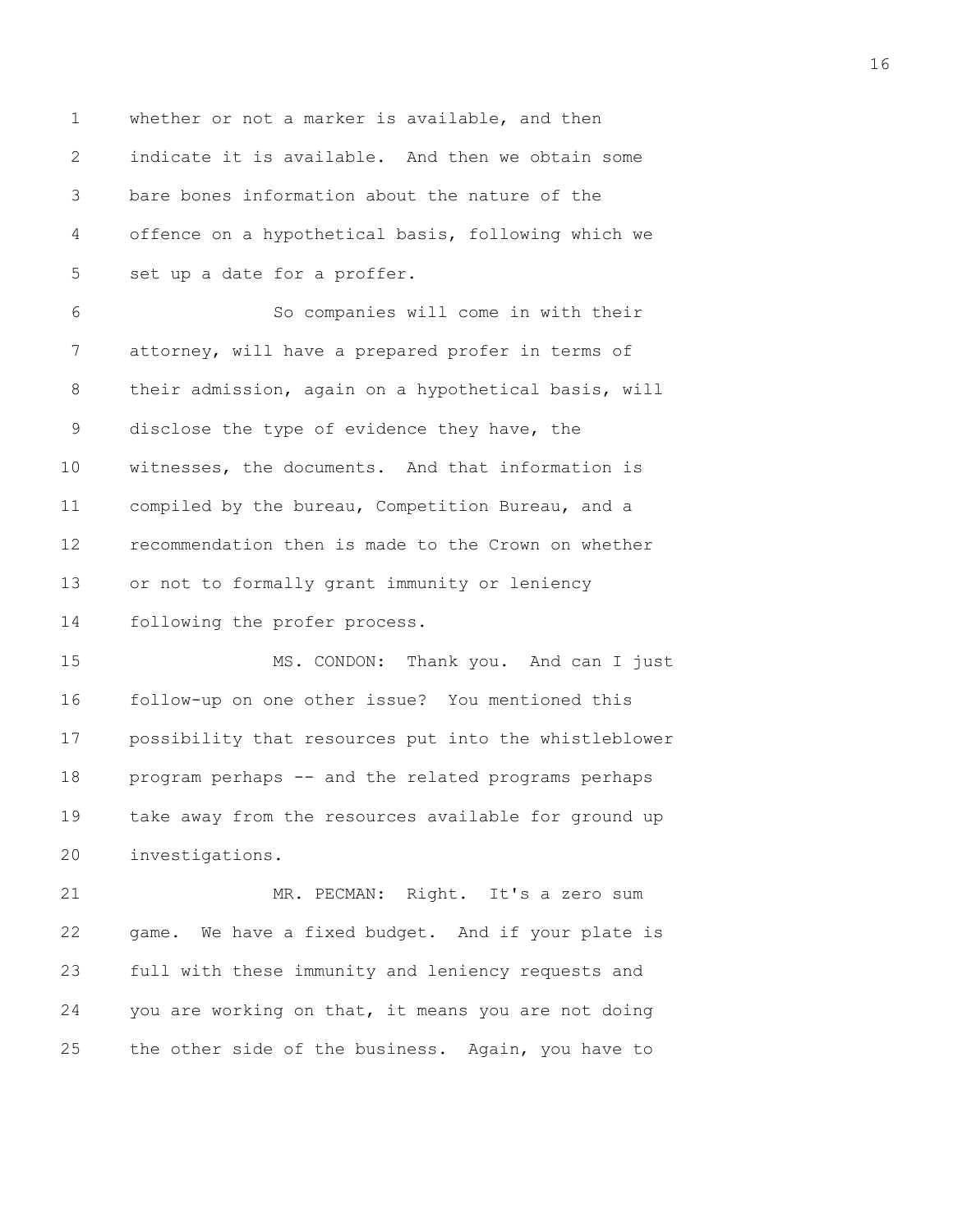1 whether or not a marker is available, and then 2 indicate it is available. And then we obtain some 3 bare bones information about the nature of the 4 offence on a hypothetical basis, following which we 5 set up a date for a proffer. 6 So companies will come in with their 7 attorney, will have a prepared profer in terms of 8 their admission, again on a hypothetical basis, will 9 disclose the type of evidence they have, the 10 witnesses, the documents. And that information is 11 compiled by the bureau, Competition Bureau, and a 12 recommendation then is made to the Crown on whether 13 or not to formally grant immunity or leniency 14 following the profer process. 15 MS. CONDON: Thank you. And can I just 16 follow-up on one other issue? You mentioned this 17 possibility that resources put into the whistleblower 18 program perhaps -- and the related programs perhaps

19 take away from the resources available for ground up 20 investigations.

21 MR. PECMAN: Right. It's a zero sum 22 game. We have a fixed budget. And if your plate is 23 full with these immunity and leniency requests and 24 you are working on that, it means you are not doing 25 the other side of the business. Again, you have to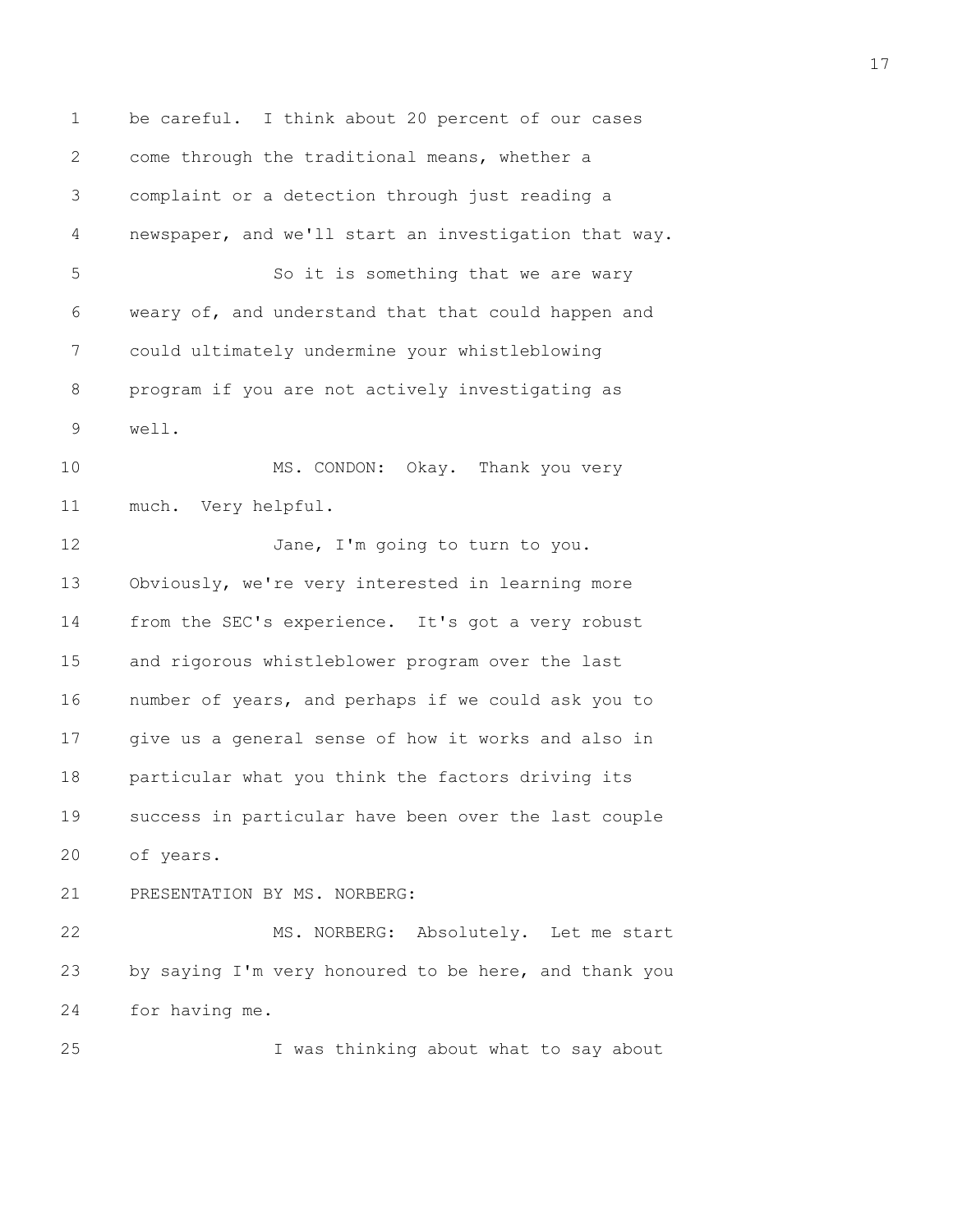1 be careful. I think about 20 percent of our cases 2 come through the traditional means, whether a 3 complaint or a detection through just reading a 4 newspaper, and we'll start an investigation that way. 5 So it is something that we are wary 6 weary of, and understand that that could happen and 7 could ultimately undermine your whistleblowing 8 program if you are not actively investigating as 9 well. 10 MS. CONDON: Okay. Thank you very 11 much. Very helpful. 12 Jane, I'm going to turn to you. 13 Obviously, we're very interested in learning more 14 from the SEC's experience. It's got a very robust 15 and rigorous whistleblower program over the last 16 number of years, and perhaps if we could ask you to 17 give us a general sense of how it works and also in 18 particular what you think the factors driving its 19 success in particular have been over the last couple 20 of years. 21 PRESENTATION BY MS. NORBERG: 22 MS. NORBERG: Absolutely. Let me start 23 by saying I'm very honoured to be here, and thank you 24 for having me. 25 I was thinking about what to say about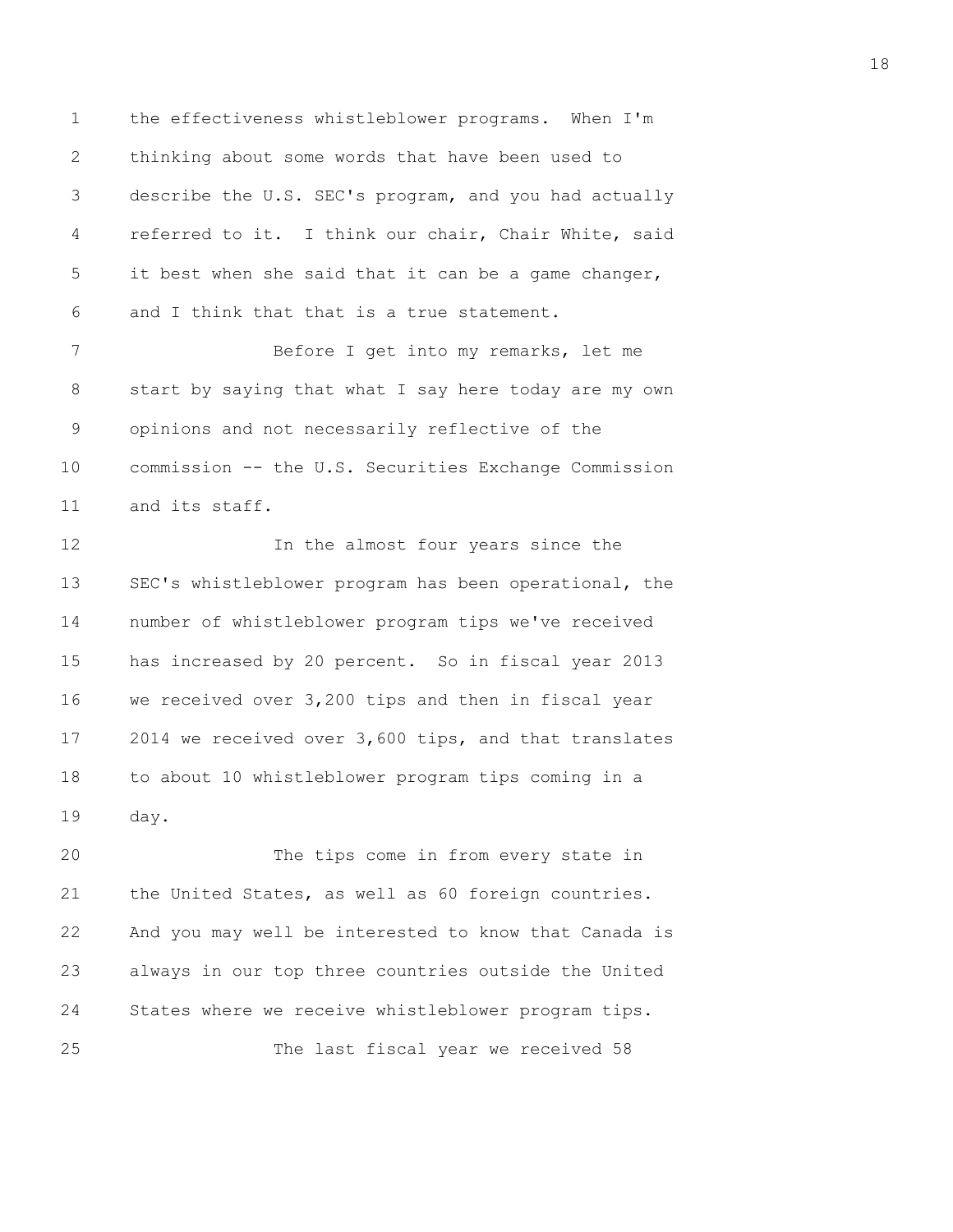1 the effectiveness whistleblower programs. When I'm 2 thinking about some words that have been used to 3 describe the U.S. SEC's program, and you had actually 4 referred to it. I think our chair, Chair White, said 5 it best when she said that it can be a game changer, 6 and I think that that is a true statement.

7 Before I get into my remarks, let me 8 start by saying that what I say here today are my own 9 opinions and not necessarily reflective of the 10 commission -- the U.S. Securities Exchange Commission 11 and its staff.

12 In the almost four years since the 13 SEC's whistleblower program has been operational, the 14 number of whistleblower program tips we've received 15 has increased by 20 percent. So in fiscal year 2013 16 we received over 3,200 tips and then in fiscal year 17 2014 we received over 3,600 tips, and that translates 18 to about 10 whistleblower program tips coming in a 19 day.

20 The tips come in from every state in 21 the United States, as well as 60 foreign countries. 22 And you may well be interested to know that Canada is 23 always in our top three countries outside the United 24 States where we receive whistleblower program tips. 25 The last fiscal year we received 58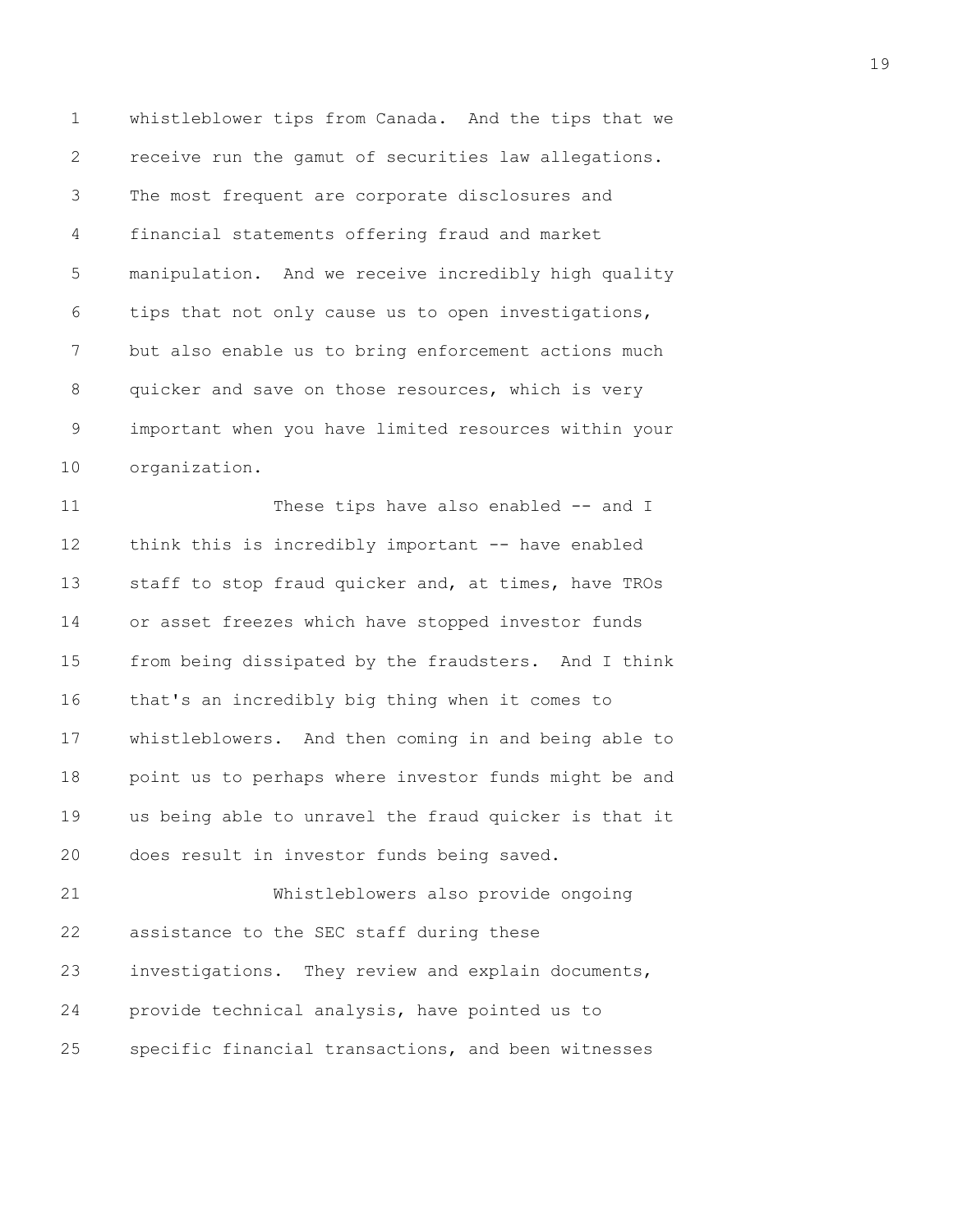1 whistleblower tips from Canada. And the tips that we 2 receive run the gamut of securities law allegations. 3 The most frequent are corporate disclosures and 4 financial statements offering fraud and market 5 manipulation. And we receive incredibly high quality 6 tips that not only cause us to open investigations, 7 but also enable us to bring enforcement actions much 8 quicker and save on those resources, which is very 9 important when you have limited resources within your 10 organization.

11 These tips have also enabled -- and I 12 think this is incredibly important -- have enabled 13 staff to stop fraud quicker and, at times, have TROs 14 or asset freezes which have stopped investor funds 15 from being dissipated by the fraudsters. And I think 16 that's an incredibly big thing when it comes to 17 whistleblowers. And then coming in and being able to 18 point us to perhaps where investor funds might be and 19 us being able to unravel the fraud quicker is that it 20 does result in investor funds being saved.

21 Whistleblowers also provide ongoing 22 assistance to the SEC staff during these 23 investigations. They review and explain documents, 24 provide technical analysis, have pointed us to 25 specific financial transactions, and been witnesses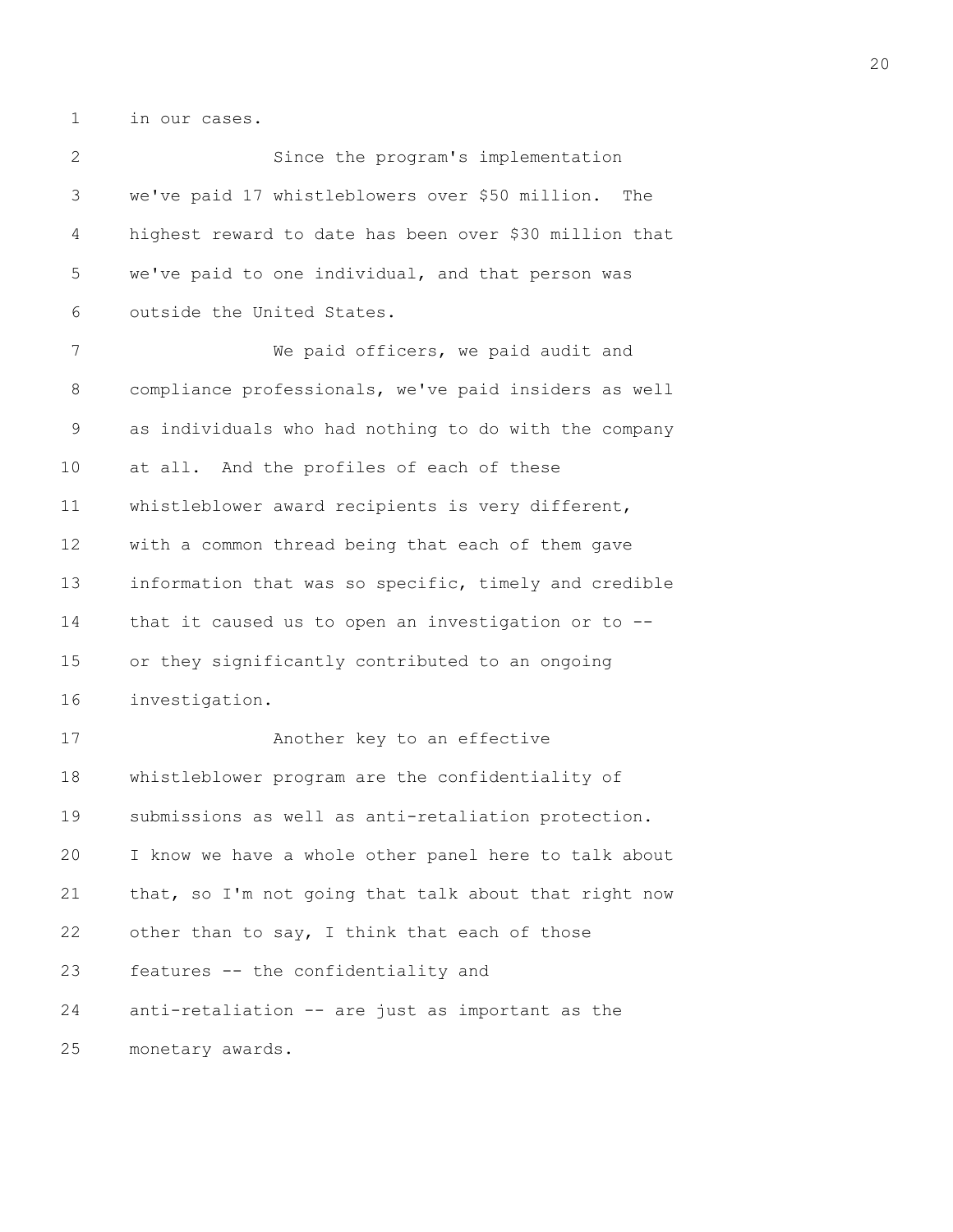1 in our cases.

2 Since the program's implementation 3 we've paid 17 whistleblowers over \$50 million. The 4 highest reward to date has been over \$30 million that 5 we've paid to one individual, and that person was 6 outside the United States. 7 We paid officers, we paid audit and 8 compliance professionals, we've paid insiders as well 9 as individuals who had nothing to do with the company 10 at all. And the profiles of each of these 11 whistleblower award recipients is very different, 12 with a common thread being that each of them gave 13 information that was so specific, timely and credible 14 that it caused us to open an investigation or to -- 15 or they significantly contributed to an ongoing 16 investigation. 17 Another key to an effective 18 whistleblower program are the confidentiality of 19 submissions as well as anti-retaliation protection. 20 I know we have a whole other panel here to talk about 21 that, so I'm not going that talk about that right now 22 other than to say, I think that each of those 23 features -- the confidentiality and 24 anti-retaliation -- are just as important as the 25 monetary awards.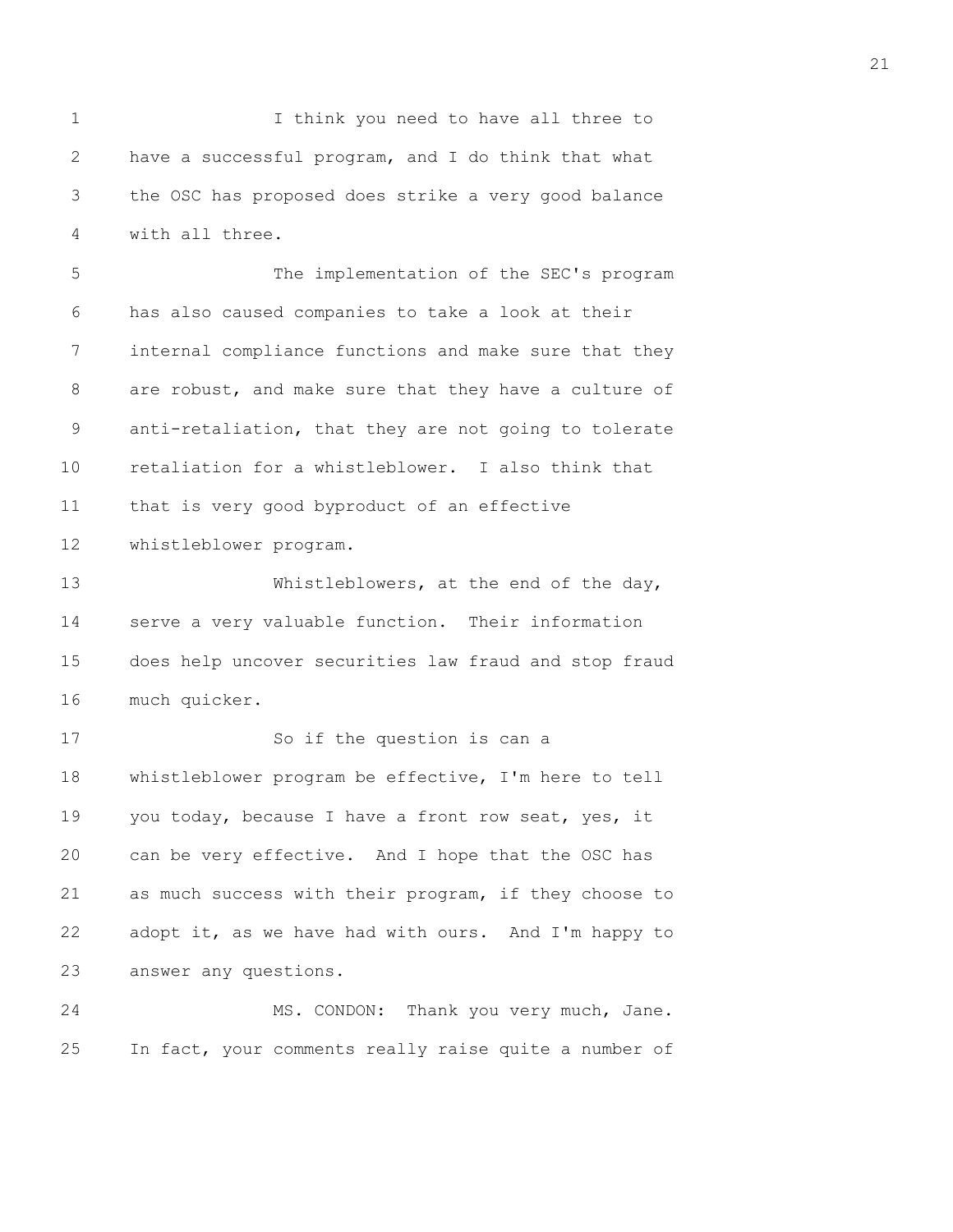1 I think you need to have all three to 2 have a successful program, and I do think that what 3 the OSC has proposed does strike a very good balance 4 with all three.

5 The implementation of the SEC's program 6 has also caused companies to take a look at their 7 internal compliance functions and make sure that they 8 are robust, and make sure that they have a culture of 9 anti-retaliation, that they are not going to tolerate 10 retaliation for a whistleblower. I also think that 11 that is very good byproduct of an effective 12 whistleblower program.

13 Whistleblowers, at the end of the day, 14 serve a very valuable function. Their information 15 does help uncover securities law fraud and stop fraud 16 much quicker.

17 So if the question is can a 18 whistleblower program be effective, I'm here to tell 19 you today, because I have a front row seat, yes, it 20 can be very effective. And I hope that the OSC has 21 as much success with their program, if they choose to 22 adopt it, as we have had with ours. And I'm happy to 23 answer any questions.

24 MS. CONDON: Thank you very much, Jane. 25 In fact, your comments really raise quite a number of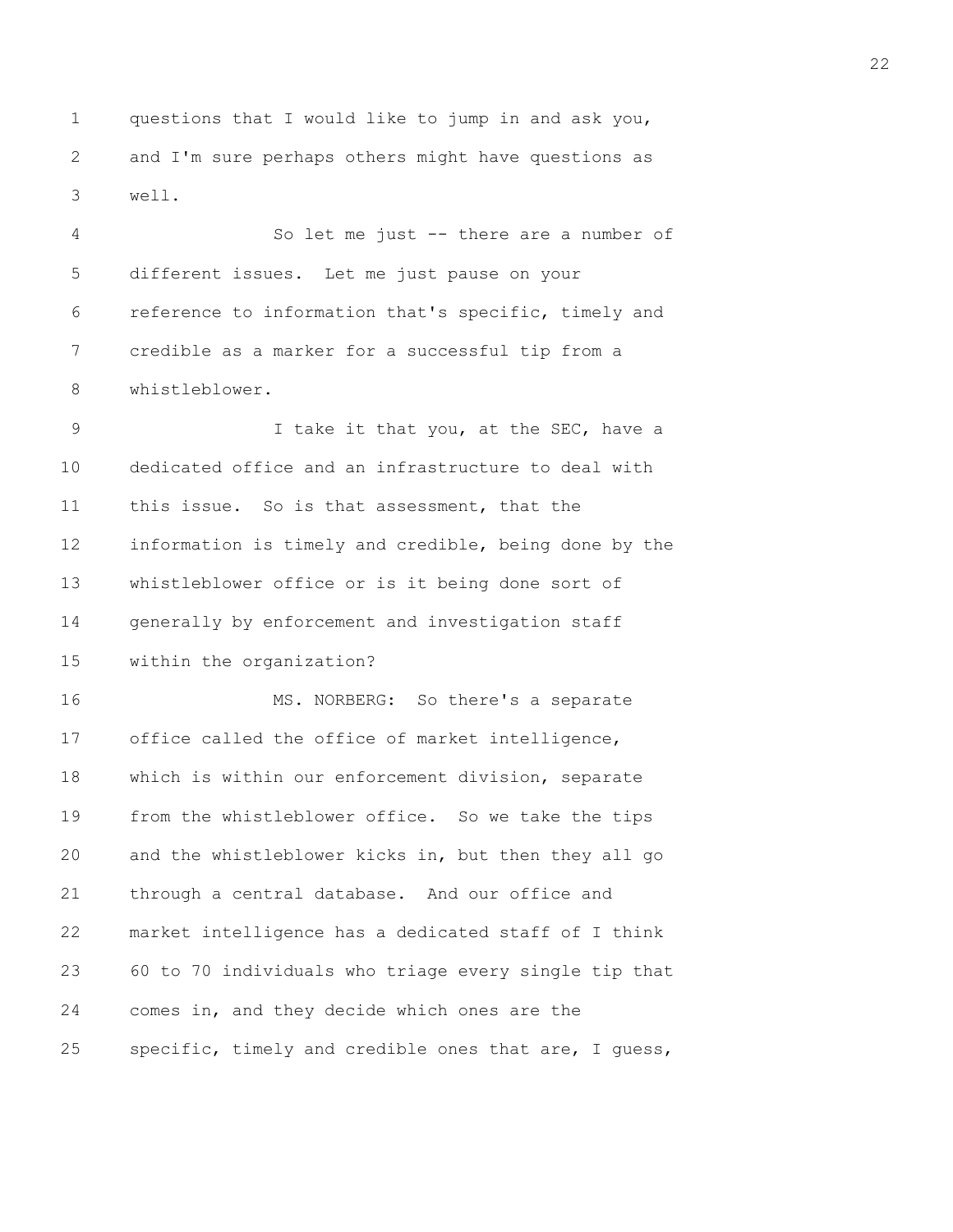1 questions that I would like to jump in and ask you, 2 and I'm sure perhaps others might have questions as 3 well.

4 So let me just -- there are a number of 5 different issues. Let me just pause on your 6 reference to information that's specific, timely and 7 credible as a marker for a successful tip from a 8 whistleblower.

9 I take it that you, at the SEC, have a 10 dedicated office and an infrastructure to deal with 11 this issue. So is that assessment, that the 12 information is timely and credible, being done by the 13 whistleblower office or is it being done sort of 14 generally by enforcement and investigation staff 15 within the organization?

16 MS. NORBERG: So there's a separate 17 office called the office of market intelligence, 18 which is within our enforcement division, separate 19 from the whistleblower office. So we take the tips 20 and the whistleblower kicks in, but then they all go 21 through a central database. And our office and 22 market intelligence has a dedicated staff of I think 23 60 to 70 individuals who triage every single tip that 24 comes in, and they decide which ones are the 25 specific, timely and credible ones that are, I guess,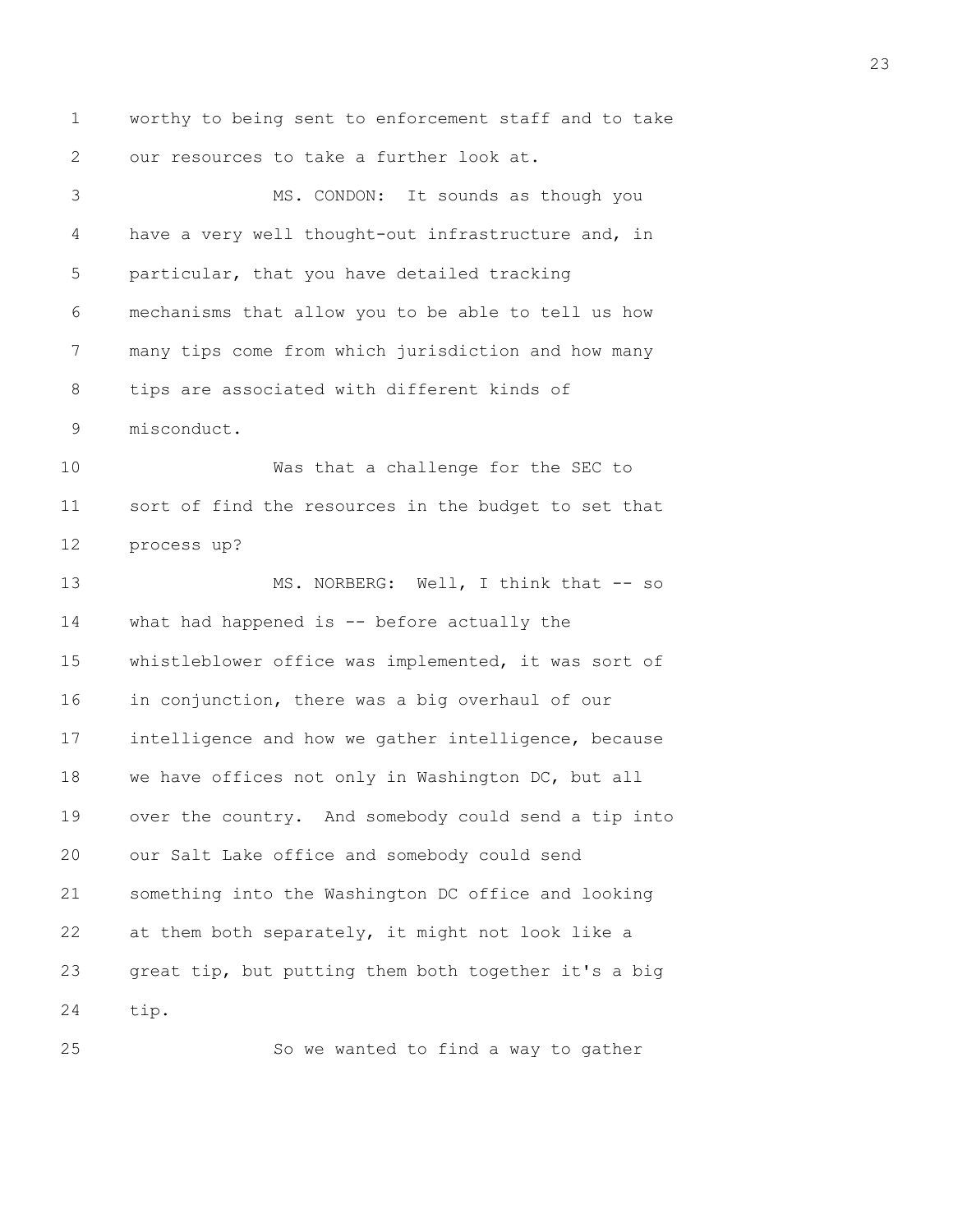1 worthy to being sent to enforcement staff and to take 2 our resources to take a further look at. 3 MS. CONDON: It sounds as though you 4 have a very well thought-out infrastructure and, in 5 particular, that you have detailed tracking 6 mechanisms that allow you to be able to tell us how 7 many tips come from which jurisdiction and how many 8 tips are associated with different kinds of 9 misconduct. 10 Was that a challenge for the SEC to 11 sort of find the resources in the budget to set that 12 process up? 13 MS. NORBERG: Well, I think that -- so 14 what had happened is -- before actually the 15 whistleblower office was implemented, it was sort of 16 in conjunction, there was a big overhaul of our 17 intelligence and how we gather intelligence, because 18 we have offices not only in Washington DC, but all 19 over the country. And somebody could send a tip into 20 our Salt Lake office and somebody could send 21 something into the Washington DC office and looking 22 at them both separately, it might not look like a 23 great tip, but putting them both together it's a big 24 tip. 25 So we wanted to find a way to gather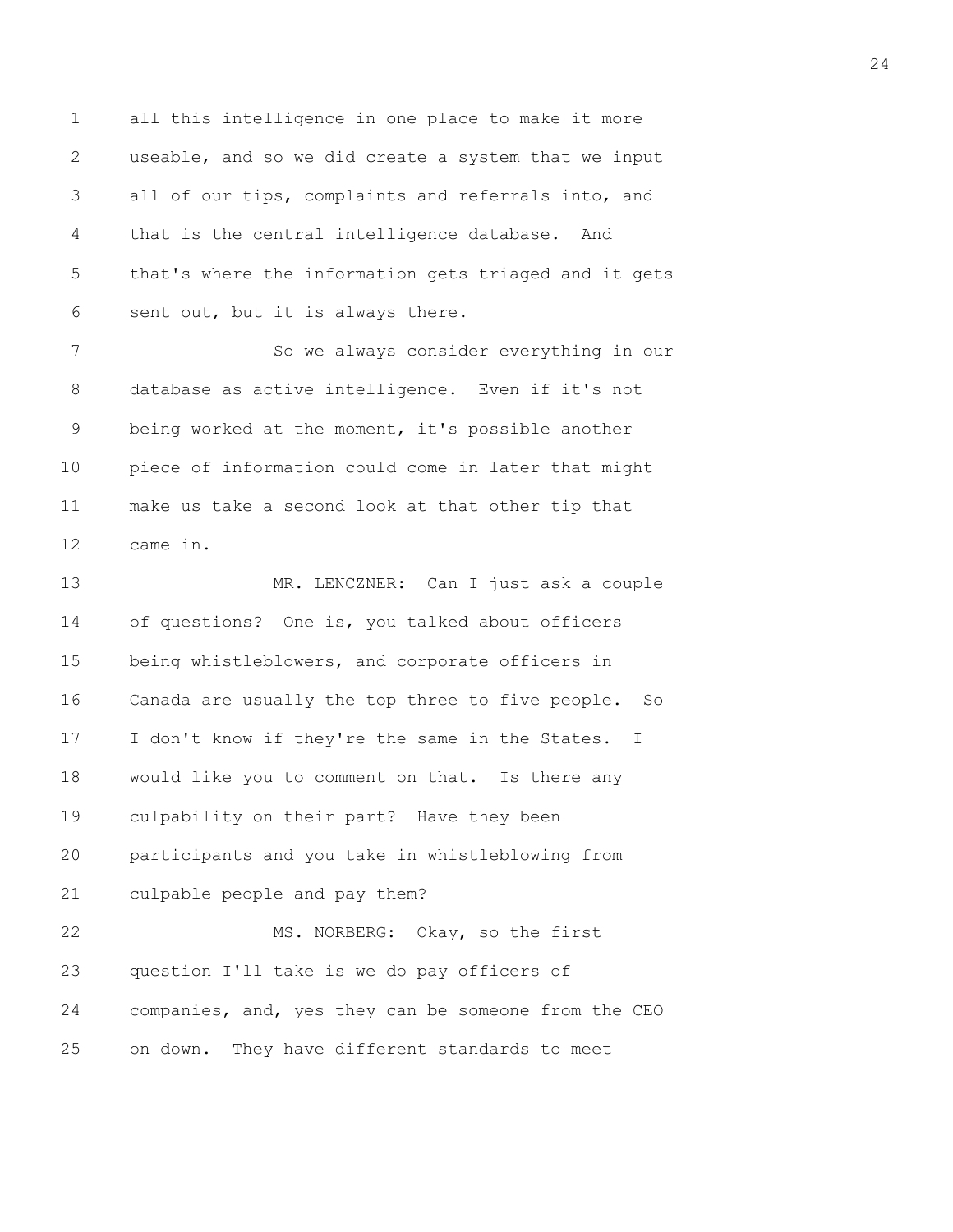1 all this intelligence in one place to make it more 2 useable, and so we did create a system that we input 3 all of our tips, complaints and referrals into, and 4 that is the central intelligence database. And 5 that's where the information gets triaged and it gets 6 sent out, but it is always there.

7 So we always consider everything in our 8 database as active intelligence. Even if it's not 9 being worked at the moment, it's possible another 10 piece of information could come in later that might 11 make us take a second look at that other tip that 12 came in.

13 MR. LENCZNER: Can I just ask a couple 14 of questions? One is, you talked about officers 15 being whistleblowers, and corporate officers in 16 Canada are usually the top three to five people. So 17 I don't know if they're the same in the States. I 18 would like you to comment on that. Is there any 19 culpability on their part? Have they been 20 participants and you take in whistleblowing from 21 culpable people and pay them? 22 MS. NORBERG: Okay, so the first 23 question I'll take is we do pay officers of 24 companies, and, yes they can be someone from the CEO

25 on down. They have different standards to meet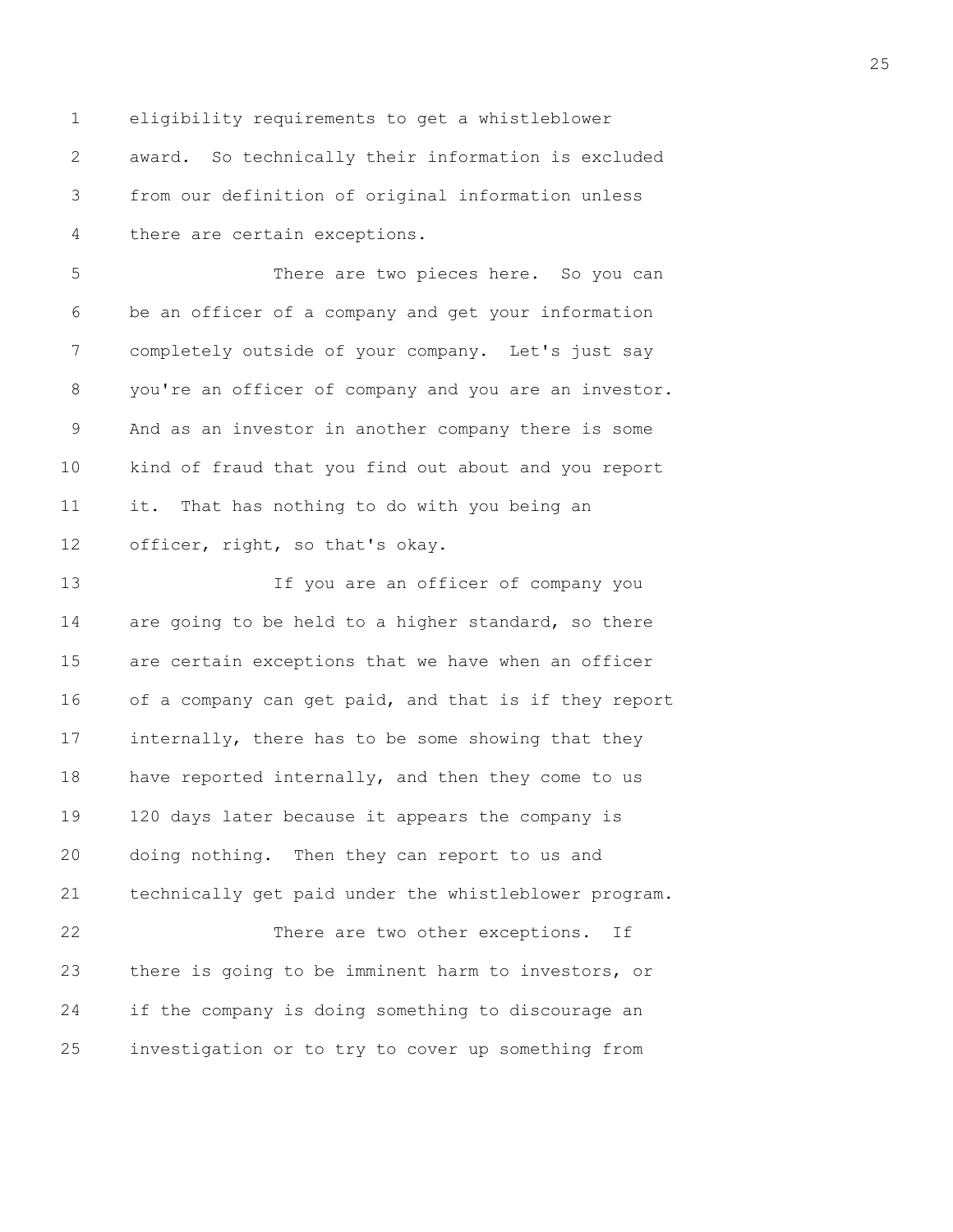1 eligibility requirements to get a whistleblower 2 award. So technically their information is excluded 3 from our definition of original information unless 4 there are certain exceptions.

5 There are two pieces here. So you can 6 be an officer of a company and get your information 7 completely outside of your company. Let's just say 8 you're an officer of company and you are an investor. 9 And as an investor in another company there is some 10 kind of fraud that you find out about and you report 11 it. That has nothing to do with you being an 12 officer, right, so that's okay.

13 If you are an officer of company you 14 are going to be held to a higher standard, so there 15 are certain exceptions that we have when an officer 16 of a company can get paid, and that is if they report 17 internally, there has to be some showing that they 18 have reported internally, and then they come to us 19 120 days later because it appears the company is 20 doing nothing. Then they can report to us and 21 technically get paid under the whistleblower program. 22 There are two other exceptions. If 23 there is going to be imminent harm to investors, or 24 if the company is doing something to discourage an 25 investigation or to try to cover up something from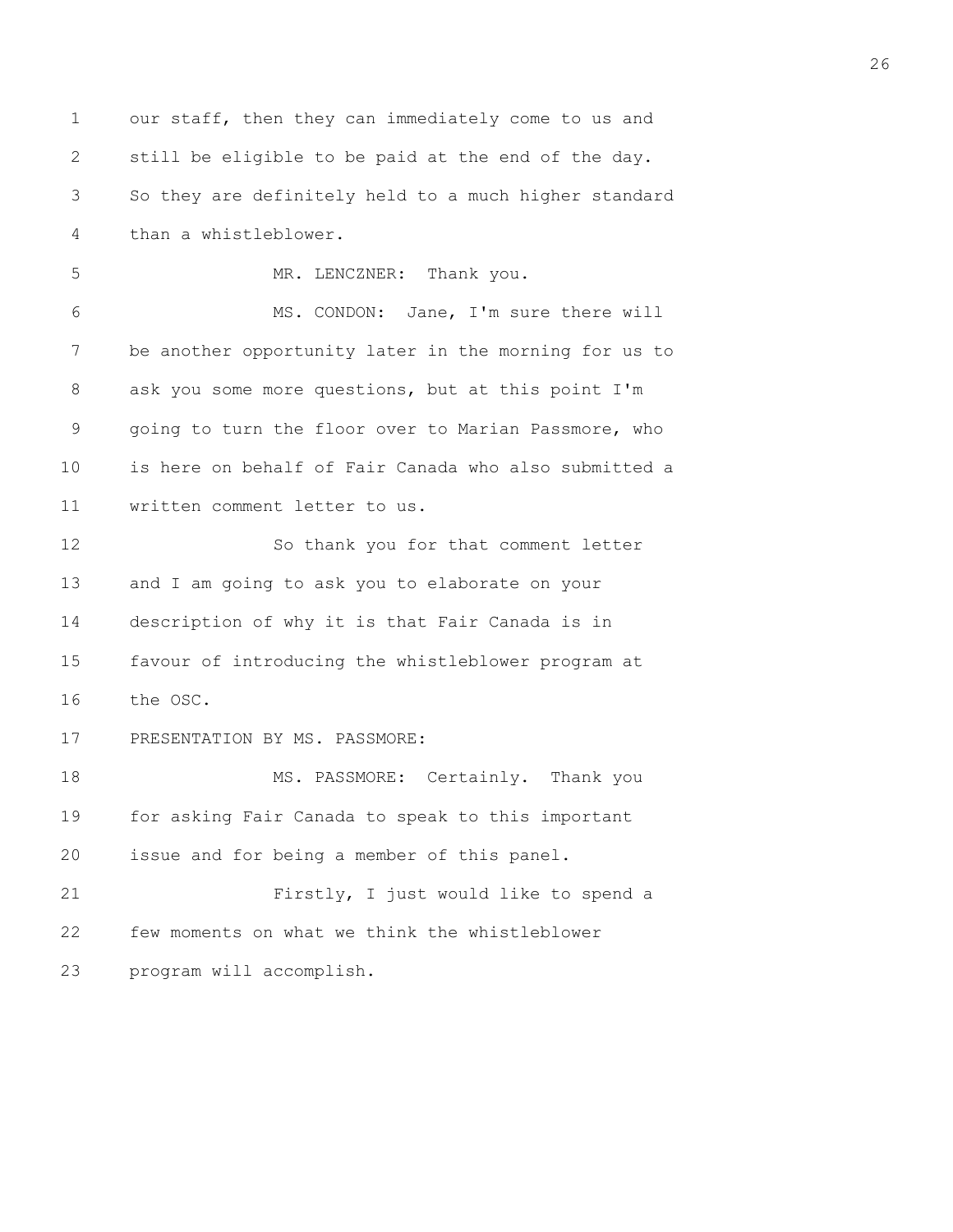1 our staff, then they can immediately come to us and 2 still be eligible to be paid at the end of the day. 3 So they are definitely held to a much higher standard 4 than a whistleblower. 5 MR. LENCZNER: Thank you. 6 MS. CONDON: Jane, I'm sure there will 7 be another opportunity later in the morning for us to 8 ask you some more questions, but at this point I'm 9 going to turn the floor over to Marian Passmore, who 10 is here on behalf of Fair Canada who also submitted a 11 written comment letter to us. 12 So thank you for that comment letter 13 and I am going to ask you to elaborate on your 14 description of why it is that Fair Canada is in 15 favour of introducing the whistleblower program at 16 the OSC. 17 PRESENTATION BY MS. PASSMORE: 18 MS. PASSMORE: Certainly. Thank you 19 for asking Fair Canada to speak to this important 20 issue and for being a member of this panel. 21 Firstly, I just would like to spend a 22 few moments on what we think the whistleblower 23 program will accomplish.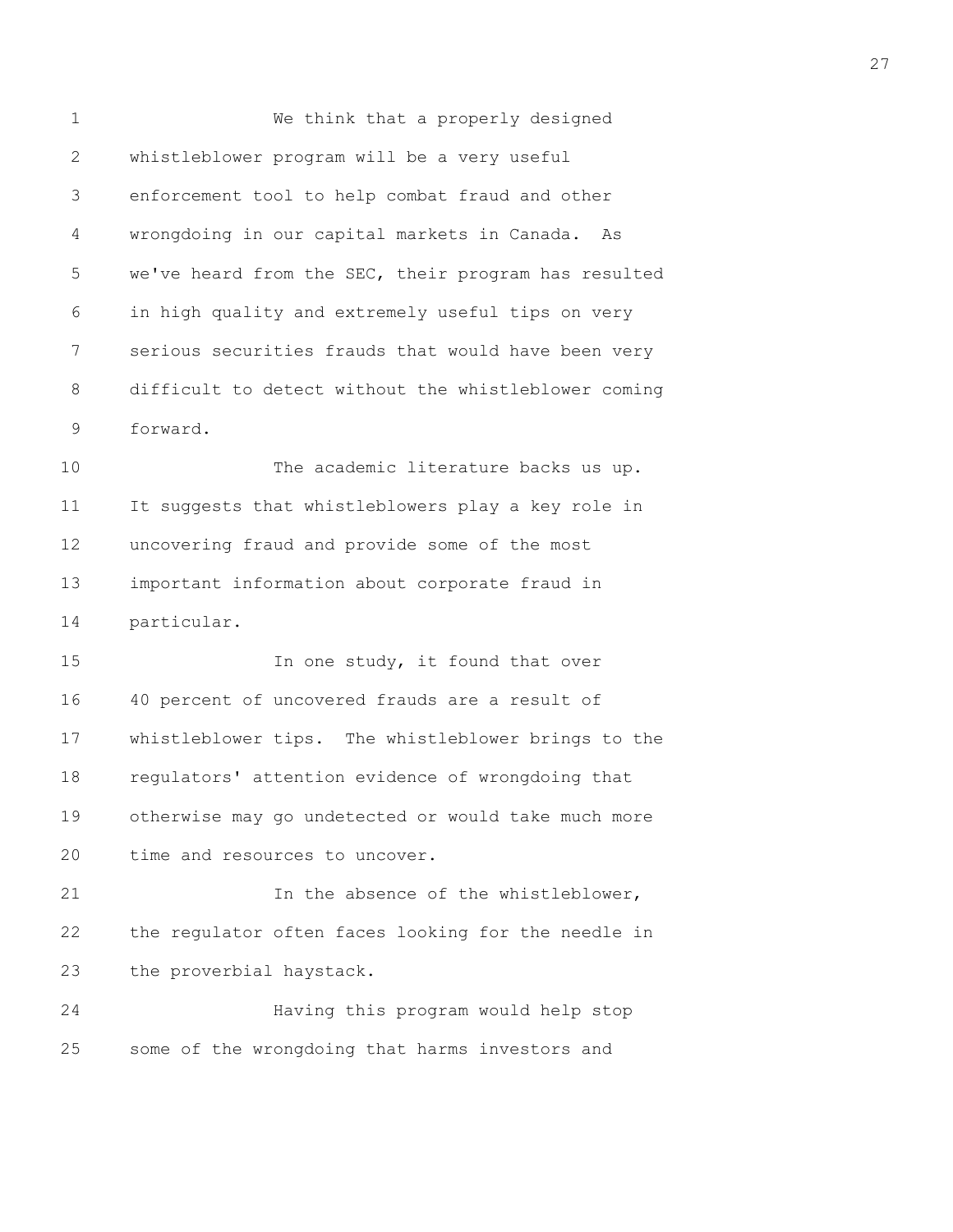1 We think that a properly designed 2 whistleblower program will be a very useful 3 enforcement tool to help combat fraud and other 4 wrongdoing in our capital markets in Canada. As 5 we've heard from the SEC, their program has resulted 6 in high quality and extremely useful tips on very 7 serious securities frauds that would have been very 8 difficult to detect without the whistleblower coming 9 forward. 10 The academic literature backs us up. 11 It suggests that whistleblowers play a key role in 12 uncovering fraud and provide some of the most 13 important information about corporate fraud in 14 particular. 15 In one study, it found that over 16 40 percent of uncovered frauds are a result of 17 whistleblower tips. The whistleblower brings to the 18 regulators' attention evidence of wrongdoing that 19 otherwise may go undetected or would take much more 20 time and resources to uncover. 21 In the absence of the whistleblower, 22 the regulator often faces looking for the needle in 23 the proverbial haystack. 24 Having this program would help stop 25 some of the wrongdoing that harms investors and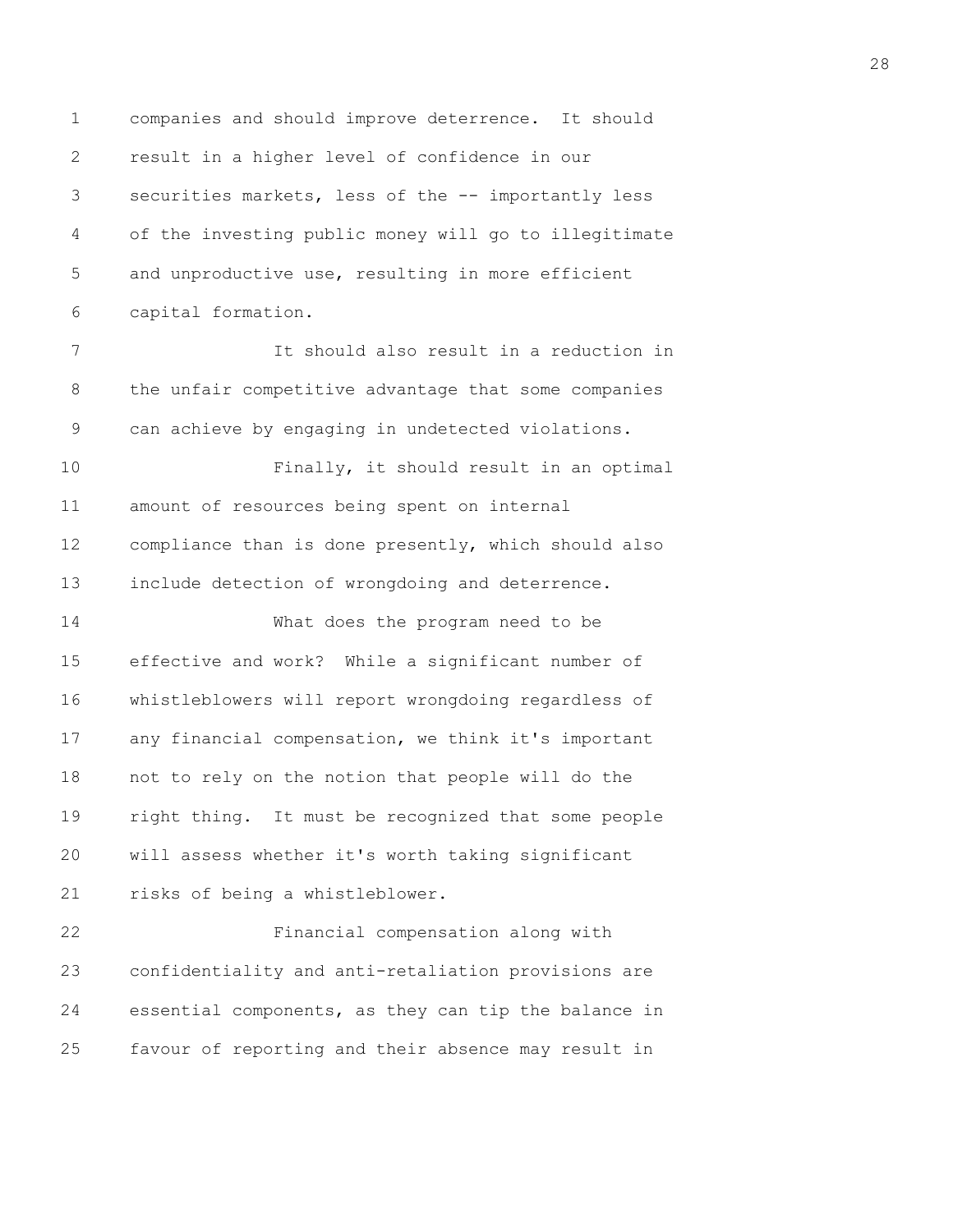1 companies and should improve deterrence. It should 2 result in a higher level of confidence in our 3 securities markets, less of the -- importantly less 4 of the investing public money will go to illegitimate 5 and unproductive use, resulting in more efficient 6 capital formation. 7 It should also result in a reduction in 8 the unfair competitive advantage that some companies 9 can achieve by engaging in undetected violations. 10 Finally, it should result in an optimal 11 amount of resources being spent on internal 12 compliance than is done presently, which should also 13 include detection of wrongdoing and deterrence. 14 What does the program need to be 15 effective and work? While a significant number of 16 whistleblowers will report wrongdoing regardless of 17 any financial compensation, we think it's important 18 not to rely on the notion that people will do the 19 right thing. It must be recognized that some people 20 will assess whether it's worth taking significant 21 risks of being a whistleblower. 22 Financial compensation along with 23 confidentiality and anti-retaliation provisions are 24 essential components, as they can tip the balance in 25 favour of reporting and their absence may result in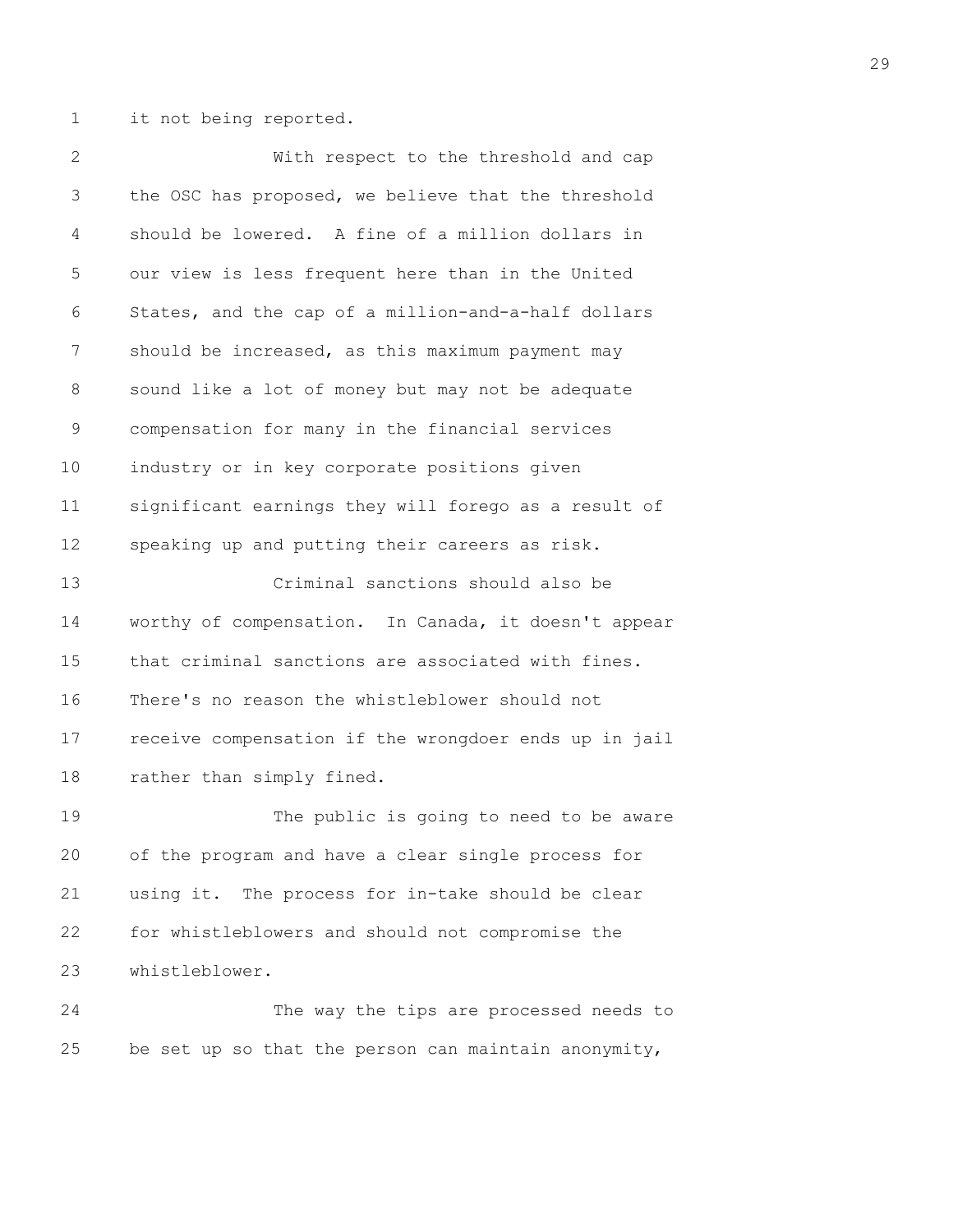1 it not being reported.

2 With respect to the threshold and cap 3 the OSC has proposed, we believe that the threshold 4 should be lowered. A fine of a million dollars in 5 our view is less frequent here than in the United 6 States, and the cap of a million-and-a-half dollars 7 should be increased, as this maximum payment may 8 sound like a lot of money but may not be adequate 9 compensation for many in the financial services 10 industry or in key corporate positions given 11 significant earnings they will forego as a result of 12 speaking up and putting their careers as risk. 13 Criminal sanctions should also be 14 worthy of compensation. In Canada, it doesn't appear 15 that criminal sanctions are associated with fines. 16 There's no reason the whistleblower should not 17 receive compensation if the wrongdoer ends up in jail 18 rather than simply fined. 19 The public is going to need to be aware 20 of the program and have a clear single process for 21 using it. The process for in-take should be clear 22 for whistleblowers and should not compromise the 23 whistleblower. 24 The way the tips are processed needs to 25 be set up so that the person can maintain anonymity,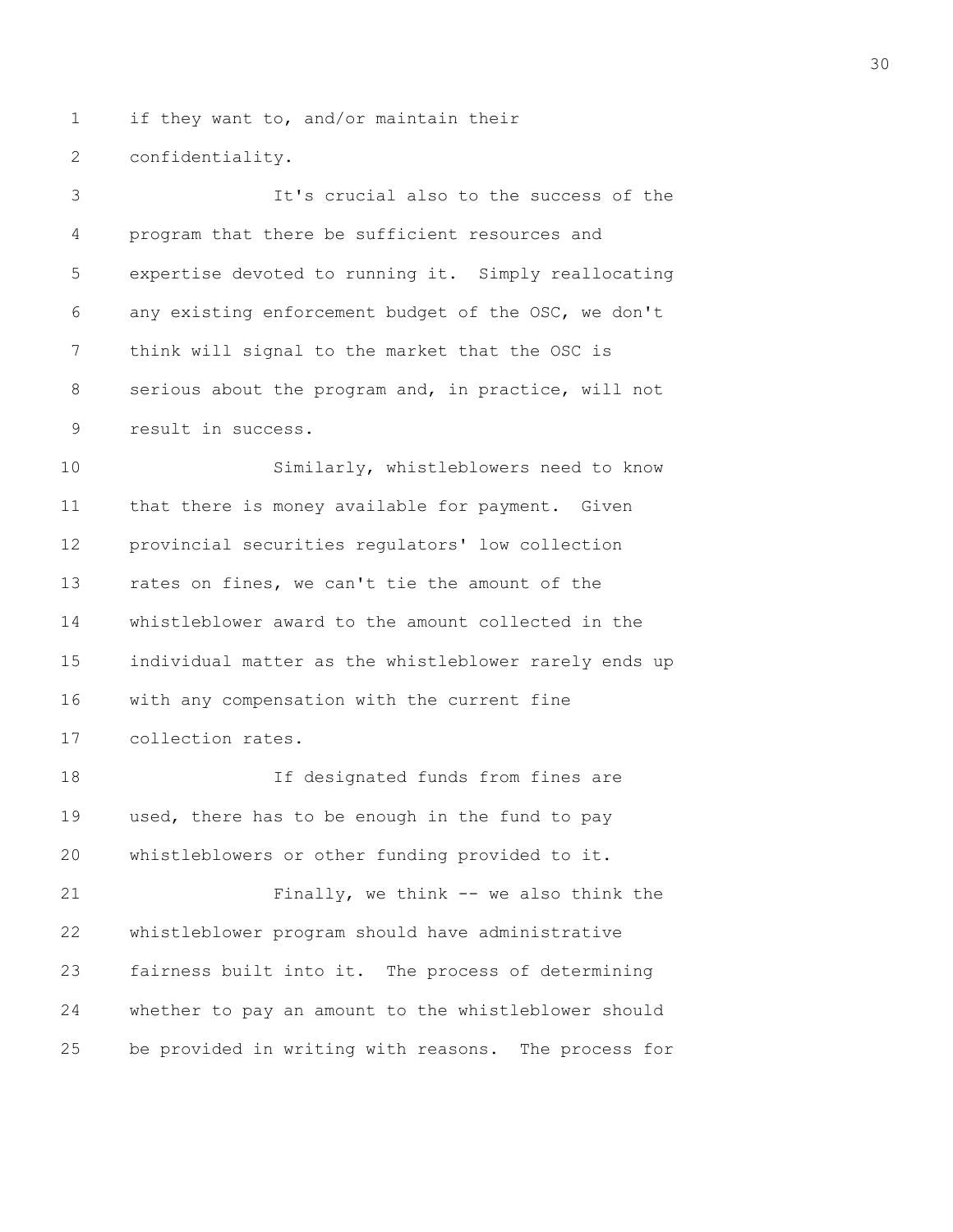1 if they want to, and/or maintain their

2 confidentiality.

3 It's crucial also to the success of the 4 program that there be sufficient resources and 5 expertise devoted to running it. Simply reallocating 6 any existing enforcement budget of the OSC, we don't 7 think will signal to the market that the OSC is 8 serious about the program and, in practice, will not 9 result in success. 10 Similarly, whistleblowers need to know 11 that there is money available for payment. Given 12 provincial securities regulators' low collection 13 rates on fines, we can't tie the amount of the 14 whistleblower award to the amount collected in the 15 individual matter as the whistleblower rarely ends up 16 with any compensation with the current fine 17 collection rates. 18 If designated funds from fines are 19 used, there has to be enough in the fund to pay 20 whistleblowers or other funding provided to it. 21 Finally, we think -- we also think the 22 whistleblower program should have administrative 23 fairness built into it. The process of determining

24 whether to pay an amount to the whistleblower should 25 be provided in writing with reasons. The process for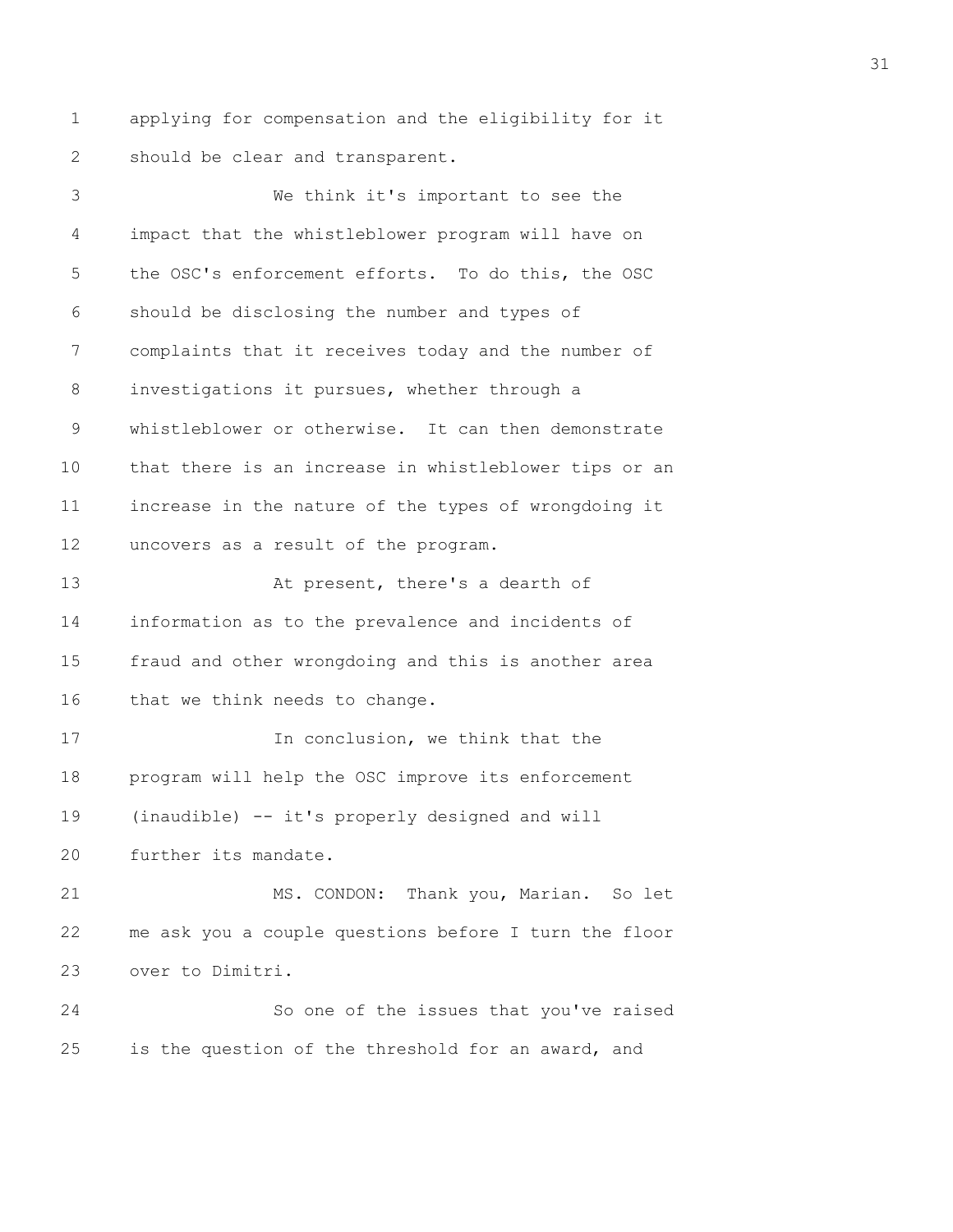1 applying for compensation and the eligibility for it 2 should be clear and transparent.

3 We think it's important to see the 4 impact that the whistleblower program will have on 5 the OSC's enforcement efforts. To do this, the OSC 6 should be disclosing the number and types of 7 complaints that it receives today and the number of 8 investigations it pursues, whether through a 9 whistleblower or otherwise. It can then demonstrate 10 that there is an increase in whistleblower tips or an 11 increase in the nature of the types of wrongdoing it 12 uncovers as a result of the program. 13 At present, there's a dearth of 14 information as to the prevalence and incidents of 15 fraud and other wrongdoing and this is another area 16 that we think needs to change. 17 In conclusion, we think that the 18 program will help the OSC improve its enforcement 19 (inaudible) -- it's properly designed and will 20 further its mandate. 21 MS. CONDON: Thank you, Marian. So let 22 me ask you a couple questions before I turn the floor 23 over to Dimitri. 24 So one of the issues that you've raised 25 is the question of the threshold for an award, and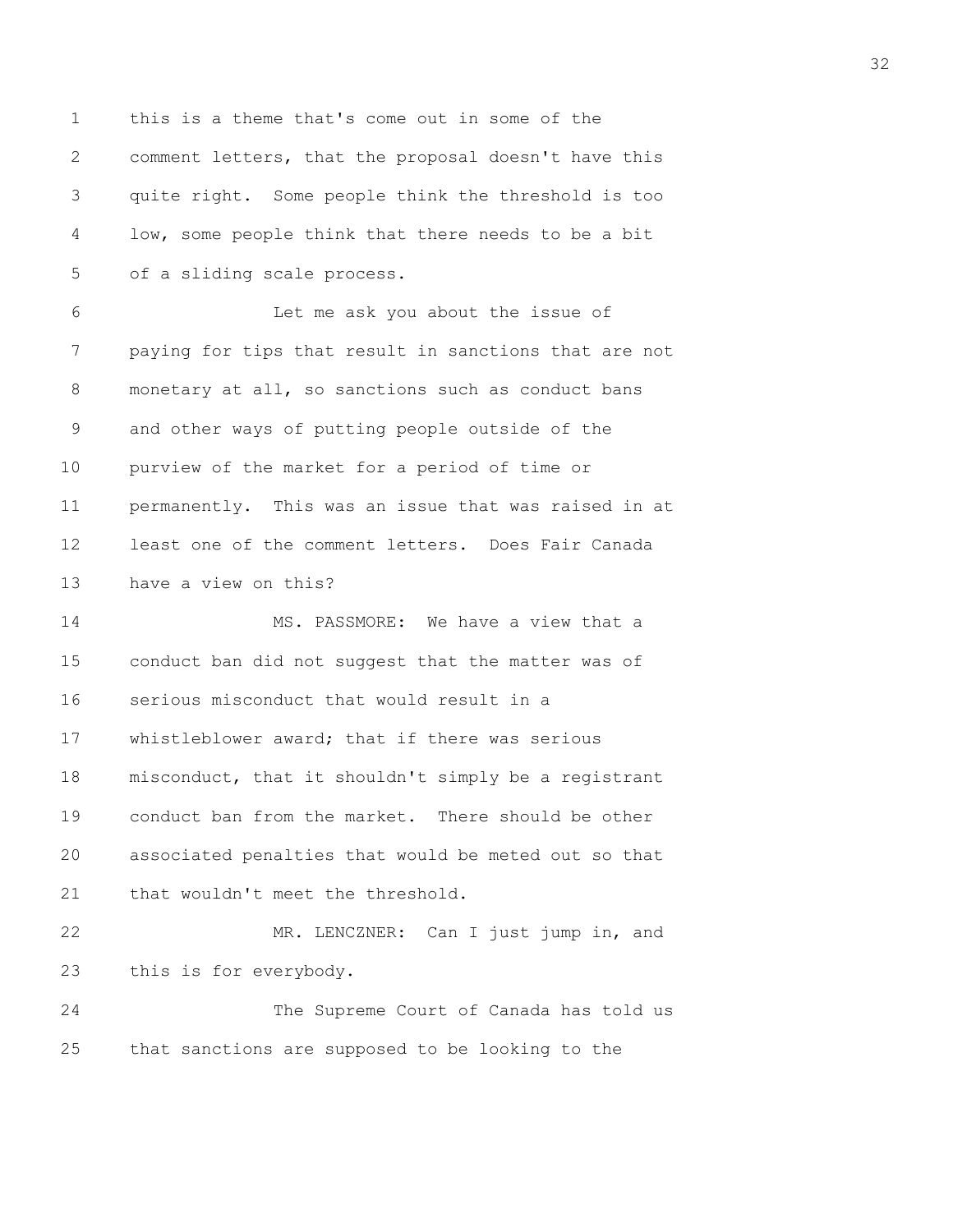1 this is a theme that's come out in some of the 2 comment letters, that the proposal doesn't have this 3 quite right. Some people think the threshold is too 4 low, some people think that there needs to be a bit 5 of a sliding scale process.

6 Let me ask you about the issue of 7 paying for tips that result in sanctions that are not 8 monetary at all, so sanctions such as conduct bans 9 and other ways of putting people outside of the 10 purview of the market for a period of time or 11 permanently. This was an issue that was raised in at 12 least one of the comment letters. Does Fair Canada 13 have a view on this?

14 MS. PASSMORE: We have a view that a 15 conduct ban did not suggest that the matter was of 16 serious misconduct that would result in a 17 whistleblower award; that if there was serious 18 misconduct, that it shouldn't simply be a registrant 19 conduct ban from the market. There should be other 20 associated penalties that would be meted out so that 21 that wouldn't meet the threshold.

22 MR. LENCZNER: Can I just jump in, and 23 this is for everybody.

24 The Supreme Court of Canada has told us 25 that sanctions are supposed to be looking to the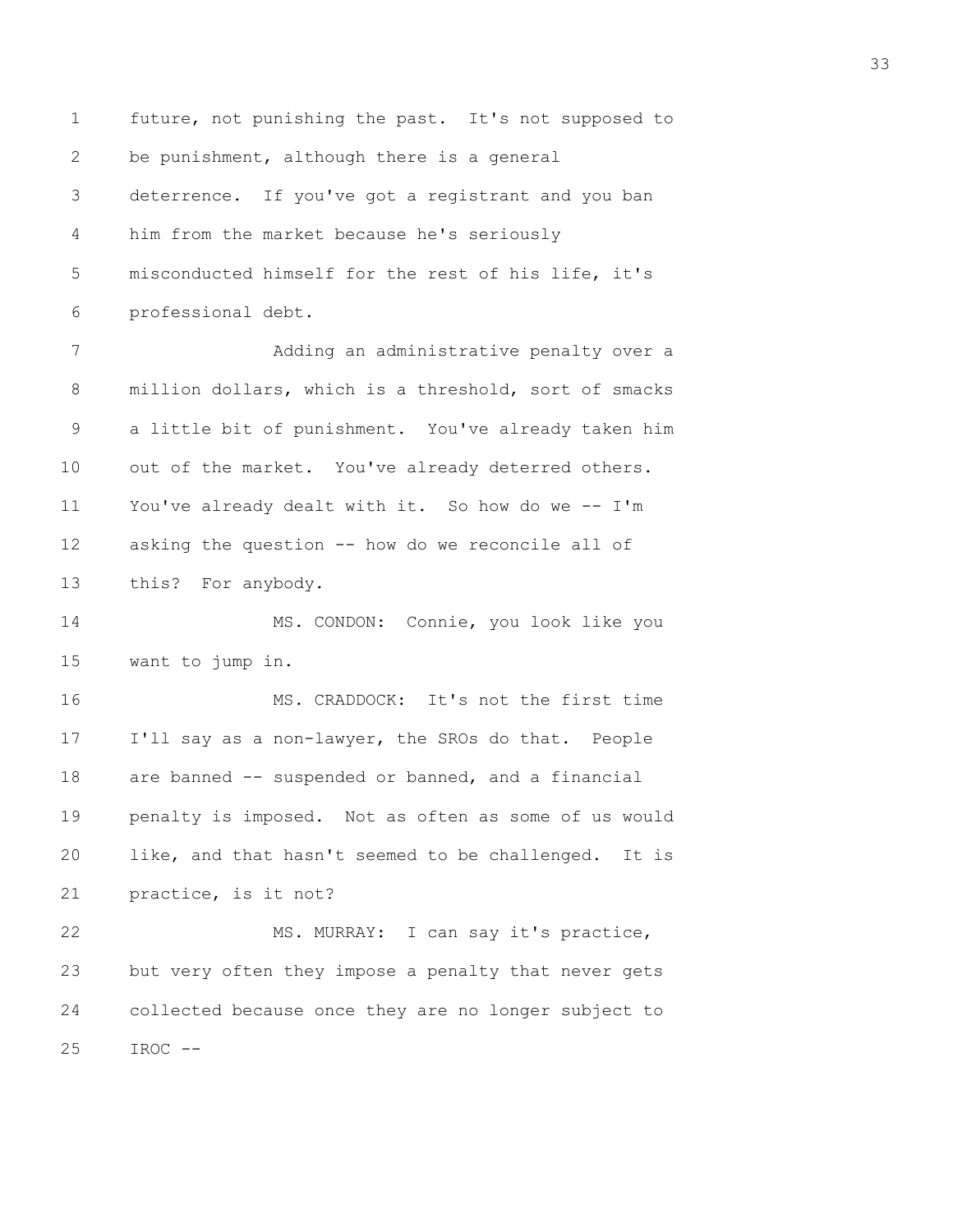1 future, not punishing the past. It's not supposed to 2 be punishment, although there is a general 3 deterrence. If you've got a registrant and you ban 4 him from the market because he's seriously 5 misconducted himself for the rest of his life, it's 6 professional debt. 7 Adding an administrative penalty over a 8 million dollars, which is a threshold, sort of smacks 9 a little bit of punishment. You've already taken him 10 out of the market. You've already deterred others. 11 You've already dealt with it. So how do we -- I'm 12 asking the question -- how do we reconcile all of 13 this? For anybody. 14 MS. CONDON: Connie, you look like you 15 want to jump in. 16 MS. CRADDOCK: It's not the first time 17 I'll say as a non-lawyer, the SROs do that. People 18 are banned -- suspended or banned, and a financial 19 penalty is imposed. Not as often as some of us would 20 like, and that hasn't seemed to be challenged. It is 21 practice, is it not? 22 MS. MURRAY: I can say it's practice, 23 but very often they impose a penalty that never gets 24 collected because once they are no longer subject to  $25$  IROC  $--$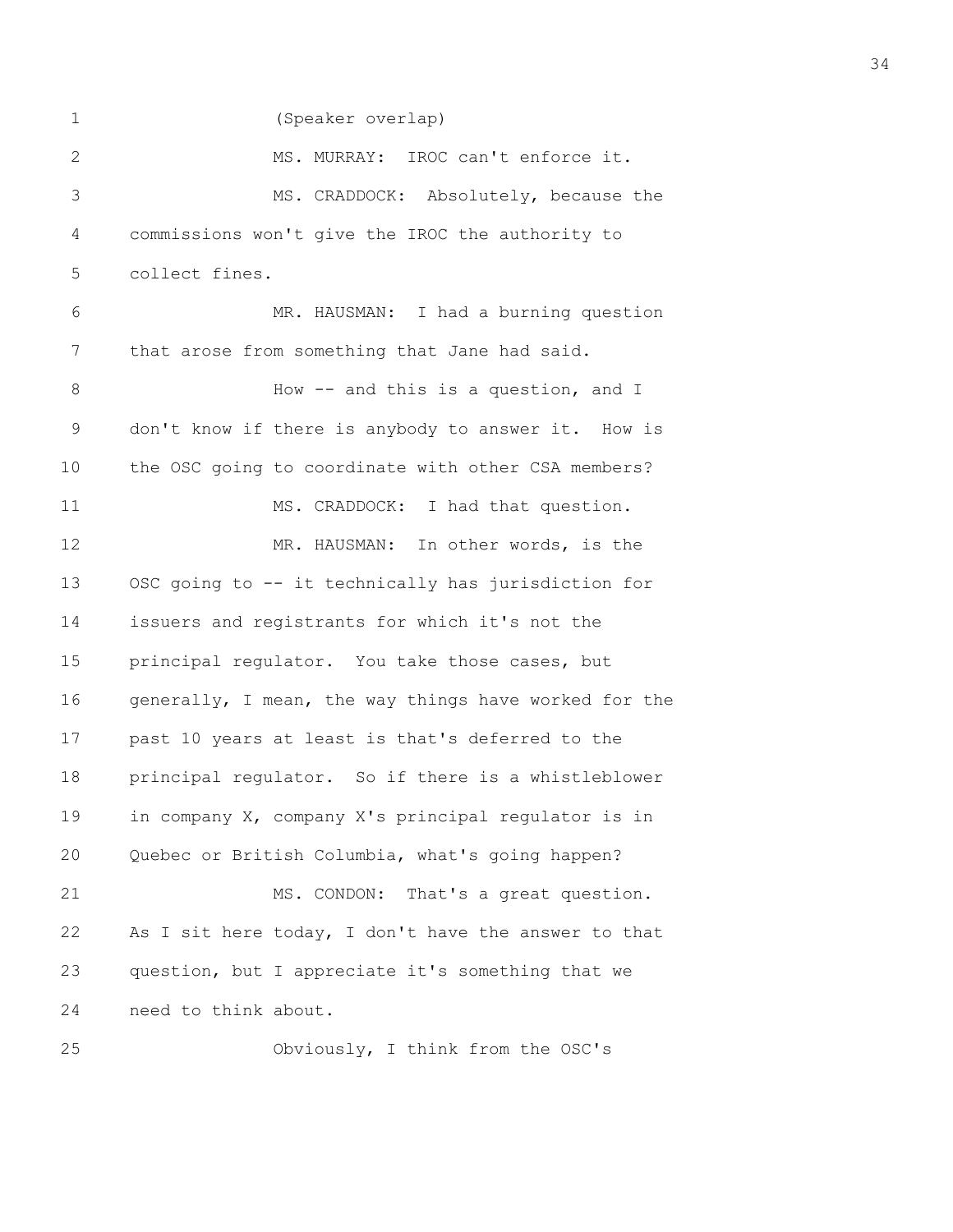| $\mathbf 1$    | (Speaker overlap)                                     |
|----------------|-------------------------------------------------------|
| 2              | MS. MURRAY: IROC can't enforce it.                    |
| $\mathfrak{Z}$ | MS. CRADDOCK: Absolutely, because the                 |
| 4              | commissions won't give the IROC the authority to      |
| 5              | collect fines.                                        |
| 6              | MR. HAUSMAN: I had a burning question                 |
| 7              | that arose from something that Jane had said.         |
| $8\,$          | How -- and this is a question, and I                  |
| 9              | don't know if there is anybody to answer it. How is   |
| 10             | the OSC going to coordinate with other CSA members?   |
| 11             | MS. CRADDOCK: I had that question.                    |
| 12             | MR. HAUSMAN: In other words, is the                   |
| 13             | OSC going to -- it technically has jurisdiction for   |
| 14             | issuers and registrants for which it's not the        |
| 15             | principal regulator. You take those cases, but        |
| 16             | generally, I mean, the way things have worked for the |
| 17             | past 10 years at least is that's deferred to the      |
| 18             | principal regulator. So if there is a whistleblower   |
| 19             | in company X, company X's principal regulator is in   |
| 20             | Quebec or British Columbia, what's going happen?      |
| 21             | MS. CONDON: That's a great question.                  |
| 22             | As I sit here today, I don't have the answer to that  |
| 23             | question, but I appreciate it's something that we     |
| 24             | need to think about.                                  |
| 25             | Obviously, I think from the OSC's                     |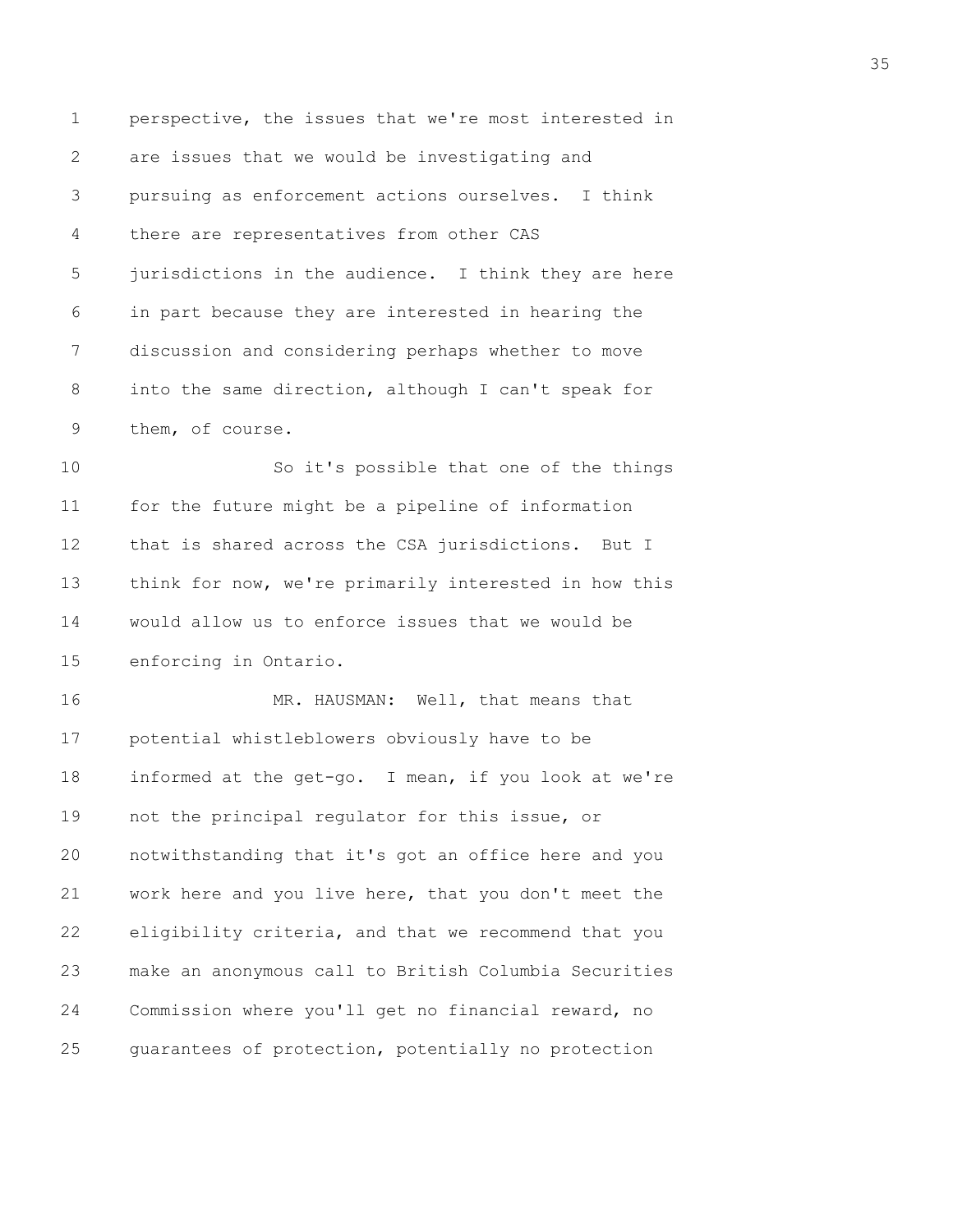1 perspective, the issues that we're most interested in 2 are issues that we would be investigating and 3 pursuing as enforcement actions ourselves. I think 4 there are representatives from other CAS 5 jurisdictions in the audience. I think they are here 6 in part because they are interested in hearing the 7 discussion and considering perhaps whether to move 8 into the same direction, although I can't speak for 9 them, of course. 10 So it's possible that one of the things 11 for the future might be a pipeline of information 12 that is shared across the CSA jurisdictions. But I 13 think for now, we're primarily interested in how this 14 would allow us to enforce issues that we would be 15 enforcing in Ontario. 16 MR. HAUSMAN: Well, that means that 17 potential whistleblowers obviously have to be 18 informed at the get-go. I mean, if you look at we're 19 not the principal regulator for this issue, or 20 notwithstanding that it's got an office here and you 21 work here and you live here, that you don't meet the 22 eligibility criteria, and that we recommend that you 23 make an anonymous call to British Columbia Securities 24 Commission where you'll get no financial reward, no 25 guarantees of protection, potentially no protection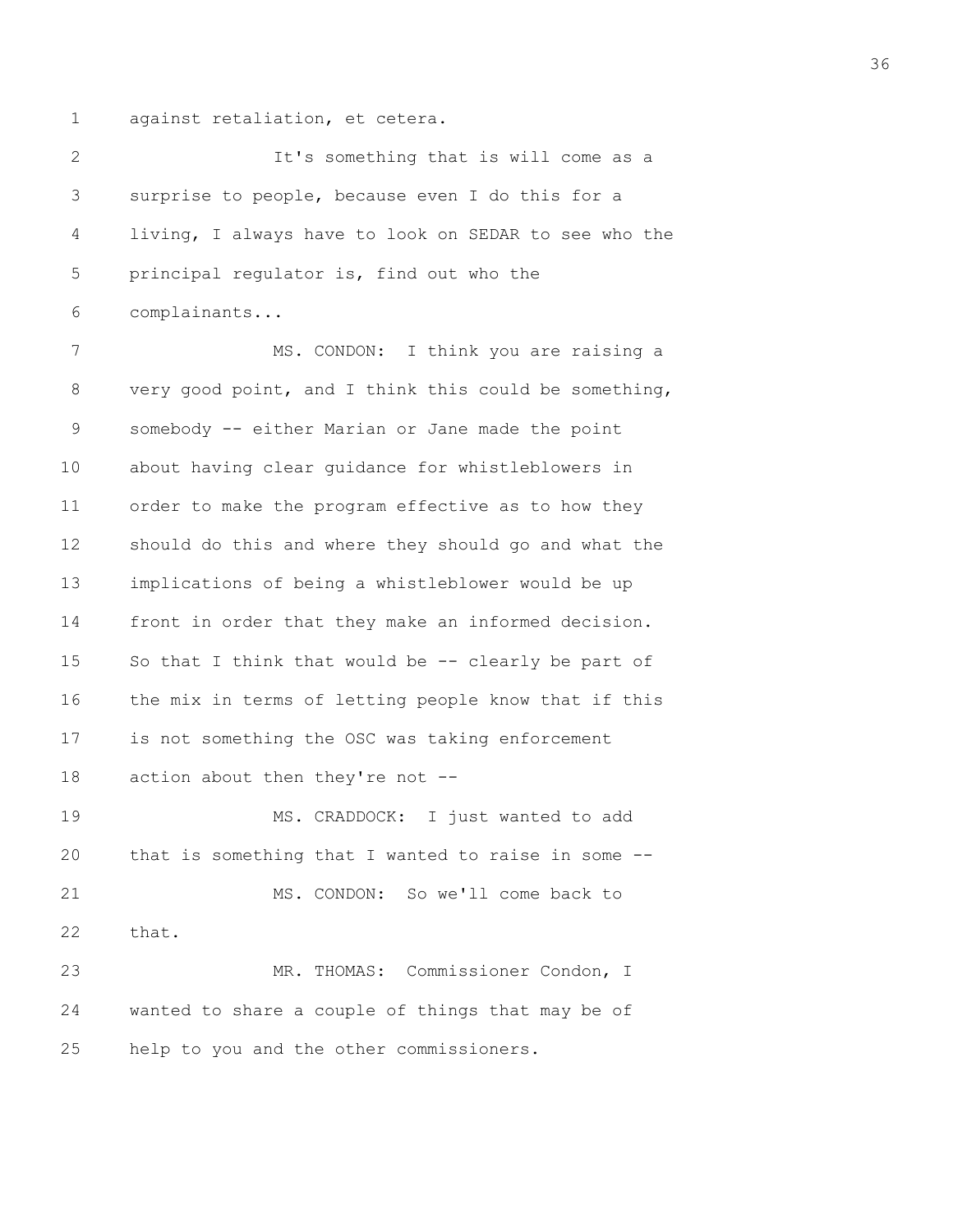1 against retaliation, et cetera.

2 It's something that is will come as a 3 surprise to people, because even I do this for a 4 living, I always have to look on SEDAR to see who the 5 principal regulator is, find out who the 6 complainants... 7 MS. CONDON: I think you are raising a 8 very good point, and I think this could be something, 9 somebody -- either Marian or Jane made the point 10 about having clear guidance for whistleblowers in 11 order to make the program effective as to how they 12 should do this and where they should go and what the 13 implications of being a whistleblower would be up 14 front in order that they make an informed decision. 15 So that I think that would be -- clearly be part of 16 the mix in terms of letting people know that if this 17 is not something the OSC was taking enforcement 18 action about then they're not --19 MS. CRADDOCK: I just wanted to add 20 that is something that I wanted to raise in some -- 21 MS. CONDON: So we'll come back to

23 MR. THOMAS: Commissioner Condon, I 24 wanted to share a couple of things that may be of 25 help to you and the other commissioners.

22 that.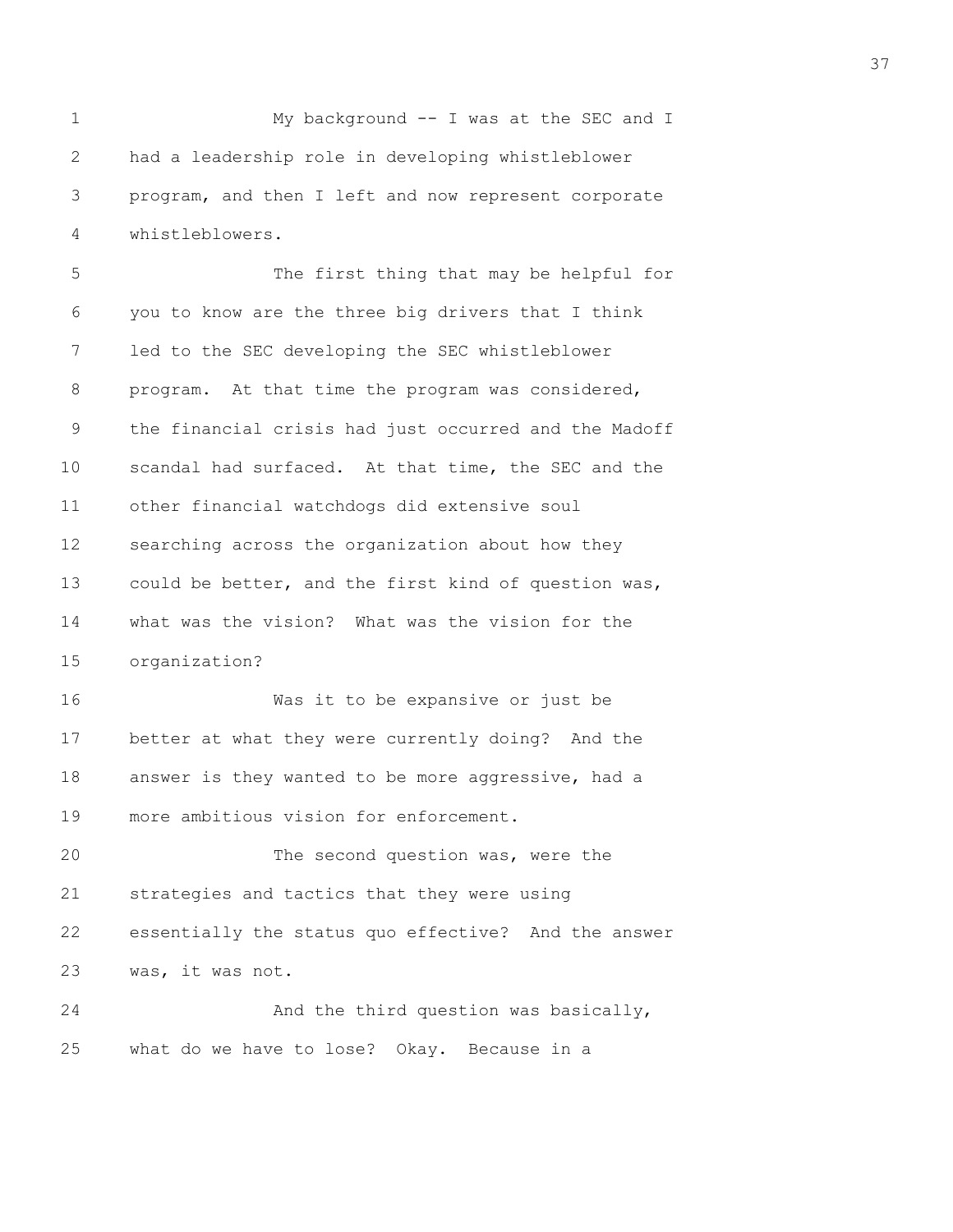1 My background -- I was at the SEC and I 2 had a leadership role in developing whistleblower 3 program, and then I left and now represent corporate 4 whistleblowers.

5 The first thing that may be helpful for 6 you to know are the three big drivers that I think 7 led to the SEC developing the SEC whistleblower 8 program. At that time the program was considered, 9 the financial crisis had just occurred and the Madoff 10 scandal had surfaced. At that time, the SEC and the 11 other financial watchdogs did extensive soul 12 searching across the organization about how they 13 could be better, and the first kind of question was, 14 what was the vision? What was the vision for the 15 organization?

16 Was it to be expansive or just be 17 better at what they were currently doing? And the 18 answer is they wanted to be more aggressive, had a 19 more ambitious vision for enforcement.

20 The second question was, were the 21 strategies and tactics that they were using 22 essentially the status quo effective? And the answer 23 was, it was not.

24 And the third question was basically, 25 what do we have to lose? Okay. Because in a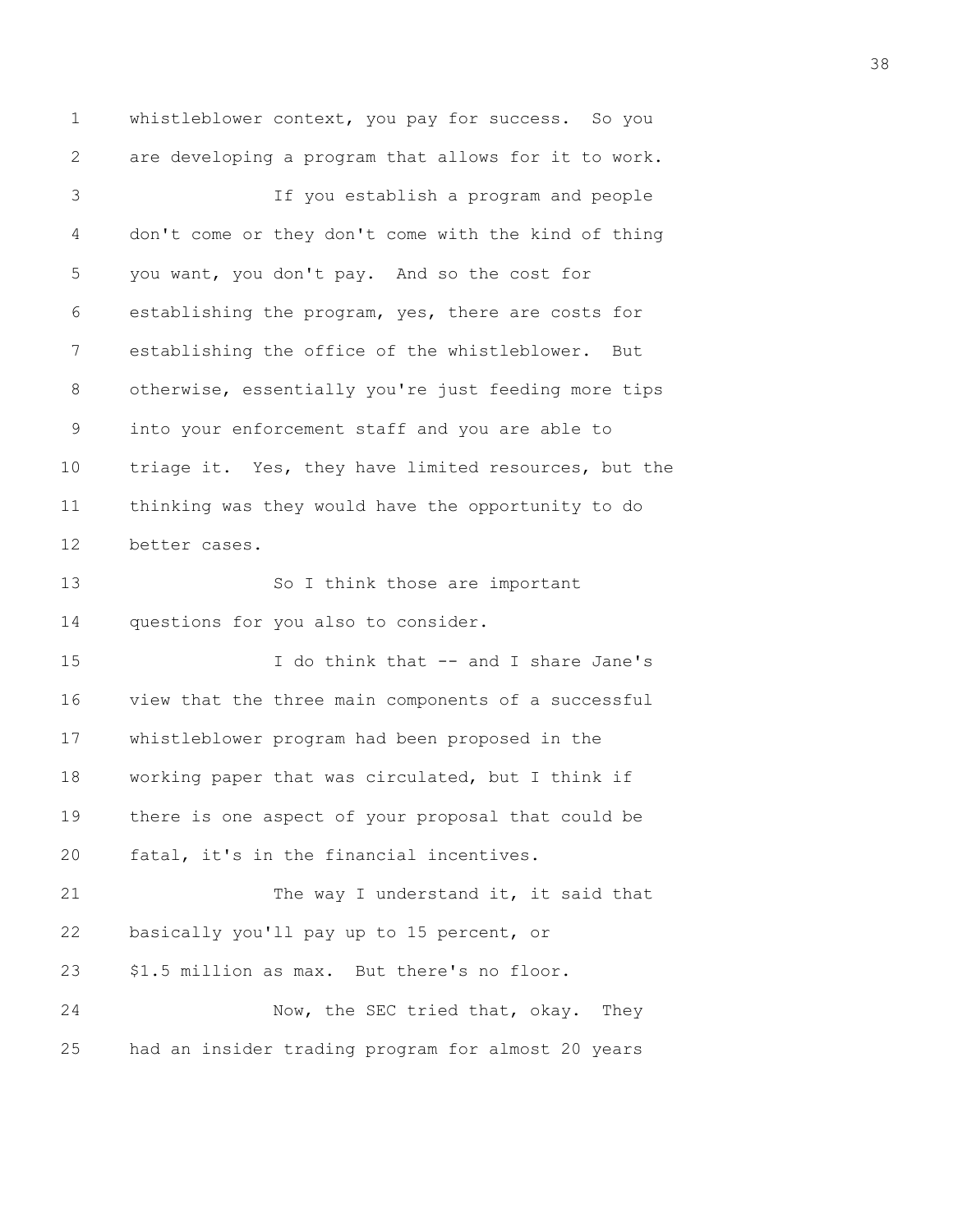1 whistleblower context, you pay for success. So you 2 are developing a program that allows for it to work. 3 If you establish a program and people 4 don't come or they don't come with the kind of thing 5 you want, you don't pay. And so the cost for 6 establishing the program, yes, there are costs for 7 establishing the office of the whistleblower. But 8 otherwise, essentially you're just feeding more tips 9 into your enforcement staff and you are able to 10 triage it. Yes, they have limited resources, but the 11 thinking was they would have the opportunity to do 12 better cases. 13 So I think those are important 14 questions for you also to consider. 15 I do think that -- and I share Jane's 16 view that the three main components of a successful 17 whistleblower program had been proposed in the 18 working paper that was circulated, but I think if 19 there is one aspect of your proposal that could be 20 fatal, it's in the financial incentives. 21 The way I understand it, it said that 22 basically you'll pay up to 15 percent, or 23 \$1.5 million as max. But there's no floor. 24 Now, the SEC tried that, okay. They 25 had an insider trading program for almost 20 years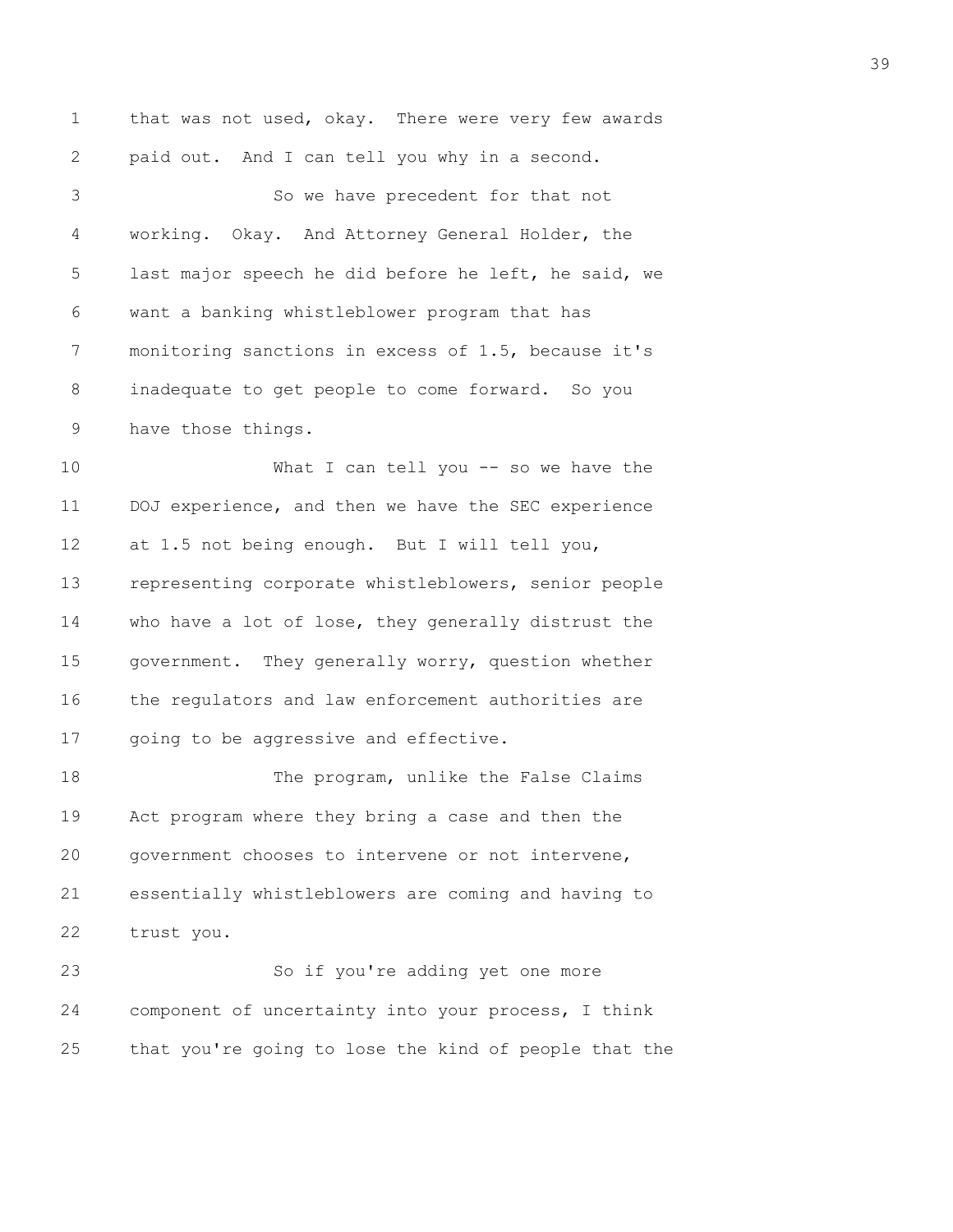1 that was not used, okay. There were very few awards 2 paid out. And I can tell you why in a second. 3 So we have precedent for that not 4 working. Okay. And Attorney General Holder, the 5 last major speech he did before he left, he said, we 6 want a banking whistleblower program that has 7 monitoring sanctions in excess of 1.5, because it's 8 inadequate to get people to come forward. So you 9 have those things. 10 What I can tell you -- so we have the 11 DOJ experience, and then we have the SEC experience 12 at 1.5 not being enough. But I will tell you, 13 representing corporate whistleblowers, senior people 14 who have a lot of lose, they generally distrust the 15 government. They generally worry, question whether 16 the regulators and law enforcement authorities are 17 going to be aggressive and effective. 18 The program, unlike the False Claims 19 Act program where they bring a case and then the 20 government chooses to intervene or not intervene, 21 essentially whistleblowers are coming and having to

22 trust you.

23 So if you're adding yet one more 24 component of uncertainty into your process, I think 25 that you're going to lose the kind of people that the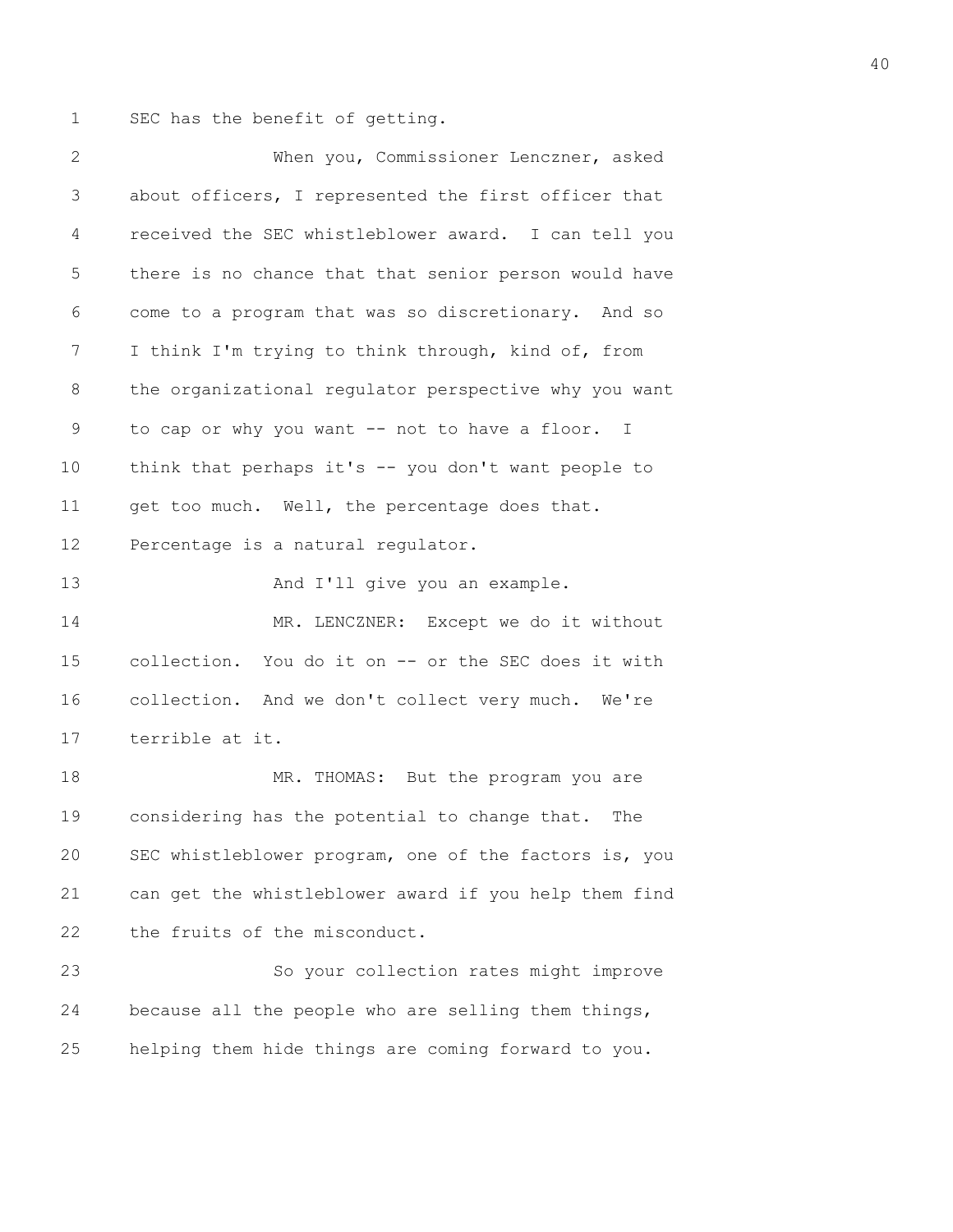1 SEC has the benefit of getting.

| $\mathbf{2}$ | When you, Commissioner Lenczner, asked                |
|--------------|-------------------------------------------------------|
| 3            | about officers, I represented the first officer that  |
| 4            | received the SEC whistleblower award. I can tell you  |
| 5            | there is no chance that that senior person would have |
| 6            | come to a program that was so discretionary. And so   |
| 7            | I think I'm trying to think through, kind of, from    |
| 8            | the organizational regulator perspective why you want |
| 9            | to cap or why you want -- not to have a floor. I      |
| 10           | think that perhaps it's -- you don't want people to   |
| 11           | get too much. Well, the percentage does that.         |
| 12           | Percentage is a natural regulator.                    |
| 13           | And I'll give you an example.                         |
| 14           | MR. LENCZNER: Except we do it without                 |
| 15           | collection. You do it on -- or the SEC does it with   |
| 16           | collection. And we don't collect very much. We're     |
| 17           | terrible at it.                                       |
| 18           | MR. THOMAS: But the program you are                   |
| 19           | considering has the potential to change that. The     |
| 20           | SEC whistleblower program, one of the factors is, you |
| 21           | can get the whistleblower award if you help them find |
| 22           | the fruits of the misconduct.                         |
| 23           | So your collection rates might improve                |
| 24           | because all the people who are selling them things,   |
| 25           | helping them hide things are coming forward to you.   |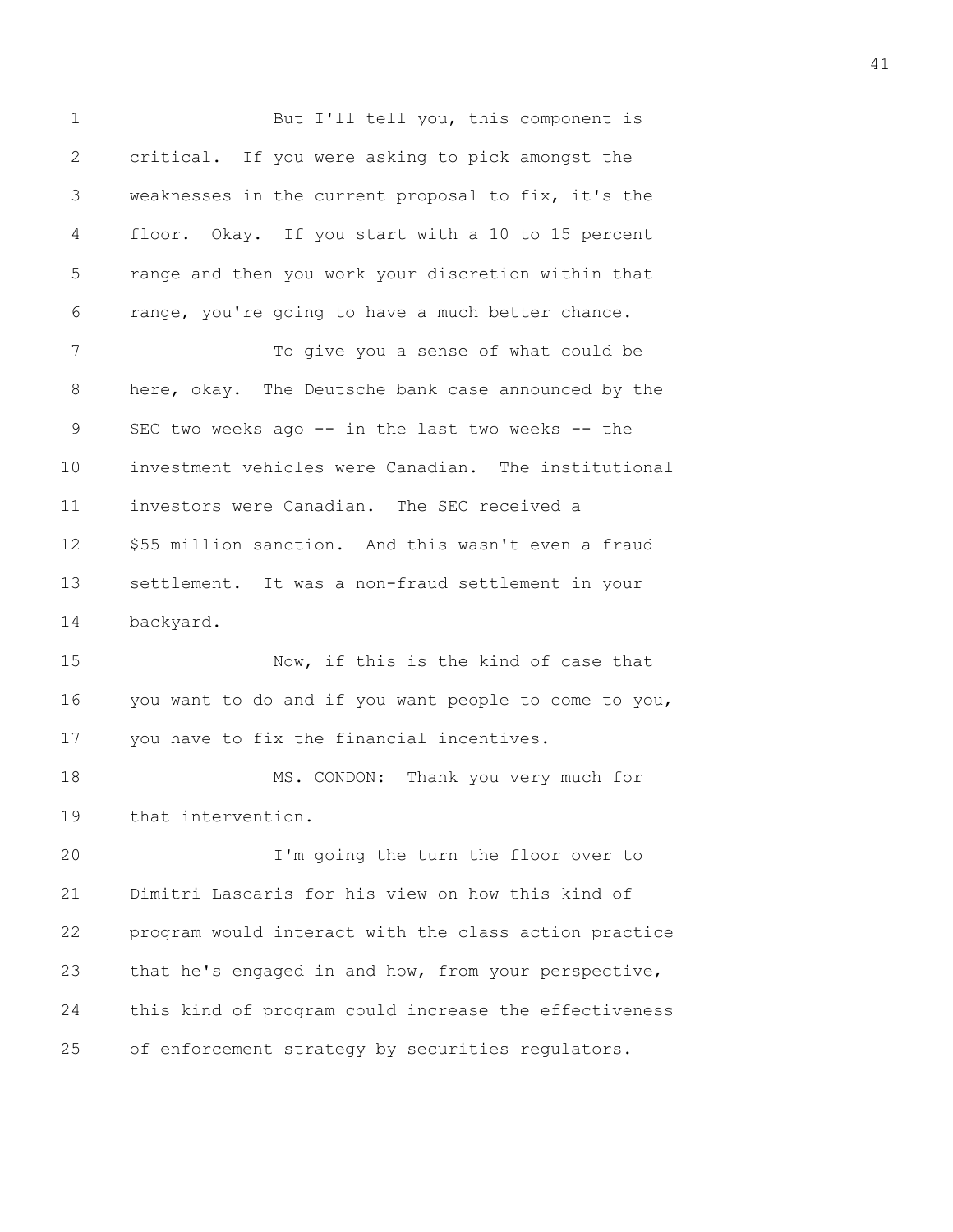1 But I'll tell you, this component is 2 critical. If you were asking to pick amongst the 3 weaknesses in the current proposal to fix, it's the 4 floor. Okay. If you start with a 10 to 15 percent 5 range and then you work your discretion within that 6 range, you're going to have a much better chance. 7 To give you a sense of what could be 8 here, okay. The Deutsche bank case announced by the 9 SEC two weeks ago -- in the last two weeks -- the 10 investment vehicles were Canadian. The institutional 11 investors were Canadian. The SEC received a 12 \$55 million sanction. And this wasn't even a fraud 13 settlement. It was a non-fraud settlement in your 14 backyard. 15 Now, if this is the kind of case that 16 you want to do and if you want people to come to you, 17 you have to fix the financial incentives. 18 MS. CONDON: Thank you very much for 19 that intervention. 20 I'm going the turn the floor over to 21 Dimitri Lascaris for his view on how this kind of 22 program would interact with the class action practice 23 that he's engaged in and how, from your perspective, 24 this kind of program could increase the effectiveness 25 of enforcement strategy by securities regulators.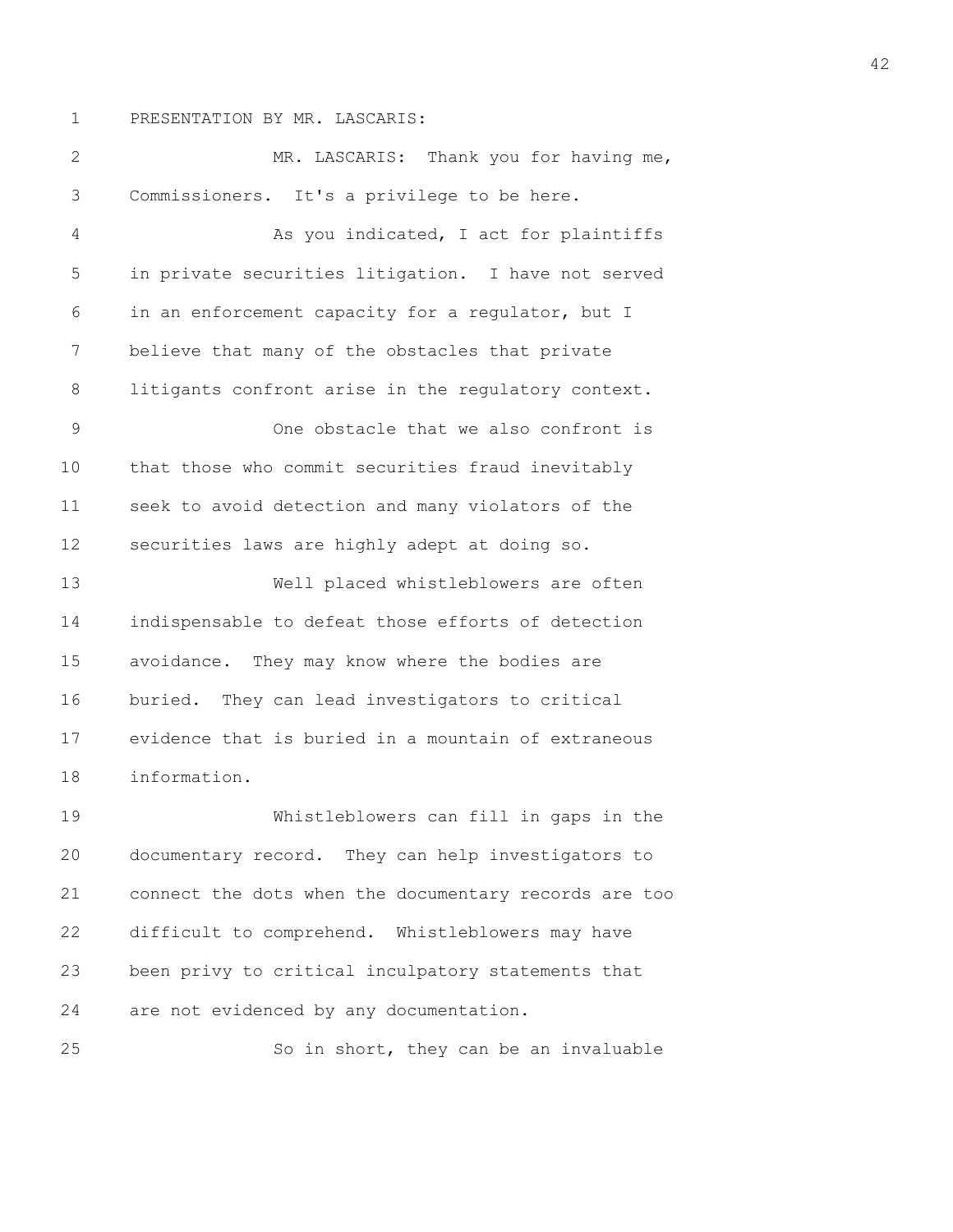1 PRESENTATION BY MR. LASCARIS:

2 MR. LASCARIS: Thank you for having me, 3 Commissioners. It's a privilege to be here. 4 As you indicated, I act for plaintiffs 5 in private securities litigation. I have not served 6 in an enforcement capacity for a regulator, but I 7 believe that many of the obstacles that private 8 litigants confront arise in the regulatory context. 9 One obstacle that we also confront is 10 that those who commit securities fraud inevitably 11 seek to avoid detection and many violators of the 12 securities laws are highly adept at doing so. 13 Well placed whistleblowers are often 14 indispensable to defeat those efforts of detection 15 avoidance. They may know where the bodies are 16 buried. They can lead investigators to critical 17 evidence that is buried in a mountain of extraneous 18 information. 19 Whistleblowers can fill in gaps in the 20 documentary record. They can help investigators to 21 connect the dots when the documentary records are too 22 difficult to comprehend. Whistleblowers may have 23 been privy to critical inculpatory statements that 24 are not evidenced by any documentation.

25 So in short, they can be an invaluable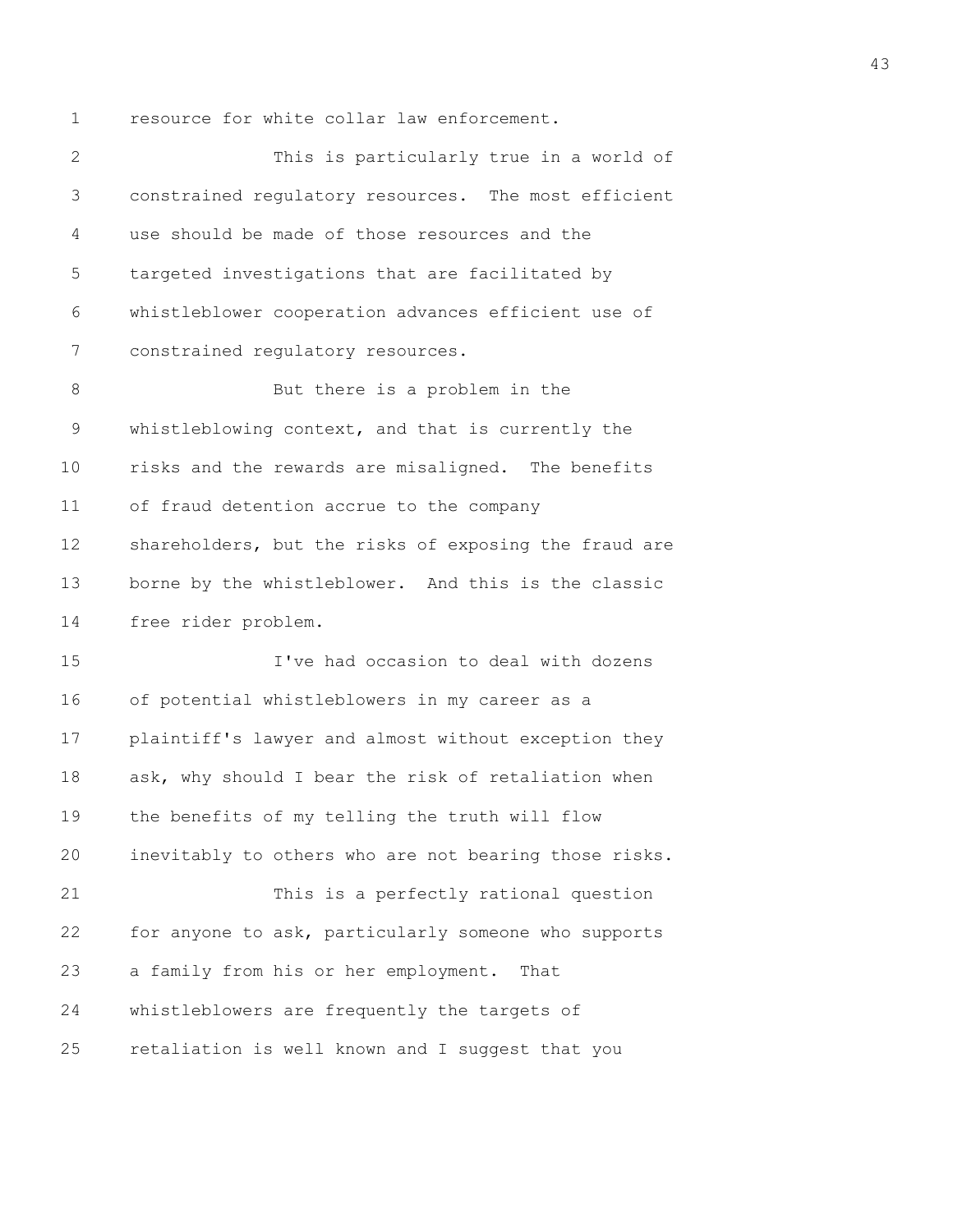1 resource for white collar law enforcement.

2 This is particularly true in a world of 3 constrained regulatory resources. The most efficient 4 use should be made of those resources and the 5 targeted investigations that are facilitated by 6 whistleblower cooperation advances efficient use of 7 constrained regulatory resources. 8 But there is a problem in the 9 whistleblowing context, and that is currently the 10 risks and the rewards are misaligned. The benefits 11 of fraud detention accrue to the company 12 shareholders, but the risks of exposing the fraud are 13 borne by the whistleblower. And this is the classic 14 free rider problem. 15 I've had occasion to deal with dozens 16 of potential whistleblowers in my career as a 17 plaintiff's lawyer and almost without exception they 18 ask, why should I bear the risk of retaliation when 19 the benefits of my telling the truth will flow 20 inevitably to others who are not bearing those risks. 21 This is a perfectly rational question 22 for anyone to ask, particularly someone who supports 23 a family from his or her employment. That 24 whistleblowers are frequently the targets of 25 retaliation is well known and I suggest that you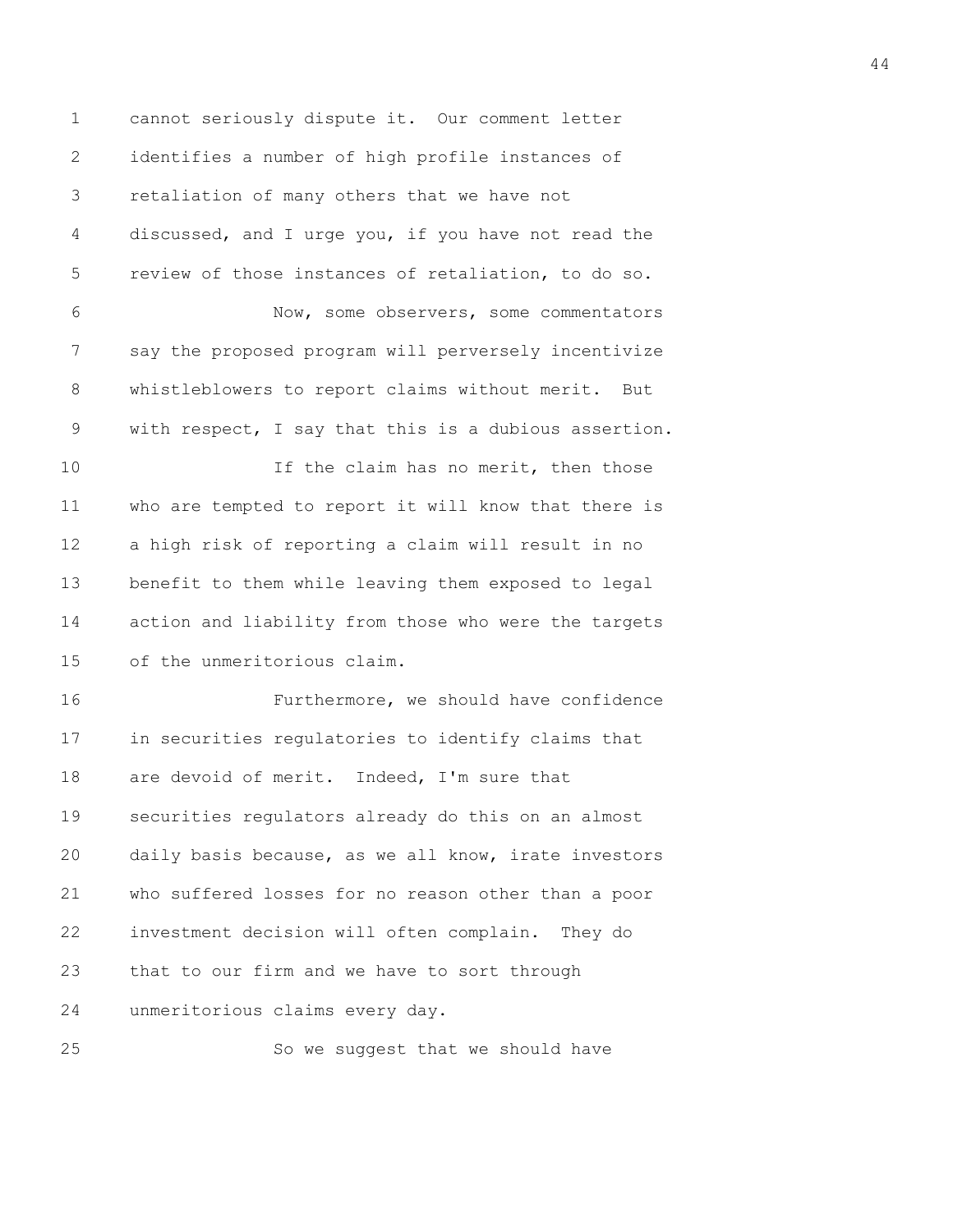1 cannot seriously dispute it. Our comment letter 2 identifies a number of high profile instances of 3 retaliation of many others that we have not 4 discussed, and I urge you, if you have not read the 5 review of those instances of retaliation, to do so. 6 Now, some observers, some commentators 7 say the proposed program will perversely incentivize 8 whistleblowers to report claims without merit. But 9 with respect, I say that this is a dubious assertion. 10 10 If the claim has no merit, then those 11 who are tempted to report it will know that there is 12 a high risk of reporting a claim will result in no 13 benefit to them while leaving them exposed to legal 14 action and liability from those who were the targets 15 of the unmeritorious claim. 16 Furthermore, we should have confidence 17 in securities regulatories to identify claims that 18 are devoid of merit. Indeed, I'm sure that 19 securities regulators already do this on an almost 20 daily basis because, as we all know, irate investors 21 who suffered losses for no reason other than a poor 22 investment decision will often complain. They do 23 that to our firm and we have to sort through 24 unmeritorious claims every day. 25 So we suggest that we should have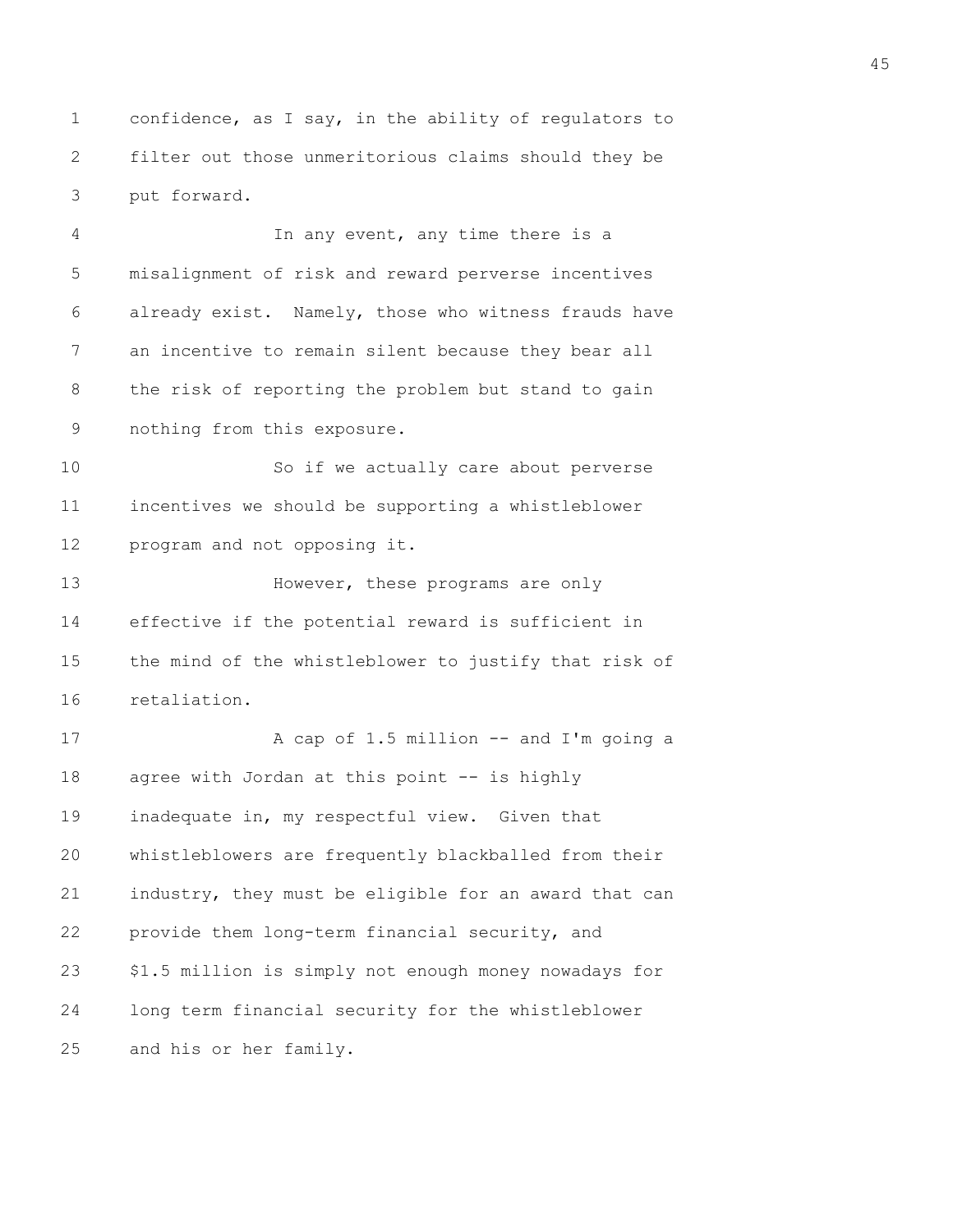1 confidence, as I say, in the ability of regulators to 2 filter out those unmeritorious claims should they be 3 put forward.

4 In any event, any time there is a 5 misalignment of risk and reward perverse incentives 6 already exist. Namely, those who witness frauds have 7 an incentive to remain silent because they bear all 8 the risk of reporting the problem but stand to gain 9 nothing from this exposure.

10 So if we actually care about perverse 11 incentives we should be supporting a whistleblower 12 program and not opposing it.

13 However, these programs are only 14 effective if the potential reward is sufficient in 15 the mind of the whistleblower to justify that risk of 16 retaliation.

17 A cap of 1.5 million -- and I'm going a 18 agree with Jordan at this point -- is highly 19 inadequate in, my respectful view. Given that 20 whistleblowers are frequently blackballed from their 21 industry, they must be eligible for an award that can 22 provide them long-term financial security, and 23 \$1.5 million is simply not enough money nowadays for 24 long term financial security for the whistleblower 25 and his or her family.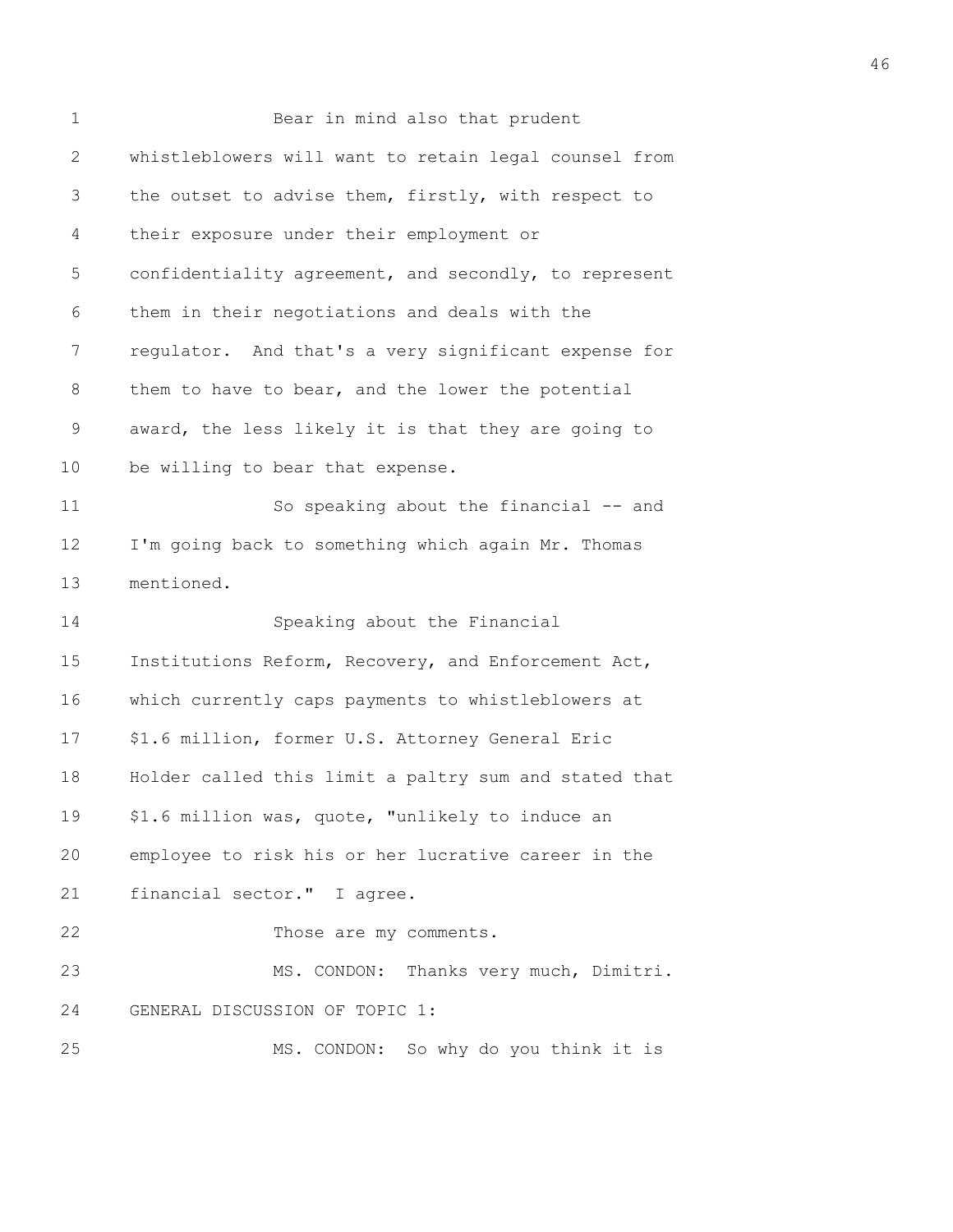| $\mathbf 1$    | Bear in mind also that prudent                        |
|----------------|-------------------------------------------------------|
| $\overline{2}$ | whistleblowers will want to retain legal counsel from |
| 3              | the outset to advise them, firstly, with respect to   |
| 4              | their exposure under their employment or              |
| 5              | confidentiality agreement, and secondly, to represent |
| 6              | them in their negotiations and deals with the         |
| 7              | regulator. And that's a very significant expense for  |
| 8              | them to have to bear, and the lower the potential     |
| 9              | award, the less likely it is that they are going to   |
| 10             | be willing to bear that expense.                      |
| 11             | So speaking about the financial -- and                |
| 12             | I'm going back to something which again Mr. Thomas    |
| 13             | mentioned.                                            |
| 14             | Speaking about the Financial                          |
| 15             | Institutions Reform, Recovery, and Enforcement Act,   |
| 16             | which currently caps payments to whistleblowers at    |
| 17             | \$1.6 million, former U.S. Attorney General Eric      |
| 18             | Holder called this limit a paltry sum and stated that |
| 19             | \$1.6 million was, quote, "unlikely to induce an      |
| 20             | employee to risk his or her lucrative career in the   |
| 21             | financial sector." I agree.                           |
| 22             | Those are my comments.                                |
| 23             | MS. CONDON: Thanks very much, Dimitri.                |
| 24             | GENERAL DISCUSSION OF TOPIC 1:                        |
| 25             | MS. CONDON: So why do you think it is                 |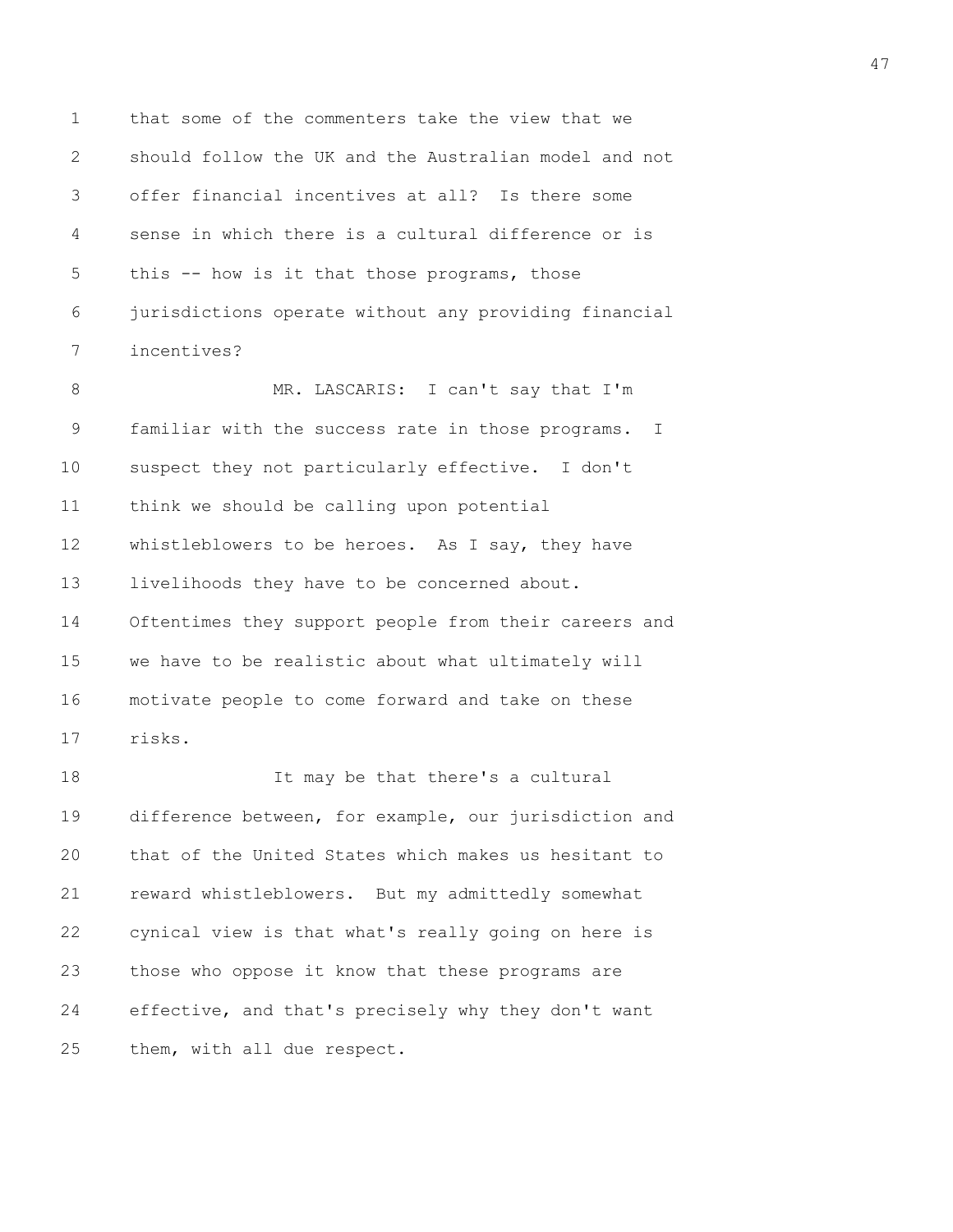1 that some of the commenters take the view that we 2 should follow the UK and the Australian model and not 3 offer financial incentives at all? Is there some 4 sense in which there is a cultural difference or is 5 this -- how is it that those programs, those 6 jurisdictions operate without any providing financial 7 incentives?

8 MR. LASCARIS: I can't say that I'm 9 familiar with the success rate in those programs. I 10 suspect they not particularly effective. I don't 11 think we should be calling upon potential 12 whistleblowers to be heroes. As I say, they have 13 livelihoods they have to be concerned about. 14 Oftentimes they support people from their careers and 15 we have to be realistic about what ultimately will 16 motivate people to come forward and take on these 17 risks.

18 It may be that there's a cultural 19 difference between, for example, our jurisdiction and 20 that of the United States which makes us hesitant to 21 reward whistleblowers. But my admittedly somewhat 22 cynical view is that what's really going on here is 23 those who oppose it know that these programs are 24 effective, and that's precisely why they don't want 25 them, with all due respect.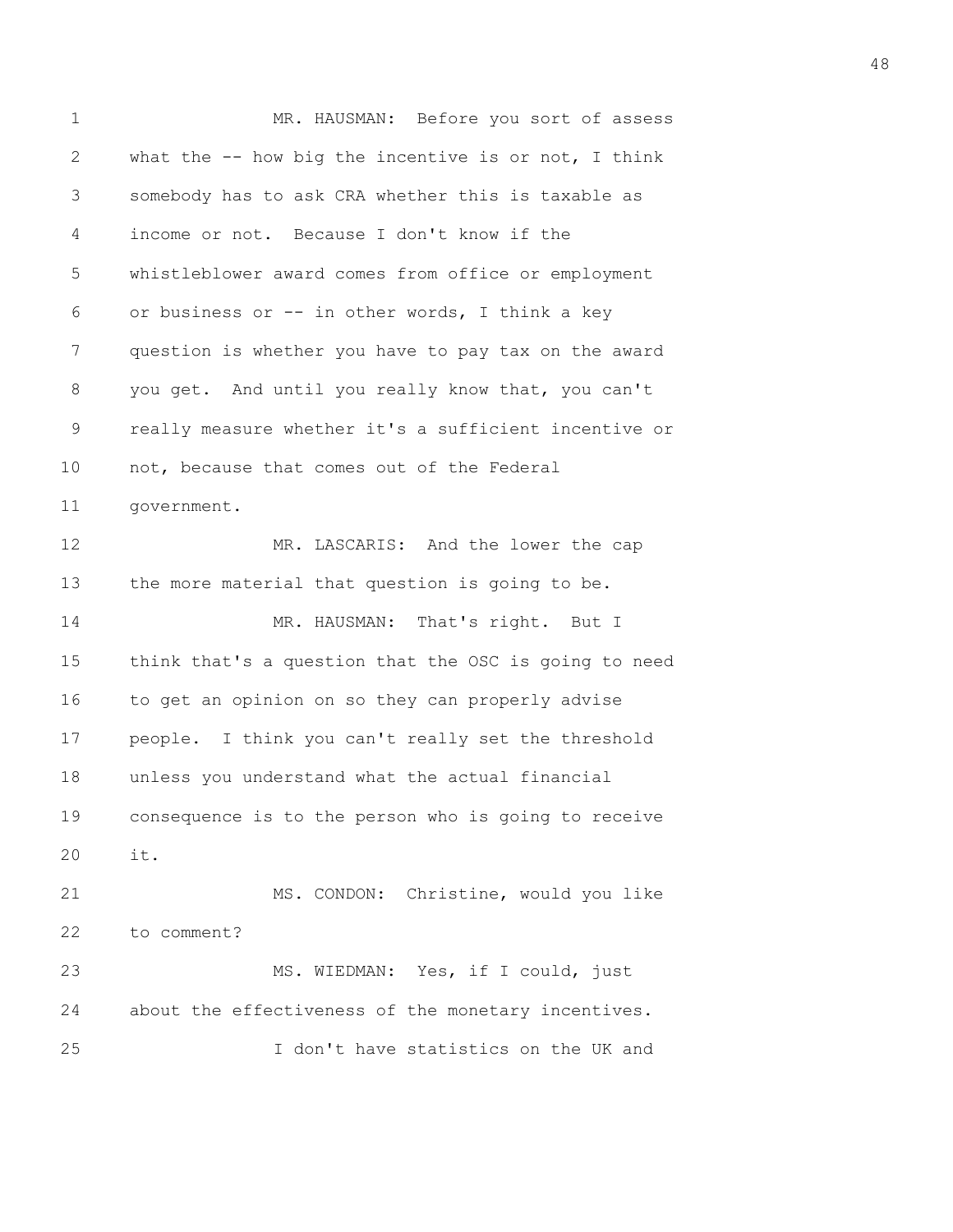| $\mathbf 1$  | MR. HAUSMAN: Before you sort of assess                  |
|--------------|---------------------------------------------------------|
| $\mathbf{2}$ | what the $-$ - how big the incentive is or not, I think |
| 3            | somebody has to ask CRA whether this is taxable as      |
| 4            | income or not. Because I don't know if the              |
| 5            | whistleblower award comes from office or employment     |
| 6            | or business or -- in other words, I think a key         |
| 7            | question is whether you have to pay tax on the award    |
| 8            | you get. And until you really know that, you can't      |
| 9            | really measure whether it's a sufficient incentive or   |
| 10           | not, because that comes out of the Federal              |
| 11           | government.                                             |
| 12           | MR. LASCARIS: And the lower the cap                     |
| 13           | the more material that question is going to be.         |
| 14           | MR. HAUSMAN: That's right. But I                        |
| 15           | think that's a question that the OSC is going to need   |
| 16           | to get an opinion on so they can properly advise        |
| 17           | people. I think you can't really set the threshold      |
| 18           | unless you understand what the actual financial         |
| 19           | consequence is to the person who is going to receive    |
| 20           | it.                                                     |
| 21           | MS. CONDON: Christine, would you like                   |
| 22           | to comment?                                             |
| 23           | MS. WIEDMAN: Yes, if I could, just                      |
| 24           | about the effectiveness of the monetary incentives.     |
| 25           | I don't have statistics on the UK and                   |
|              |                                                         |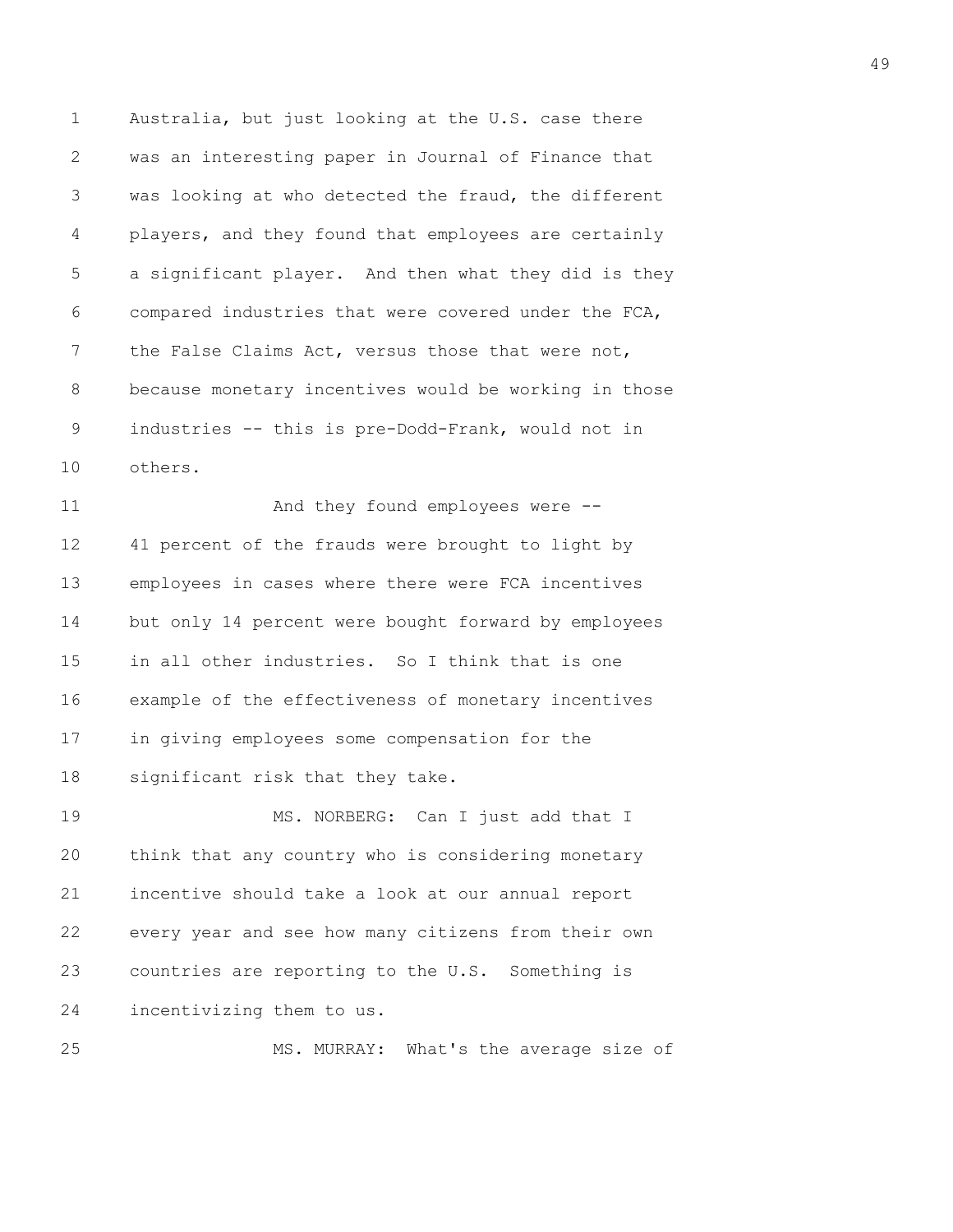1 Australia, but just looking at the U.S. case there 2 was an interesting paper in Journal of Finance that 3 was looking at who detected the fraud, the different 4 players, and they found that employees are certainly 5 a significant player. And then what they did is they 6 compared industries that were covered under the FCA, 7 the False Claims Act, versus those that were not, 8 because monetary incentives would be working in those 9 industries -- this is pre-Dodd-Frank, would not in 10 others.

11 And they found employees were --12 41 percent of the frauds were brought to light by 13 employees in cases where there were FCA incentives 14 but only 14 percent were bought forward by employees 15 in all other industries. So I think that is one 16 example of the effectiveness of monetary incentives 17 in giving employees some compensation for the 18 significant risk that they take.

19 MS. NORBERG: Can I just add that I 20 think that any country who is considering monetary 21 incentive should take a look at our annual report 22 every year and see how many citizens from their own 23 countries are reporting to the U.S. Something is 24 incentivizing them to us.

25 MS. MURRAY: What's the average size of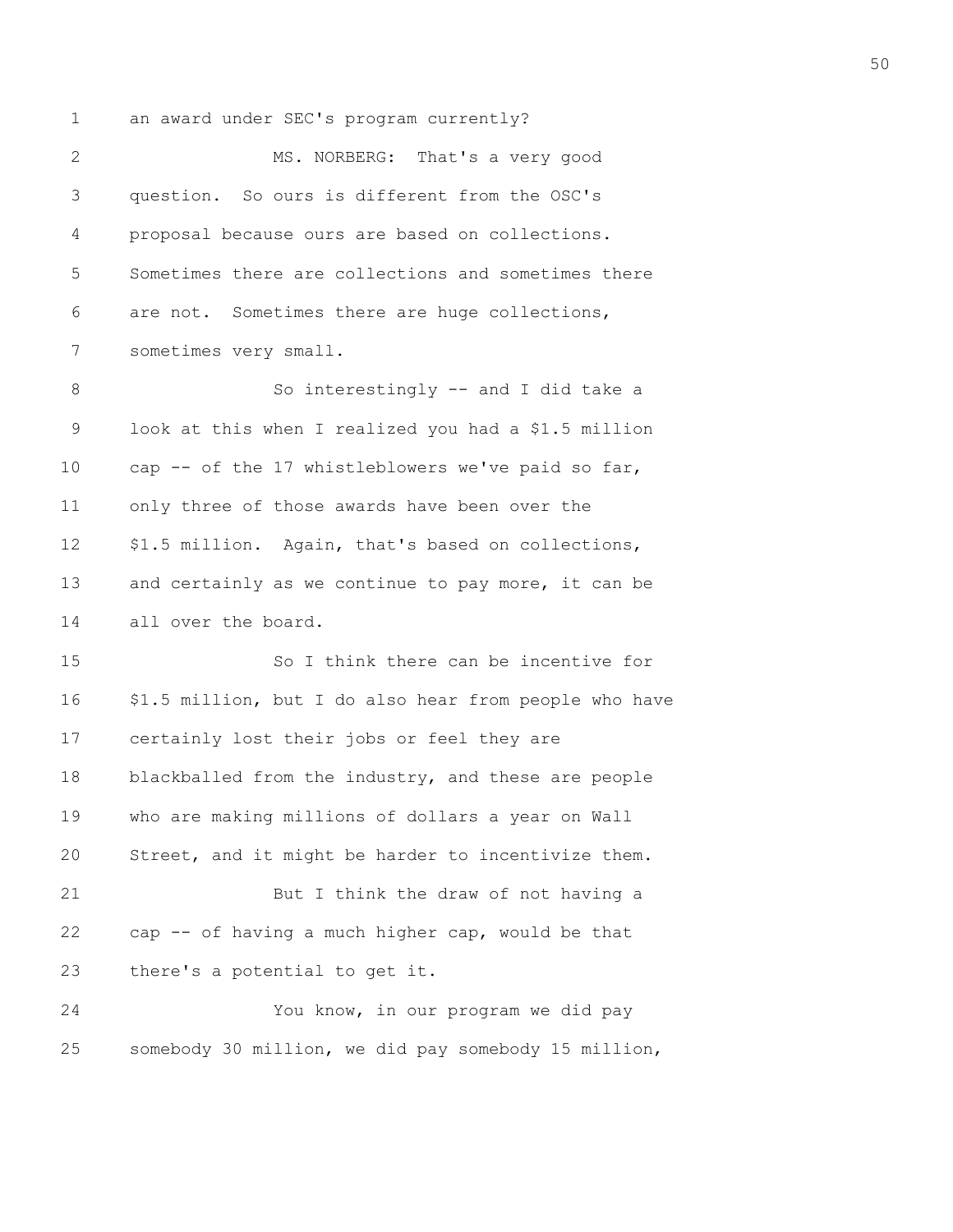1 an award under SEC's program currently?

| $\mathbf{2}$ | MS. NORBERG: That's a very good                        |
|--------------|--------------------------------------------------------|
| 3            | question. So ours is different from the OSC's          |
| 4            | proposal because ours are based on collections.        |
| 5            | Sometimes there are collections and sometimes there    |
| 6            | are not. Sometimes there are huge collections,         |
| 7            | sometimes very small.                                  |
| 8            | So interestingly -- and I did take a                   |
| 9            | look at this when I realized you had a \$1.5 million   |
| 10           | cap -- of the 17 whistleblowers we've paid so far,     |
| 11           | only three of those awards have been over the          |
| 12           | \$1.5 million. Again, that's based on collections,     |
| 13           | and certainly as we continue to pay more, it can be    |
| 14           | all over the board.                                    |
| 15           | So I think there can be incentive for                  |
| 16           | \$1.5 million, but I do also hear from people who have |
| 17           | certainly lost their jobs or feel they are             |
| 18           | blackballed from the industry, and these are people    |
| 19           | who are making millions of dollars a year on Wall      |
| 20           | Street, and it might be harder to incentivize them.    |
| 21           | But I think the draw of not having a                   |
| 22           | cap -- of having a much higher cap, would be that      |
| 23           | there's a potential to get it.                         |
| 24           | You know, in our program we did pay                    |
| 25           | somebody 30 million, we did pay somebody 15 million,   |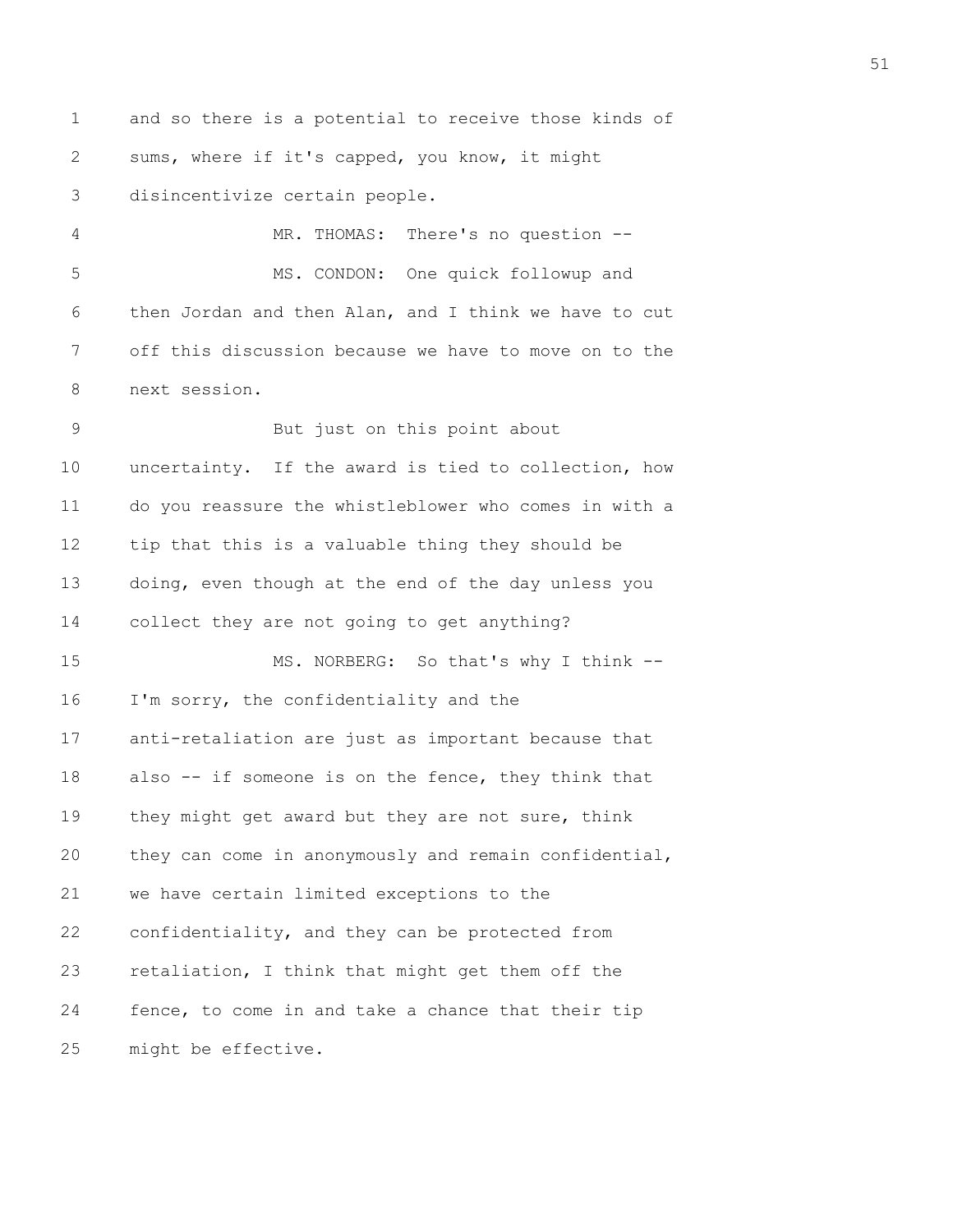1 and so there is a potential to receive those kinds of 2 sums, where if it's capped, you know, it might 3 disincentivize certain people. 4 MR. THOMAS: There's no question -- 5 MS. CONDON: One quick followup and 6 then Jordan and then Alan, and I think we have to cut 7 off this discussion because we have to move on to the 8 next session. 9 But just on this point about 10 uncertainty. If the award is tied to collection, how 11 do you reassure the whistleblower who comes in with a 12 tip that this is a valuable thing they should be 13 doing, even though at the end of the day unless you 14 collect they are not going to get anything? 15 MS. NORBERG: So that's why I think -- 16 I'm sorry, the confidentiality and the 17 anti-retaliation are just as important because that 18 also -- if someone is on the fence, they think that 19 they might get award but they are not sure, think 20 they can come in anonymously and remain confidential, 21 we have certain limited exceptions to the 22 confidentiality, and they can be protected from 23 retaliation, I think that might get them off the 24 fence, to come in and take a chance that their tip 25 might be effective.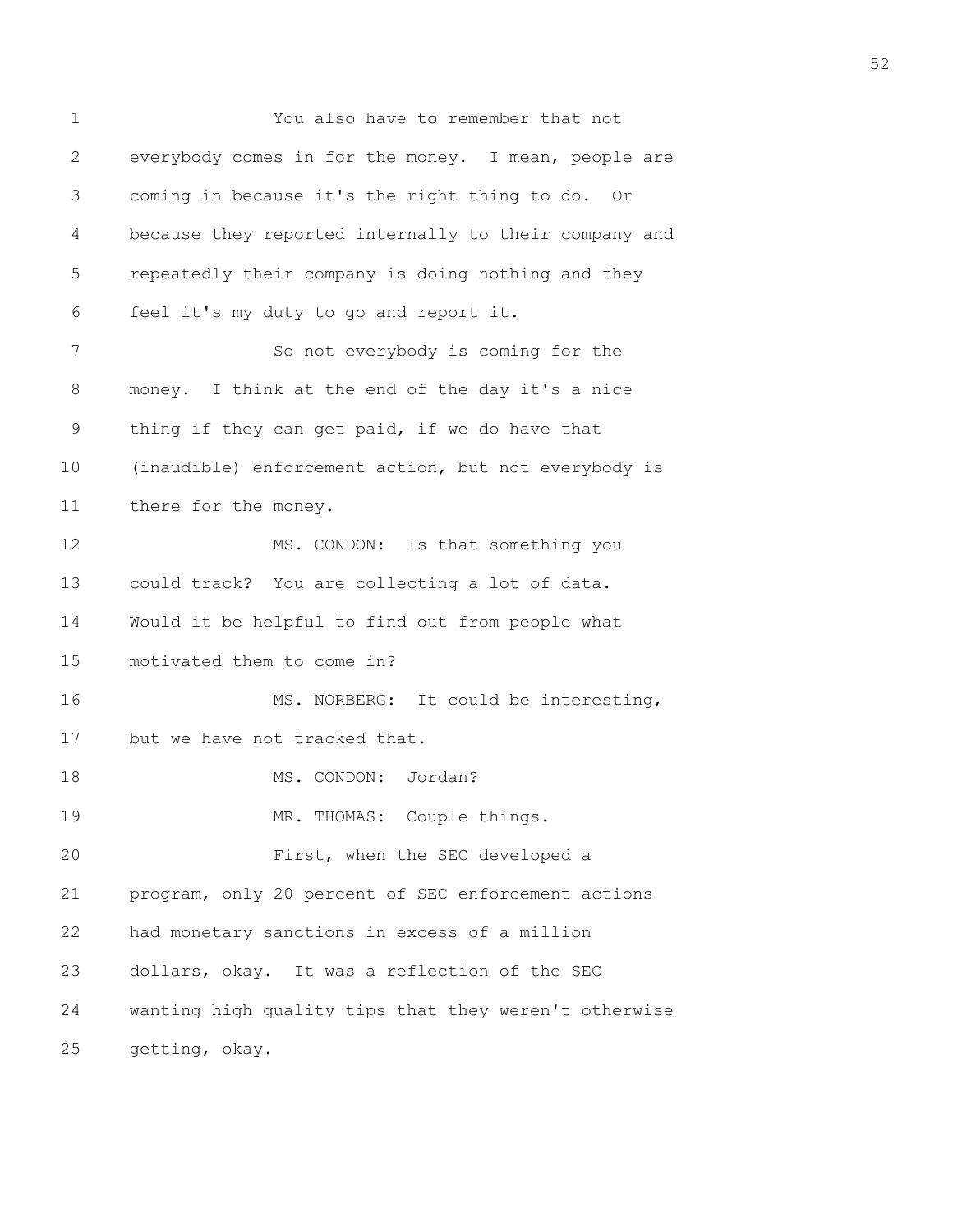1 You also have to remember that not 2 everybody comes in for the money. I mean, people are 3 coming in because it's the right thing to do. Or 4 because they reported internally to their company and 5 repeatedly their company is doing nothing and they 6 feel it's my duty to go and report it. 7 So not everybody is coming for the 8 money. I think at the end of the day it's a nice 9 thing if they can get paid, if we do have that 10 (inaudible) enforcement action, but not everybody is 11 there for the money. 12 MS. CONDON: Is that something you 13 could track? You are collecting a lot of data. 14 Would it be helpful to find out from people what 15 motivated them to come in? 16 MS. NORBERG: It could be interesting, 17 but we have not tracked that. 18 MS. CONDON: Jordan? 19 MR. THOMAS: Couple things. 20 First, when the SEC developed a 21 program, only 20 percent of SEC enforcement actions 22 had monetary sanctions in excess of a million 23 dollars, okay. It was a reflection of the SEC 24 wanting high quality tips that they weren't otherwise 25 getting, okay.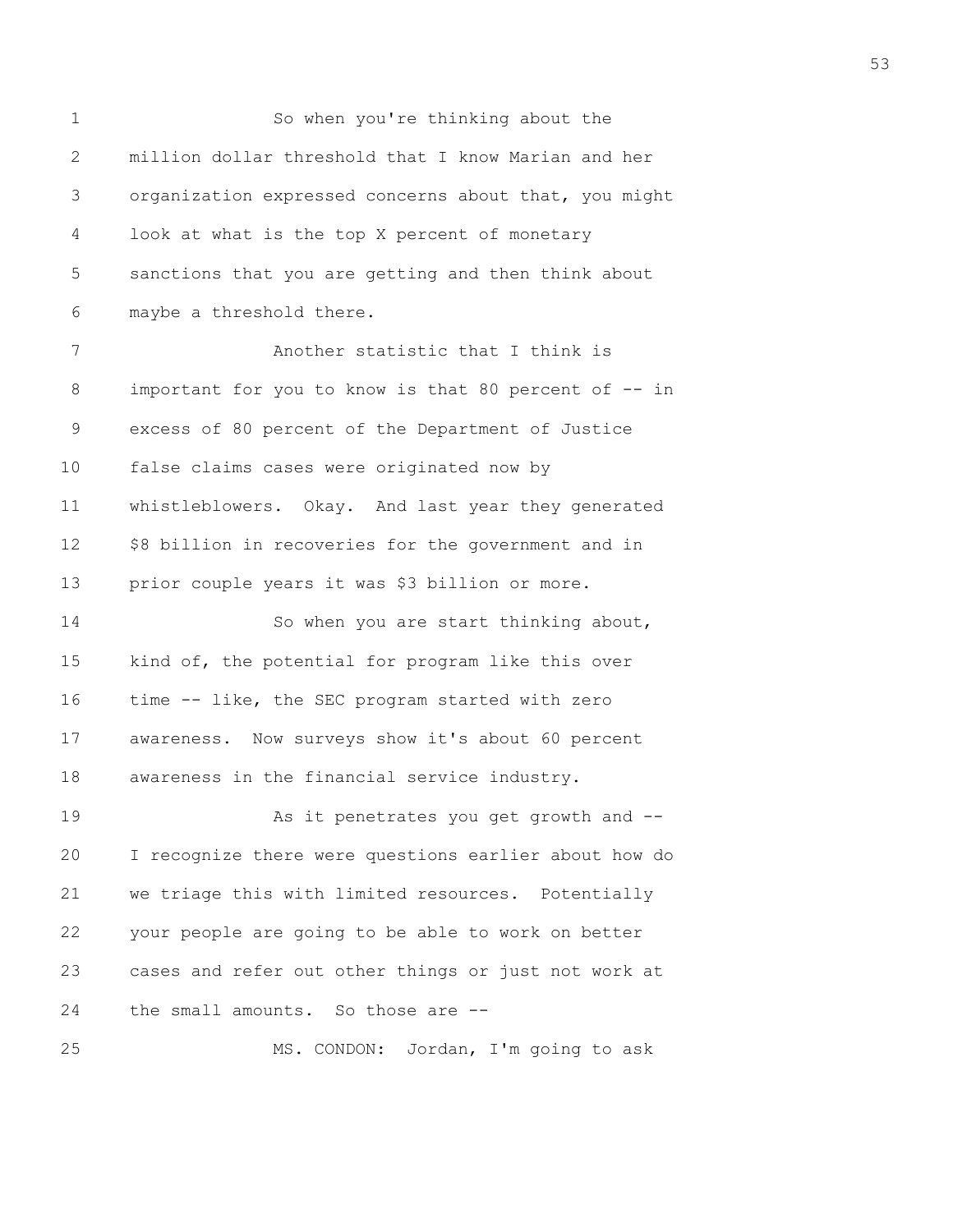1 So when you're thinking about the 2 million dollar threshold that I know Marian and her 3 organization expressed concerns about that, you might 4 look at what is the top X percent of monetary 5 sanctions that you are getting and then think about 6 maybe a threshold there. 7 Another statistic that I think is 8 important for you to know is that 80 percent of -- in 9 excess of 80 percent of the Department of Justice 10 false claims cases were originated now by 11 whistleblowers. Okay. And last year they generated 12 \$8 billion in recoveries for the government and in 13 prior couple years it was \$3 billion or more. 14 So when you are start thinking about, 15 kind of, the potential for program like this over 16 time -- like, the SEC program started with zero 17 awareness. Now surveys show it's about 60 percent 18 awareness in the financial service industry. 19 As it penetrates you get growth and -- 20 I recognize there were questions earlier about how do 21 we triage this with limited resources. Potentially 22 your people are going to be able to work on better 23 cases and refer out other things or just not work at 24 the small amounts. So those are -- 25 MS. CONDON: Jordan, I'm going to ask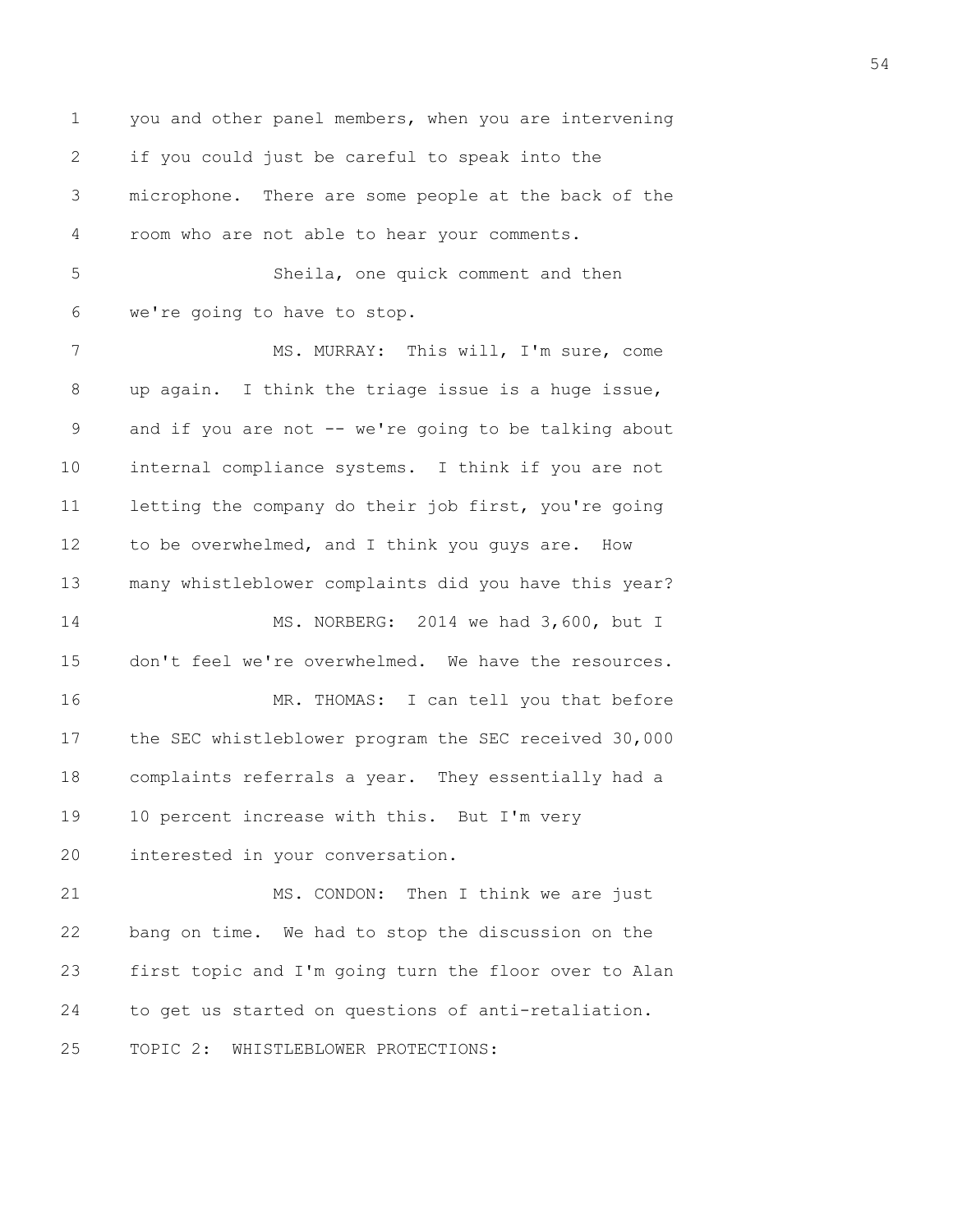1 you and other panel members, when you are intervening 2 if you could just be careful to speak into the 3 microphone. There are some people at the back of the 4 room who are not able to hear your comments. 5 Sheila, one quick comment and then 6 we're going to have to stop. 7 MS. MURRAY: This will, I'm sure, come 8 up again. I think the triage issue is a huge issue, 9 and if you are not -- we're going to be talking about 10 internal compliance systems. I think if you are not 11 letting the company do their job first, you're going 12 to be overwhelmed, and I think you guys are. How 13 many whistleblower complaints did you have this year? 14 MS. NORBERG: 2014 we had 3,600, but I 15 don't feel we're overwhelmed. We have the resources. 16 MR. THOMAS: I can tell you that before 17 the SEC whistleblower program the SEC received 30,000 18 complaints referrals a year. They essentially had a 19 10 percent increase with this. But I'm very 20 interested in your conversation. 21 MS. CONDON: Then I think we are just 22 bang on time. We had to stop the discussion on the 23 first topic and I'm going turn the floor over to Alan 24 to get us started on questions of anti-retaliation. 25 TOPIC 2: WHISTLEBLOWER PROTECTIONS: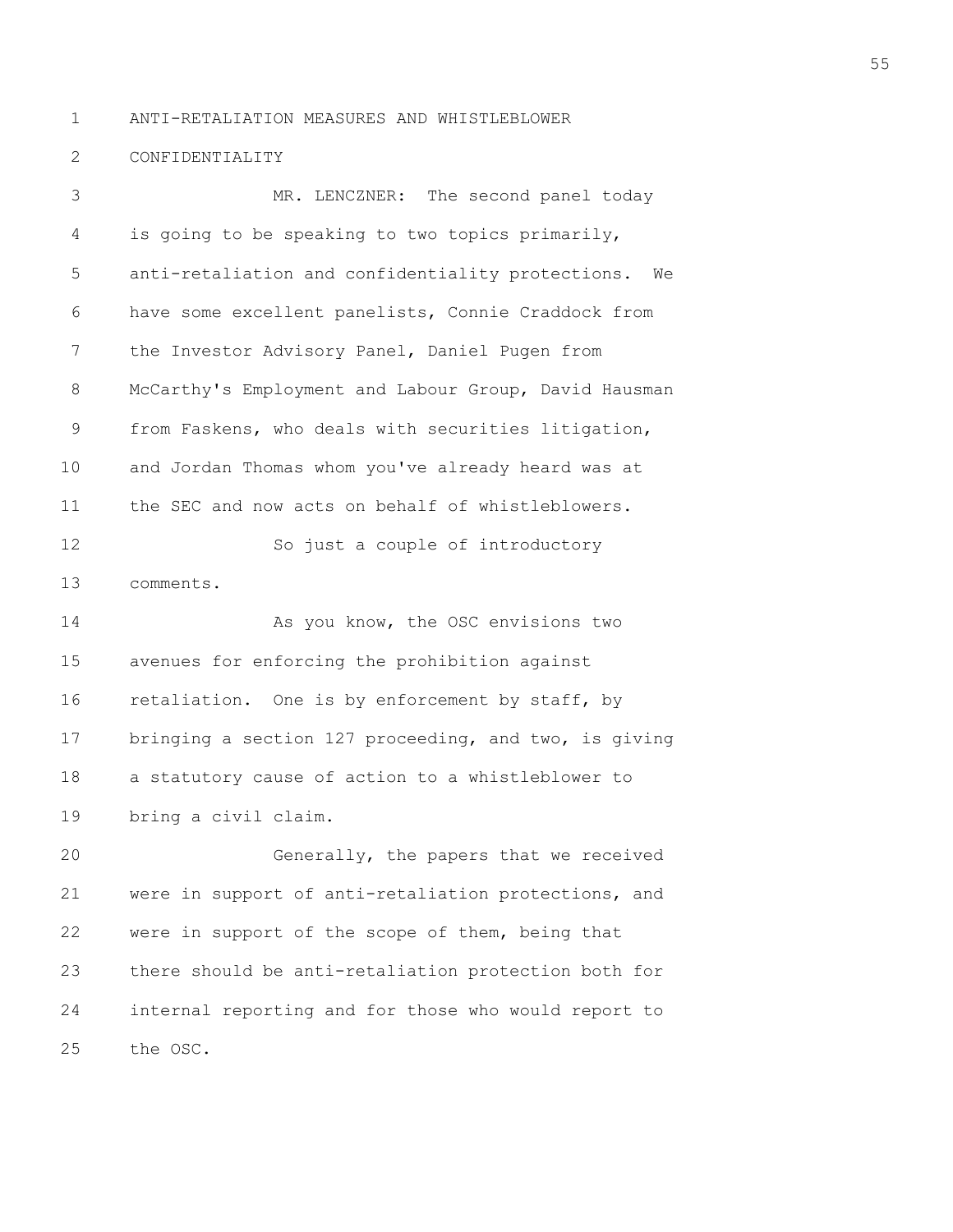1 ANTI-RETALIATION MEASURES AND WHISTLEBLOWER

## 2 CONFIDENTIALITY

3 MR. LENCZNER: The second panel today 4 is going to be speaking to two topics primarily, 5 anti-retaliation and confidentiality protections. We 6 have some excellent panelists, Connie Craddock from 7 the Investor Advisory Panel, Daniel Pugen from 8 McCarthy's Employment and Labour Group, David Hausman 9 from Faskens, who deals with securities litigation, 10 and Jordan Thomas whom you've already heard was at 11 the SEC and now acts on behalf of whistleblowers. 12 So just a couple of introductory 13 comments. 14 As you know, the OSC envisions two 15 avenues for enforcing the prohibition against 16 retaliation. One is by enforcement by staff, by 17 bringing a section 127 proceeding, and two, is giving 18 a statutory cause of action to a whistleblower to 19 bring a civil claim. 20 Generally, the papers that we received 21 were in support of anti-retaliation protections, and 22 were in support of the scope of them, being that

23 there should be anti-retaliation protection both for 24 internal reporting and for those who would report to 25 the OSC.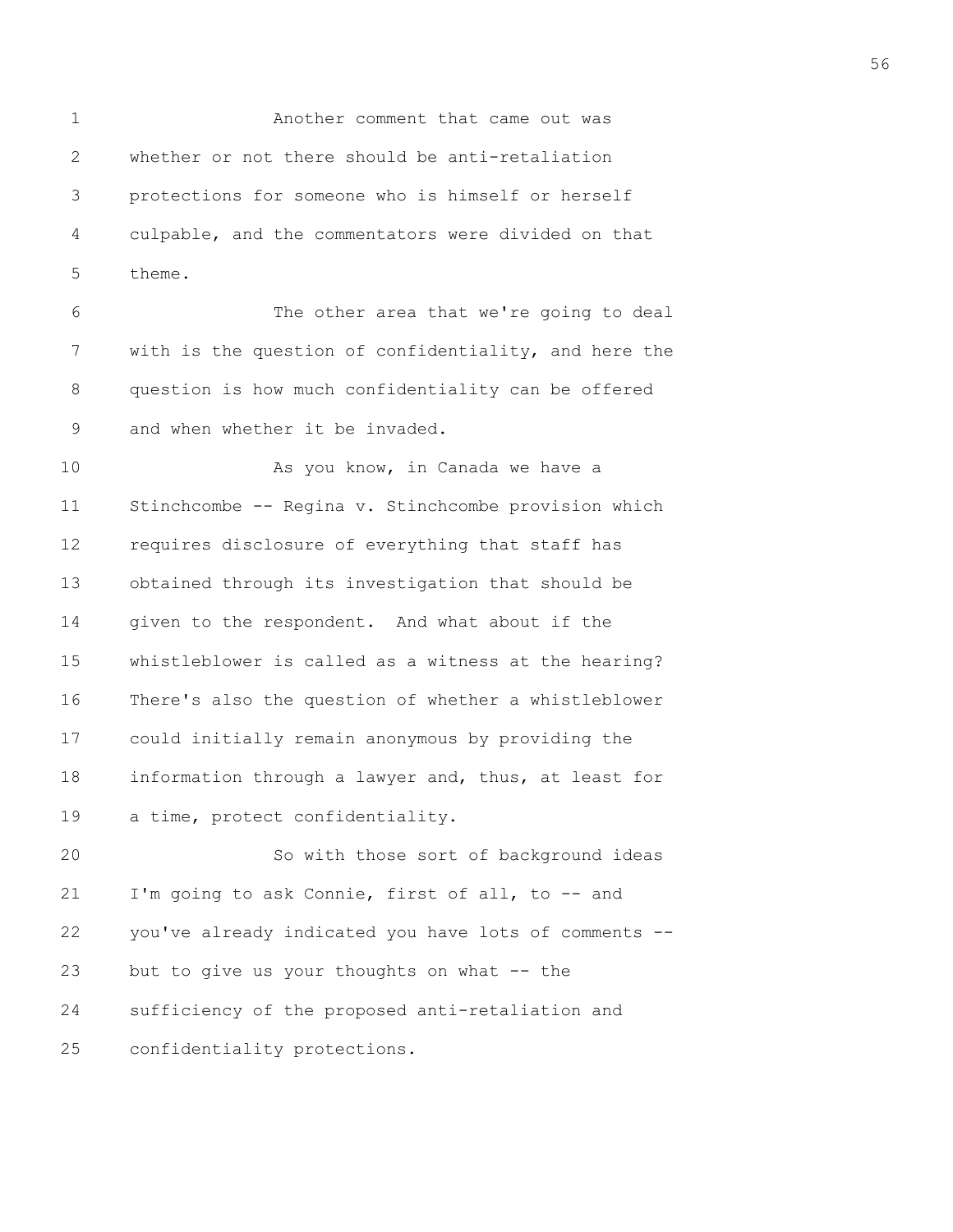1 Another comment that came out was 2 whether or not there should be anti-retaliation 3 protections for someone who is himself or herself 4 culpable, and the commentators were divided on that 5 theme.

6 The other area that we're going to deal 7 with is the question of confidentiality, and here the 8 question is how much confidentiality can be offered 9 and when whether it be invaded.

10 As you know, in Canada we have a 11 Stinchcombe -- Regina v. Stinchcombe provision which 12 requires disclosure of everything that staff has 13 obtained through its investigation that should be 14 given to the respondent. And what about if the 15 whistleblower is called as a witness at the hearing? 16 There's also the question of whether a whistleblower 17 could initially remain anonymous by providing the 18 information through a lawyer and, thus, at least for 19 a time, protect confidentiality.

20 So with those sort of background ideas 21 I'm going to ask Connie, first of all, to -- and 22 you've already indicated you have lots of comments -- 23 but to give us your thoughts on what -- the 24 sufficiency of the proposed anti-retaliation and 25 confidentiality protections.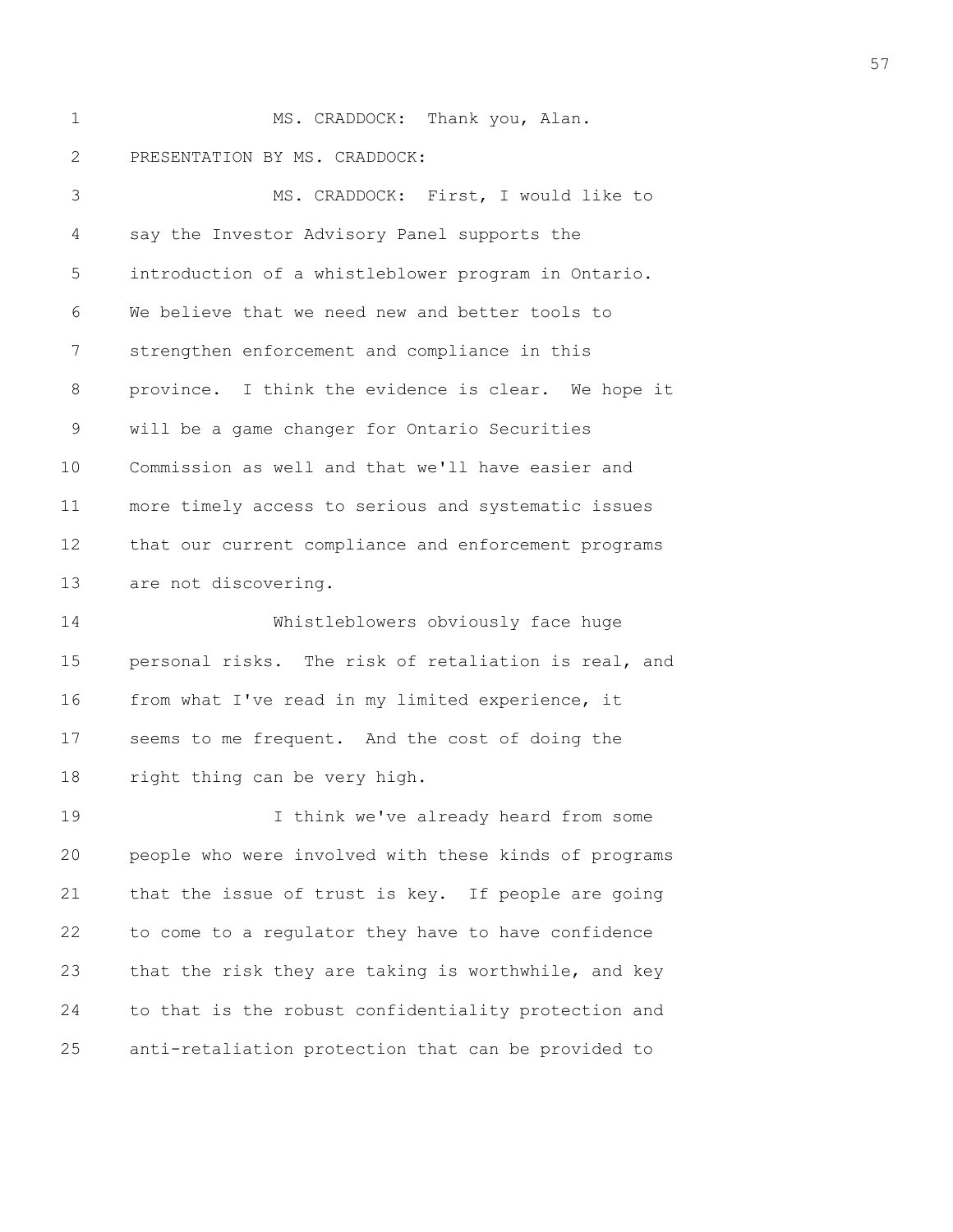1 MS. CRADDOCK: Thank you, Alan. 2 PRESENTATION BY MS. CRADDOCK:

3 MS. CRADDOCK: First, I would like to 4 say the Investor Advisory Panel supports the 5 introduction of a whistleblower program in Ontario. 6 We believe that we need new and better tools to 7 strengthen enforcement and compliance in this 8 province. I think the evidence is clear. We hope it 9 will be a game changer for Ontario Securities 10 Commission as well and that we'll have easier and 11 more timely access to serious and systematic issues 12 that our current compliance and enforcement programs 13 are not discovering.

14 Whistleblowers obviously face huge 15 personal risks. The risk of retaliation is real, and 16 from what I've read in my limited experience, it 17 seems to me frequent. And the cost of doing the 18 right thing can be very high.

19 I think we've already heard from some 20 people who were involved with these kinds of programs 21 that the issue of trust is key. If people are going 22 to come to a regulator they have to have confidence 23 that the risk they are taking is worthwhile, and key 24 to that is the robust confidentiality protection and 25 anti-retaliation protection that can be provided to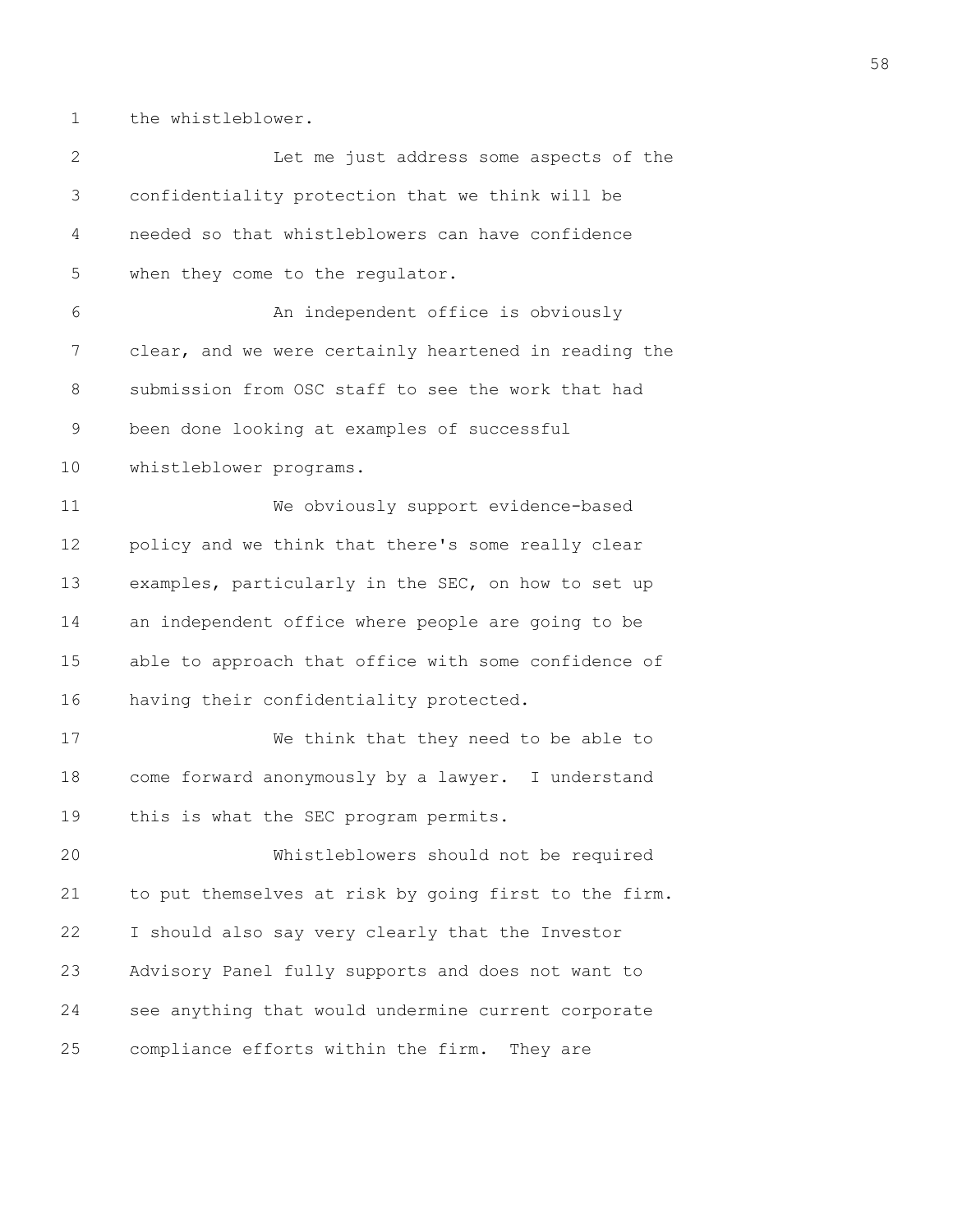1 the whistleblower.

| $\mathbf{2}$ | Let me just address some aspects of the               |
|--------------|-------------------------------------------------------|
| 3            | confidentiality protection that we think will be      |
| 4            | needed so that whistleblowers can have confidence     |
| 5            | when they come to the regulator.                      |
| 6            | An independent office is obviously                    |
| 7            | clear, and we were certainly heartened in reading the |
| $8\,$        | submission from OSC staff to see the work that had    |
| $\mathsf 9$  | been done looking at examples of successful           |
| 10           | whistleblower programs.                               |
| 11           | We obviously support evidence-based                   |
| 12           | policy and we think that there's some really clear    |
| 13           | examples, particularly in the SEC, on how to set up   |
| 14           | an independent office where people are going to be    |
| 15           | able to approach that office with some confidence of  |
| 16           | having their confidentiality protected.               |
| 17           | We think that they need to be able to                 |
| 18           | come forward anonymously by a lawyer. I understand    |
| 19           | this is what the SEC program permits.                 |
| 20           | Whistleblowers should not be required                 |
| 21           | to put themselves at risk by going first to the firm. |
| 22           | I should also say very clearly that the Investor      |
| 23           | Advisory Panel fully supports and does not want to    |
| 24           | see anything that would undermine current corporate   |
| 25           | compliance efforts within the firm.<br>They are       |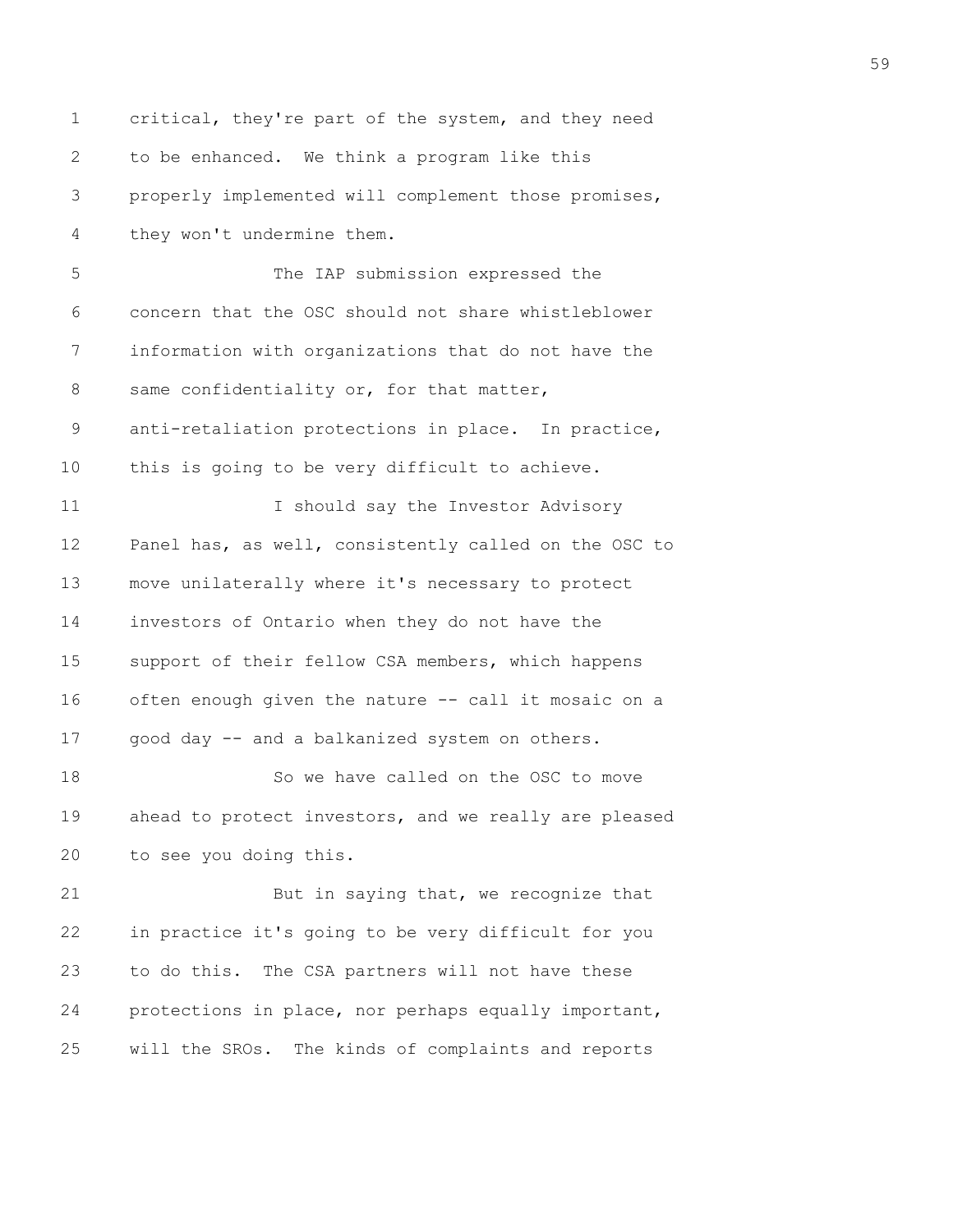1 critical, they're part of the system, and they need 2 to be enhanced. We think a program like this 3 properly implemented will complement those promises, 4 they won't undermine them. 5 The IAP submission expressed the 6 concern that the OSC should not share whistleblower 7 information with organizations that do not have the 8 same confidentiality or, for that matter, 9 anti-retaliation protections in place. In practice, 10 this is going to be very difficult to achieve. 11 I should say the Investor Advisory 12 Panel has, as well, consistently called on the OSC to 13 move unilaterally where it's necessary to protect 14 investors of Ontario when they do not have the 15 support of their fellow CSA members, which happens 16 often enough given the nature -- call it mosaic on a 17 good day -- and a balkanized system on others. 18 So we have called on the OSC to move 19 ahead to protect investors, and we really are pleased 20 to see you doing this. 21 But in saying that, we recognize that 22 in practice it's going to be very difficult for you 23 to do this. The CSA partners will not have these 24 protections in place, nor perhaps equally important, 25 will the SROs. The kinds of complaints and reports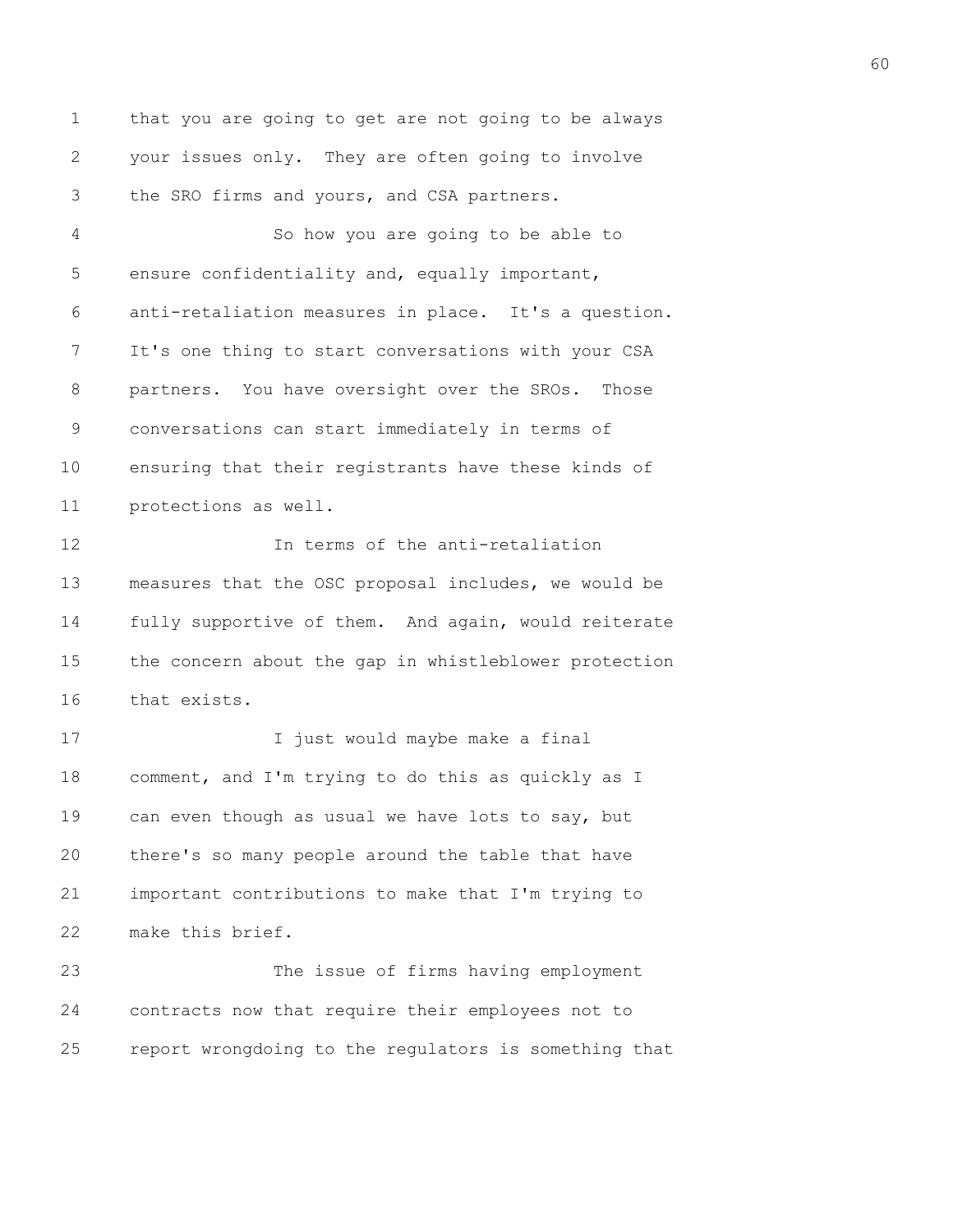1 that you are going to get are not going to be always 2 your issues only. They are often going to involve 3 the SRO firms and yours, and CSA partners.

4 So how you are going to be able to 5 ensure confidentiality and, equally important, 6 anti-retaliation measures in place. It's a question. 7 It's one thing to start conversations with your CSA 8 partners. You have oversight over the SROs. Those 9 conversations can start immediately in terms of 10 ensuring that their registrants have these kinds of 11 protections as well.

12 In terms of the anti-retaliation 13 measures that the OSC proposal includes, we would be 14 fully supportive of them. And again, would reiterate 15 the concern about the gap in whistleblower protection 16 that exists.

17 17 I just would maybe make a final 18 comment, and I'm trying to do this as quickly as I 19 can even though as usual we have lots to say, but 20 there's so many people around the table that have 21 important contributions to make that I'm trying to 22 make this brief.

23 The issue of firms having employment 24 contracts now that require their employees not to 25 report wrongdoing to the regulators is something that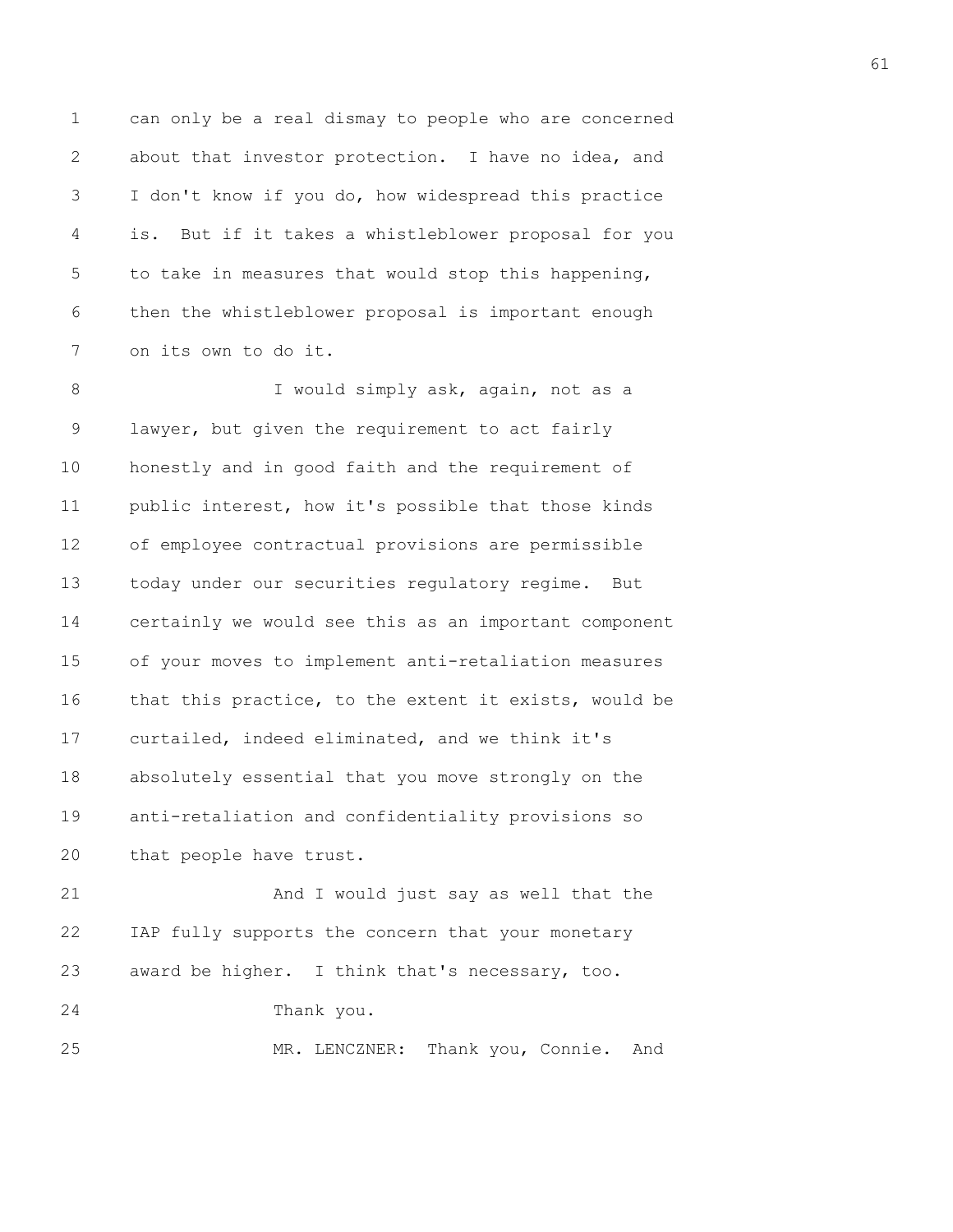1 can only be a real dismay to people who are concerned 2 about that investor protection. I have no idea, and 3 I don't know if you do, how widespread this practice 4 is. But if it takes a whistleblower proposal for you 5 to take in measures that would stop this happening, 6 then the whistleblower proposal is important enough 7 on its own to do it.

8 I would simply ask, again, not as a 9 lawyer, but given the requirement to act fairly 10 honestly and in good faith and the requirement of 11 public interest, how it's possible that those kinds 12 of employee contractual provisions are permissible 13 today under our securities regulatory regime. But 14 certainly we would see this as an important component 15 of your moves to implement anti-retaliation measures 16 that this practice, to the extent it exists, would be 17 curtailed, indeed eliminated, and we think it's 18 absolutely essential that you move strongly on the 19 anti-retaliation and confidentiality provisions so 20 that people have trust.

21 And I would just say as well that the 22 IAP fully supports the concern that your monetary 23 award be higher. I think that's necessary, too. 24 Thank you. 25 MR. LENCZNER: Thank you, Connie. And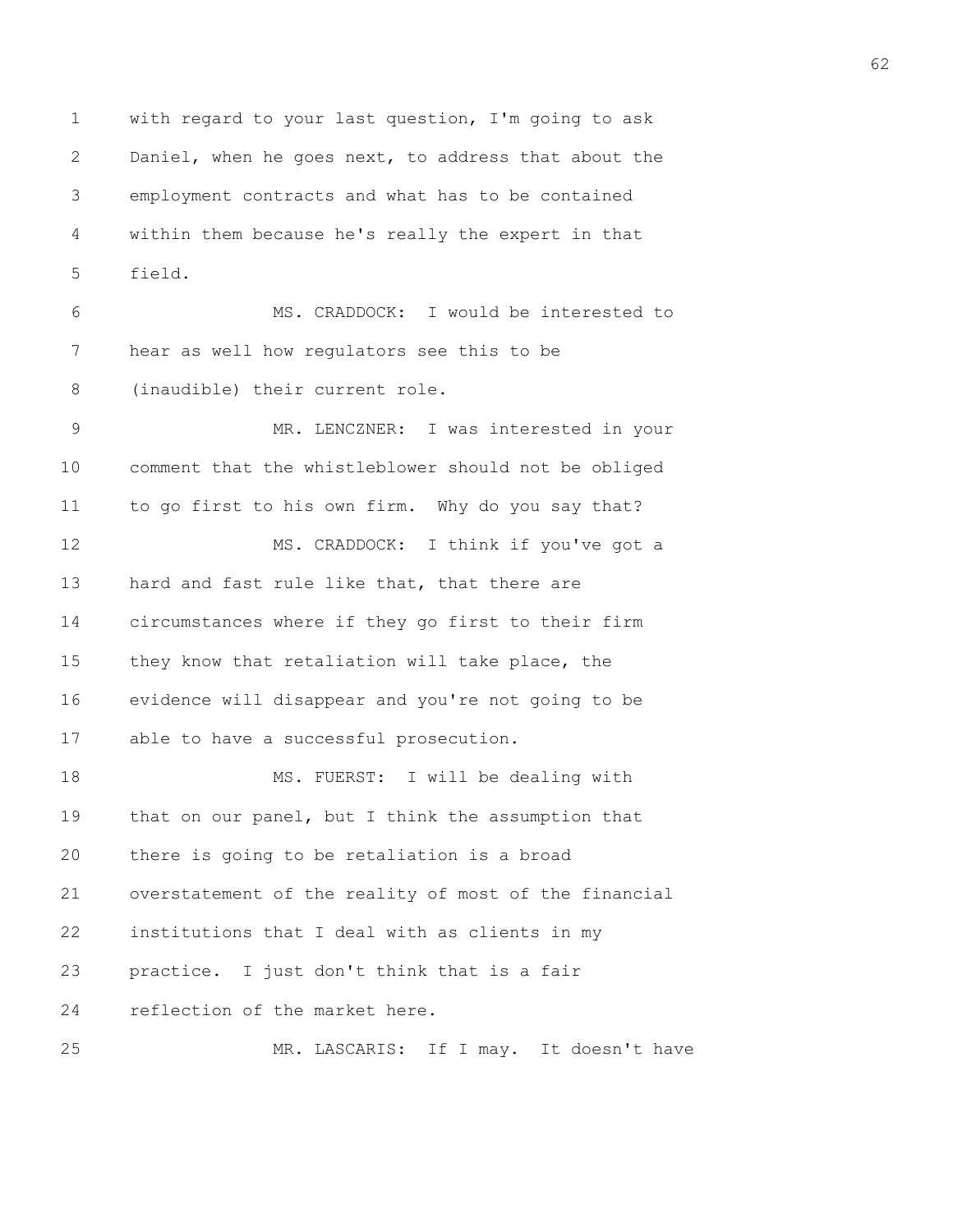1 with regard to your last question, I'm going to ask 2 Daniel, when he goes next, to address that about the 3 employment contracts and what has to be contained 4 within them because he's really the expert in that 5 field.

6 MS. CRADDOCK: I would be interested to 7 hear as well how regulators see this to be 8 (inaudible) their current role.

9 MR. LENCZNER: I was interested in your 10 comment that the whistleblower should not be obliged 11 to go first to his own firm. Why do you say that? 12 MS. CRADDOCK: I think if you've got a 13 hard and fast rule like that, that there are 14 circumstances where if they go first to their firm 15 they know that retaliation will take place, the 16 evidence will disappear and you're not going to be 17 able to have a successful prosecution. 18 MS. FUERST: I will be dealing with 19 that on our panel, but I think the assumption that 20 there is going to be retaliation is a broad

21 overstatement of the reality of most of the financial 22 institutions that I deal with as clients in my 23 practice. I just don't think that is a fair 24 reflection of the market here.

25 MR. LASCARIS: If I may. It doesn't have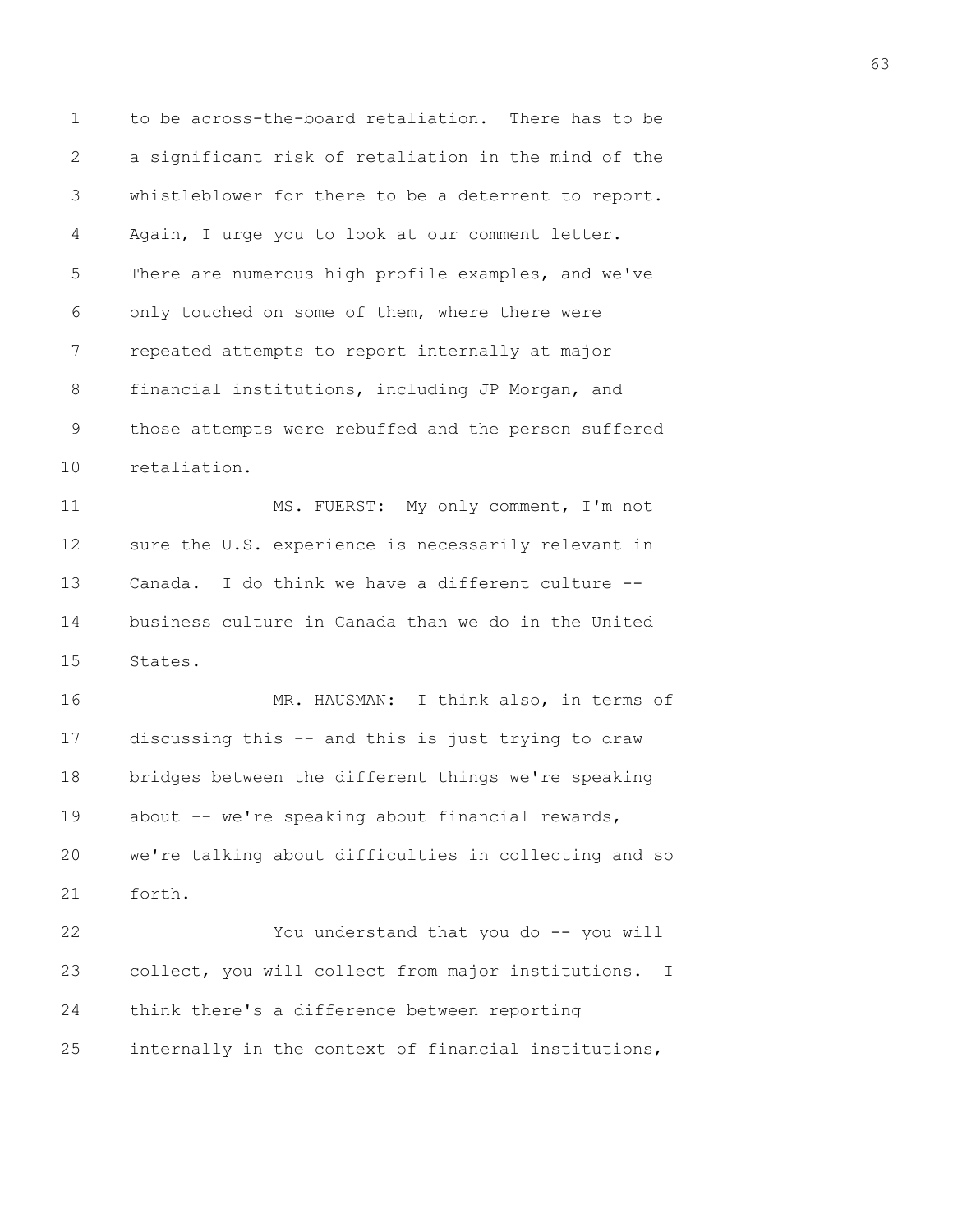1 to be across-the-board retaliation. There has to be 2 a significant risk of retaliation in the mind of the 3 whistleblower for there to be a deterrent to report. 4 Again, I urge you to look at our comment letter. 5 There are numerous high profile examples, and we've 6 only touched on some of them, where there were 7 repeated attempts to report internally at major 8 financial institutions, including JP Morgan, and 9 those attempts were rebuffed and the person suffered 10 retaliation.

11 MS. FUERST: My only comment, I'm not 12 sure the U.S. experience is necessarily relevant in 13 Canada. I do think we have a different culture -- 14 business culture in Canada than we do in the United 15 States.

16 MR. HAUSMAN: I think also, in terms of 17 discussing this -- and this is just trying to draw 18 bridges between the different things we're speaking 19 about -- we're speaking about financial rewards, 20 we're talking about difficulties in collecting and so 21 forth.

22 You understand that you do -- you will 23 collect, you will collect from major institutions. I 24 think there's a difference between reporting 25 internally in the context of financial institutions,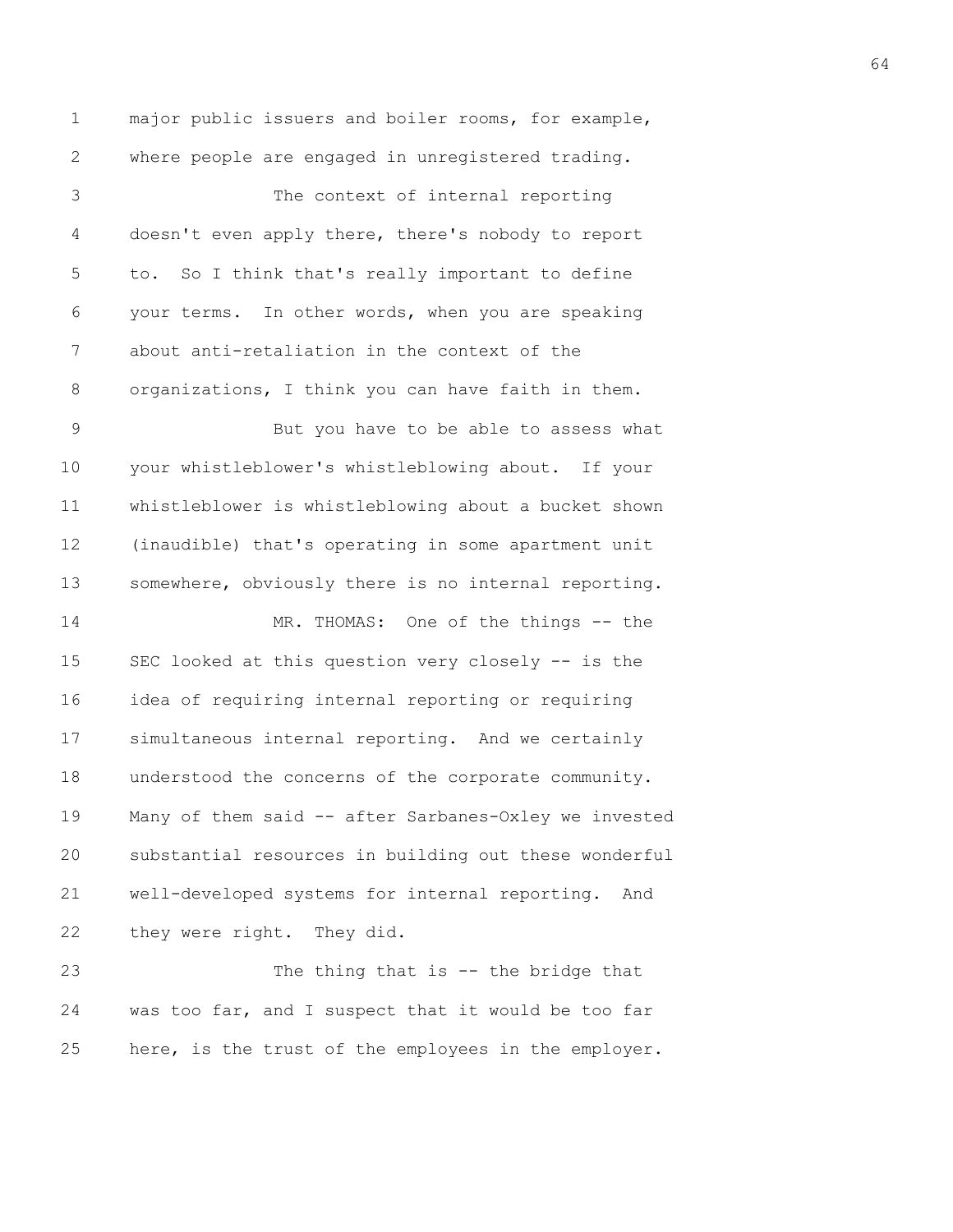1 major public issuers and boiler rooms, for example, 2 where people are engaged in unregistered trading. 3 The context of internal reporting 4 doesn't even apply there, there's nobody to report 5 to. So I think that's really important to define 6 your terms. In other words, when you are speaking 7 about anti-retaliation in the context of the 8 organizations, I think you can have faith in them. 9 But you have to be able to assess what 10 your whistleblower's whistleblowing about. If your 11 whistleblower is whistleblowing about a bucket shown 12 (inaudible) that's operating in some apartment unit 13 somewhere, obviously there is no internal reporting. 14 MR. THOMAS: One of the things -- the 15 SEC looked at this question very closely -- is the 16 idea of requiring internal reporting or requiring 17 simultaneous internal reporting. And we certainly 18 understood the concerns of the corporate community. 19 Many of them said -- after Sarbanes-Oxley we invested 20 substantial resources in building out these wonderful 21 well-developed systems for internal reporting. And 22 they were right. They did. 23 The thing that is -- the bridge that 24 was too far, and I suspect that it would be too far

25 here, is the trust of the employees in the employer.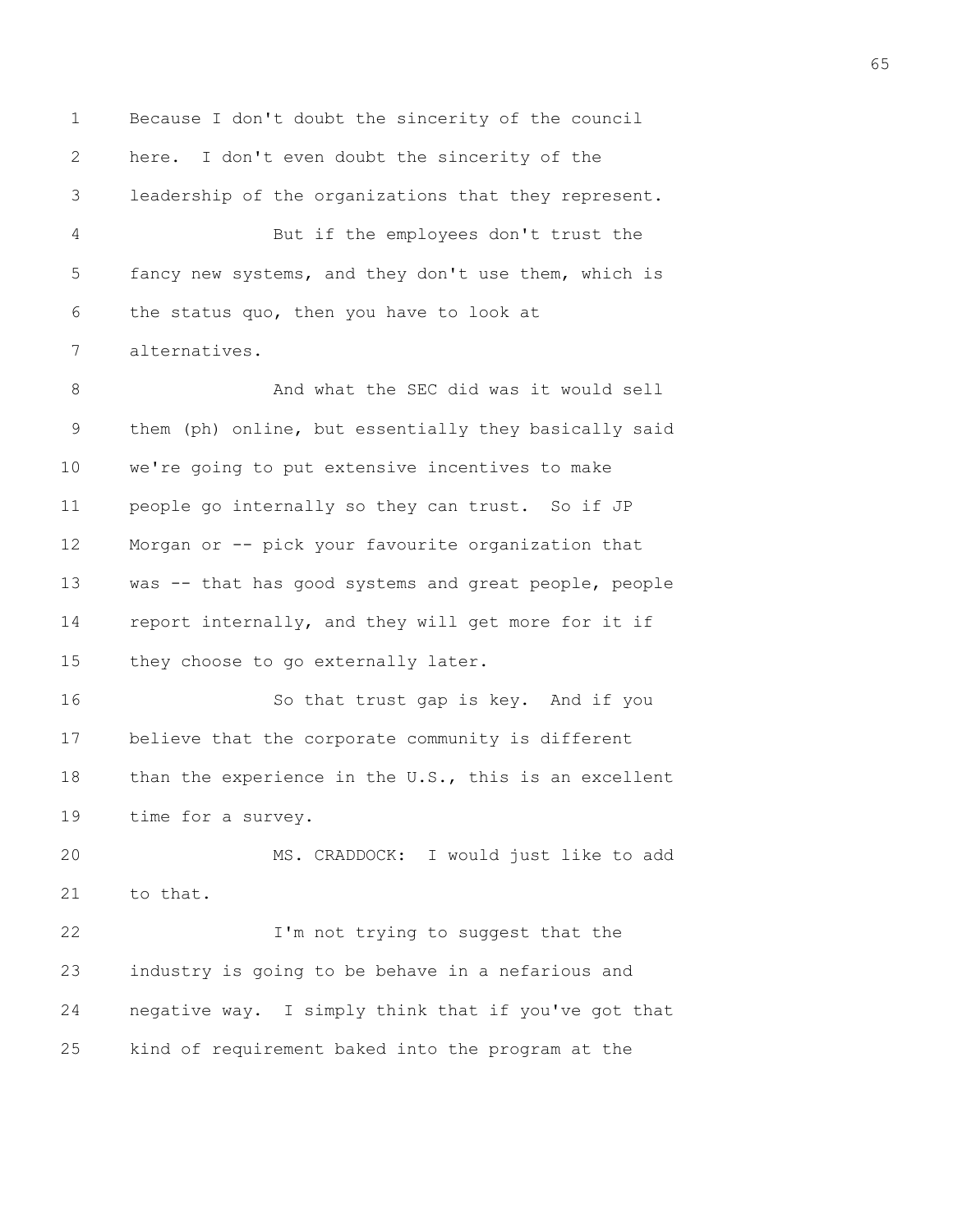1 Because I don't doubt the sincerity of the council 2 here. I don't even doubt the sincerity of the 3 leadership of the organizations that they represent. 4 But if the employees don't trust the 5 fancy new systems, and they don't use them, which is 6 the status quo, then you have to look at 7 alternatives. 8 And what the SEC did was it would sell 9 them (ph) online, but essentially they basically said 10 we're going to put extensive incentives to make 11 people go internally so they can trust. So if JP 12 Morgan or -- pick your favourite organization that 13 was -- that has good systems and great people, people 14 report internally, and they will get more for it if 15 they choose to go externally later. 16 So that trust gap is key. And if you 17 believe that the corporate community is different 18 than the experience in the U.S., this is an excellent 19 time for a survey. 20 MS. CRADDOCK: I would just like to add 21 to that. 22 **I'm not trying to suggest that the** 23 industry is going to be behave in a nefarious and 24 negative way. I simply think that if you've got that

25 kind of requirement baked into the program at the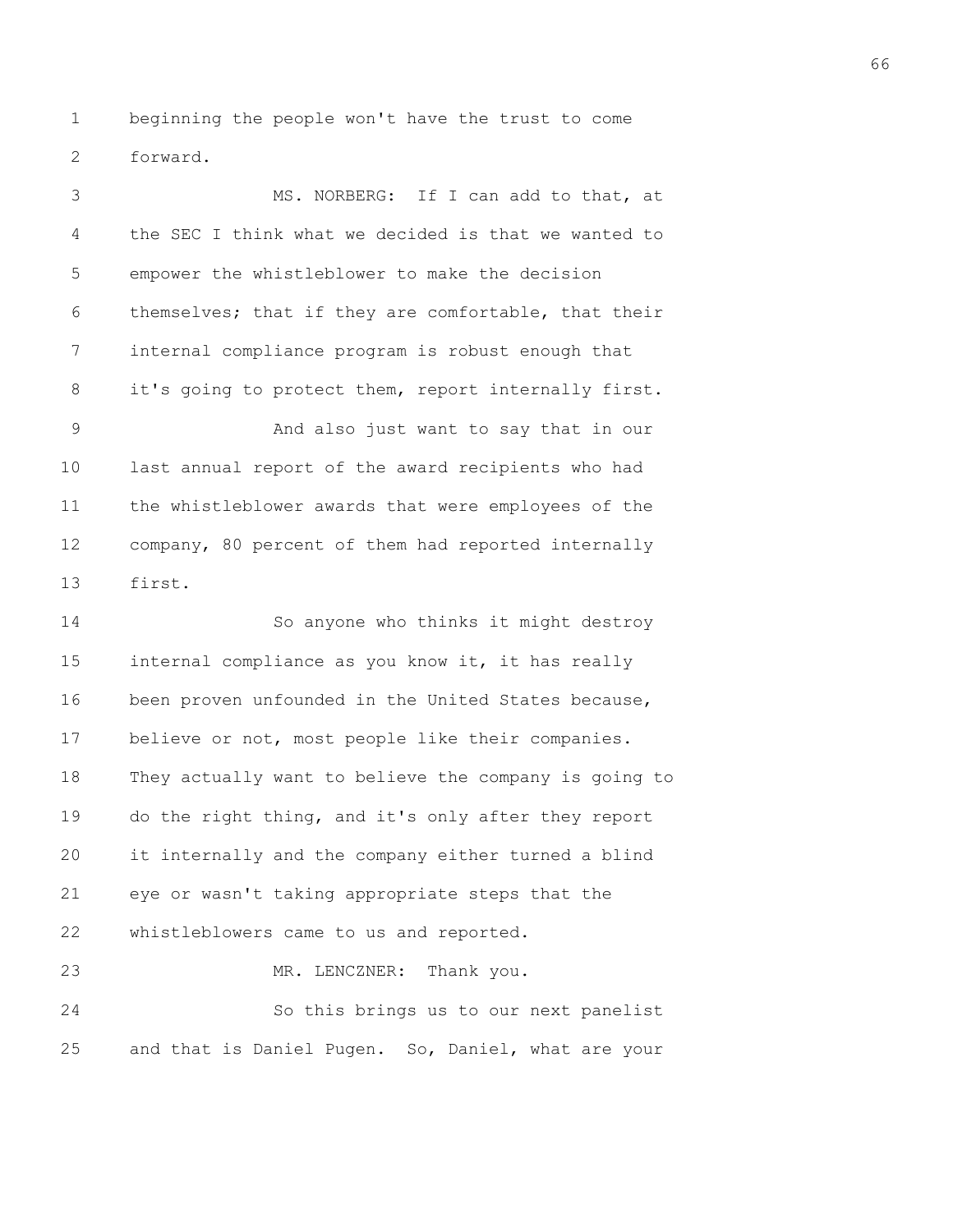1 beginning the people won't have the trust to come 2 forward.

3 MS. NORBERG: If I can add to that, at 4 the SEC I think what we decided is that we wanted to 5 empower the whistleblower to make the decision 6 themselves; that if they are comfortable, that their 7 internal compliance program is robust enough that 8 it's going to protect them, report internally first. 9 And also just want to say that in our 10 last annual report of the award recipients who had 11 the whistleblower awards that were employees of the 12 company, 80 percent of them had reported internally 13 first. 14 So anyone who thinks it might destroy 15 internal compliance as you know it, it has really 16 been proven unfounded in the United States because, 17 believe or not, most people like their companies. 18 They actually want to believe the company is going to 19 do the right thing, and it's only after they report 20 it internally and the company either turned a blind 21 eye or wasn't taking appropriate steps that the 22 whistleblowers came to us and reported. 23 MR. LENCZNER: Thank you.

24 So this brings us to our next panelist 25 and that is Daniel Pugen. So, Daniel, what are your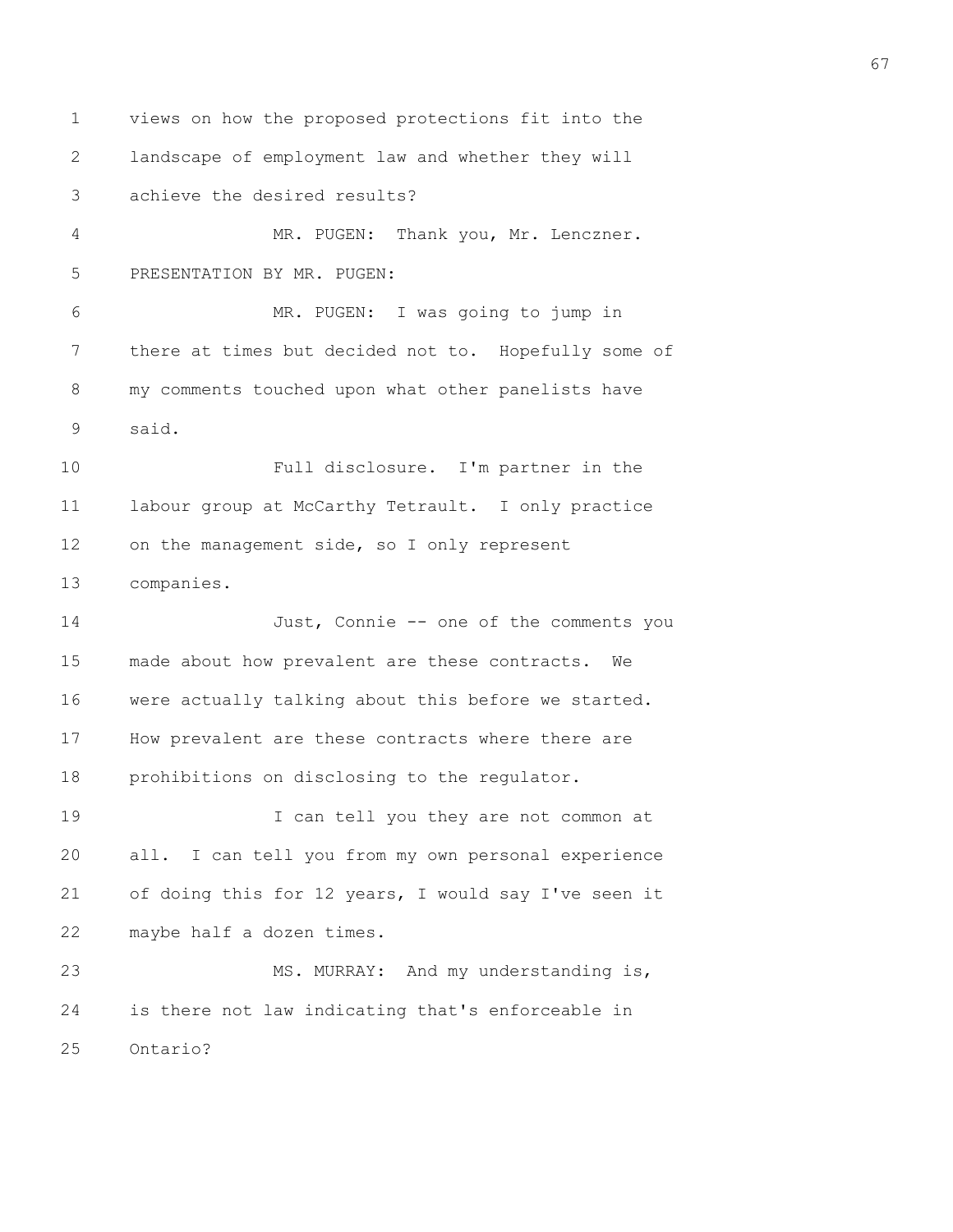1 views on how the proposed protections fit into the 2 landscape of employment law and whether they will 3 achieve the desired results? 4 MR. PUGEN: Thank you, Mr. Lenczner. 5 PRESENTATION BY MR. PUGEN: 6 MR. PUGEN: I was going to jump in 7 there at times but decided not to. Hopefully some of 8 my comments touched upon what other panelists have 9 said. 10 Full disclosure. I'm partner in the 11 labour group at McCarthy Tetrault. I only practice 12 on the management side, so I only represent 13 companies. 14 Just, Connie -- one of the comments you 15 made about how prevalent are these contracts. We 16 were actually talking about this before we started. 17 How prevalent are these contracts where there are 18 prohibitions on disclosing to the regulator. 19 I can tell you they are not common at 20 all. I can tell you from my own personal experience 21 of doing this for 12 years, I would say I've seen it 22 maybe half a dozen times. 23 MS. MURRAY: And my understanding is, 24 is there not law indicating that's enforceable in 25 Ontario?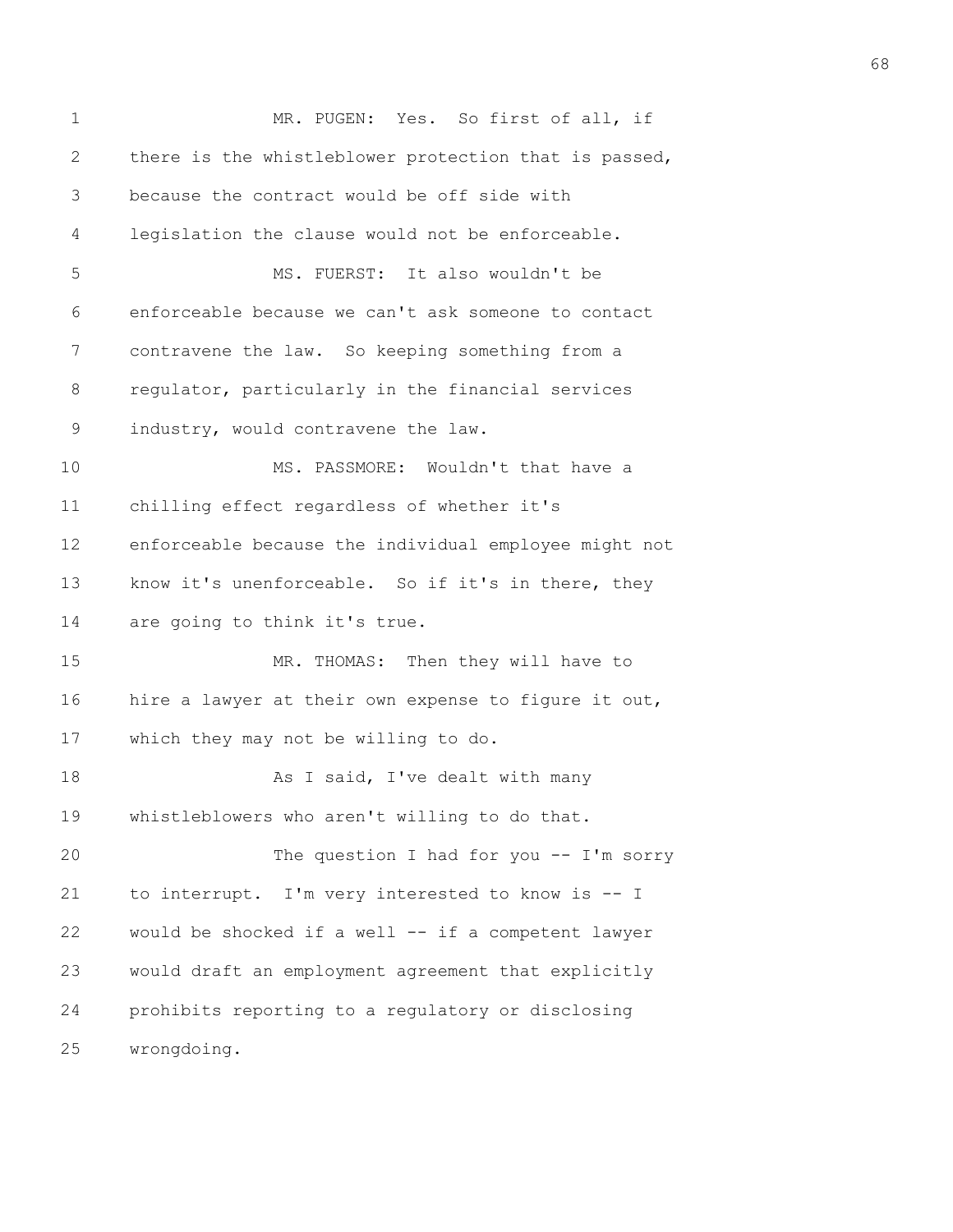| $\mathbf 1$  | MR. PUGEN: Yes. So first of all, if                   |
|--------------|-------------------------------------------------------|
| $\mathbf{2}$ | there is the whistleblower protection that is passed, |
| 3            | because the contract would be off side with           |
| 4            | legislation the clause would not be enforceable.      |
| 5            | MS. FUERST: It also wouldn't be                       |
| 6            | enforceable because we can't ask someone to contact   |
| 7            | contravene the law. So keeping something from a       |
| 8            | regulator, particularly in the financial services     |
| 9            | industry, would contravene the law.                   |
| 10           | MS. PASSMORE: Wouldn't that have a                    |
| 11           | chilling effect regardless of whether it's            |
| 12           | enforceable because the individual employee might not |
| 13           | know it's unenforceable. So if it's in there, they    |
| 14           | are going to think it's true.                         |
| 15           | MR. THOMAS: Then they will have to                    |
| 16           | hire a lawyer at their own expense to figure it out,  |
| 17           | which they may not be willing to do.                  |
| 18           | As I said, I've dealt with many                       |
| 19           | whistleblowers who aren't willing to do that.         |
| 20           | The question I had for you $--$ I'm sorry             |
| 21           | to interrupt. I'm very interested to know is -- I     |
| 22           | would be shocked if a well -- if a competent lawyer   |
| 23           | would draft an employment agreement that explicitly   |
| 24           | prohibits reporting to a regulatory or disclosing     |
| 25           | wrongdoing.                                           |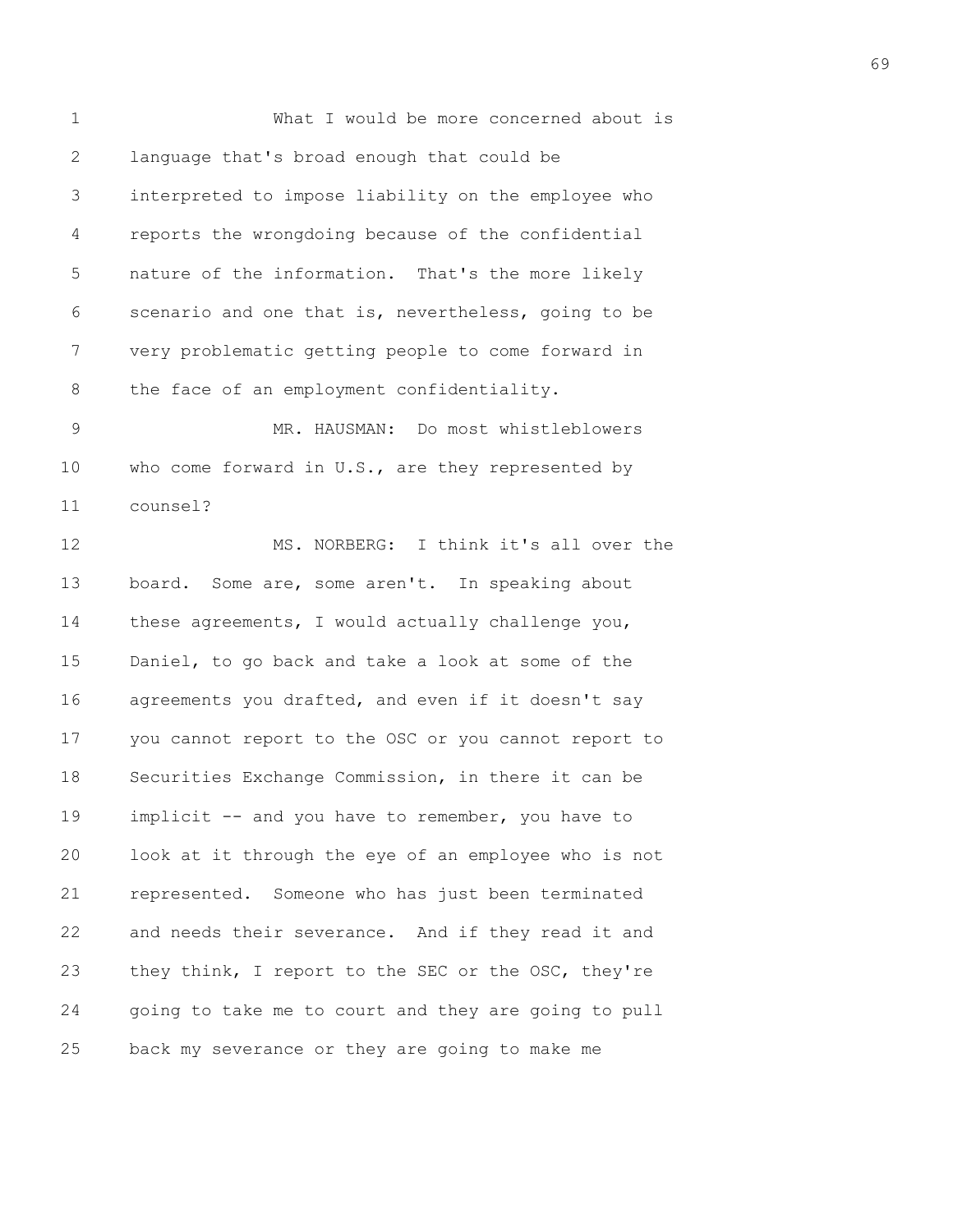1 What I would be more concerned about is 2 language that's broad enough that could be 3 interpreted to impose liability on the employee who 4 reports the wrongdoing because of the confidential 5 nature of the information. That's the more likely 6 scenario and one that is, nevertheless, going to be 7 very problematic getting people to come forward in 8 the face of an employment confidentiality.

9 MR. HAUSMAN: Do most whistleblowers 10 who come forward in U.S., are they represented by 11 counsel?

12 MS. NORBERG: I think it's all over the 13 board. Some are, some aren't. In speaking about 14 these agreements, I would actually challenge you, 15 Daniel, to go back and take a look at some of the 16 agreements you drafted, and even if it doesn't say 17 you cannot report to the OSC or you cannot report to 18 Securities Exchange Commission, in there it can be 19 implicit -- and you have to remember, you have to 20 look at it through the eye of an employee who is not 21 represented. Someone who has just been terminated 22 and needs their severance. And if they read it and 23 they think, I report to the SEC or the OSC, they're 24 going to take me to court and they are going to pull 25 back my severance or they are going to make me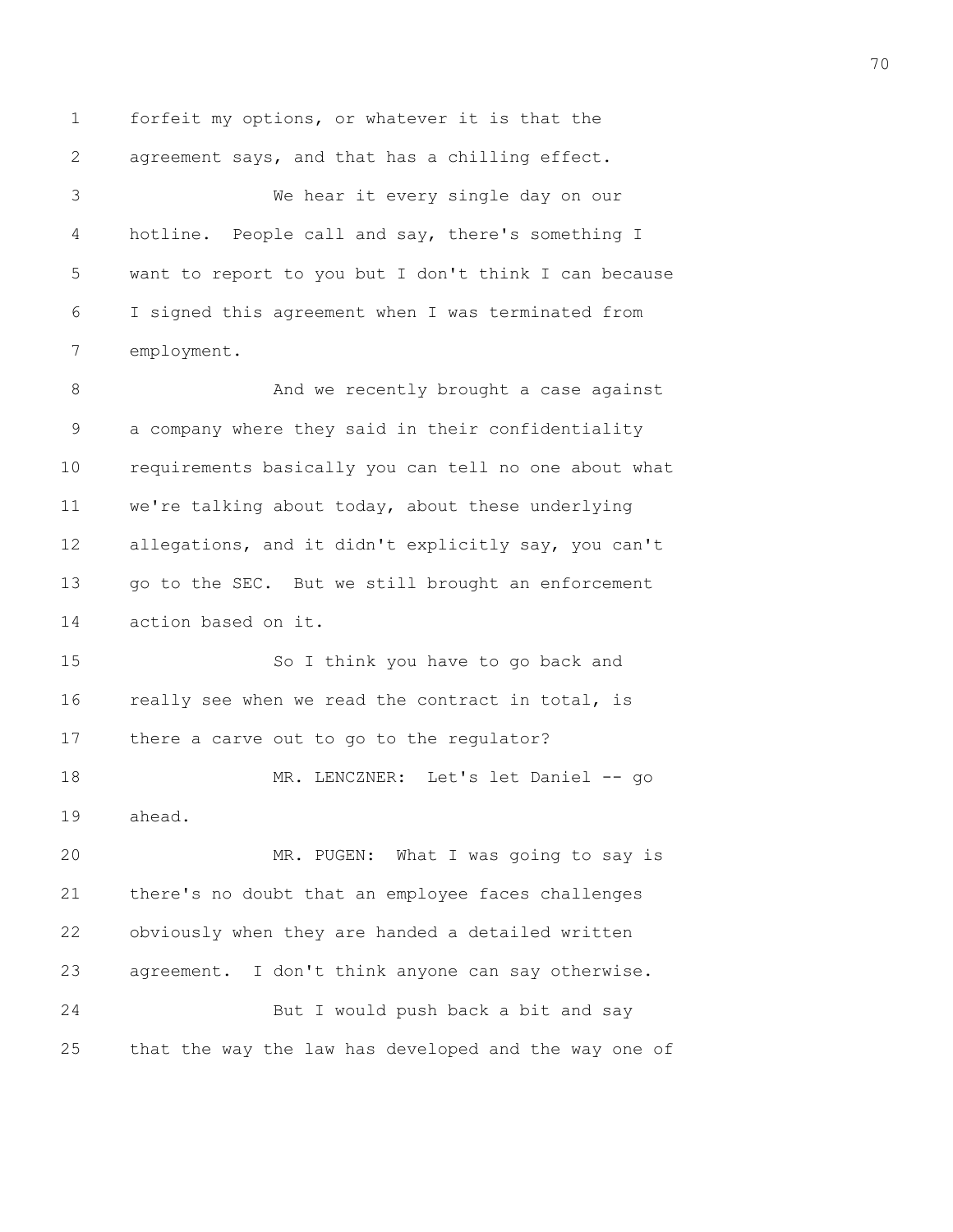1 forfeit my options, or whatever it is that the 2 agreement says, and that has a chilling effect.

3 We hear it every single day on our 4 hotline. People call and say, there's something I 5 want to report to you but I don't think I can because 6 I signed this agreement when I was terminated from 7 employment.

8 And we recently brought a case against 9 a company where they said in their confidentiality 10 requirements basically you can tell no one about what 11 we're talking about today, about these underlying 12 allegations, and it didn't explicitly say, you can't 13 go to the SEC. But we still brought an enforcement 14 action based on it.

15 So I think you have to go back and 16 really see when we read the contract in total, is 17 there a carve out to go to the regulator?

18 MR. LENCZNER: Let's let Daniel -- go 19 ahead.

20 MR. PUGEN: What I was going to say is 21 there's no doubt that an employee faces challenges 22 obviously when they are handed a detailed written 23 agreement. I don't think anyone can say otherwise. 24 But I would push back a bit and say 25 that the way the law has developed and the way one of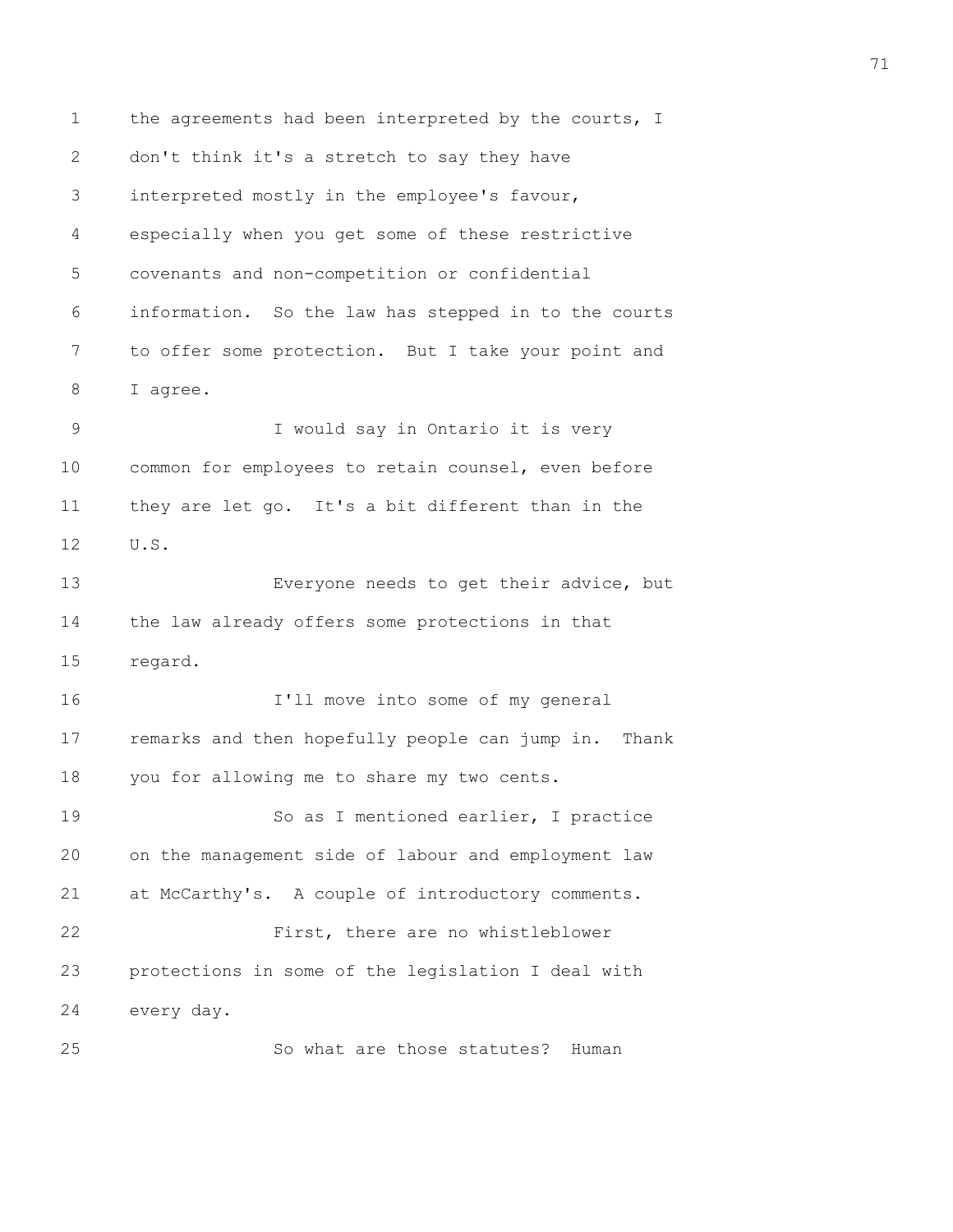1 the agreements had been interpreted by the courts, I 2 don't think it's a stretch to say they have 3 interpreted mostly in the employee's favour, 4 especially when you get some of these restrictive 5 covenants and non-competition or confidential 6 information. So the law has stepped in to the courts 7 to offer some protection. But I take your point and 8 I agree. 9 I would say in Ontario it is very 10 common for employees to retain counsel, even before 11 they are let go. It's a bit different than in the 12 U.S. 13 Everyone needs to get their advice, but 14 the law already offers some protections in that 15 regard. 16 I'll move into some of my general 17 remarks and then hopefully people can jump in. Thank 18 you for allowing me to share my two cents. 19 So as I mentioned earlier, I practice 20 on the management side of labour and employment law 21 at McCarthy's. A couple of introductory comments. 22 First, there are no whistleblower 23 protections in some of the legislation I deal with 24 every day. 25 So what are those statutes? Human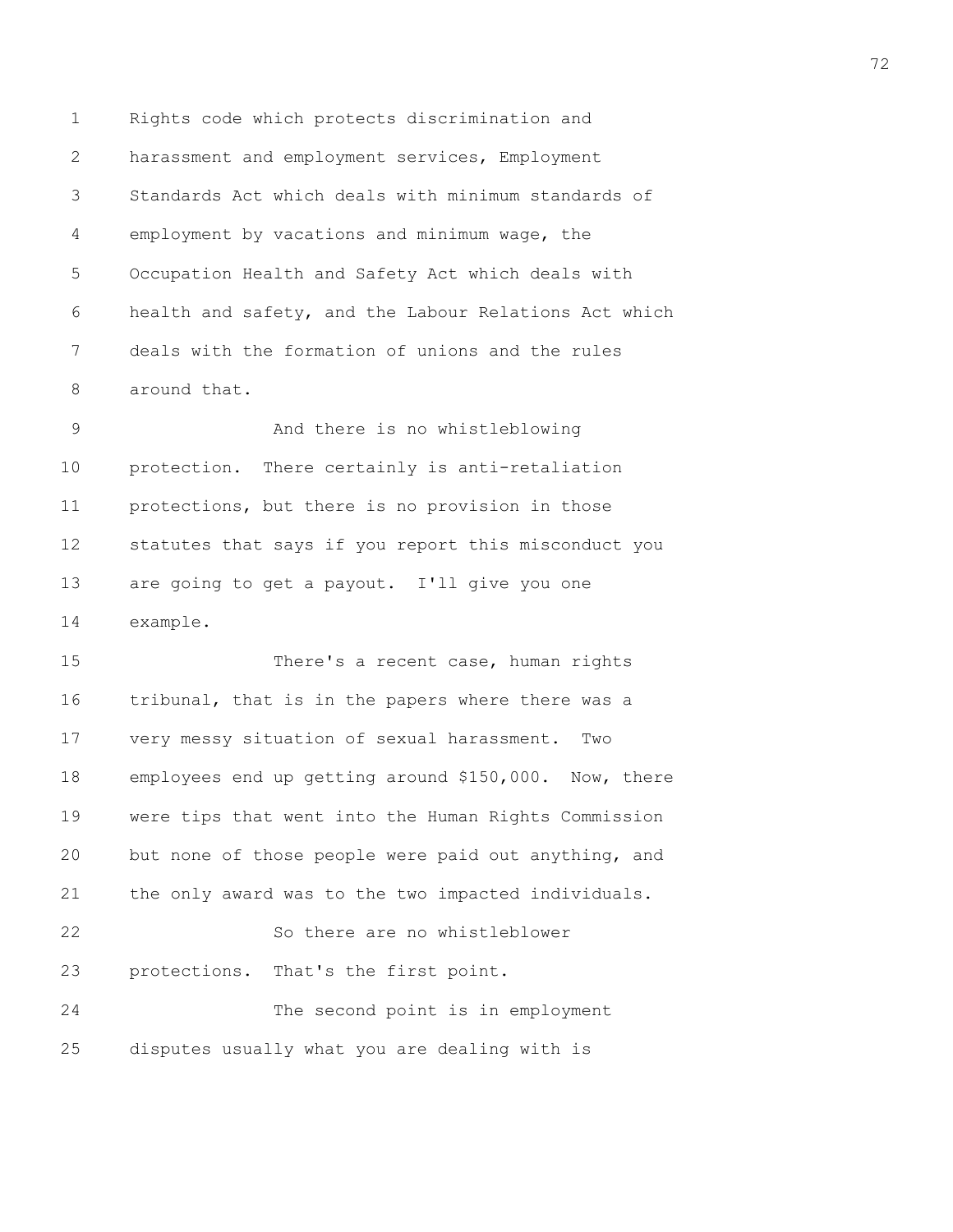1 Rights code which protects discrimination and 2 harassment and employment services, Employment 3 Standards Act which deals with minimum standards of 4 employment by vacations and minimum wage, the 5 Occupation Health and Safety Act which deals with 6 health and safety, and the Labour Relations Act which 7 deals with the formation of unions and the rules 8 around that.

9 And there is no whistleblowing 10 protection. There certainly is anti-retaliation 11 protections, but there is no provision in those 12 statutes that says if you report this misconduct you 13 are going to get a payout. I'll give you one 14 example.

15 There's a recent case, human rights 16 tribunal, that is in the papers where there was a 17 very messy situation of sexual harassment. Two 18 employees end up getting around \$150,000. Now, there 19 were tips that went into the Human Rights Commission 20 but none of those people were paid out anything, and 21 the only award was to the two impacted individuals. 22 So there are no whistleblower 23 protections. That's the first point. 24 The second point is in employment 25 disputes usually what you are dealing with is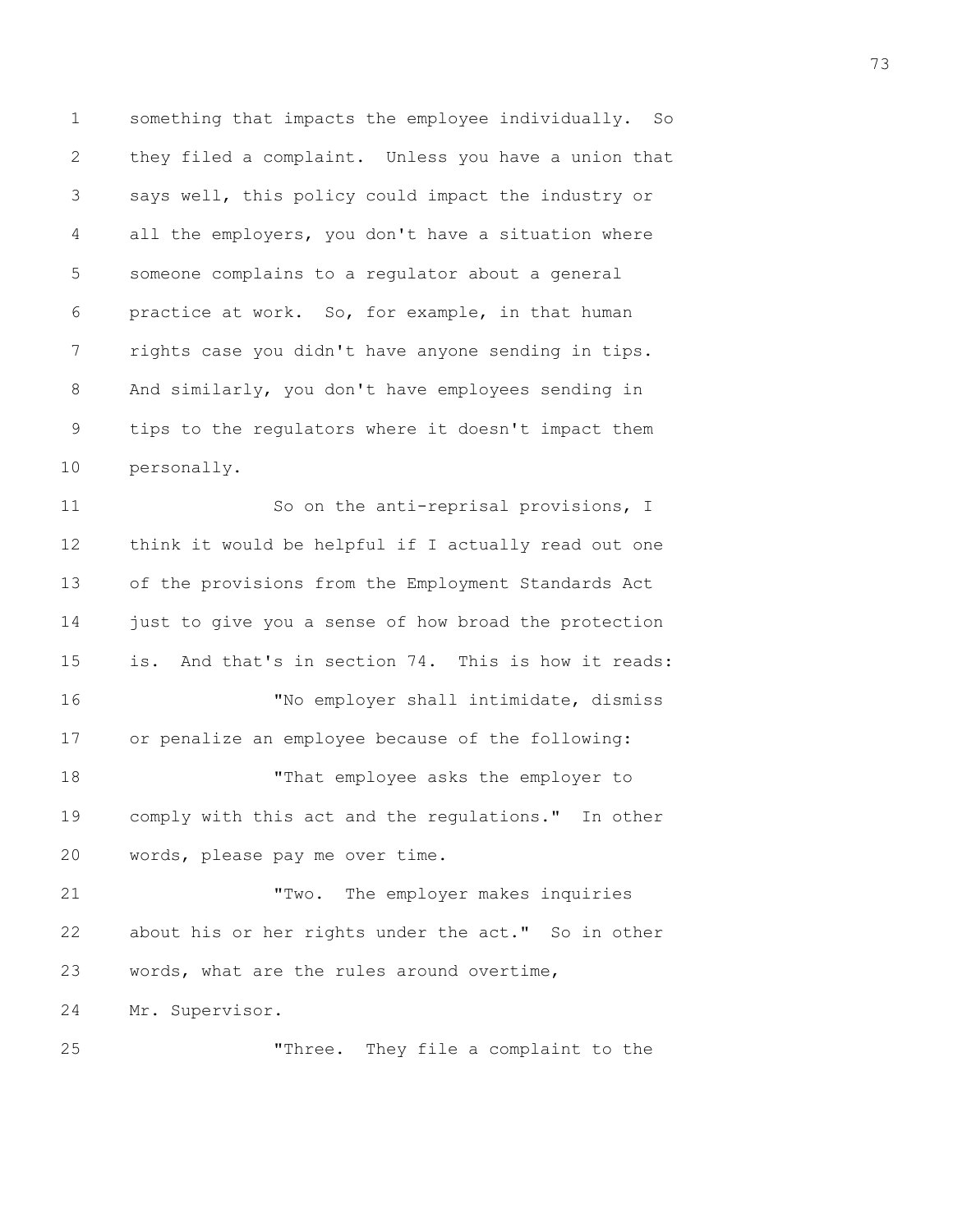1 something that impacts the employee individually. So 2 they filed a complaint. Unless you have a union that 3 says well, this policy could impact the industry or 4 all the employers, you don't have a situation where 5 someone complains to a regulator about a general 6 practice at work. So, for example, in that human 7 rights case you didn't have anyone sending in tips. 8 And similarly, you don't have employees sending in 9 tips to the regulators where it doesn't impact them 10 personally.

11 So on the anti-reprisal provisions, I 12 think it would be helpful if I actually read out one 13 of the provisions from the Employment Standards Act 14 just to give you a sense of how broad the protection 15 is. And that's in section 74. This is how it reads: 16 "No employer shall intimidate, dismiss 17 or penalize an employee because of the following: 18 "That employee asks the employer to 19 comply with this act and the regulations." In other 20 words, please pay me over time. 21 "Two. The employer makes inquiries 22 about his or her rights under the act." So in other 23 words, what are the rules around overtime,

24 Mr. Supervisor.

25 "Three. They file a complaint to the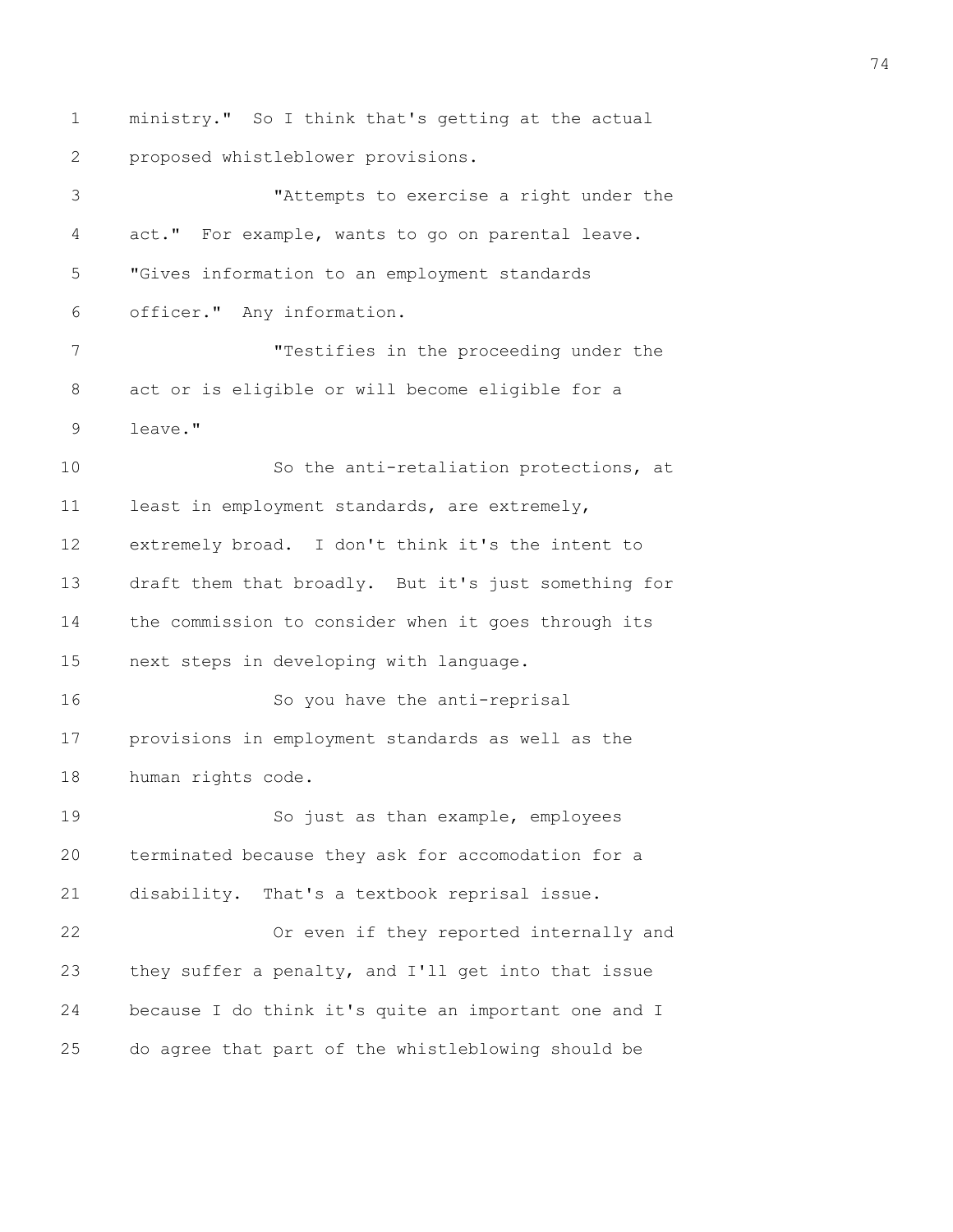1 ministry." So I think that's getting at the actual 2 proposed whistleblower provisions. 3 "Attempts to exercise a right under the 4 act." For example, wants to go on parental leave. 5 "Gives information to an employment standards 6 officer." Any information. 7 "Testifies in the proceeding under the 8 act or is eligible or will become eligible for a 9 leave." 10 So the anti-retaliation protections, at 11 least in employment standards, are extremely, 12 extremely broad. I don't think it's the intent to 13 draft them that broadly. But it's just something for 14 the commission to consider when it goes through its 15 next steps in developing with language. 16 So you have the anti-reprisal 17 provisions in employment standards as well as the 18 human rights code. 19 So just as than example, employees 20 terminated because they ask for accomodation for a 21 disability. That's a textbook reprisal issue. 22 Or even if they reported internally and 23 they suffer a penalty, and I'll get into that issue 24 because I do think it's quite an important one and I 25 do agree that part of the whistleblowing should be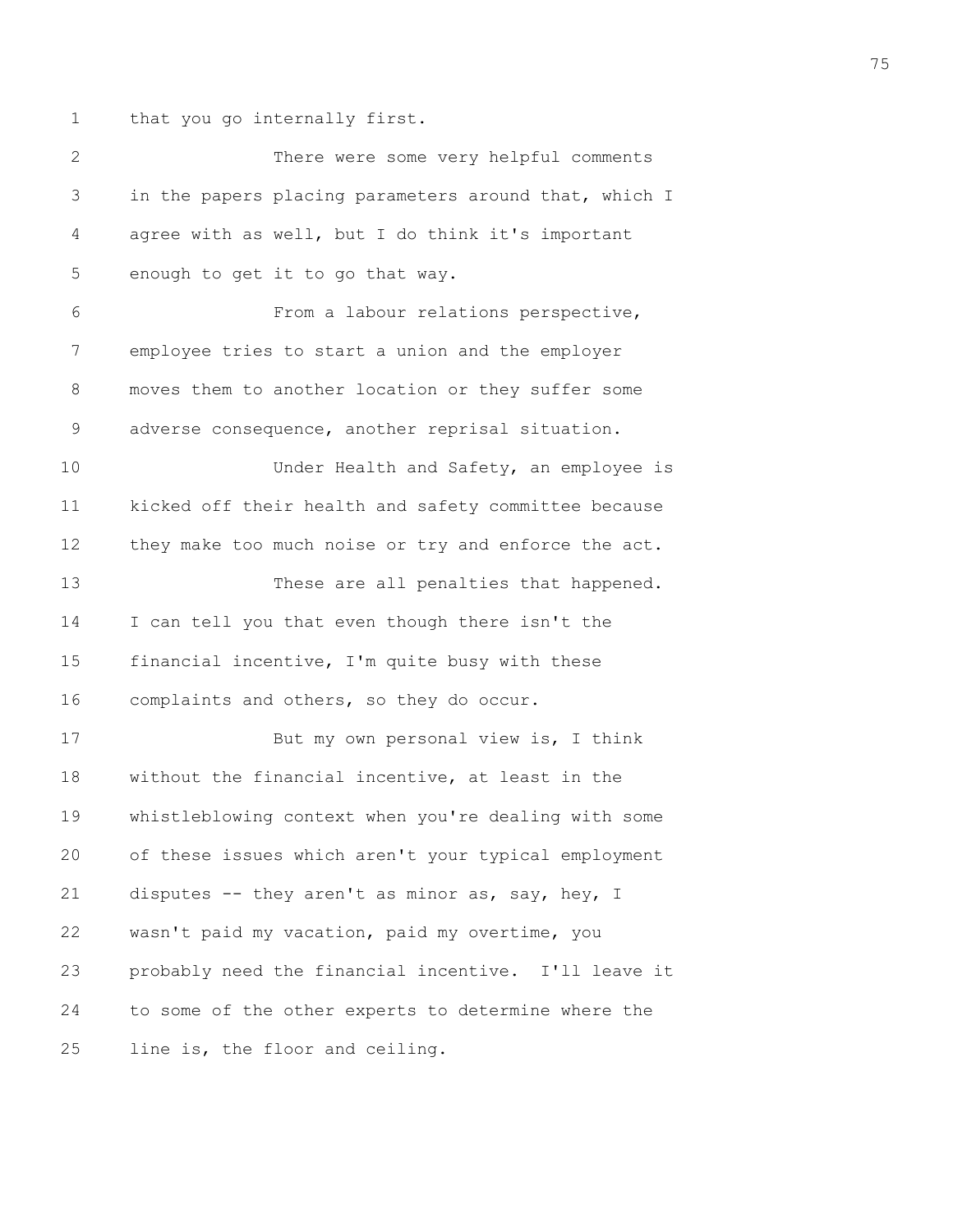1 that you go internally first.

| $\mathbf{2}$ | There were some very helpful comments                 |
|--------------|-------------------------------------------------------|
| 3            | in the papers placing parameters around that, which I |
| 4            | agree with as well, but I do think it's important     |
| 5            | enough to get it to go that way.                      |
| $\sqrt{6}$   | From a labour relations perspective,                  |
| 7            | employee tries to start a union and the employer      |
| 8            | moves them to another location or they suffer some    |
| 9            | adverse consequence, another reprisal situation.      |
| 10           | Under Health and Safety, an employee is               |
| 11           | kicked off their health and safety committee because  |
| 12           | they make too much noise or try and enforce the act.  |
| 13           | These are all penalties that happened.                |
| 14           | I can tell you that even though there isn't the       |
| 15           | financial incentive, I'm quite busy with these        |
| 16           | complaints and others, so they do occur.              |
| 17           | But my own personal view is, I think                  |
| 18           | without the financial incentive, at least in the      |
| 19           | whistleblowing context when you're dealing with some  |
| 20           | of these issues which aren't your typical employment  |
| 21           | disputes -- they aren't as minor as, say, hey, I      |
| 22           | wasn't paid my vacation, paid my overtime, you        |
| 23           | probably need the financial incentive. I'll leave it  |
| 24           | to some of the other experts to determine where the   |
| 25           | line is, the floor and ceiling.                       |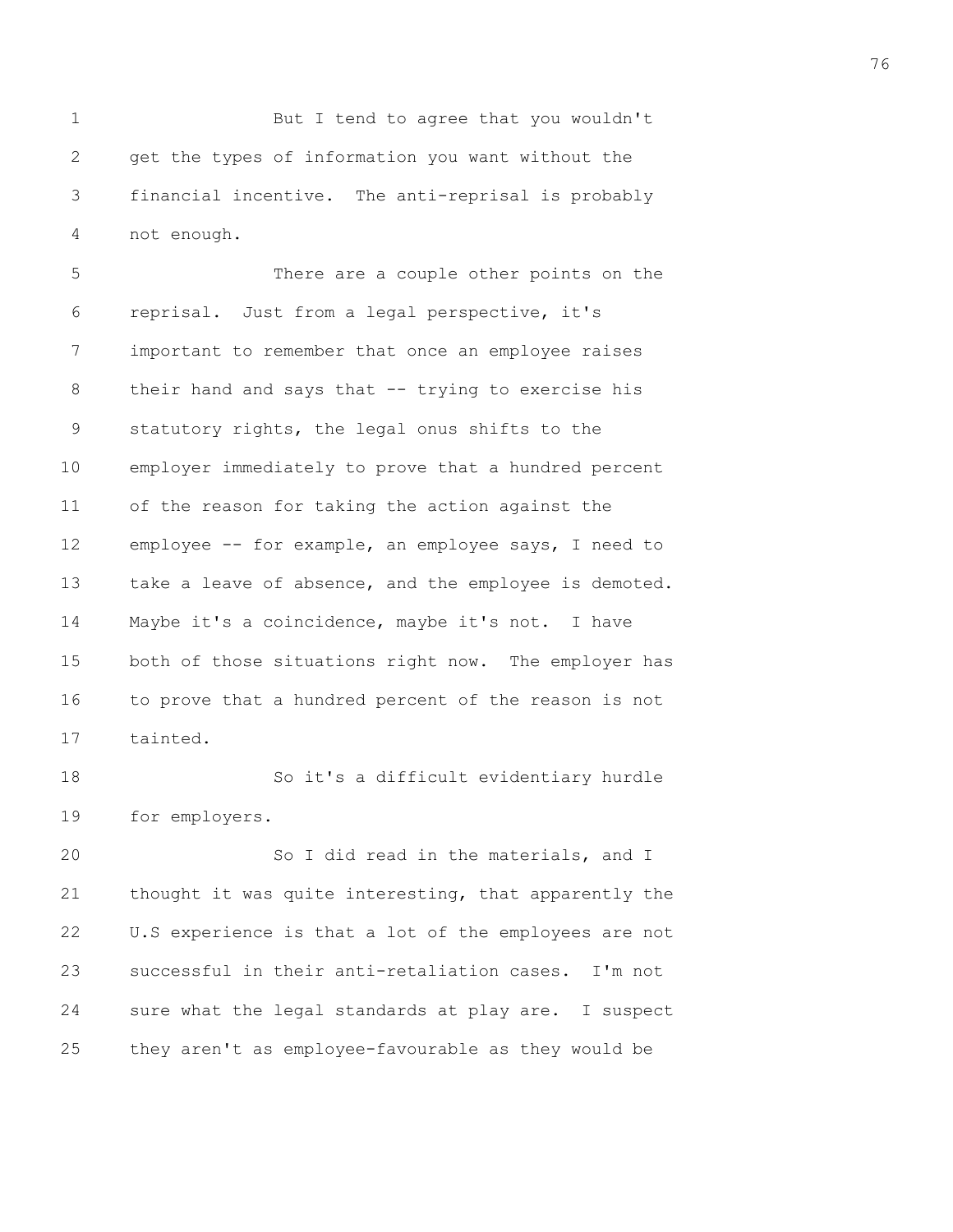1 But I tend to agree that you wouldn't 2 get the types of information you want without the 3 financial incentive. The anti-reprisal is probably 4 not enough.

5 There are a couple other points on the 6 reprisal. Just from a legal perspective, it's 7 important to remember that once an employee raises 8 their hand and says that -- trying to exercise his 9 statutory rights, the legal onus shifts to the 10 employer immediately to prove that a hundred percent 11 of the reason for taking the action against the 12 employee -- for example, an employee says, I need to 13 take a leave of absence, and the employee is demoted. 14 Maybe it's a coincidence, maybe it's not. I have 15 both of those situations right now. The employer has 16 to prove that a hundred percent of the reason is not 17 tainted.

18 So it's a difficult evidentiary hurdle 19 for employers.

20 So I did read in the materials, and I 21 thought it was quite interesting, that apparently the 22 U.S experience is that a lot of the employees are not 23 successful in their anti-retaliation cases. I'm not 24 sure what the legal standards at play are. I suspect 25 they aren't as employee-favourable as they would be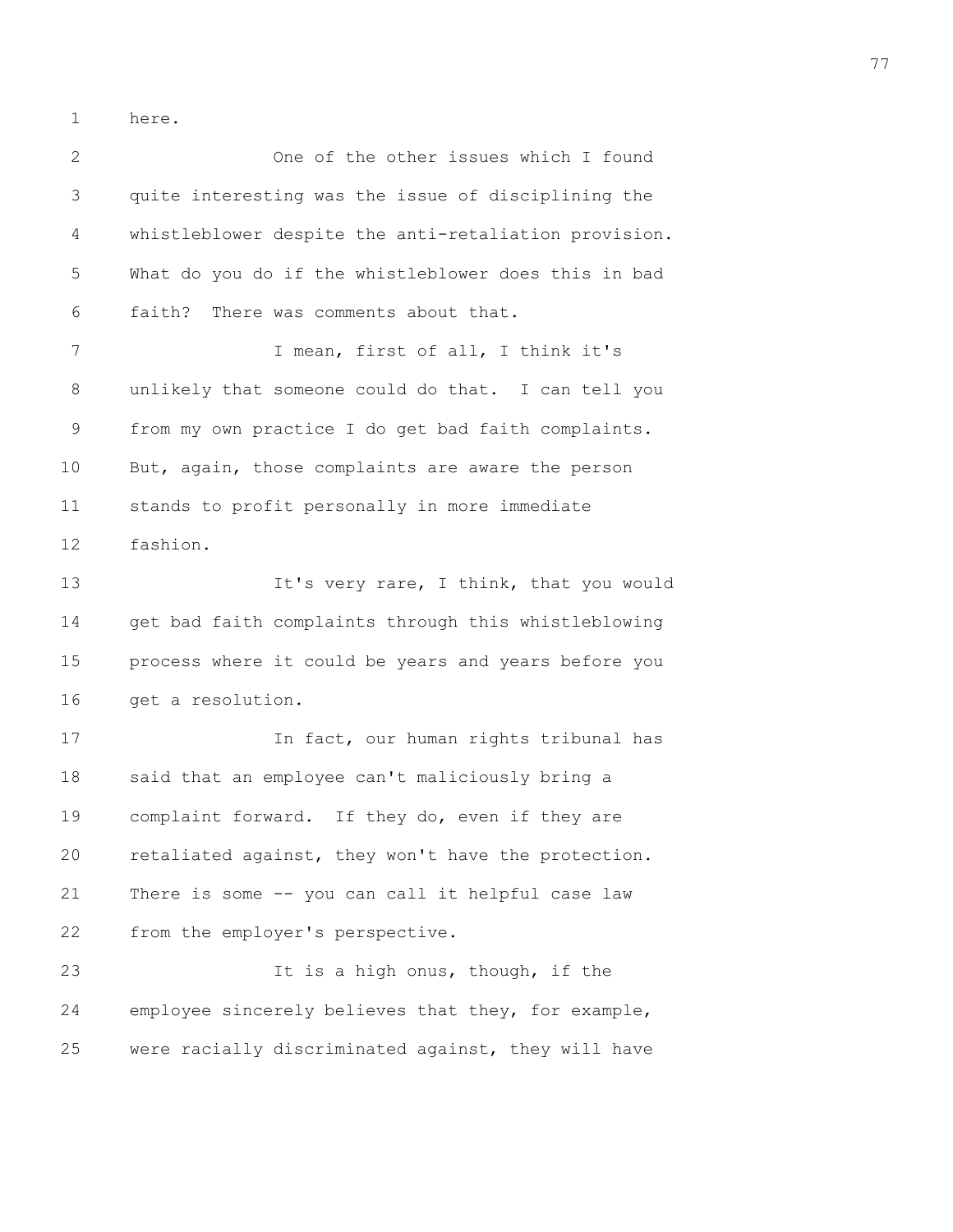1 here.

2 One of the other issues which I found 3 quite interesting was the issue of disciplining the 4 whistleblower despite the anti-retaliation provision. 5 What do you do if the whistleblower does this in bad 6 faith? There was comments about that. 7 I mean, first of all, I think it's 8 unlikely that someone could do that. I can tell you 9 from my own practice I do get bad faith complaints. 10 But, again, those complaints are aware the person 11 stands to profit personally in more immediate 12 fashion. 13 **It's very rare, I think, that you would** 14 get bad faith complaints through this whistleblowing 15 process where it could be years and years before you 16 get a resolution. 17 In fact, our human rights tribunal has 18 said that an employee can't maliciously bring a 19 complaint forward. If they do, even if they are 20 retaliated against, they won't have the protection. 21 There is some -- you can call it helpful case law 22 from the employer's perspective. 23 It is a high onus, though, if the 24 employee sincerely believes that they, for example, 25 were racially discriminated against, they will have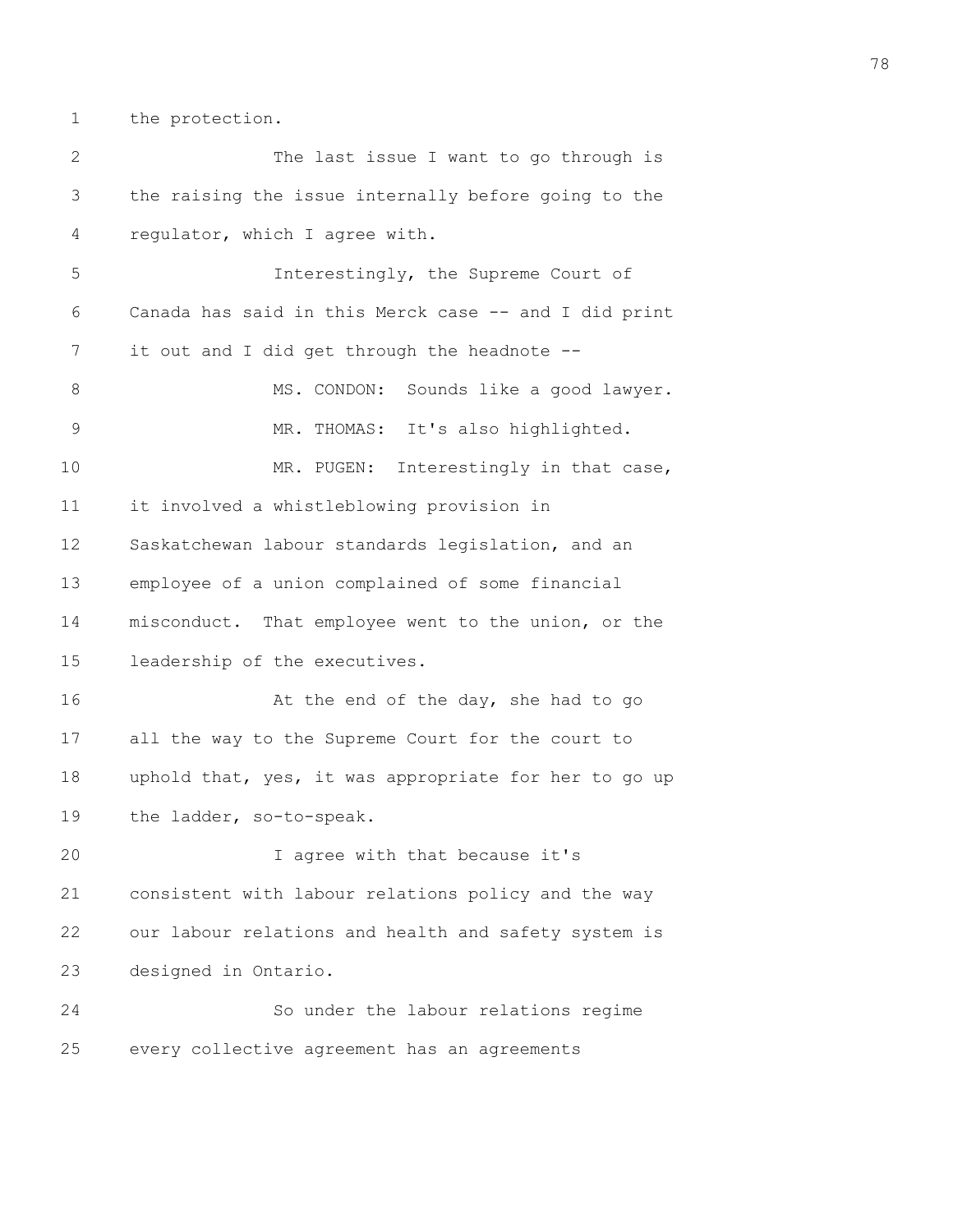1 the protection.

| $\overline{2}$ | The last issue I want to go through is                |
|----------------|-------------------------------------------------------|
| 3              | the raising the issue internally before going to the  |
| 4              | regulator, which I agree with.                        |
| 5              | Interestingly, the Supreme Court of                   |
| 6              | Canada has said in this Merck case -- and I did print |
| 7              | it out and I did get through the headnote --          |
| 8              | MS. CONDON: Sounds like a good lawyer.                |
| 9              | MR. THOMAS: It's also highlighted.                    |
| 10             | MR. PUGEN:<br>Interestingly in that case,             |
| 11             | it involved a whistleblowing provision in             |
| 12             | Saskatchewan labour standards legislation, and an     |
| 13             | employee of a union complained of some financial      |
| 14             | misconduct. That employee went to the union, or the   |
| 15             | leadership of the executives.                         |
| 16             | At the end of the day, she had to go                  |
| 17             | all the way to the Supreme Court for the court to     |
| 18             | uphold that, yes, it was appropriate for her to go up |
| 19             | the ladder, so-to-speak.                              |
| 20             | I agree with that because it's                        |
| 21             | consistent with labour relations policy and the way   |
| 22             | our labour relations and health and safety system is  |
| 23             | designed in Ontario.                                  |
| 24             | So under the labour relations regime                  |
| 25             | every collective agreement has an agreements          |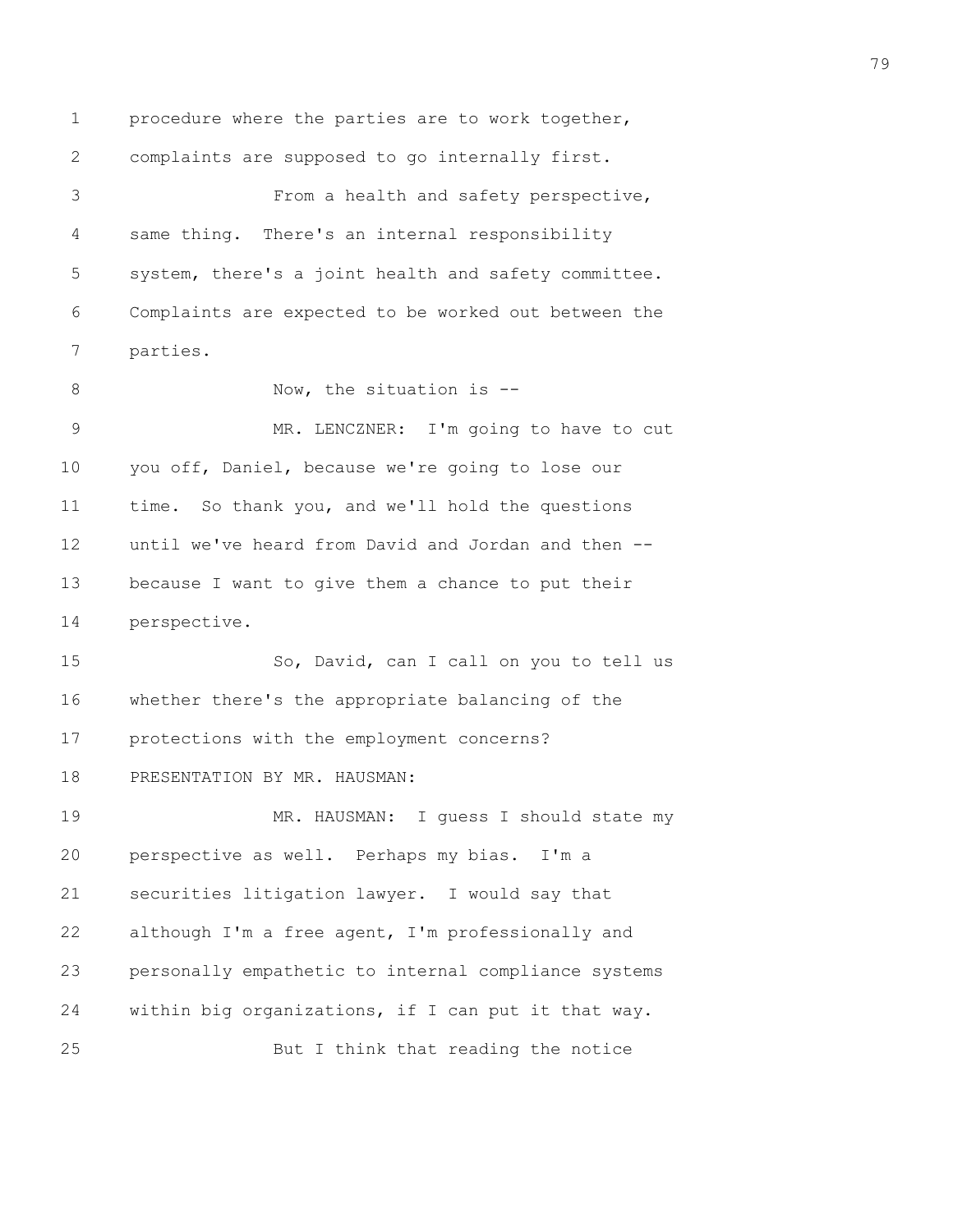1 procedure where the parties are to work together, 2 complaints are supposed to go internally first. 3 From a health and safety perspective, 4 same thing. There's an internal responsibility 5 system, there's a joint health and safety committee. 6 Complaints are expected to be worked out between the 7 parties. 8 Now, the situation is --9 MR. LENCZNER: I'm going to have to cut 10 you off, Daniel, because we're going to lose our 11 time. So thank you, and we'll hold the questions 12 until we've heard from David and Jordan and then -- 13 because I want to give them a chance to put their 14 perspective. 15 So, David, can I call on you to tell us 16 whether there's the appropriate balancing of the 17 protections with the employment concerns? 18 PRESENTATION BY MR. HAUSMAN: 19 MR. HAUSMAN: I guess I should state my 20 perspective as well. Perhaps my bias. I'm a 21 securities litigation lawyer. I would say that 22 although I'm a free agent, I'm professionally and 23 personally empathetic to internal compliance systems 24 within big organizations, if I can put it that way. 25 But I think that reading the notice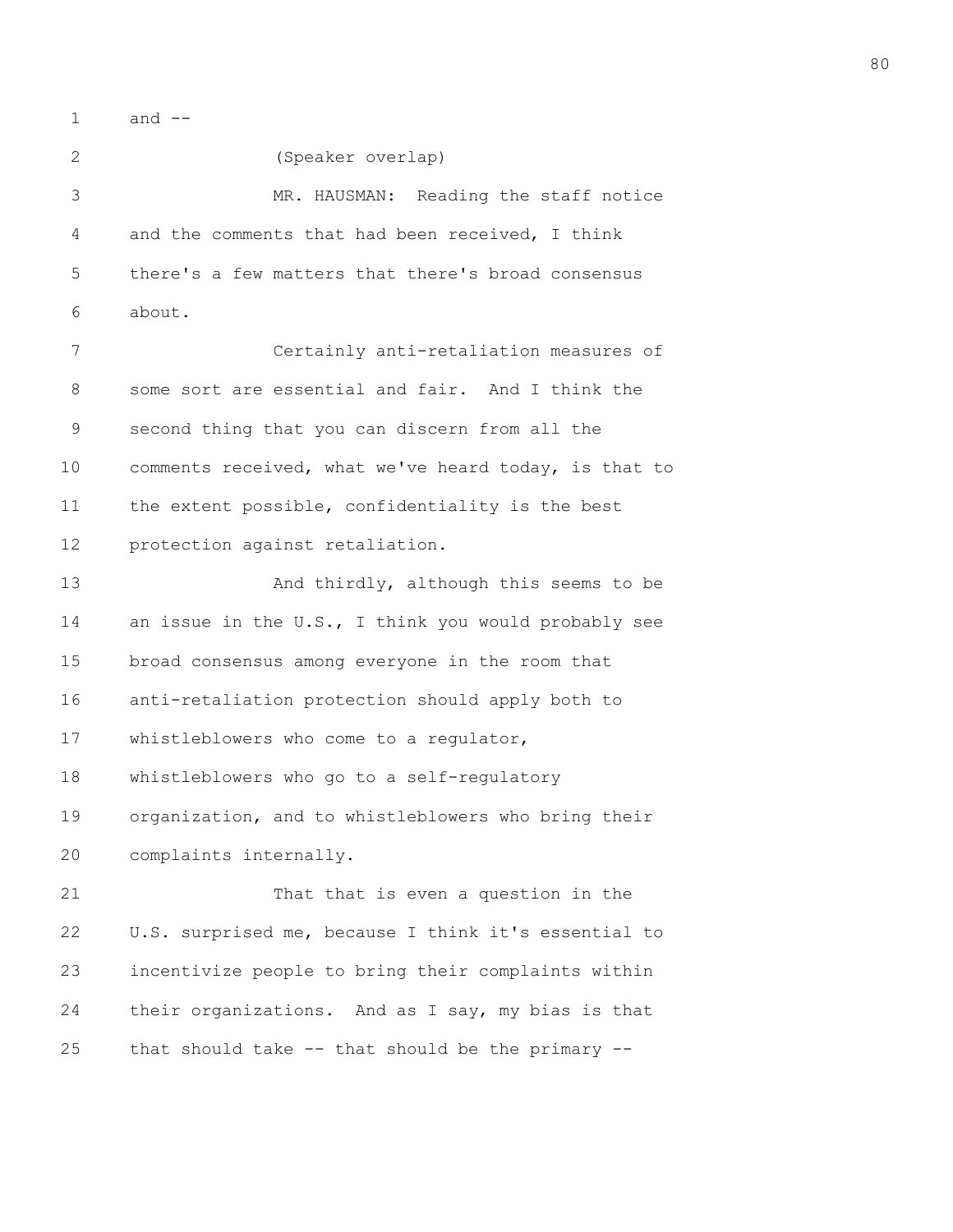1 and --

2 (Speaker overlap) 3 MR. HAUSMAN: Reading the staff notice 4 and the comments that had been received, I think 5 there's a few matters that there's broad consensus 6 about. 7 Certainly anti-retaliation measures of 8 some sort are essential and fair. And I think the 9 second thing that you can discern from all the 10 comments received, what we've heard today, is that to 11 the extent possible, confidentiality is the best 12 protection against retaliation. 13 And thirdly, although this seems to be 14 an issue in the U.S., I think you would probably see 15 broad consensus among everyone in the room that 16 anti-retaliation protection should apply both to 17 whistleblowers who come to a regulator, 18 whistleblowers who go to a self-regulatory 19 organization, and to whistleblowers who bring their 20 complaints internally. 21 That that is even a question in the 22 U.S. surprised me, because I think it's essential to 23 incentivize people to bring their complaints within 24 their organizations. And as I say, my bias is that 25 that should take  $-$ - that should be the primary  $-$ -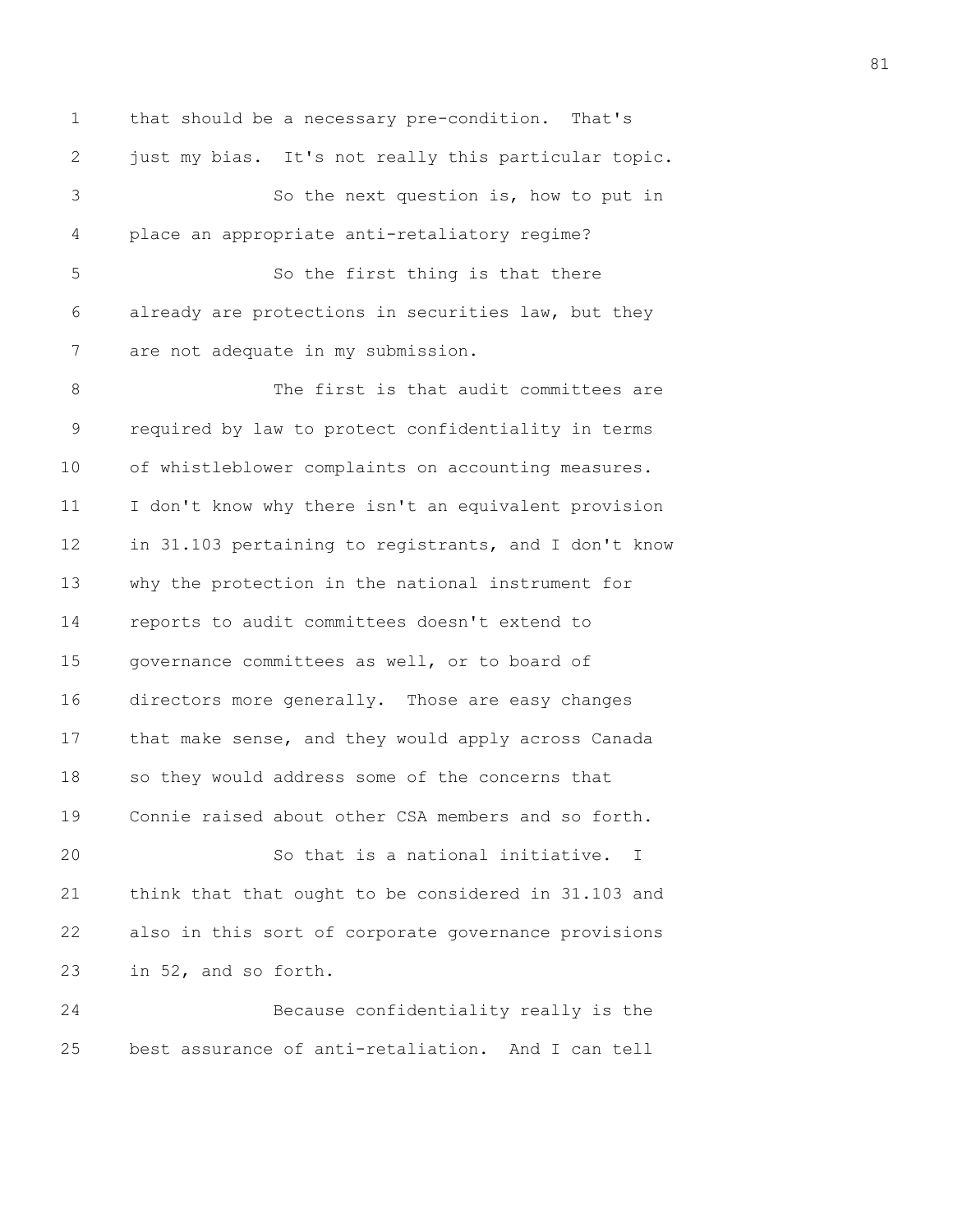1 that should be a necessary pre-condition. That's 2 just my bias. It's not really this particular topic. 3 So the next question is, how to put in 4 place an appropriate anti-retaliatory regime? 5 So the first thing is that there 6 already are protections in securities law, but they 7 are not adequate in my submission. 8 The first is that audit committees are 9 required by law to protect confidentiality in terms 10 of whistleblower complaints on accounting measures. 11 I don't know why there isn't an equivalent provision 12 in 31.103 pertaining to registrants, and I don't know 13 why the protection in the national instrument for 14 reports to audit committees doesn't extend to 15 governance committees as well, or to board of 16 directors more generally. Those are easy changes 17 that make sense, and they would apply across Canada 18 so they would address some of the concerns that 19 Connie raised about other CSA members and so forth. 20 So that is a national initiative. I 21 think that that ought to be considered in 31.103 and 22 also in this sort of corporate governance provisions 23 in 52, and so forth. 24 Because confidentiality really is the 25 best assurance of anti-retaliation. And I can tell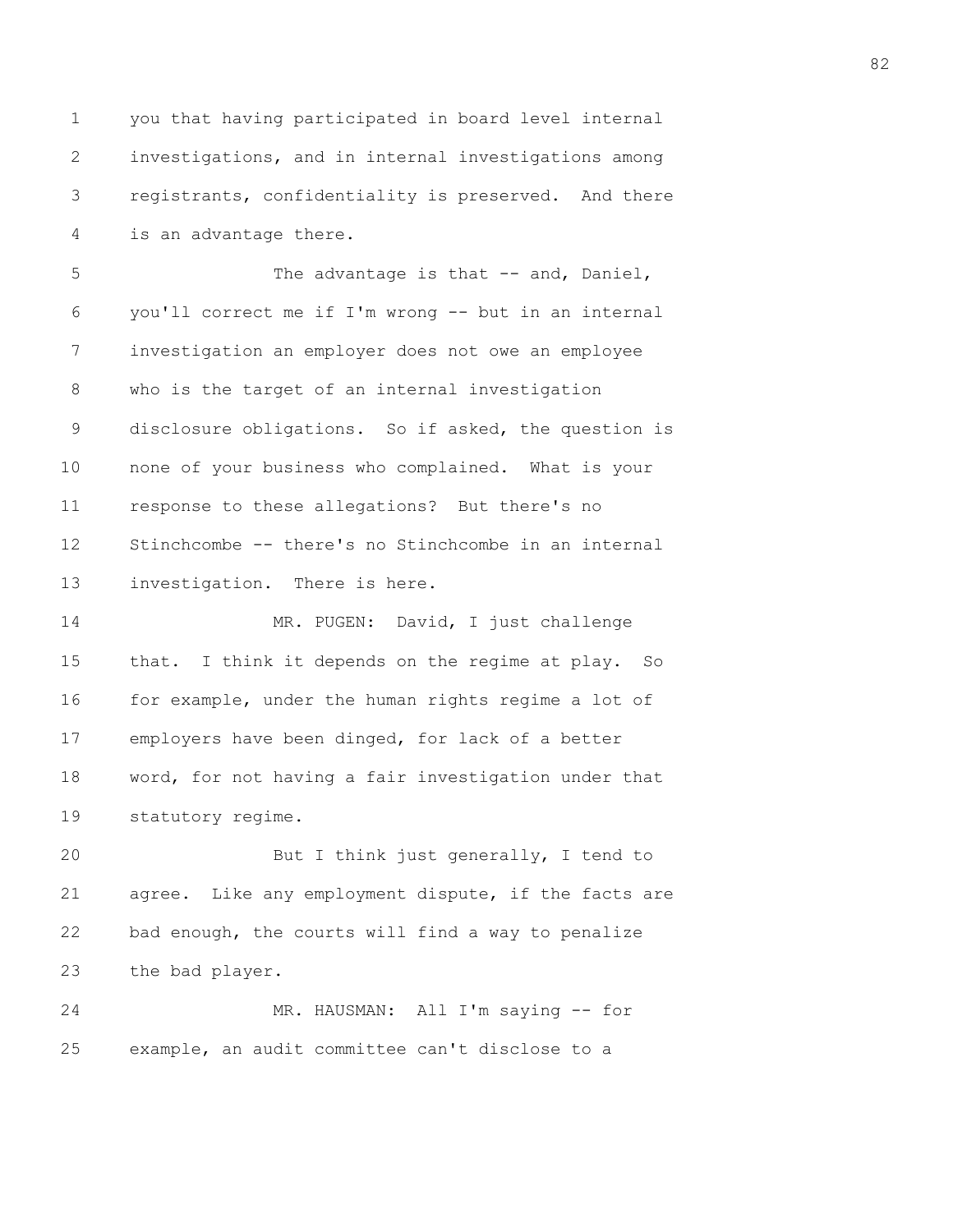1 you that having participated in board level internal 2 investigations, and in internal investigations among 3 registrants, confidentiality is preserved. And there 4 is an advantage there.

5 The advantage is that -- and, Daniel, 6 you'll correct me if I'm wrong -- but in an internal 7 investigation an employer does not owe an employee 8 who is the target of an internal investigation 9 disclosure obligations. So if asked, the question is 10 none of your business who complained. What is your 11 response to these allegations? But there's no 12 Stinchcombe -- there's no Stinchcombe in an internal 13 investigation. There is here.

14 MR. PUGEN: David, I just challenge 15 that. I think it depends on the regime at play. So 16 for example, under the human rights regime a lot of 17 employers have been dinged, for lack of a better 18 word, for not having a fair investigation under that 19 statutory regime.

20 But I think just generally, I tend to 21 agree. Like any employment dispute, if the facts are 22 bad enough, the courts will find a way to penalize 23 the bad player.

24 MR. HAUSMAN: All I'm saying -- for 25 example, an audit committee can't disclose to a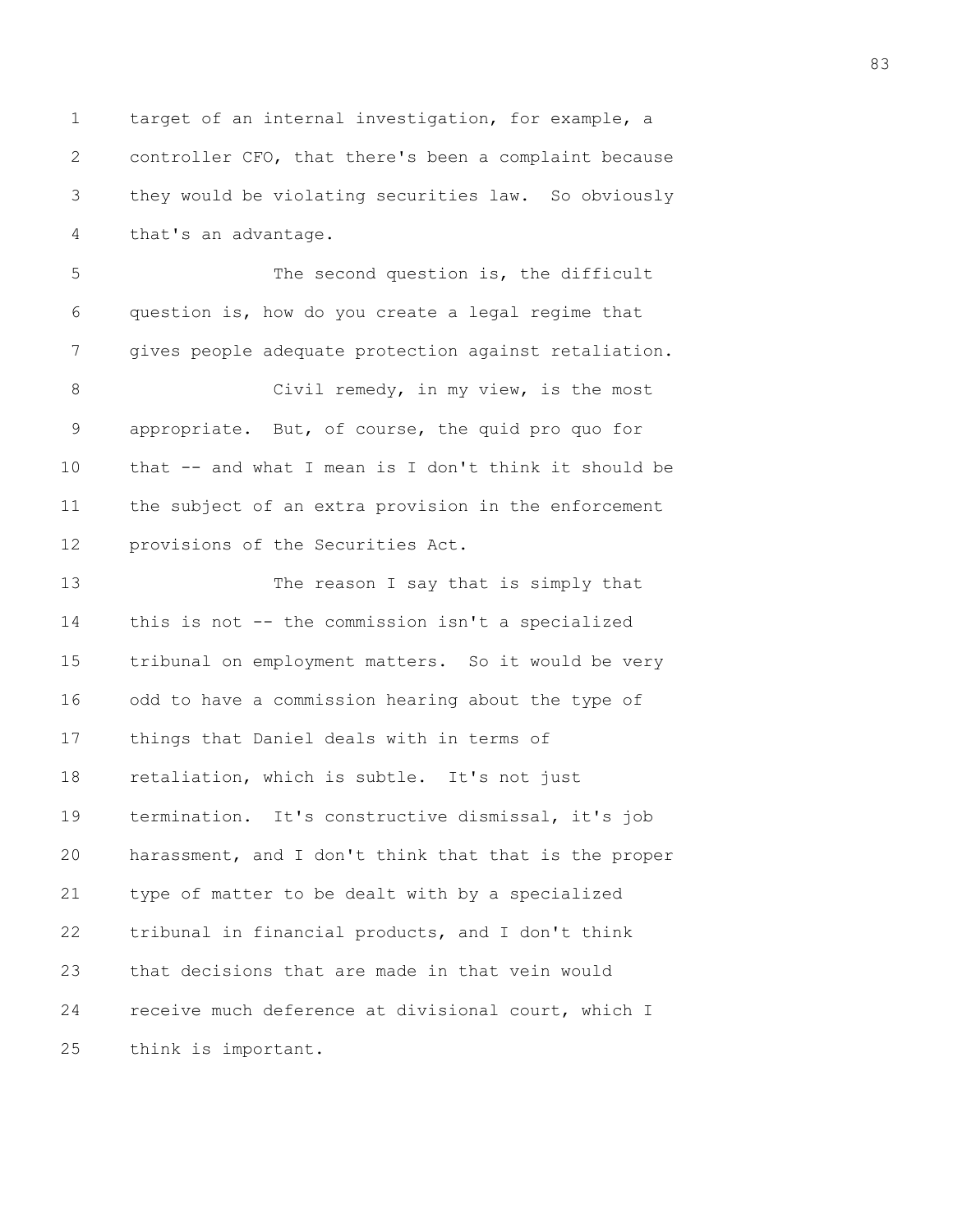1 target of an internal investigation, for example, a 2 controller CFO, that there's been a complaint because 3 they would be violating securities law. So obviously 4 that's an advantage.

5 The second question is, the difficult 6 question is, how do you create a legal regime that 7 gives people adequate protection against retaliation.

8 Civil remedy, in my view, is the most 9 appropriate. But, of course, the quid pro quo for 10 that -- and what I mean is I don't think it should be 11 the subject of an extra provision in the enforcement 12 provisions of the Securities Act.

13 The reason I say that is simply that 14 this is not -- the commission isn't a specialized 15 tribunal on employment matters. So it would be very 16 odd to have a commission hearing about the type of 17 things that Daniel deals with in terms of 18 retaliation, which is subtle. It's not just 19 termination. It's constructive dismissal, it's job 20 harassment, and I don't think that that is the proper 21 type of matter to be dealt with by a specialized 22 tribunal in financial products, and I don't think 23 that decisions that are made in that vein would 24 receive much deference at divisional court, which I 25 think is important.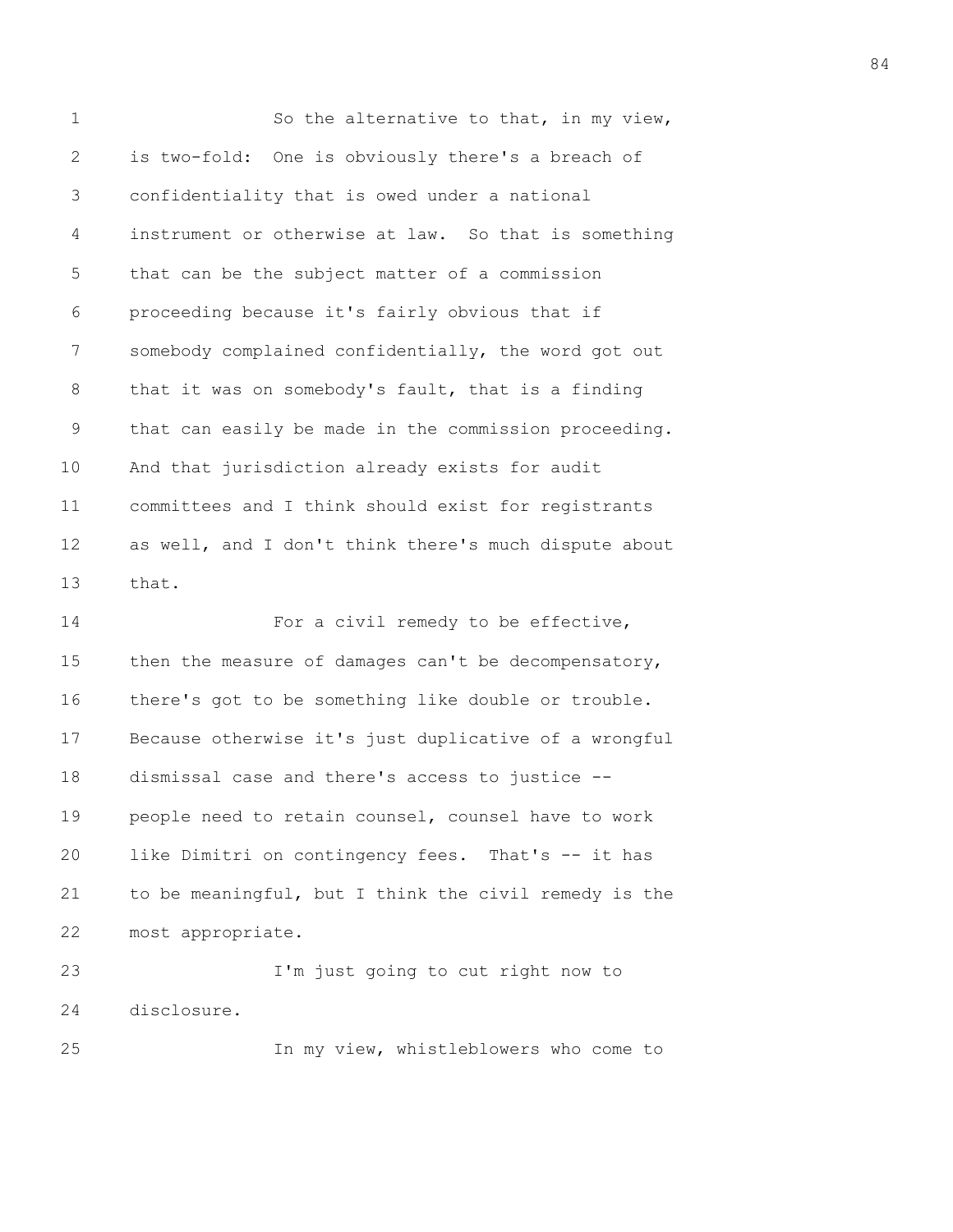| $\mathbf 1$  | So the alternative to that, in my view,               |
|--------------|-------------------------------------------------------|
| $\mathbf{2}$ | is two-fold: One is obviously there's a breach of     |
| 3            | confidentiality that is owed under a national         |
| 4            | instrument or otherwise at law. So that is something  |
| 5            | that can be the subject matter of a commission        |
| 6            | proceeding because it's fairly obvious that if        |
| 7            | somebody complained confidentially, the word got out  |
| 8            | that it was on somebody's fault, that is a finding    |
| 9            | that can easily be made in the commission proceeding. |
| 10           | And that jurisdiction already exists for audit        |
| 11           | committees and I think should exist for registrants   |
| 12           | as well, and I don't think there's much dispute about |
| 13           | that.                                                 |
| 14           | For a civil remedy to be effective,                   |
| 15           | then the measure of damages can't be decompensatory,  |
| 16           | there's got to be something like double or trouble.   |
| 17           | Because otherwise it's just duplicative of a wrongful |
| 18           | dismissal case and there's access to justice --       |
| 19           | people need to retain counsel, counsel have to work   |
| 20           | like Dimitri on contingency fees. That's -- it has    |
| 21           | to be meaningful, but I think the civil remedy is the |
| 22           | most appropriate.                                     |
| 23           | I'm just going to cut right now to                    |
| 24           | disclosure.                                           |
| 25           | In my view, whistleblowers who come to                |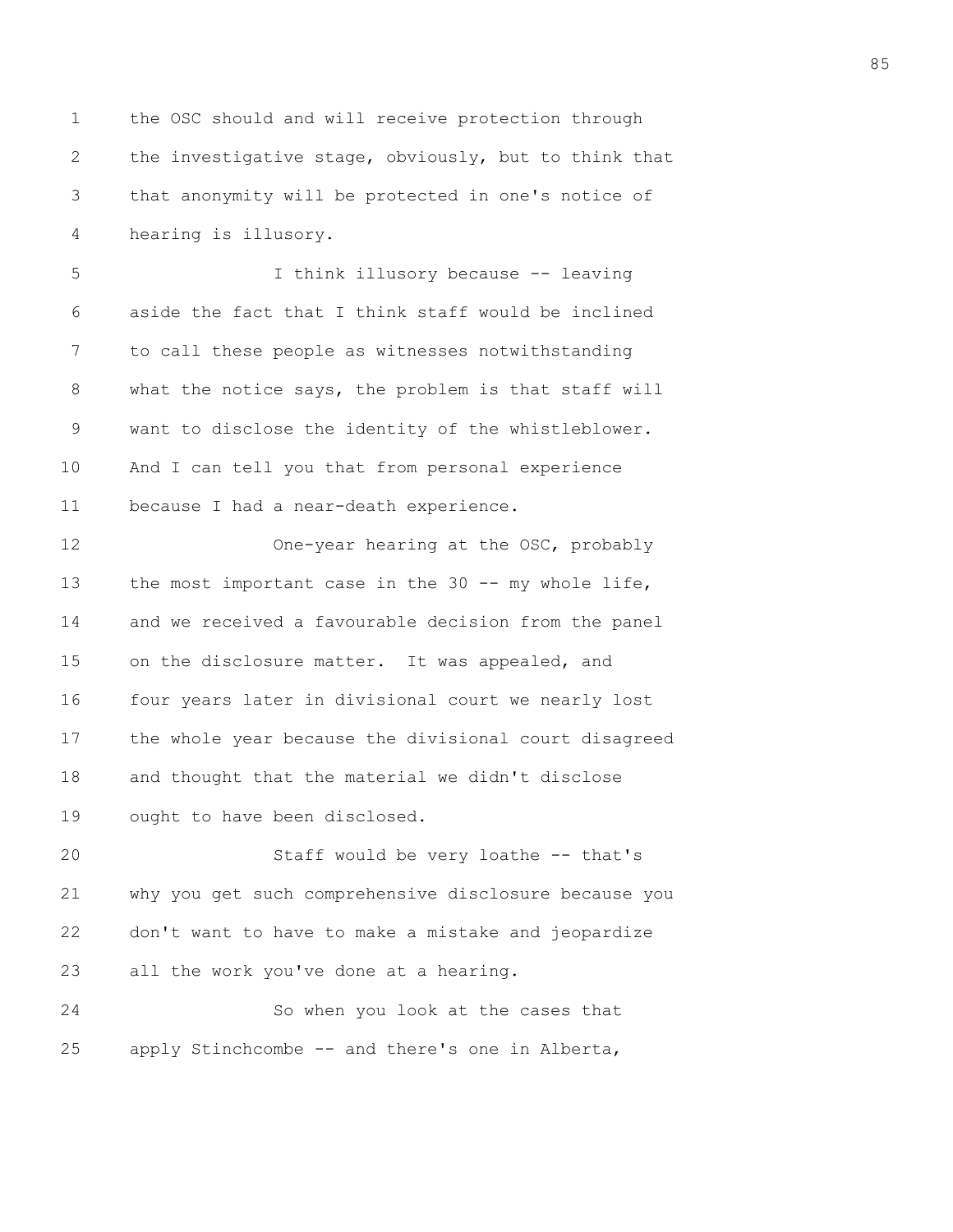1 the OSC should and will receive protection through 2 the investigative stage, obviously, but to think that 3 that anonymity will be protected in one's notice of 4 hearing is illusory. 5 I think illusory because -- leaving 6 aside the fact that I think staff would be inclined 7 to call these people as witnesses notwithstanding 8 what the notice says, the problem is that staff will 9 want to disclose the identity of the whistleblower. 10 And I can tell you that from personal experience 11 because I had a near-death experience. 12 One-year hearing at the OSC, probably 13 the most important case in the 30 -- my whole life, 14 and we received a favourable decision from the panel 15 on the disclosure matter. It was appealed, and 16 four years later in divisional court we nearly lost 17 the whole year because the divisional court disagreed 18 and thought that the material we didn't disclose 19 ought to have been disclosed. 20 Staff would be very loathe -- that's 21 why you get such comprehensive disclosure because you 22 don't want to have to make a mistake and jeopardize 23 all the work you've done at a hearing. 24 So when you look at the cases that 25 apply Stinchcombe -- and there's one in Alberta,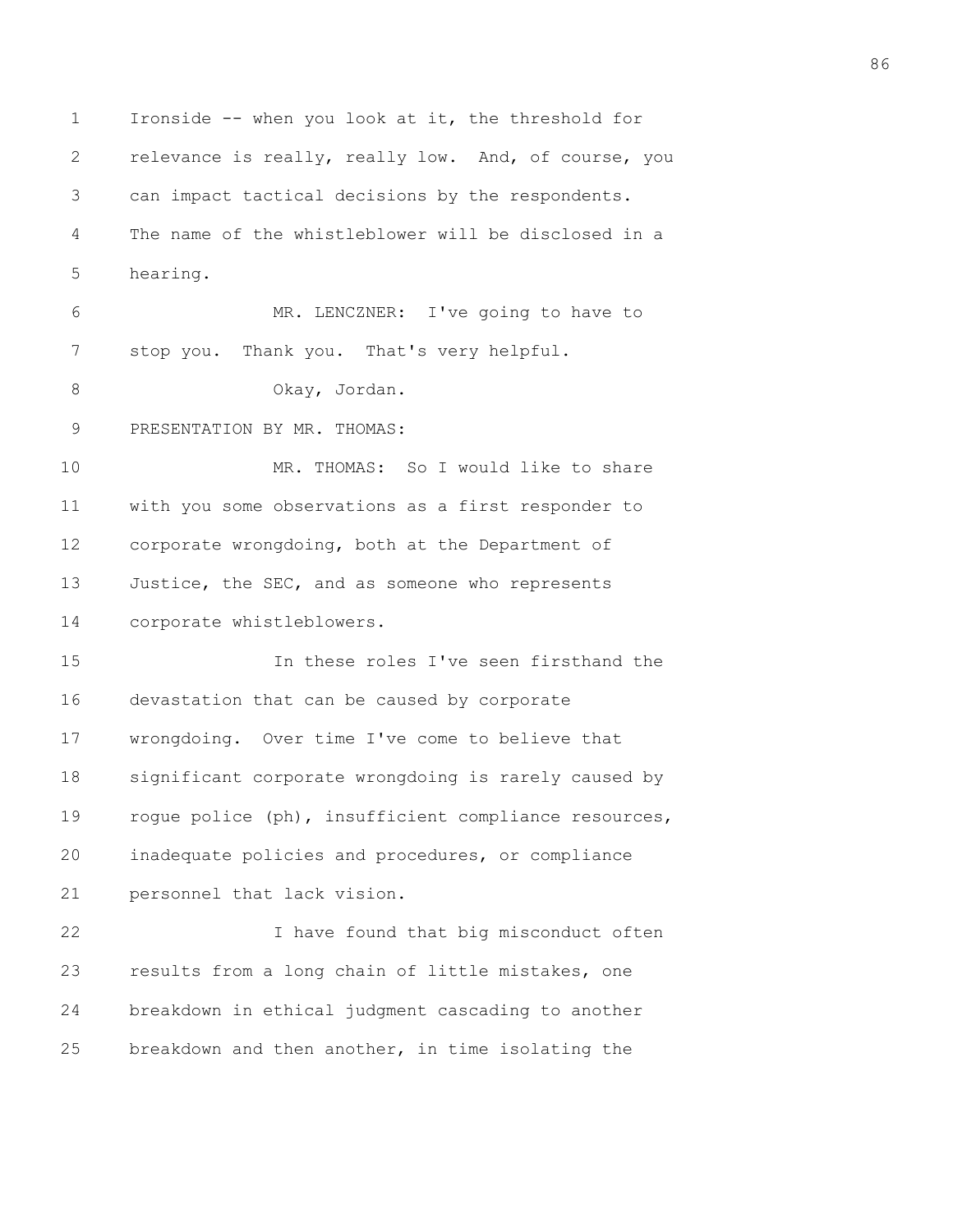1 Ironside -- when you look at it, the threshold for 2 relevance is really, really low. And, of course, you 3 can impact tactical decisions by the respondents. 4 The name of the whistleblower will be disclosed in a 5 hearing. 6 MR. LENCZNER: I've going to have to 7 stop you. Thank you. That's very helpful. 8 Okay, Jordan. 9 PRESENTATION BY MR. THOMAS: 10 MR. THOMAS: So I would like to share 11 with you some observations as a first responder to 12 corporate wrongdoing, both at the Department of 13 Justice, the SEC, and as someone who represents 14 corporate whistleblowers. 15 In these roles I've seen firsthand the 16 devastation that can be caused by corporate 17 wrongdoing. Over time I've come to believe that 18 significant corporate wrongdoing is rarely caused by 19 rogue police (ph), insufficient compliance resources, 20 inadequate policies and procedures, or compliance 21 personnel that lack vision. 22 I have found that big misconduct often 23 results from a long chain of little mistakes, one 24 breakdown in ethical judgment cascading to another 25 breakdown and then another, in time isolating the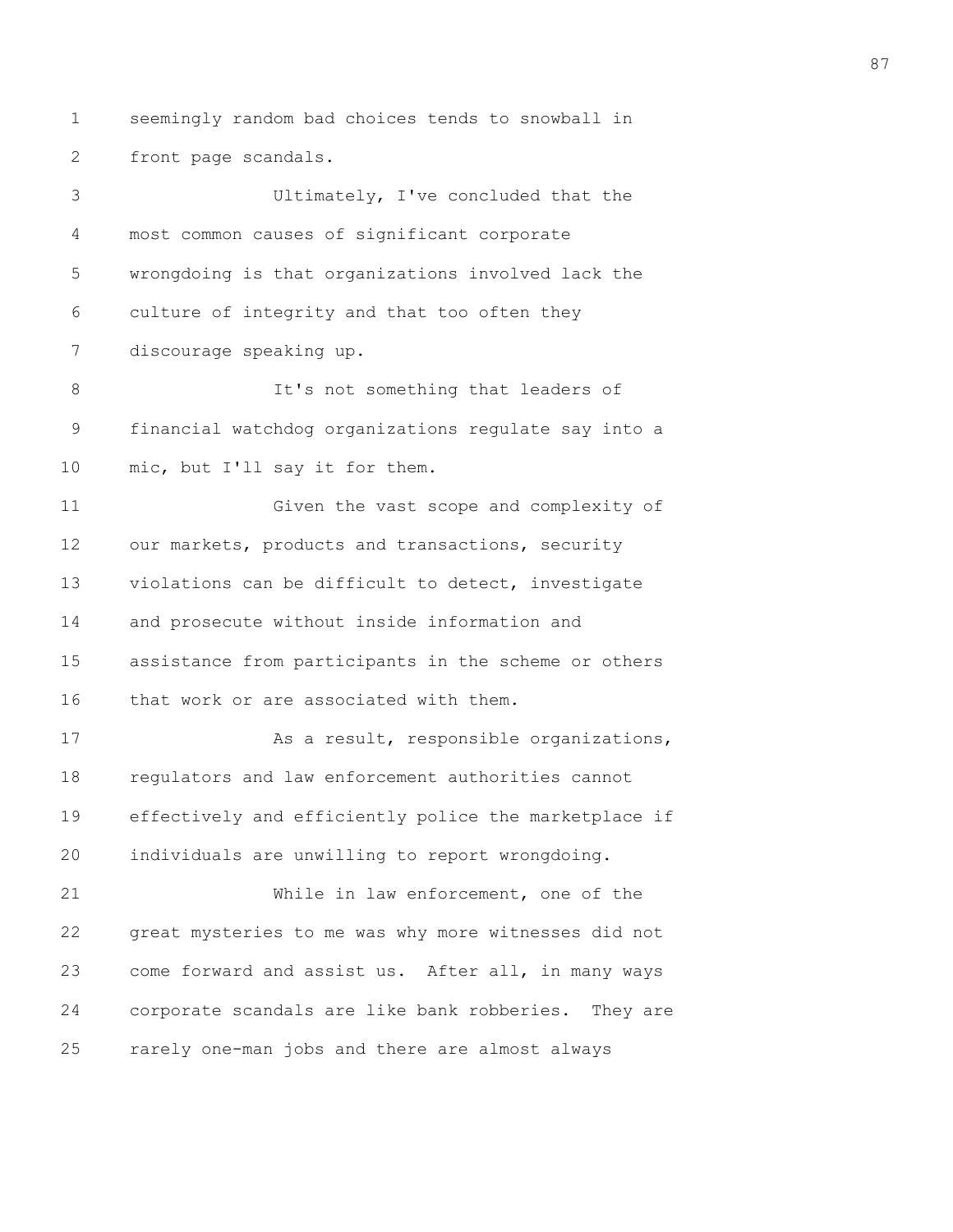1 seemingly random bad choices tends to snowball in 2 front page scandals.

3 Ultimately, I've concluded that the 4 most common causes of significant corporate 5 wrongdoing is that organizations involved lack the 6 culture of integrity and that too often they 7 discourage speaking up. 8 It's not something that leaders of 9 financial watchdog organizations regulate say into a 10 mic, but I'll say it for them. 11 Given the vast scope and complexity of 12 our markets, products and transactions, security 13 violations can be difficult to detect, investigate 14 and prosecute without inside information and 15 assistance from participants in the scheme or others 16 that work or are associated with them. 17 As a result, responsible organizations, 18 regulators and law enforcement authorities cannot 19 effectively and efficiently police the marketplace if 20 individuals are unwilling to report wrongdoing. 21 While in law enforcement, one of the 22 great mysteries to me was why more witnesses did not 23 come forward and assist us. After all, in many ways 24 corporate scandals are like bank robberies. They are 25 rarely one-man jobs and there are almost always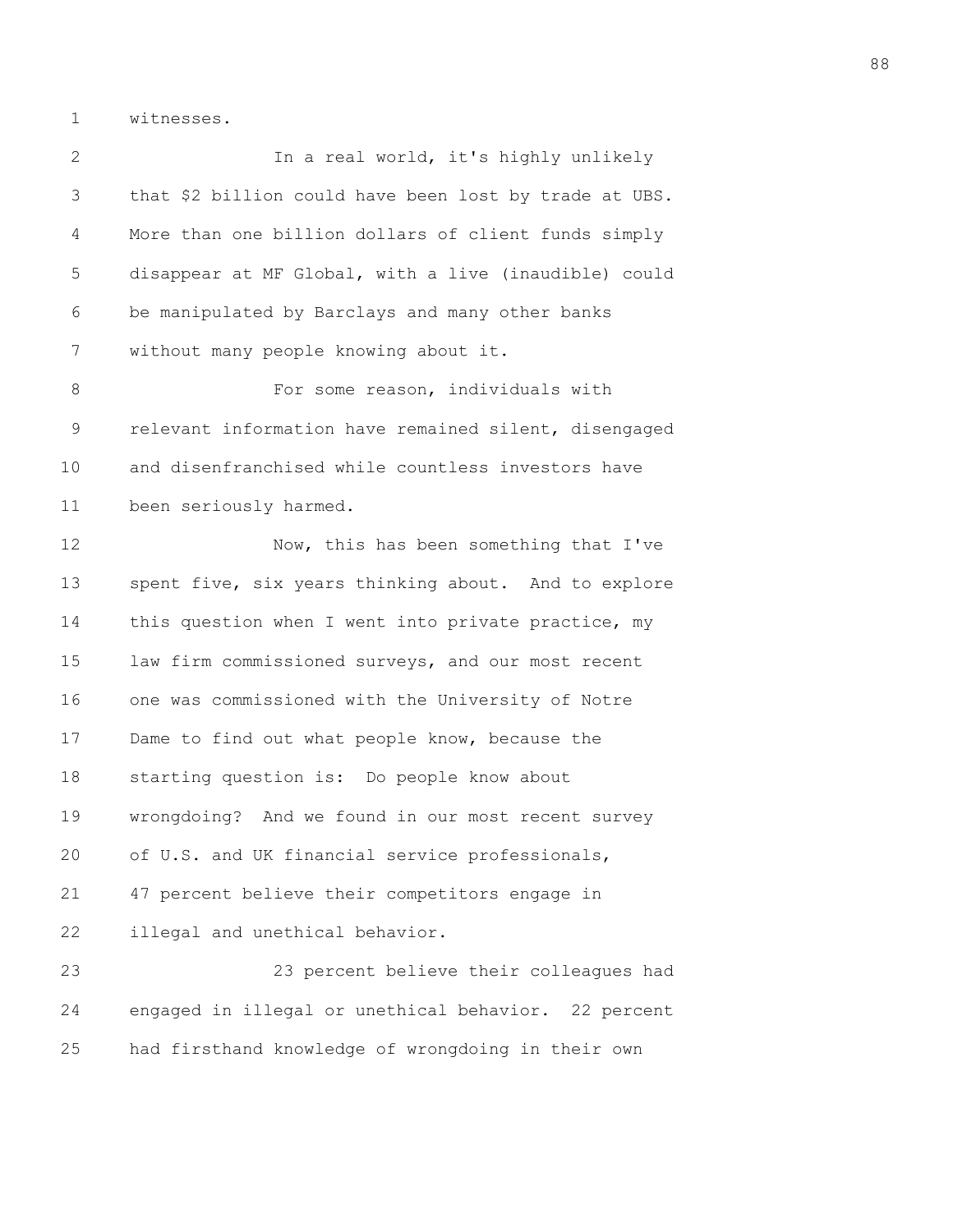1 witnesses.

| $\overline{2}$ | In a real world, it's highly unlikely                  |
|----------------|--------------------------------------------------------|
| 3              | that \$2 billion could have been lost by trade at UBS. |
| 4              | More than one billion dollars of client funds simply   |
| 5              | disappear at MF Global, with a live (inaudible) could  |
| 6              | be manipulated by Barclays and many other banks        |
| 7              | without many people knowing about it.                  |
| $8\,$          | For some reason, individuals with                      |
| 9              | relevant information have remained silent, disengaged  |
| 10             | and disenfranchised while countless investors have     |
| 11             | been seriously harmed.                                 |
| 12             | Now, this has been something that I've                 |
| 13             | spent five, six years thinking about. And to explore   |
| 14             | this question when I went into private practice, my    |
| 15             | law firm commissioned surveys, and our most recent     |
| 16             | one was commissioned with the University of Notre      |
| 17             | Dame to find out what people know, because the         |
| 18             | starting question is: Do people know about             |
| 19             | wrongdoing? And we found in our most recent survey     |
| 20             | of U.S. and UK financial service professionals,        |
| 21             | 47 percent believe their competitors engage in         |
| 22             | illegal and unethical behavior.                        |
| 23             | 23 percent believe their colleagues had                |
| 24             | engaged in illegal or unethical behavior. 22 percent   |
| 25             | had firsthand knowledge of wrongdoing in their own     |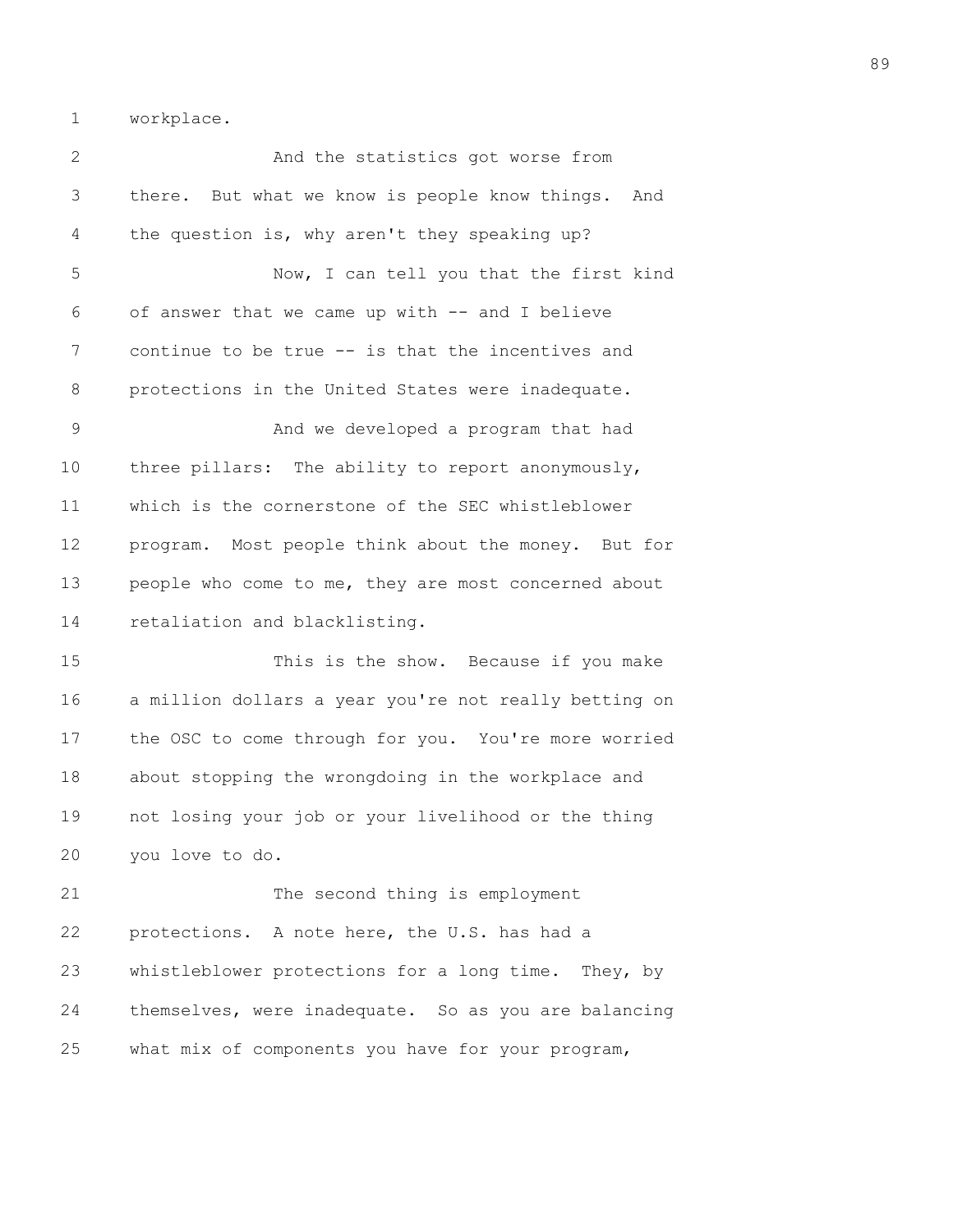1 workplace.

2 And the statistics got worse from 3 there. But what we know is people know things. And 4 the question is, why aren't they speaking up? 5 Now, I can tell you that the first kind 6 of answer that we came up with -- and I believe 7 continue to be true -- is that the incentives and 8 protections in the United States were inadequate. 9 And we developed a program that had 10 three pillars: The ability to report anonymously, 11 which is the cornerstone of the SEC whistleblower 12 program. Most people think about the money. But for 13 people who come to me, they are most concerned about 14 retaliation and blacklisting. 15 This is the show. Because if you make 16 a million dollars a year you're not really betting on 17 the OSC to come through for you. You're more worried 18 about stopping the wrongdoing in the workplace and 19 not losing your job or your livelihood or the thing 20 you love to do. 21 The second thing is employment 22 protections. A note here, the U.S. has had a 23 whistleblower protections for a long time. They, by 24 themselves, were inadequate. So as you are balancing

25 what mix of components you have for your program,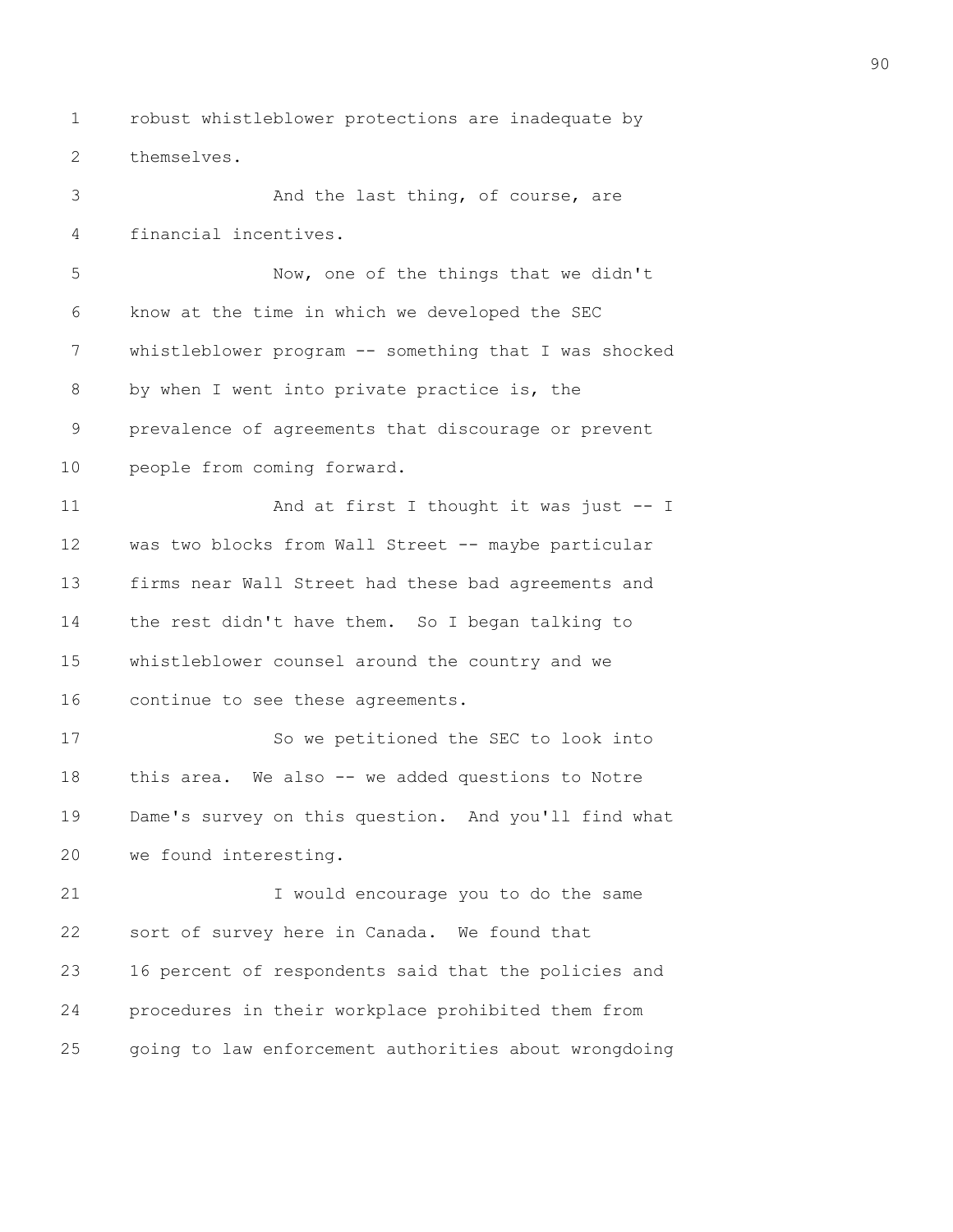1 robust whistleblower protections are inadequate by 2 themselves.

3 And the last thing, of course, are 4 financial incentives. 5 Now, one of the things that we didn't 6 know at the time in which we developed the SEC 7 whistleblower program -- something that I was shocked 8 by when I went into private practice is, the 9 prevalence of agreements that discourage or prevent 10 people from coming forward. 11 And at first I thought it was just -- I 12 was two blocks from Wall Street -- maybe particular 13 firms near Wall Street had these bad agreements and 14 the rest didn't have them. So I began talking to 15 whistleblower counsel around the country and we 16 continue to see these agreements. 17 So we petitioned the SEC to look into 18 this area. We also -- we added questions to Notre 19 Dame's survey on this question. And you'll find what 20 we found interesting. 21 I would encourage you to do the same 22 sort of survey here in Canada. We found that 23 16 percent of respondents said that the policies and 24 procedures in their workplace prohibited them from 25 going to law enforcement authorities about wrongdoing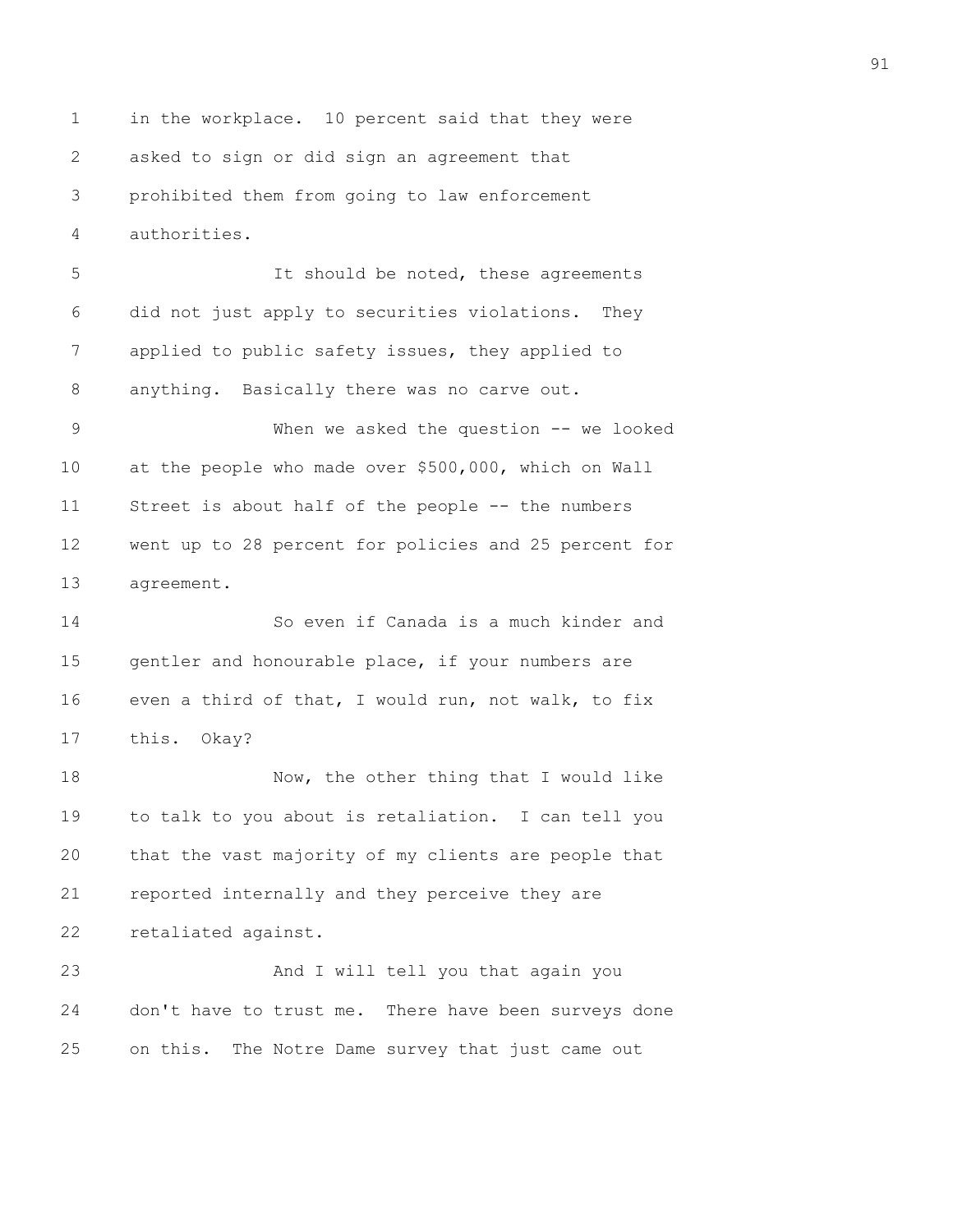1 in the workplace. 10 percent said that they were 2 asked to sign or did sign an agreement that 3 prohibited them from going to law enforcement 4 authorities.

5 It should be noted, these agreements 6 did not just apply to securities violations. They 7 applied to public safety issues, they applied to 8 anything. Basically there was no carve out.

9 When we asked the question -- we looked 10 at the people who made over \$500,000, which on Wall 11 Street is about half of the people -- the numbers 12 went up to 28 percent for policies and 25 percent for 13 agreement.

14 So even if Canada is a much kinder and 15 gentler and honourable place, if your numbers are 16 even a third of that, I would run, not walk, to fix 17 this. Okay?

18 Now, the other thing that I would like 19 to talk to you about is retaliation. I can tell you 20 that the vast majority of my clients are people that 21 reported internally and they perceive they are 22 retaliated against.

23 And I will tell you that again you 24 don't have to trust me. There have been surveys done 25 on this. The Notre Dame survey that just came out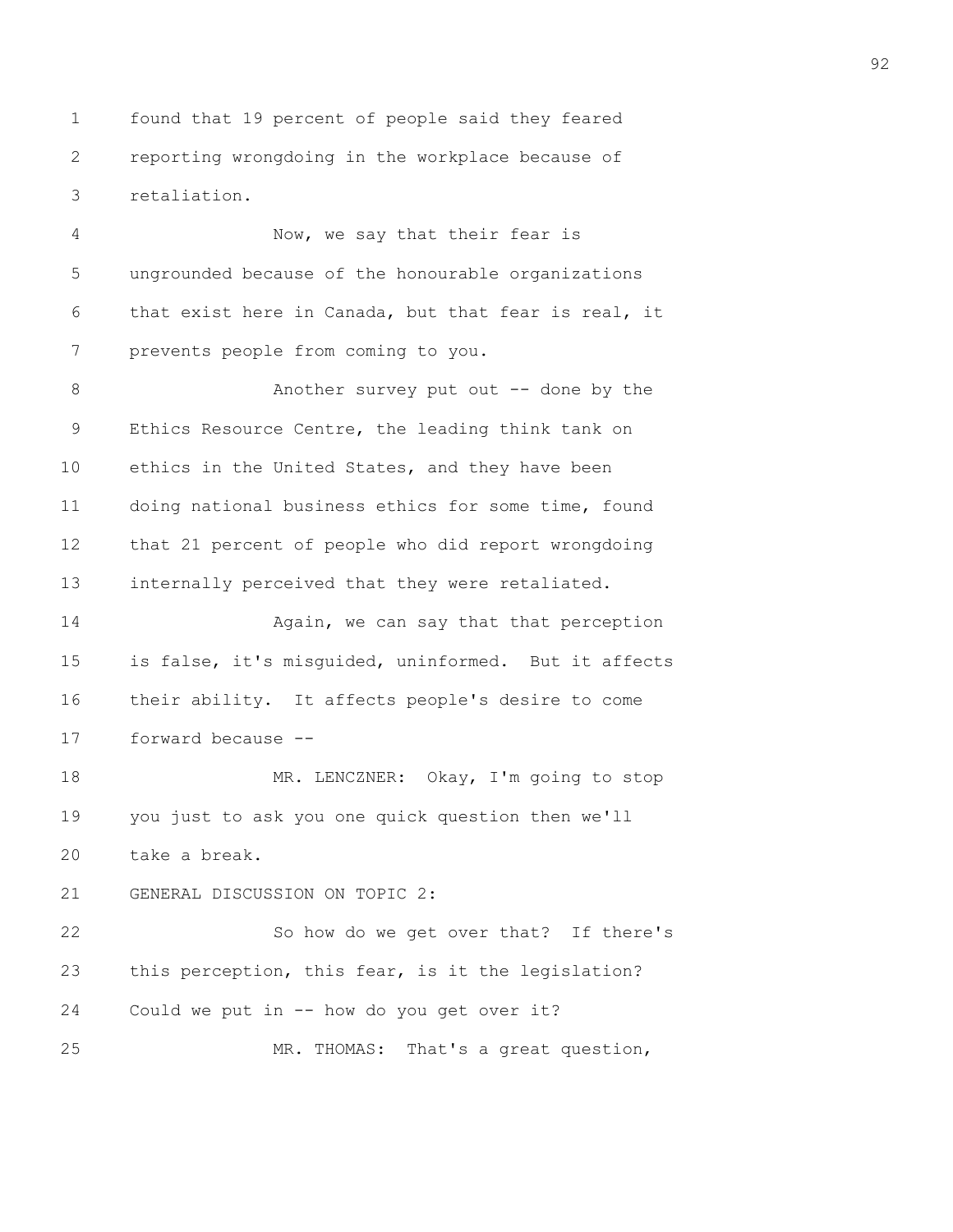1 found that 19 percent of people said they feared 2 reporting wrongdoing in the workplace because of 3 retaliation.

4 Now, we say that their fear is 5 ungrounded because of the honourable organizations 6 that exist here in Canada, but that fear is real, it 7 prevents people from coming to you.

8 Another survey put out -- done by the 9 Ethics Resource Centre, the leading think tank on 10 ethics in the United States, and they have been 11 doing national business ethics for some time, found 12 that 21 percent of people who did report wrongdoing 13 internally perceived that they were retaliated.

14 **Again, we can say that that perception** 15 is false, it's misguided, uninformed. But it affects 16 their ability. It affects people's desire to come 17 forward because --

18 MR. LENCZNER: Okay, I'm going to stop 19 you just to ask you one quick question then we'll 20 take a break.

## 21 GENERAL DISCUSSION ON TOPIC 2:

22 So how do we get over that? If there's 23 this perception, this fear, is it the legislation? 24 Could we put in -- how do you get over it? 25 MR. THOMAS: That's a great question,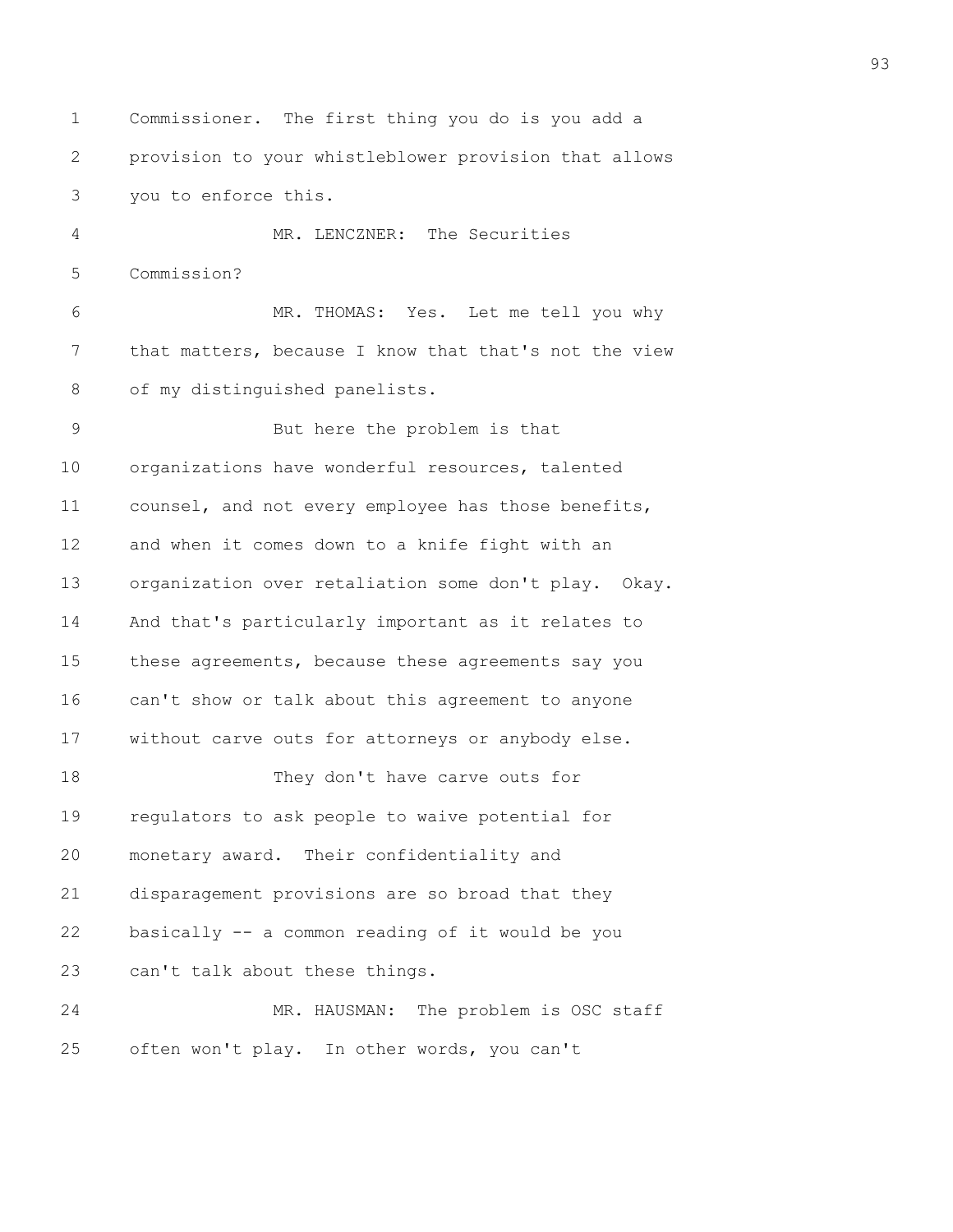1 Commissioner. The first thing you do is you add a 2 provision to your whistleblower provision that allows 3 you to enforce this. 4 MR. LENCZNER: The Securities 5 Commission? 6 MR. THOMAS: Yes. Let me tell you why 7 that matters, because I know that that's not the view 8 of my distinguished panelists. 9 But here the problem is that 10 organizations have wonderful resources, talented 11 counsel, and not every employee has those benefits, 12 and when it comes down to a knife fight with an 13 organization over retaliation some don't play. Okay. 14 And that's particularly important as it relates to 15 these agreements, because these agreements say you 16 can't show or talk about this agreement to anyone 17 without carve outs for attorneys or anybody else. 18 They don't have carve outs for 19 regulators to ask people to waive potential for 20 monetary award. Their confidentiality and 21 disparagement provisions are so broad that they 22 basically -- a common reading of it would be you 23 can't talk about these things. 24 MR. HAUSMAN: The problem is OSC staff 25 often won't play. In other words, you can't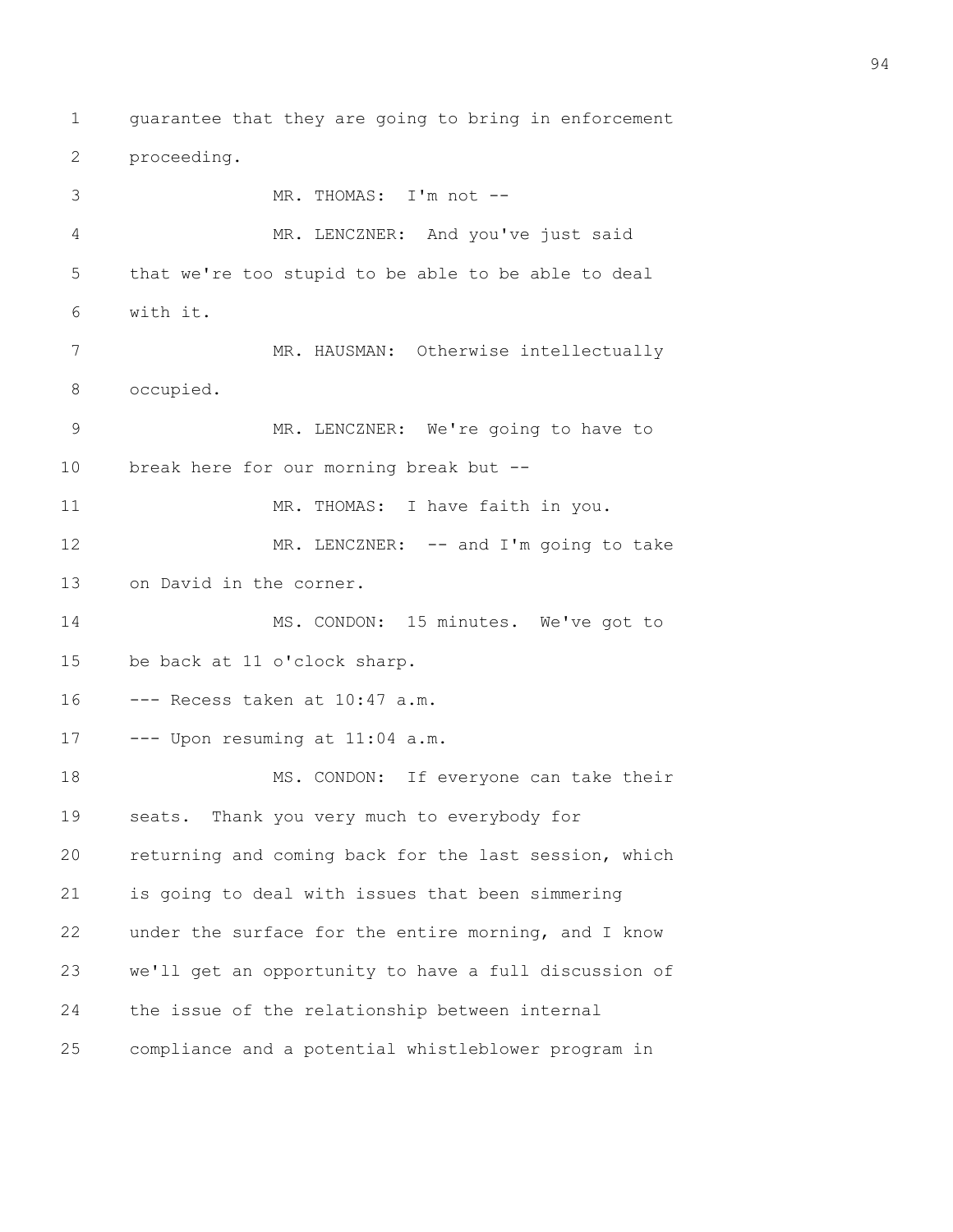1 guarantee that they are going to bring in enforcement 2 proceeding. 3 MR. THOMAS: I'm not -- 4 MR. LENCZNER: And you've just said 5 that we're too stupid to be able to be able to deal 6 with it. 7 MR. HAUSMAN: Otherwise intellectually 8 occupied. 9 MR. LENCZNER: We're going to have to 10 break here for our morning break but -- 11 MR. THOMAS: I have faith in you. 12 MR. LENCZNER: -- and I'm going to take 13 on David in the corner. 14 MS. CONDON: 15 minutes. We've got to 15 be back at 11 o'clock sharp. 16 --- Recess taken at 10:47 a.m. 17 --- Upon resuming at 11:04 a.m. 18 MS. CONDON: If everyone can take their 19 seats. Thank you very much to everybody for 20 returning and coming back for the last session, which 21 is going to deal with issues that been simmering 22 under the surface for the entire morning, and I know 23 we'll get an opportunity to have a full discussion of 24 the issue of the relationship between internal 25 compliance and a potential whistleblower program in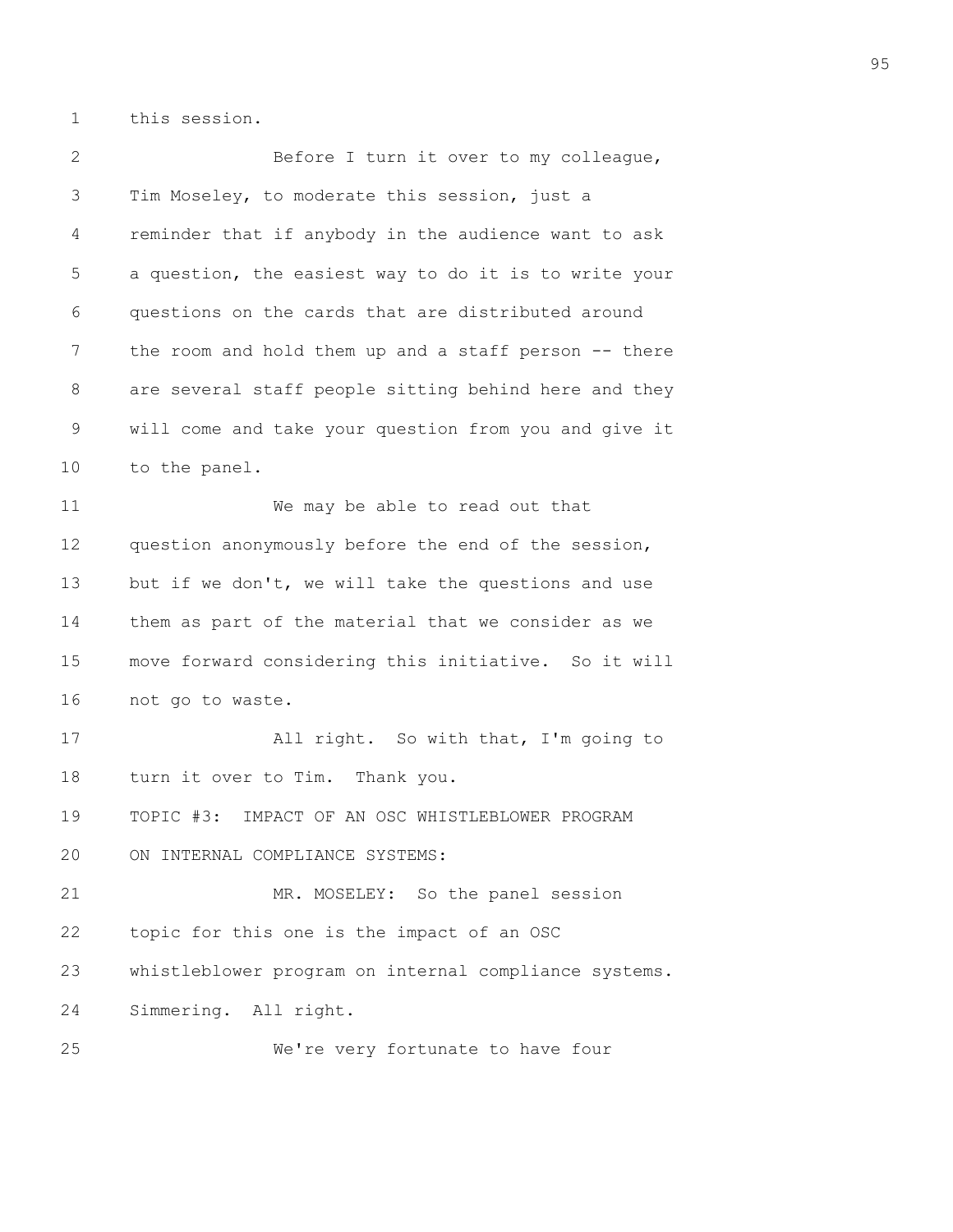1 this session.

2 Before I turn it over to my colleague, 3 Tim Moseley, to moderate this session, just a 4 reminder that if anybody in the audience want to ask 5 a question, the easiest way to do it is to write your 6 questions on the cards that are distributed around 7 the room and hold them up and a staff person -- there 8 are several staff people sitting behind here and they 9 will come and take your question from you and give it 10 to the panel. 11 We may be able to read out that 12 question anonymously before the end of the session, 13 but if we don't, we will take the questions and use 14 them as part of the material that we consider as we 15 move forward considering this initiative. So it will 16 not go to waste. 17 All right. So with that, I'm going to 18 turn it over to Tim. Thank you. 19 TOPIC #3: IMPACT OF AN OSC WHISTLEBLOWER PROGRAM 20 ON INTERNAL COMPLIANCE SYSTEMS: 21 MR. MOSELEY: So the panel session 22 topic for this one is the impact of an OSC 23 whistleblower program on internal compliance systems. 24 Simmering. All right. 25 We're very fortunate to have four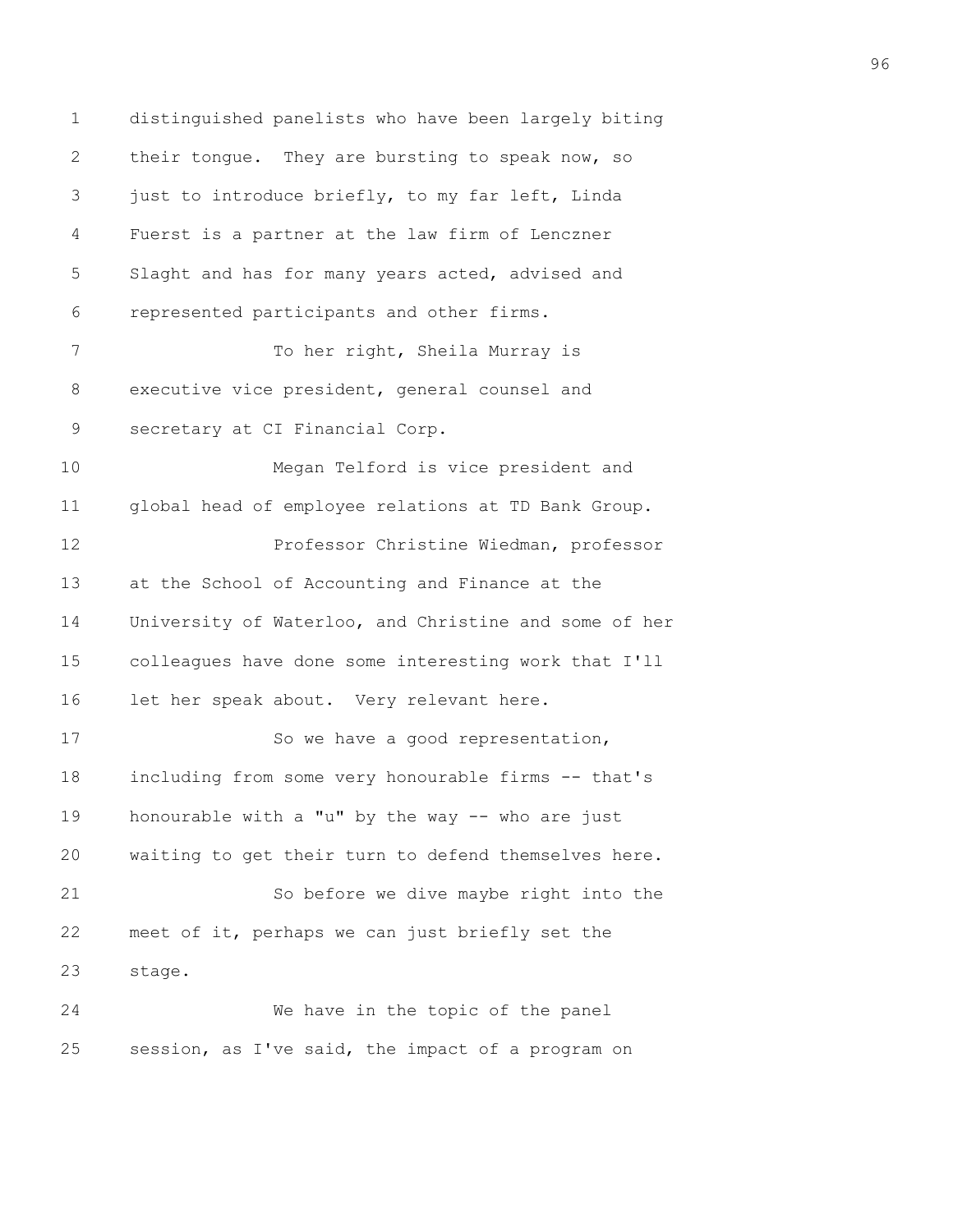1 distinguished panelists who have been largely biting 2 their tongue. They are bursting to speak now, so 3 just to introduce briefly, to my far left, Linda 4 Fuerst is a partner at the law firm of Lenczner 5 Slaght and has for many years acted, advised and 6 represented participants and other firms. 7 To her right, Sheila Murray is 8 executive vice president, general counsel and 9 secretary at CI Financial Corp. 10 Megan Telford is vice president and 11 global head of employee relations at TD Bank Group. 12 Professor Christine Wiedman, professor 13 at the School of Accounting and Finance at the 14 University of Waterloo, and Christine and some of her 15 colleagues have done some interesting work that I'll 16 let her speak about. Very relevant here. 17 So we have a good representation, 18 including from some very honourable firms -- that's 19 honourable with a "u" by the way -- who are just 20 waiting to get their turn to defend themselves here. 21 So before we dive maybe right into the 22 meet of it, perhaps we can just briefly set the 23 stage. 24 We have in the topic of the panel 25 session, as I've said, the impact of a program on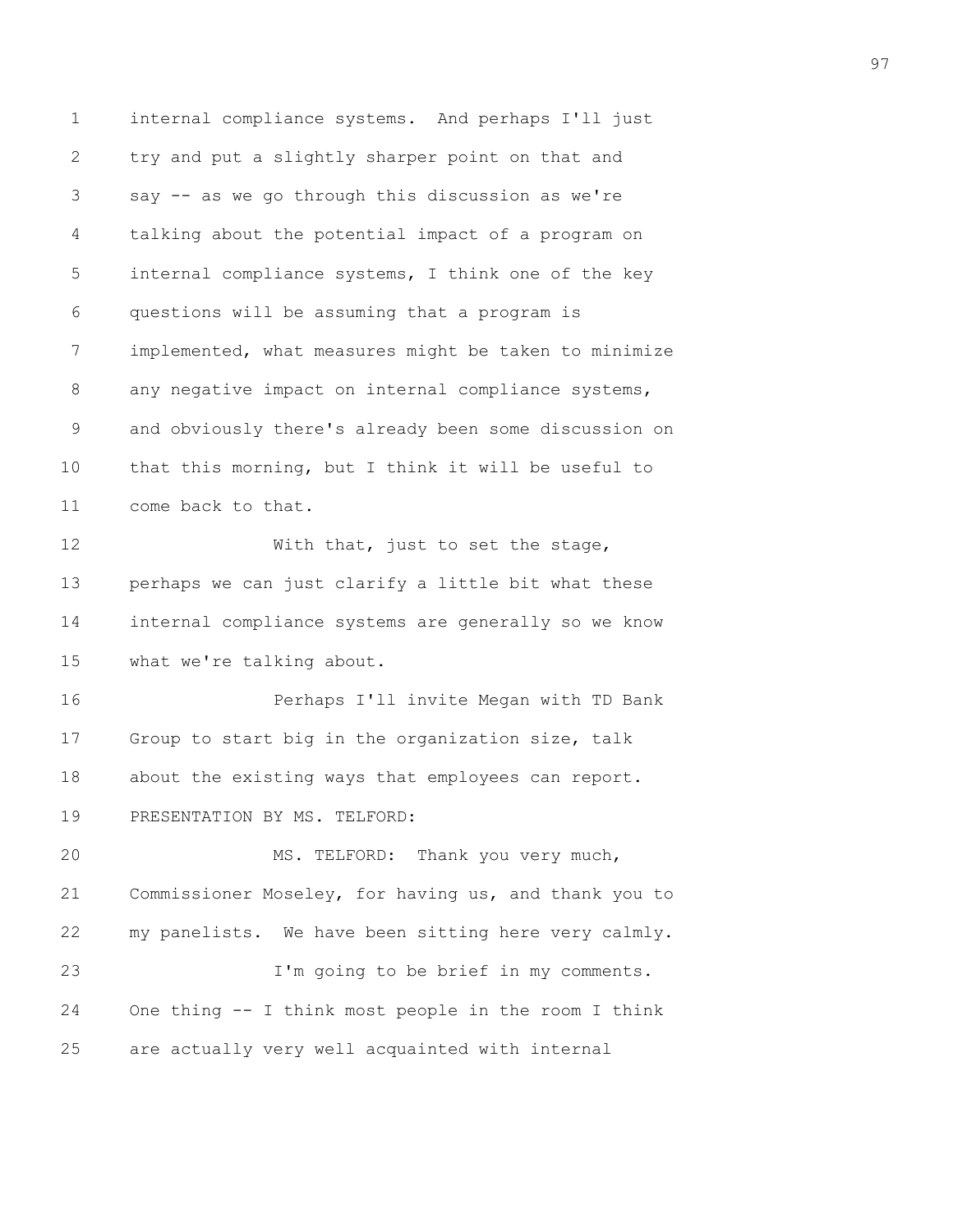1 internal compliance systems. And perhaps I'll just 2 try and put a slightly sharper point on that and 3 say -- as we go through this discussion as we're 4 talking about the potential impact of a program on 5 internal compliance systems, I think one of the key 6 questions will be assuming that a program is 7 implemented, what measures might be taken to minimize 8 any negative impact on internal compliance systems, 9 and obviously there's already been some discussion on 10 that this morning, but I think it will be useful to 11 come back to that. 12 With that, just to set the stage, 13 perhaps we can just clarify a little bit what these 14 internal compliance systems are generally so we know 15 what we're talking about. 16 Perhaps I'll invite Megan with TD Bank 17 Group to start big in the organization size, talk 18 about the existing ways that employees can report. 19 PRESENTATION BY MS. TELFORD: 20 MS. TELFORD: Thank you very much, 21 Commissioner Moseley, for having us, and thank you to 22 my panelists. We have been sitting here very calmly. 23 I'm going to be brief in my comments. 24 One thing -- I think most people in the room I think 25 are actually very well acquainted with internal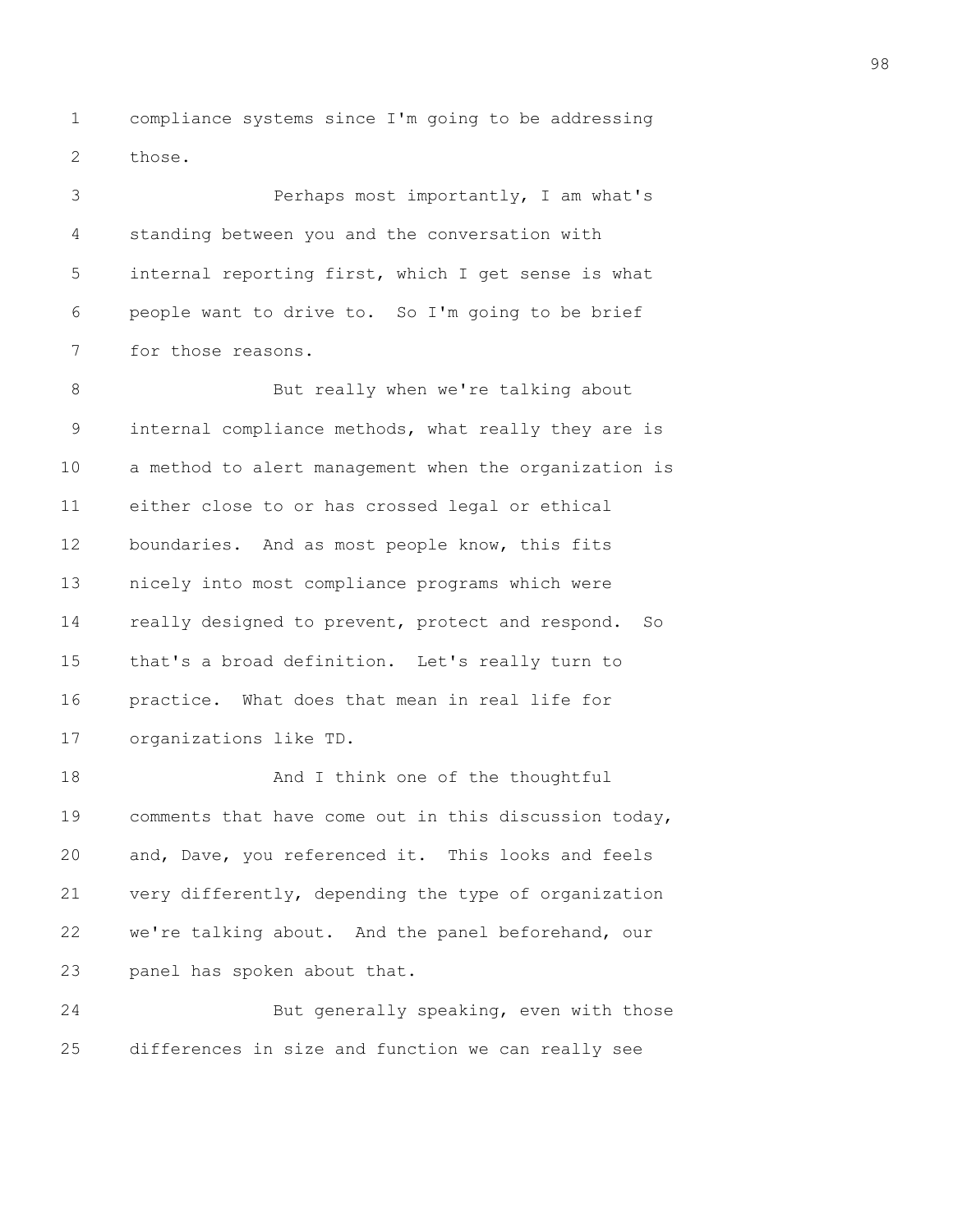1 compliance systems since I'm going to be addressing 2 those.

3 Perhaps most importantly, I am what's 4 standing between you and the conversation with 5 internal reporting first, which I get sense is what 6 people want to drive to. So I'm going to be brief 7 for those reasons.

8 But really when we're talking about 9 internal compliance methods, what really they are is 10 a method to alert management when the organization is 11 either close to or has crossed legal or ethical 12 boundaries. And as most people know, this fits 13 nicely into most compliance programs which were 14 really designed to prevent, protect and respond. So 15 that's a broad definition. Let's really turn to 16 practice. What does that mean in real life for 17 organizations like TD.

18 And I think one of the thoughtful 19 comments that have come out in this discussion today, 20 and, Dave, you referenced it. This looks and feels 21 very differently, depending the type of organization 22 we're talking about. And the panel beforehand, our 23 panel has spoken about that.

24 But generally speaking, even with those 25 differences in size and function we can really see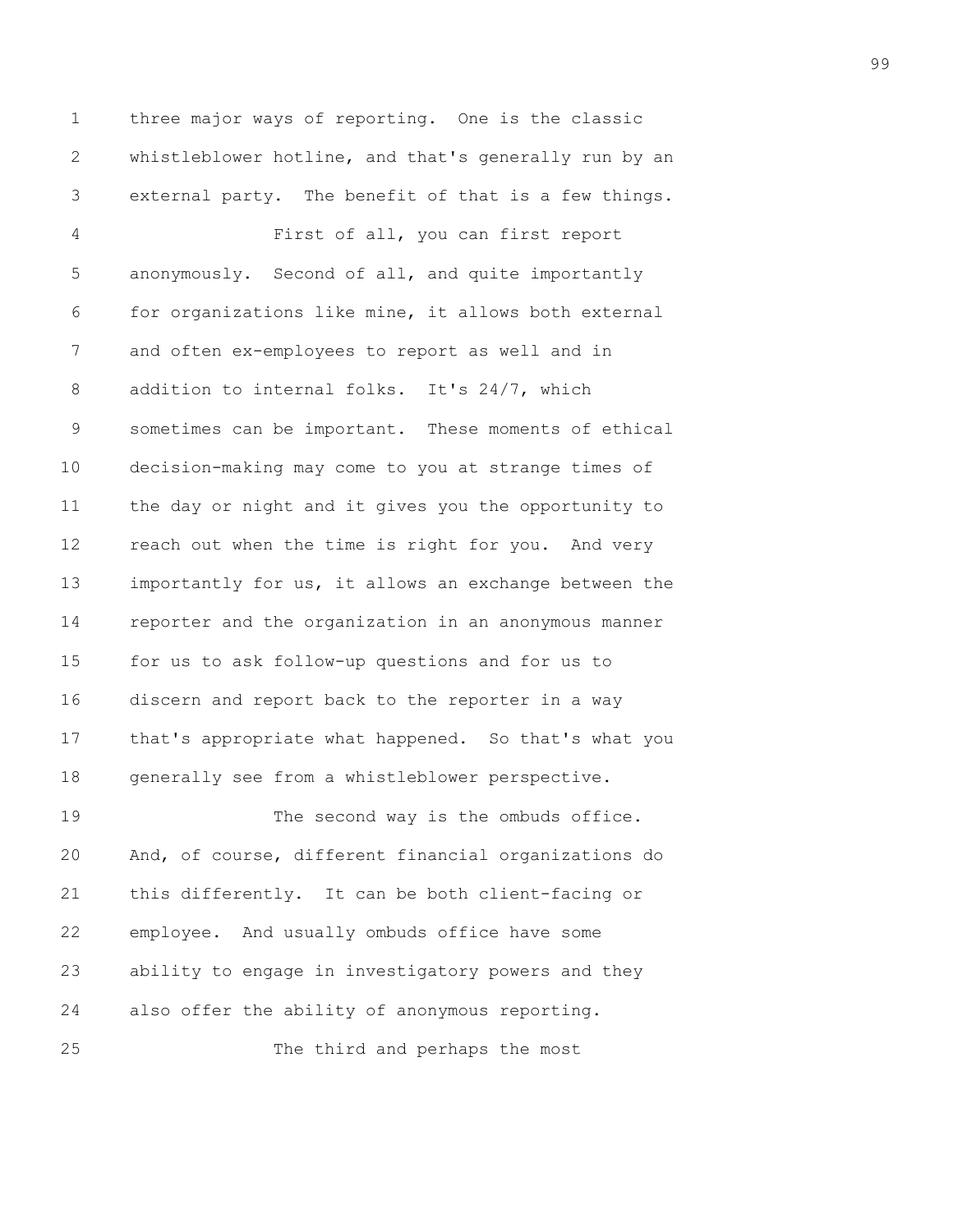1 three major ways of reporting. One is the classic 2 whistleblower hotline, and that's generally run by an 3 external party. The benefit of that is a few things. 4 First of all, you can first report 5 anonymously. Second of all, and quite importantly 6 for organizations like mine, it allows both external 7 and often ex-employees to report as well and in 8 addition to internal folks. It's 24/7, which 9 sometimes can be important. These moments of ethical 10 decision-making may come to you at strange times of 11 the day or night and it gives you the opportunity to 12 reach out when the time is right for you. And very 13 importantly for us, it allows an exchange between the 14 reporter and the organization in an anonymous manner 15 for us to ask follow-up questions and for us to 16 discern and report back to the reporter in a way 17 that's appropriate what happened. So that's what you 18 generally see from a whistleblower perspective. 19 The second way is the ombuds office. 20 And, of course, different financial organizations do 21 this differently. It can be both client-facing or

22 employee. And usually ombuds office have some 23 ability to engage in investigatory powers and they 24 also offer the ability of anonymous reporting.

25 The third and perhaps the most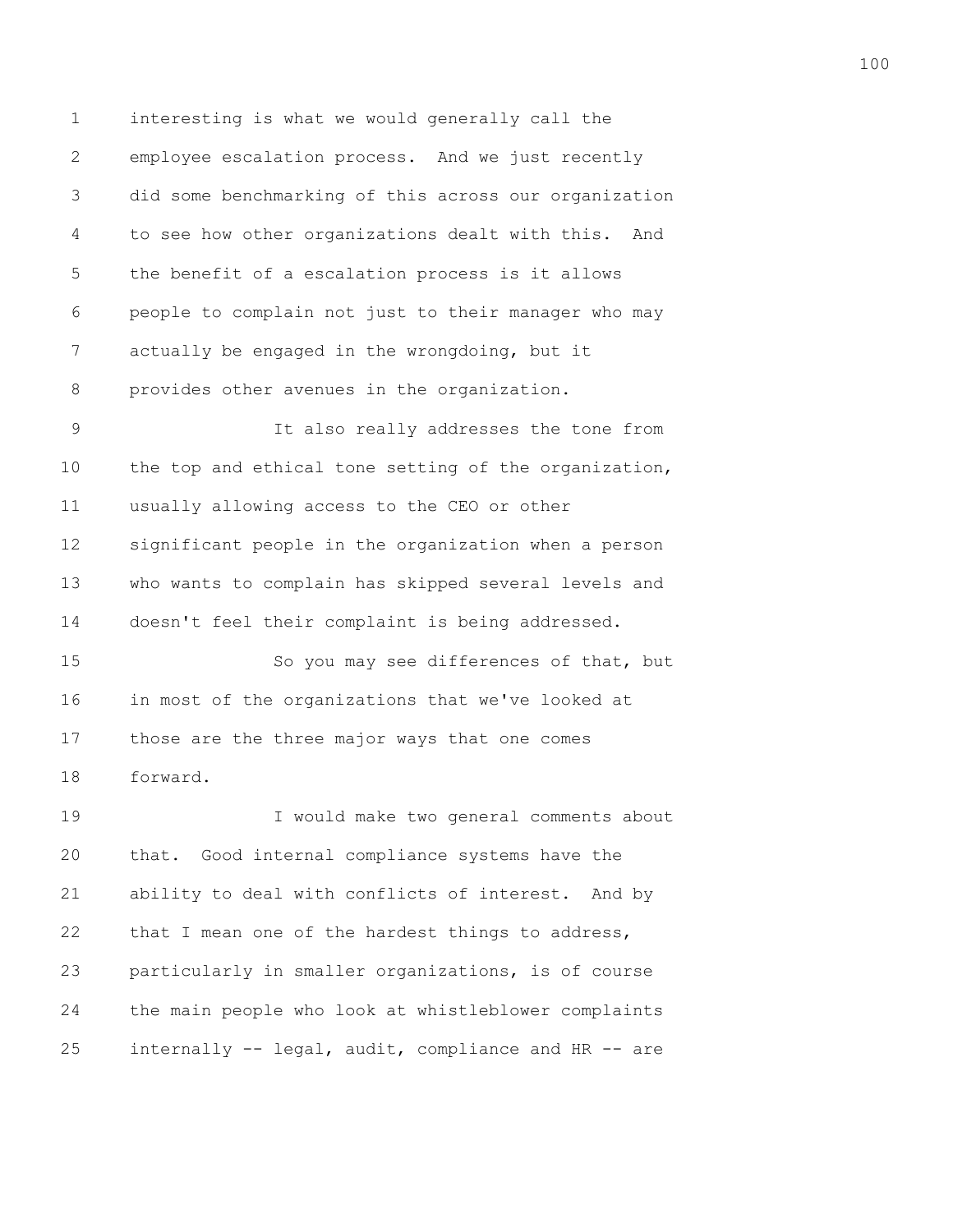1 interesting is what we would generally call the 2 employee escalation process. And we just recently 3 did some benchmarking of this across our organization 4 to see how other organizations dealt with this. And 5 the benefit of a escalation process is it allows 6 people to complain not just to their manager who may 7 actually be engaged in the wrongdoing, but it 8 provides other avenues in the organization.

9 It also really addresses the tone from 10 the top and ethical tone setting of the organization, 11 usually allowing access to the CEO or other 12 significant people in the organization when a person 13 who wants to complain has skipped several levels and 14 doesn't feel their complaint is being addressed.

15 So you may see differences of that, but 16 in most of the organizations that we've looked at 17 those are the three major ways that one comes 18 forward.

19 I would make two general comments about 20 that. Good internal compliance systems have the 21 ability to deal with conflicts of interest. And by 22 that I mean one of the hardest things to address, 23 particularly in smaller organizations, is of course 24 the main people who look at whistleblower complaints 25 internally -- legal, audit, compliance and HR -- are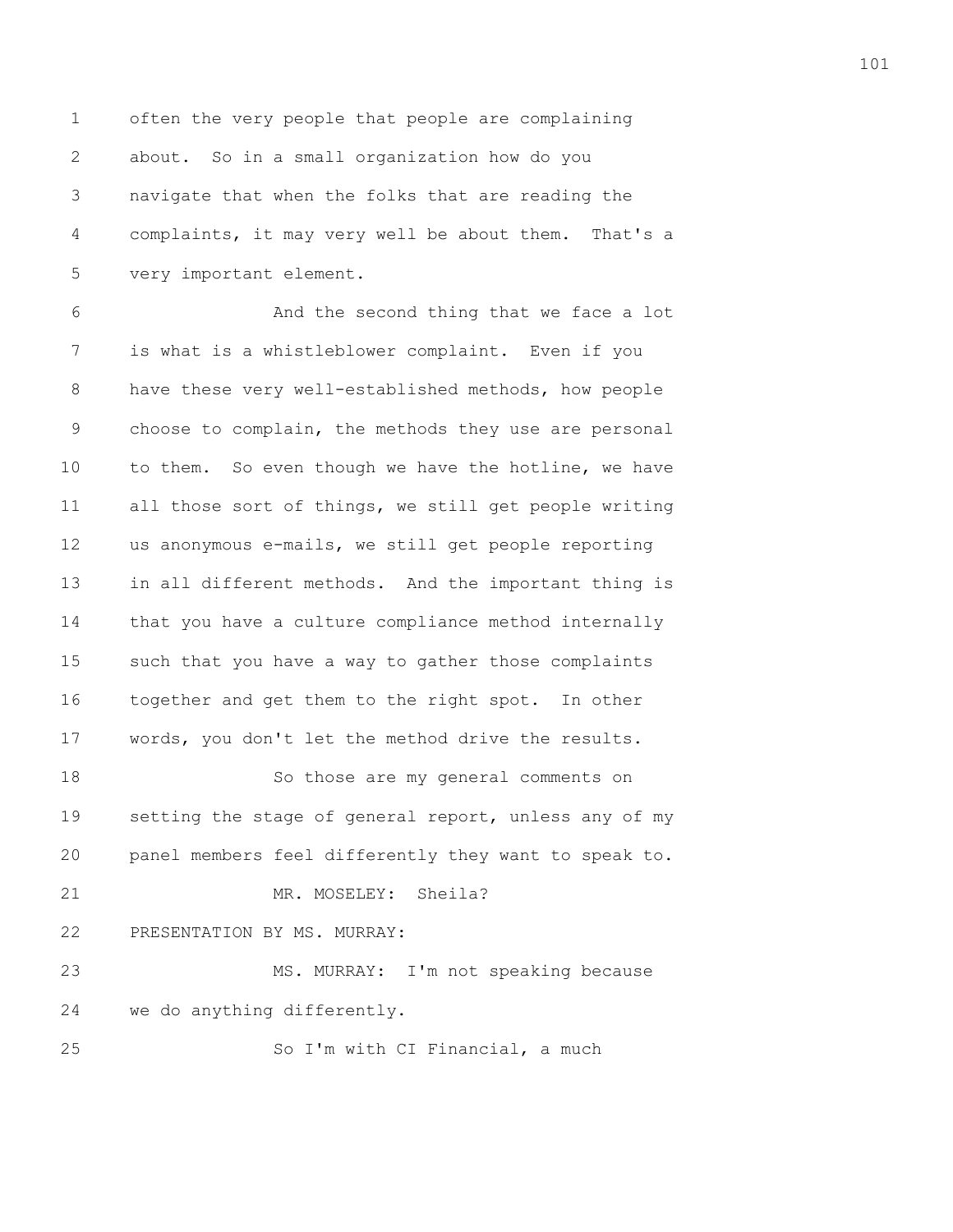1 often the very people that people are complaining 2 about. So in a small organization how do you 3 navigate that when the folks that are reading the 4 complaints, it may very well be about them. That's a 5 very important element.

101

6 And the second thing that we face a lot 7 is what is a whistleblower complaint. Even if you 8 have these very well-established methods, how people 9 choose to complain, the methods they use are personal 10 to them. So even though we have the hotline, we have 11 all those sort of things, we still get people writing 12 us anonymous e-mails, we still get people reporting 13 in all different methods. And the important thing is 14 that you have a culture compliance method internally 15 such that you have a way to gather those complaints 16 together and get them to the right spot. In other 17 words, you don't let the method drive the results. 18 So those are my general comments on 19 setting the stage of general report, unless any of my 20 panel members feel differently they want to speak to. 21 MR. MOSELEY: Sheila?

## 22 PRESENTATION BY MS. MURRAY:

23 MS. MURRAY: I'm not speaking because 24 we do anything differently. 25 So I'm with CI Financial, a much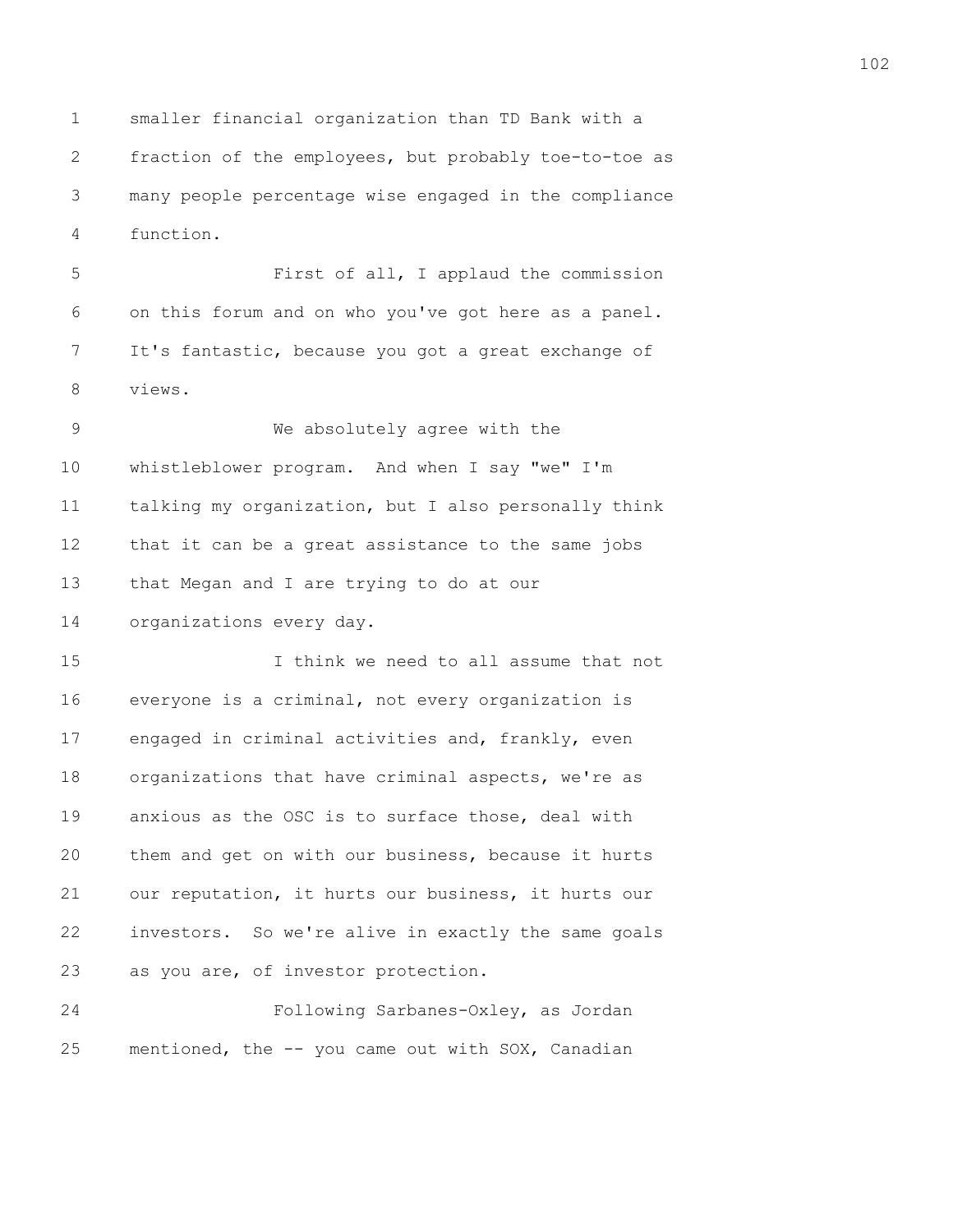1 smaller financial organization than TD Bank with a 2 fraction of the employees, but probably toe-to-toe as 3 many people percentage wise engaged in the compliance 4 function.

5 First of all, I applaud the commission 6 on this forum and on who you've got here as a panel. 7 It's fantastic, because you got a great exchange of 8 views.

9 We absolutely agree with the 10 whistleblower program. And when I say "we" I'm 11 talking my organization, but I also personally think 12 that it can be a great assistance to the same jobs 13 that Megan and I are trying to do at our 14 organizations every day.

15 I think we need to all assume that not 16 everyone is a criminal, not every organization is 17 engaged in criminal activities and, frankly, even 18 organizations that have criminal aspects, we're as 19 anxious as the OSC is to surface those, deal with 20 them and get on with our business, because it hurts 21 our reputation, it hurts our business, it hurts our 22 investors. So we're alive in exactly the same goals 23 as you are, of investor protection.

24 Following Sarbanes-Oxley, as Jordan 25 mentioned, the -- you came out with SOX, Canadian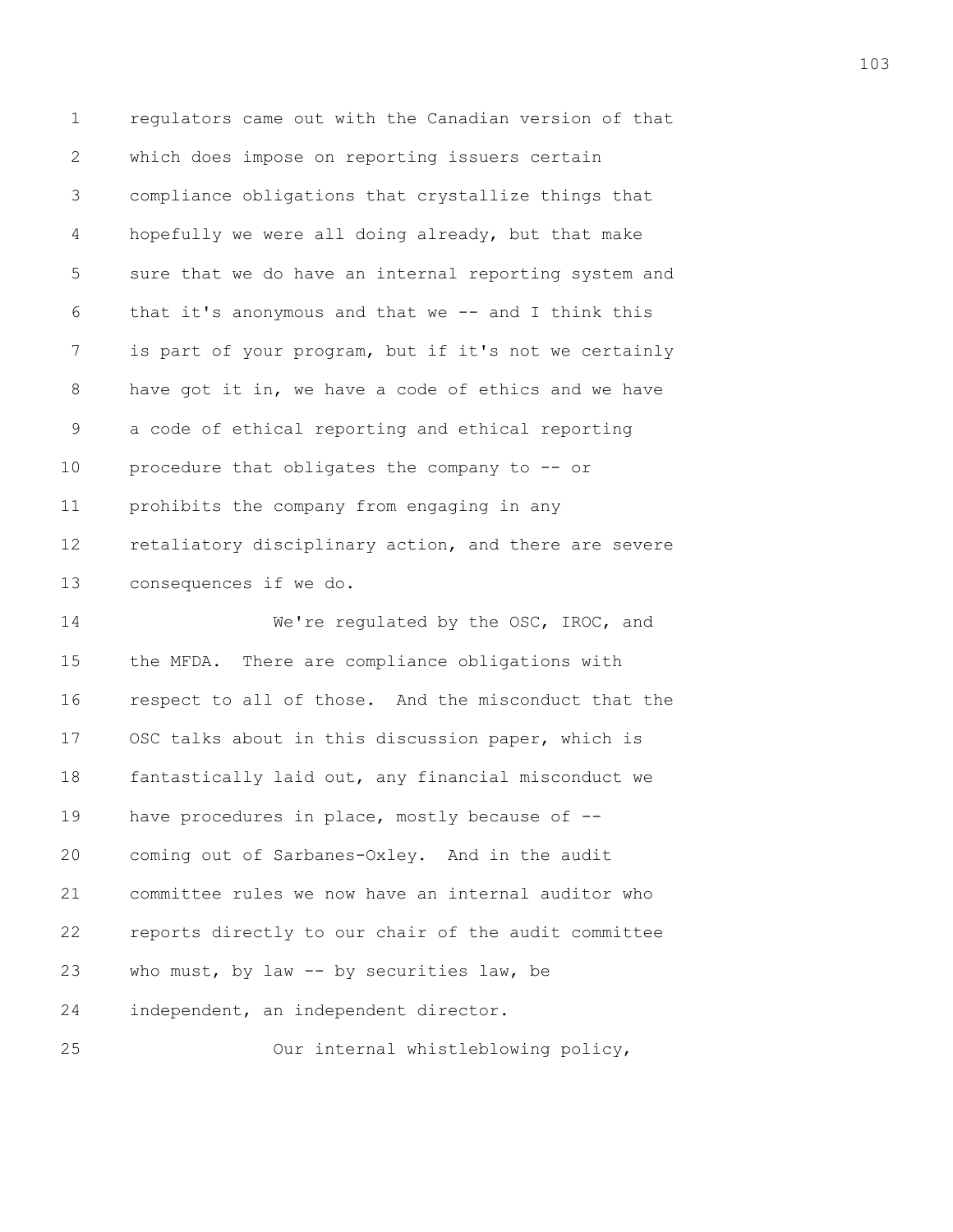1 regulators came out with the Canadian version of that 2 which does impose on reporting issuers certain 3 compliance obligations that crystallize things that 4 hopefully we were all doing already, but that make 5 sure that we do have an internal reporting system and 6 that it's anonymous and that we -- and I think this 7 is part of your program, but if it's not we certainly 8 have got it in, we have a code of ethics and we have 9 a code of ethical reporting and ethical reporting 10 procedure that obligates the company to -- or 11 prohibits the company from engaging in any 12 retaliatory disciplinary action, and there are severe 13 consequences if we do. 14 We're regulated by the OSC, IROC, and 15 the MFDA. There are compliance obligations with 16 respect to all of those. And the misconduct that the 17 OSC talks about in this discussion paper, which is 18 fantastically laid out, any financial misconduct we 19 have procedures in place, mostly because of -- 20 coming out of Sarbanes-Oxley. And in the audit 21 committee rules we now have an internal auditor who 22 reports directly to our chair of the audit committee 23 who must, by law -- by securities law, be 24 independent, an independent director. 25 Our internal whistleblowing policy,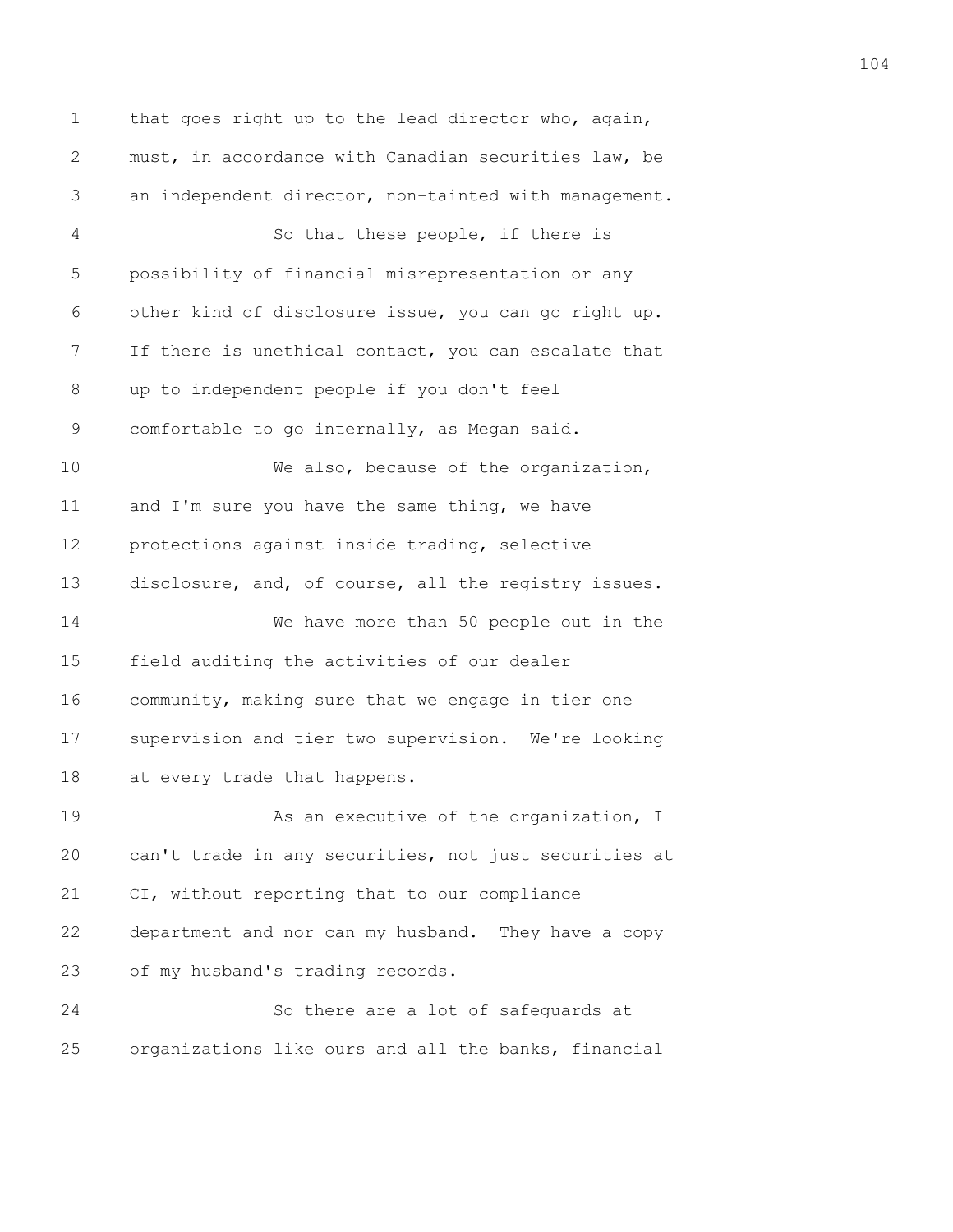1 that goes right up to the lead director who, again, 2 must, in accordance with Canadian securities law, be 3 an independent director, non-tainted with management. 4 So that these people, if there is 5 possibility of financial misrepresentation or any 6 other kind of disclosure issue, you can go right up. 7 If there is unethical contact, you can escalate that 8 up to independent people if you don't feel 9 comfortable to go internally, as Megan said. 10 We also, because of the organization, 11 and I'm sure you have the same thing, we have 12 protections against inside trading, selective 13 disclosure, and, of course, all the registry issues. 14 We have more than 50 people out in the 15 field auditing the activities of our dealer 16 community, making sure that we engage in tier one 17 supervision and tier two supervision. We're looking 18 at every trade that happens. 19 **As an executive of the organization, I** 20 can't trade in any securities, not just securities at 21 CI, without reporting that to our compliance 22 department and nor can my husband. They have a copy 23 of my husband's trading records. 24 So there are a lot of safeguards at 25 organizations like ours and all the banks, financial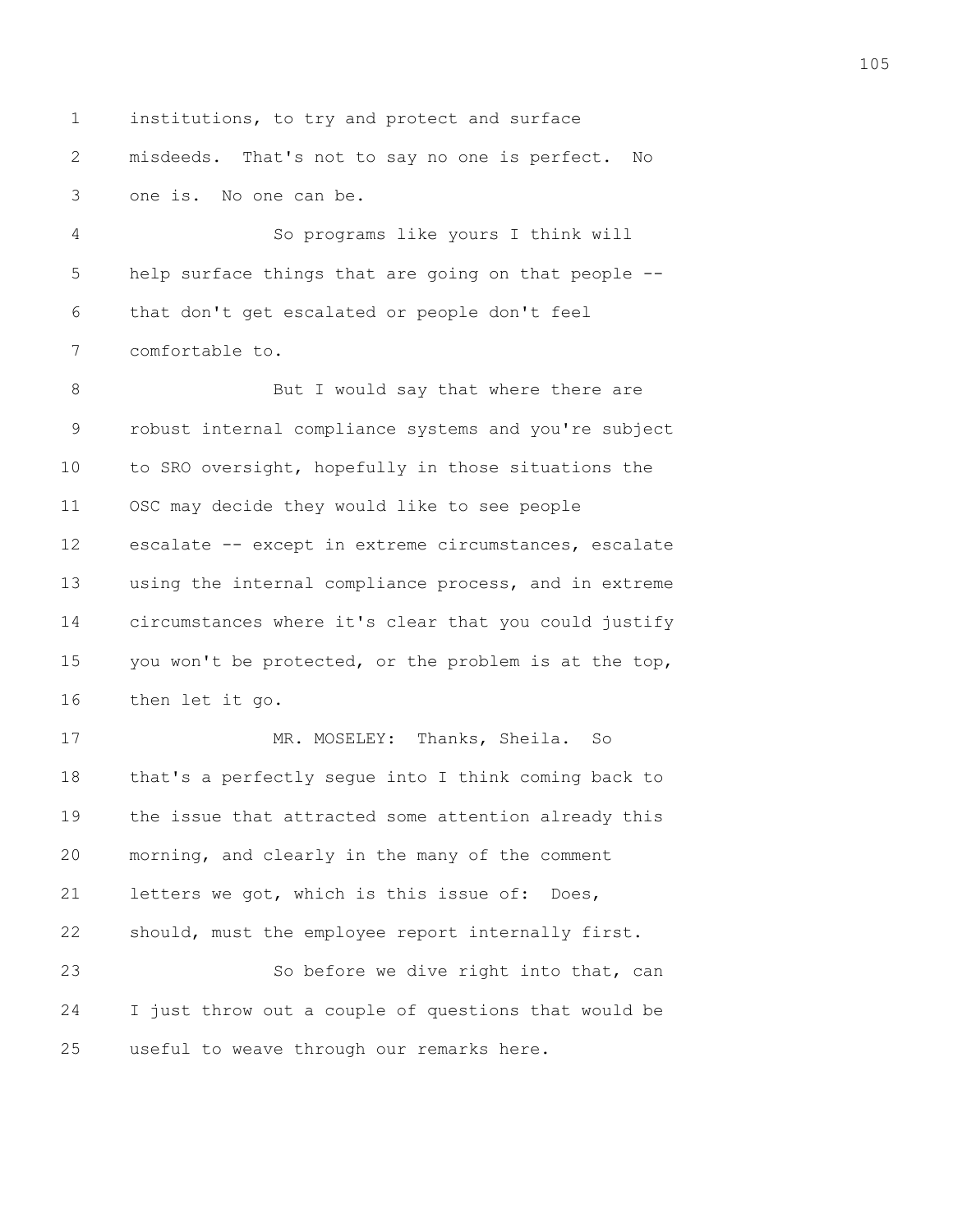1 institutions, to try and protect and surface 2 misdeeds. That's not to say no one is perfect. No 3 one is. No one can be.

4 So programs like yours I think will 5 help surface things that are going on that people -- 6 that don't get escalated or people don't feel 7 comfortable to.

8 But I would say that where there are 9 robust internal compliance systems and you're subject 10 to SRO oversight, hopefully in those situations the 11 OSC may decide they would like to see people 12 escalate -- except in extreme circumstances, escalate 13 using the internal compliance process, and in extreme 14 circumstances where it's clear that you could justify 15 you won't be protected, or the problem is at the top, 16 then let it go.

17 MR. MOSELEY: Thanks, Sheila. So 18 that's a perfectly segue into I think coming back to 19 the issue that attracted some attention already this 20 morning, and clearly in the many of the comment 21 letters we got, which is this issue of: Does, 22 should, must the employee report internally first. 23 So before we dive right into that, can

24 I just throw out a couple of questions that would be 25 useful to weave through our remarks here.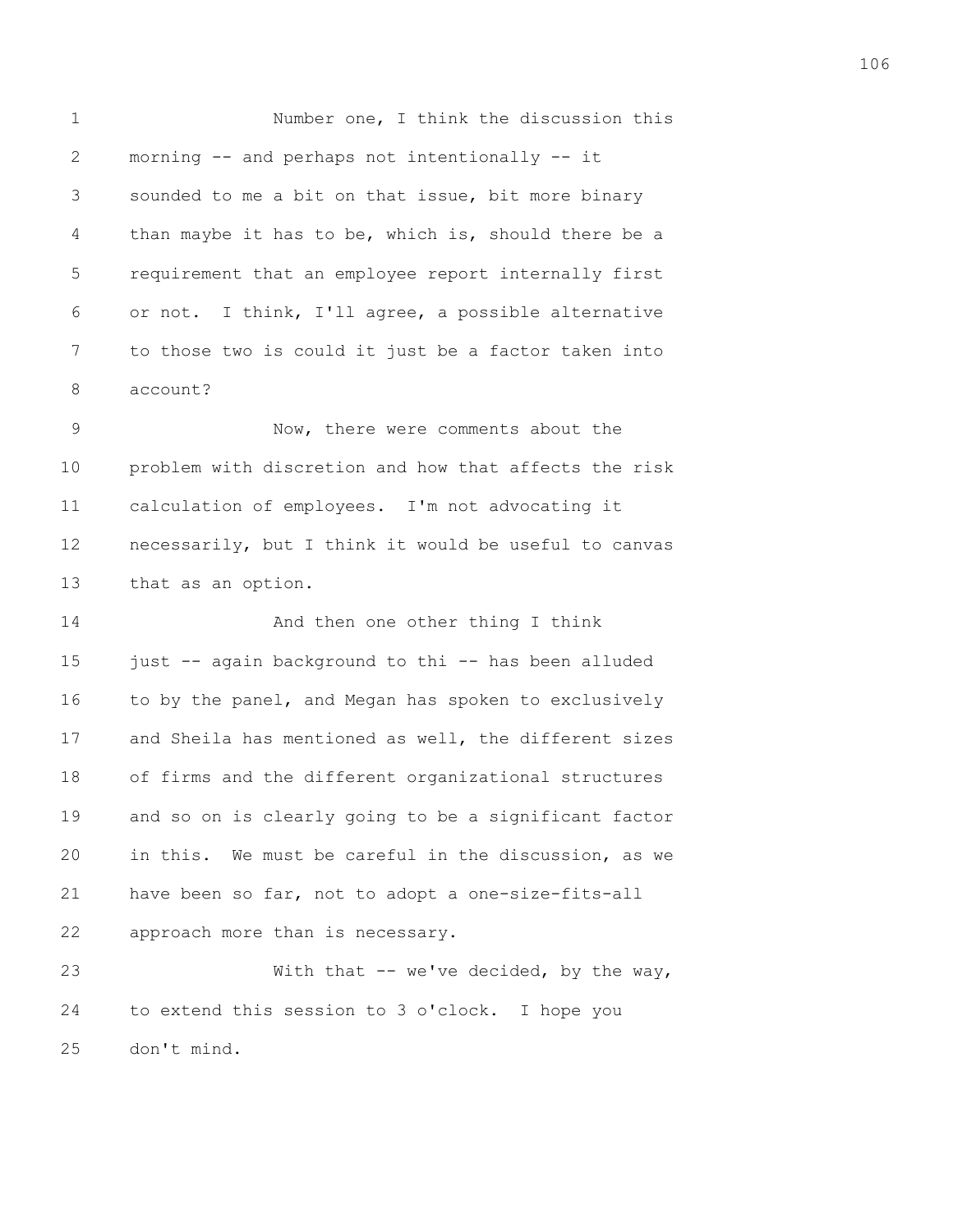1 Number one, I think the discussion this 2 morning -- and perhaps not intentionally -- it 3 sounded to me a bit on that issue, bit more binary 4 than maybe it has to be, which is, should there be a 5 requirement that an employee report internally first 6 or not. I think, I'll agree, a possible alternative 7 to those two is could it just be a factor taken into 8 account? 9 Now, there were comments about the 10 problem with discretion and how that affects the risk 11 calculation of employees. I'm not advocating it 12 necessarily, but I think it would be useful to canvas 13 that as an option. 14 And then one other thing I think 15 just -- again background to thi -- has been alluded 16 to by the panel, and Megan has spoken to exclusively 17 and Sheila has mentioned as well, the different sizes 18 of firms and the different organizational structures 19 and so on is clearly going to be a significant factor

20 in this. We must be careful in the discussion, as we 21 have been so far, not to adopt a one-size-fits-all 22 approach more than is necessary.

23 With that -- we've decided, by the way, 24 to extend this session to 3 o'clock. I hope you 25 don't mind.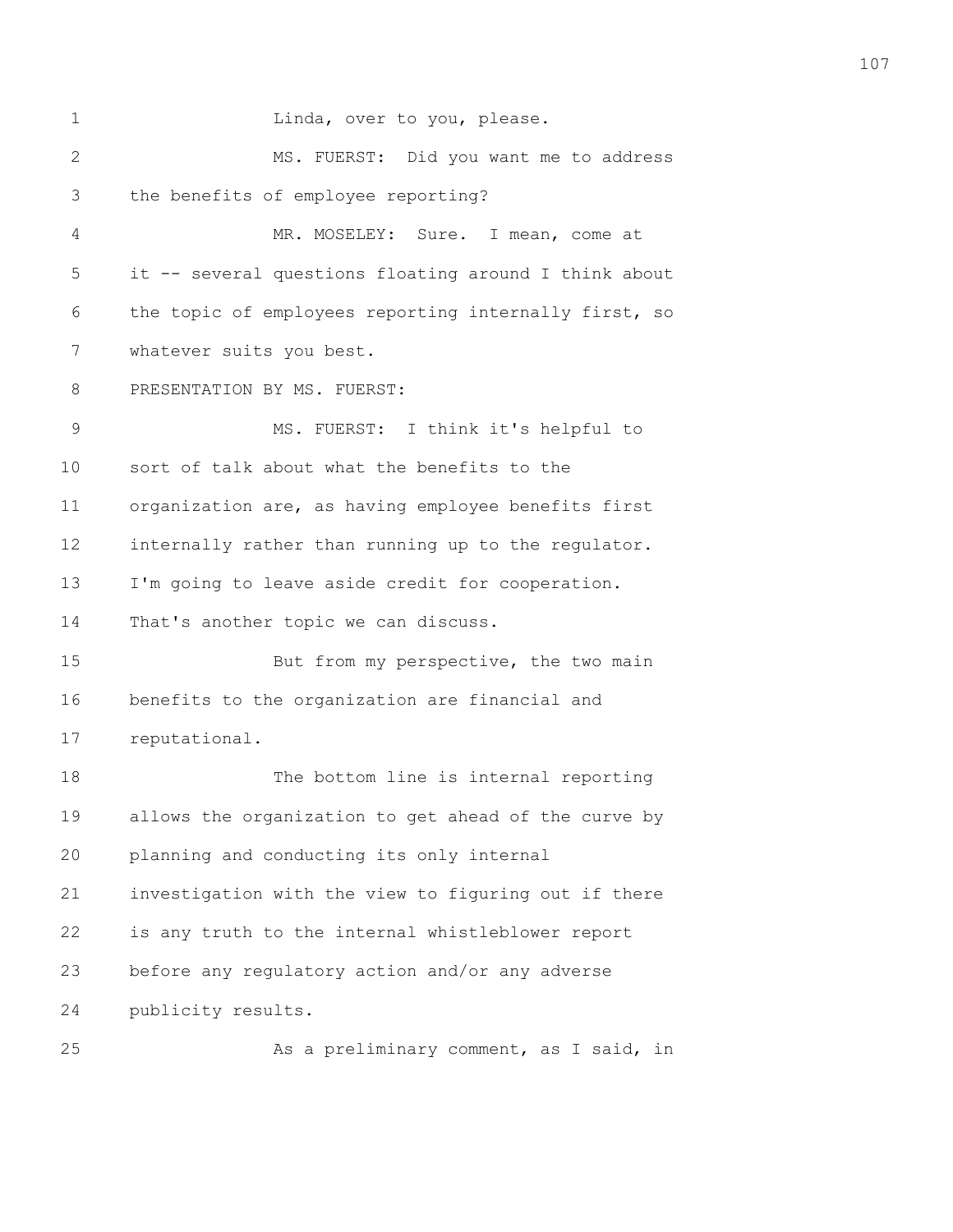| 1               | Linda, over to you, please.                           |
|-----------------|-------------------------------------------------------|
| $\mathbf{2}$    | MS. FUERST: Did you want me to address                |
| 3               | the benefits of employee reporting?                   |
| 4               | MR. MOSELEY: Sure. I mean, come at                    |
| 5               | it -- several questions floating around I think about |
| 6               | the topic of employees reporting internally first, so |
| 7               | whatever suits you best.                              |
| 8               | PRESENTATION BY MS. FUERST:                           |
| 9               | MS. FUERST: I think it's helpful to                   |
| 10              | sort of talk about what the benefits to the           |
| 11              | organization are, as having employee benefits first   |
| 12              | internally rather than running up to the regulator.   |
| 13              | I'm going to leave aside credit for cooperation.      |
| 14              | That's another topic we can discuss.                  |
| 15              | But from my perspective, the two main                 |
| 16              | benefits to the organization are financial and        |
| 17              | reputational.                                         |
| 18              | The bottom line is internal reporting                 |
| 19              | allows the organization to get ahead of the curve by  |
| 20              | planning and conducting its only internal             |
| 21              | investigation with the view to figuring out if there  |
| 22              | is any truth to the internal whistleblower report     |
| 23              | before any regulatory action and/or any adverse       |
| 24              | publicity results.                                    |
| $\cap$ $\Gamma$ |                                                       |

25 As a preliminary comment, as I said, in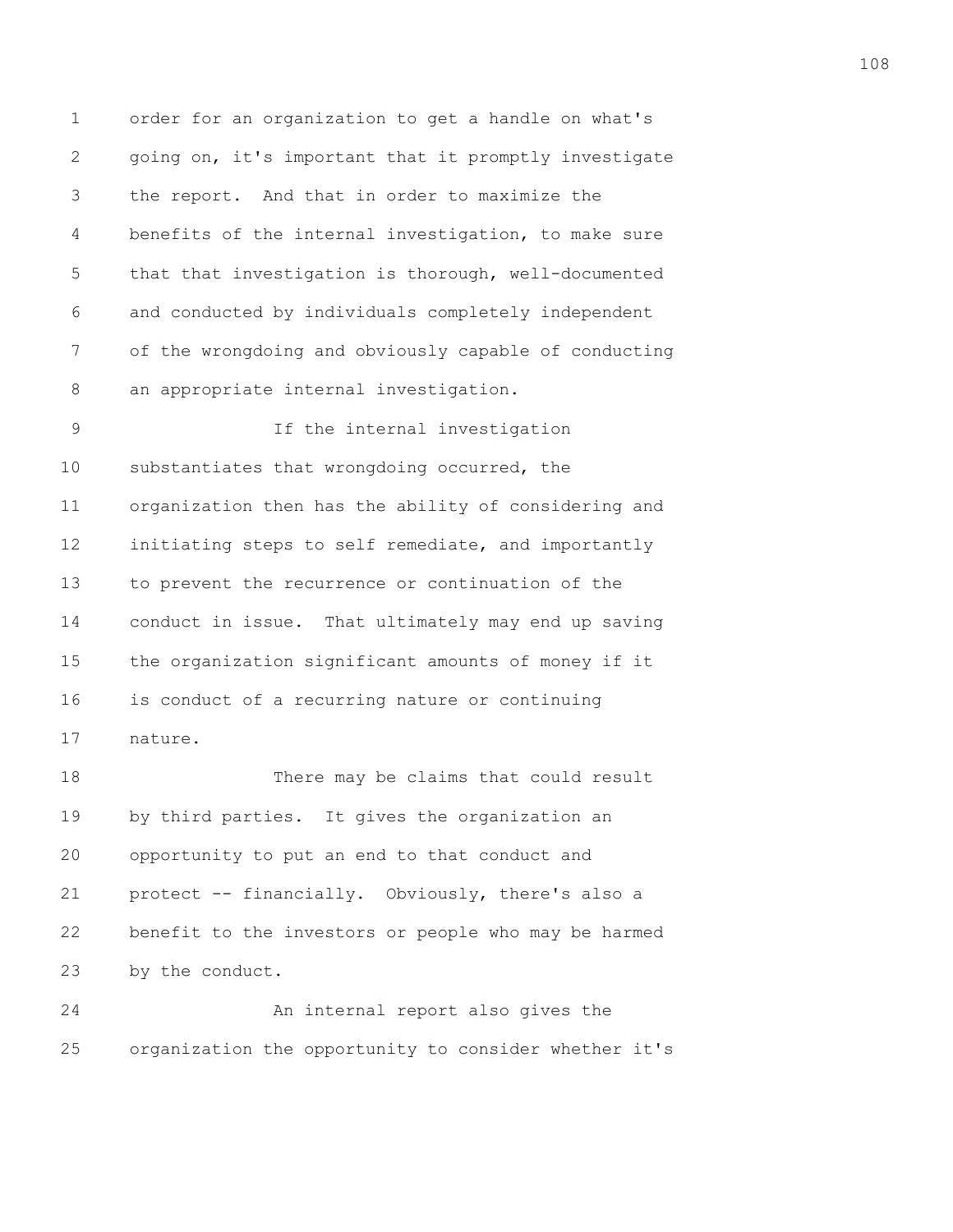1 order for an organization to get a handle on what's 2 going on, it's important that it promptly investigate 3 the report. And that in order to maximize the 4 benefits of the internal investigation, to make sure 5 that that investigation is thorough, well-documented 6 and conducted by individuals completely independent 7 of the wrongdoing and obviously capable of conducting 8 an appropriate internal investigation.

9 If the internal investigation 10 substantiates that wrongdoing occurred, the 11 organization then has the ability of considering and 12 initiating steps to self remediate, and importantly 13 to prevent the recurrence or continuation of the 14 conduct in issue. That ultimately may end up saving 15 the organization significant amounts of money if it 16 is conduct of a recurring nature or continuing 17 nature.

18 There may be claims that could result 19 by third parties. It gives the organization an 20 opportunity to put an end to that conduct and 21 protect -- financially. Obviously, there's also a 22 benefit to the investors or people who may be harmed 23 by the conduct.

24 An internal report also gives the 25 organization the opportunity to consider whether it's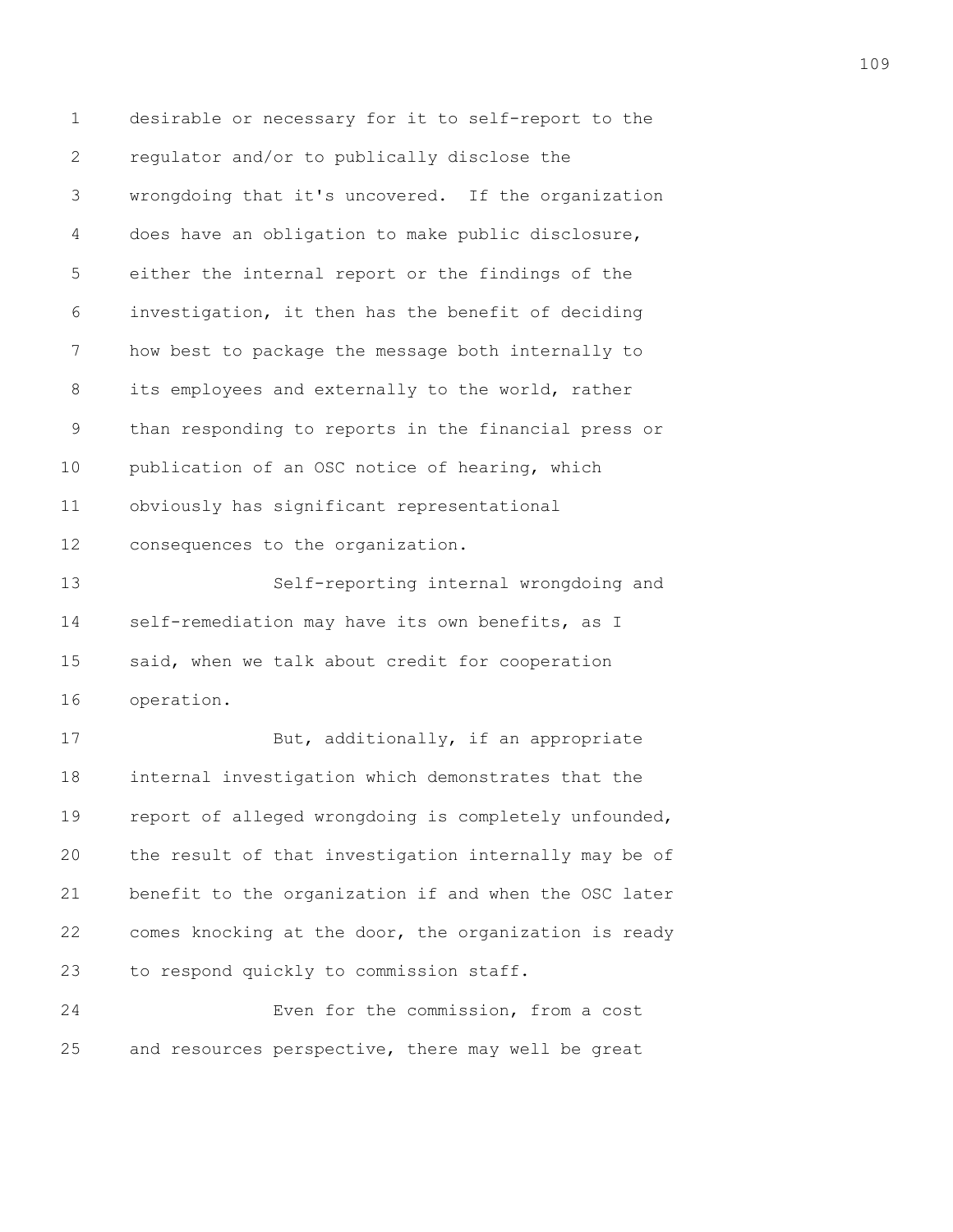1 desirable or necessary for it to self-report to the 2 regulator and/or to publically disclose the 3 wrongdoing that it's uncovered. If the organization 4 does have an obligation to make public disclosure, 5 either the internal report or the findings of the 6 investigation, it then has the benefit of deciding 7 how best to package the message both internally to 8 its employees and externally to the world, rather 9 than responding to reports in the financial press or 10 publication of an OSC notice of hearing, which 11 obviously has significant representational 12 consequences to the organization. 13 Self-reporting internal wrongdoing and 14 self-remediation may have its own benefits, as I 15 said, when we talk about credit for cooperation 16 operation.

17 But, additionally, if an appropriate 18 internal investigation which demonstrates that the 19 report of alleged wrongdoing is completely unfounded, 20 the result of that investigation internally may be of 21 benefit to the organization if and when the OSC later 22 comes knocking at the door, the organization is ready 23 to respond quickly to commission staff.

24 Even for the commission, from a cost 25 and resources perspective, there may well be great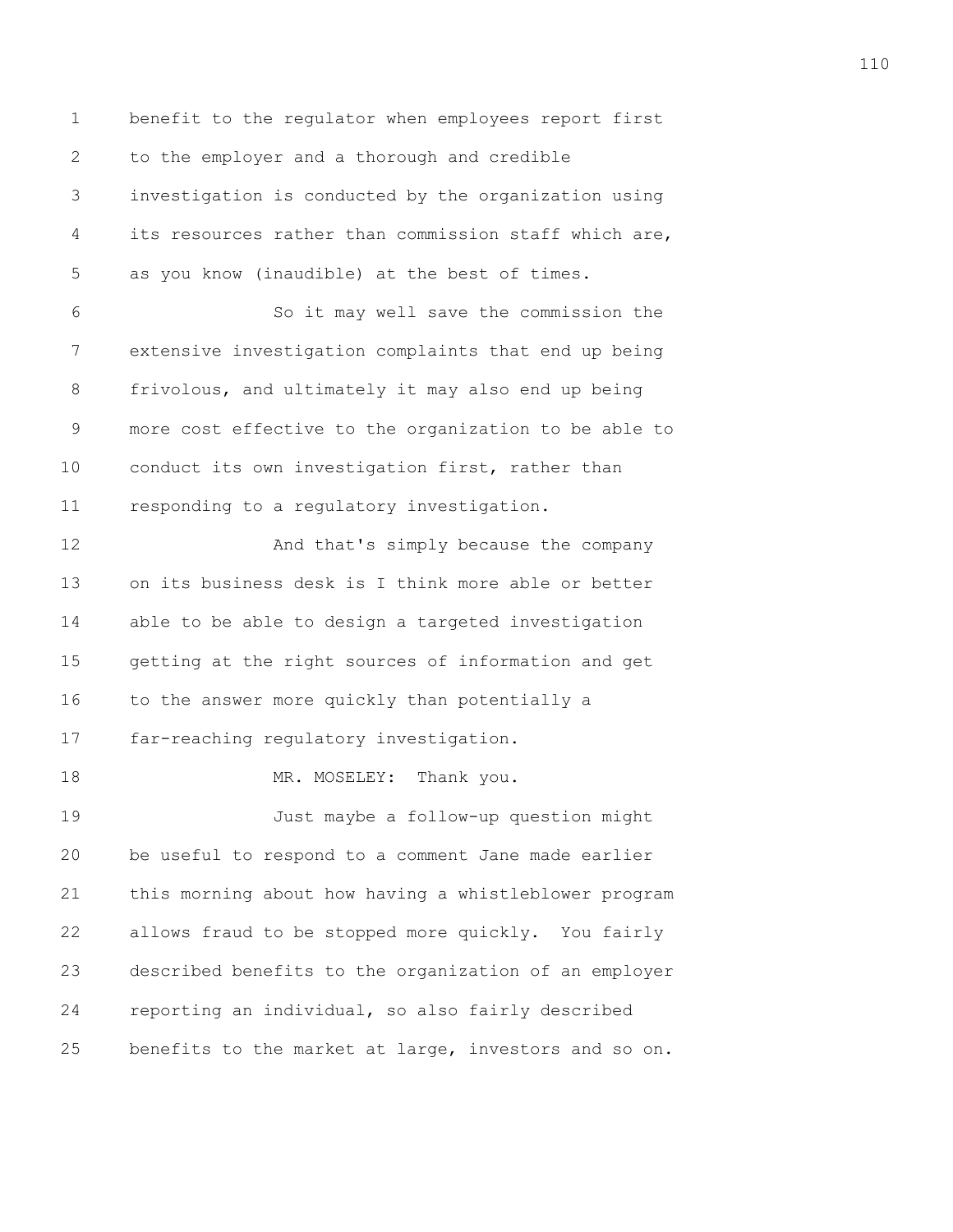1 benefit to the regulator when employees report first 2 to the employer and a thorough and credible 3 investigation is conducted by the organization using 4 its resources rather than commission staff which are, 5 as you know (inaudible) at the best of times. 6 So it may well save the commission the 7 extensive investigation complaints that end up being 8 frivolous, and ultimately it may also end up being 9 more cost effective to the organization to be able to 10 conduct its own investigation first, rather than 11 responding to a regulatory investigation. 12 And that's simply because the company 13 on its business desk is I think more able or better 14 able to be able to design a targeted investigation 15 getting at the right sources of information and get 16 to the answer more quickly than potentially a 17 far-reaching regulatory investigation. 18 MR. MOSELEY: Thank you. 19 Just maybe a follow-up question might 20 be useful to respond to a comment Jane made earlier 21 this morning about how having a whistleblower program 22 allows fraud to be stopped more quickly. You fairly 23 described benefits to the organization of an employer 24 reporting an individual, so also fairly described 25 benefits to the market at large, investors and so on.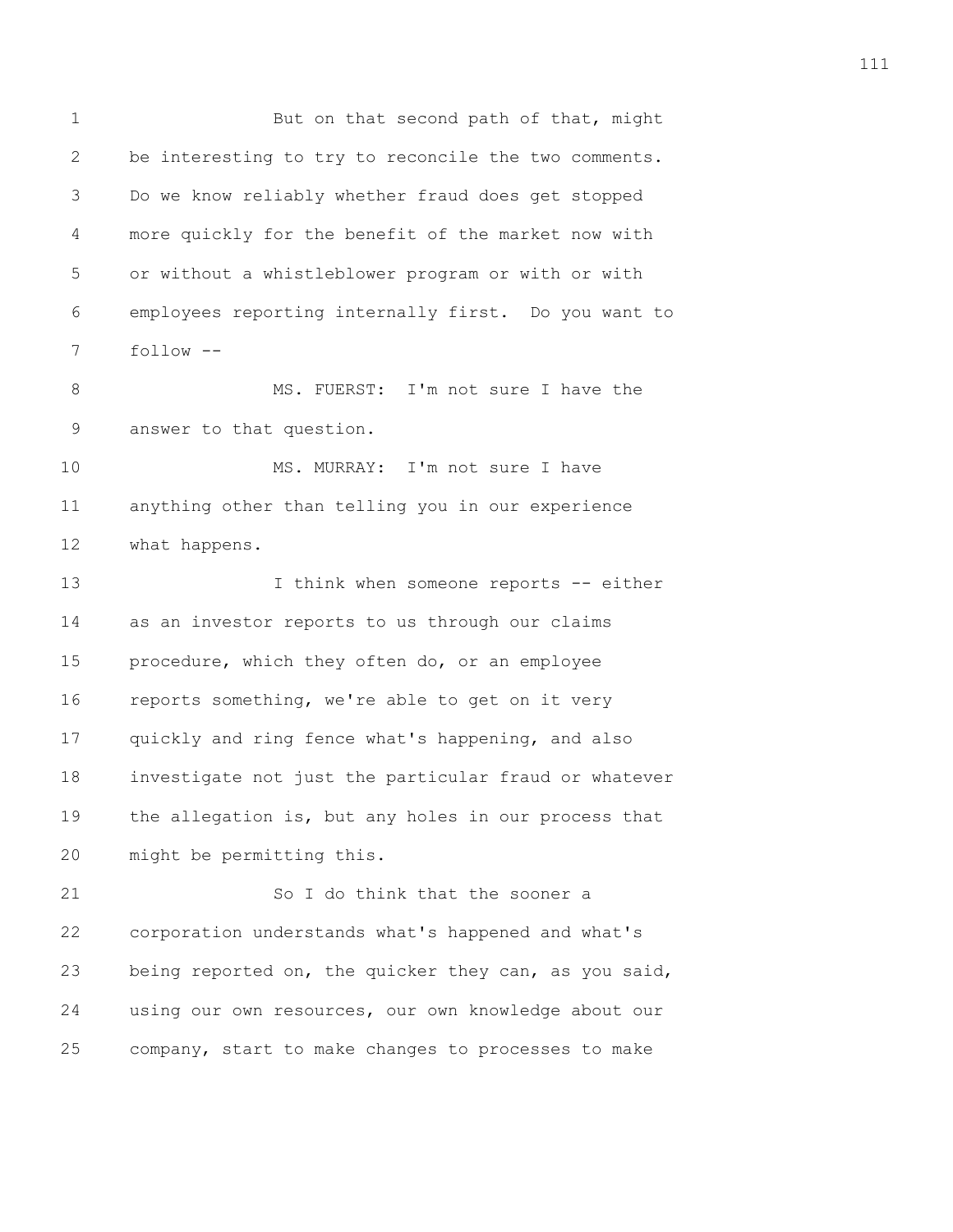1 But on that second path of that, might 2 be interesting to try to reconcile the two comments. 3 Do we know reliably whether fraud does get stopped 4 more quickly for the benefit of the market now with 5 or without a whistleblower program or with or with 6 employees reporting internally first. Do you want to 7 follow -- 8 MS. FUERST: I'm not sure I have the 9 answer to that question. 10 MS. MURRAY: I'm not sure I have 11 anything other than telling you in our experience 12 what happens. 13 I think when someone reports -- either 14 as an investor reports to us through our claims 15 procedure, which they often do, or an employee 16 reports something, we're able to get on it very 17 quickly and ring fence what's happening, and also 18 investigate not just the particular fraud or whatever 19 the allegation is, but any holes in our process that 20 might be permitting this. 21 So I do think that the sooner a 22 corporation understands what's happened and what's 23 being reported on, the quicker they can, as you said, 24 using our own resources, our own knowledge about our 25 company, start to make changes to processes to make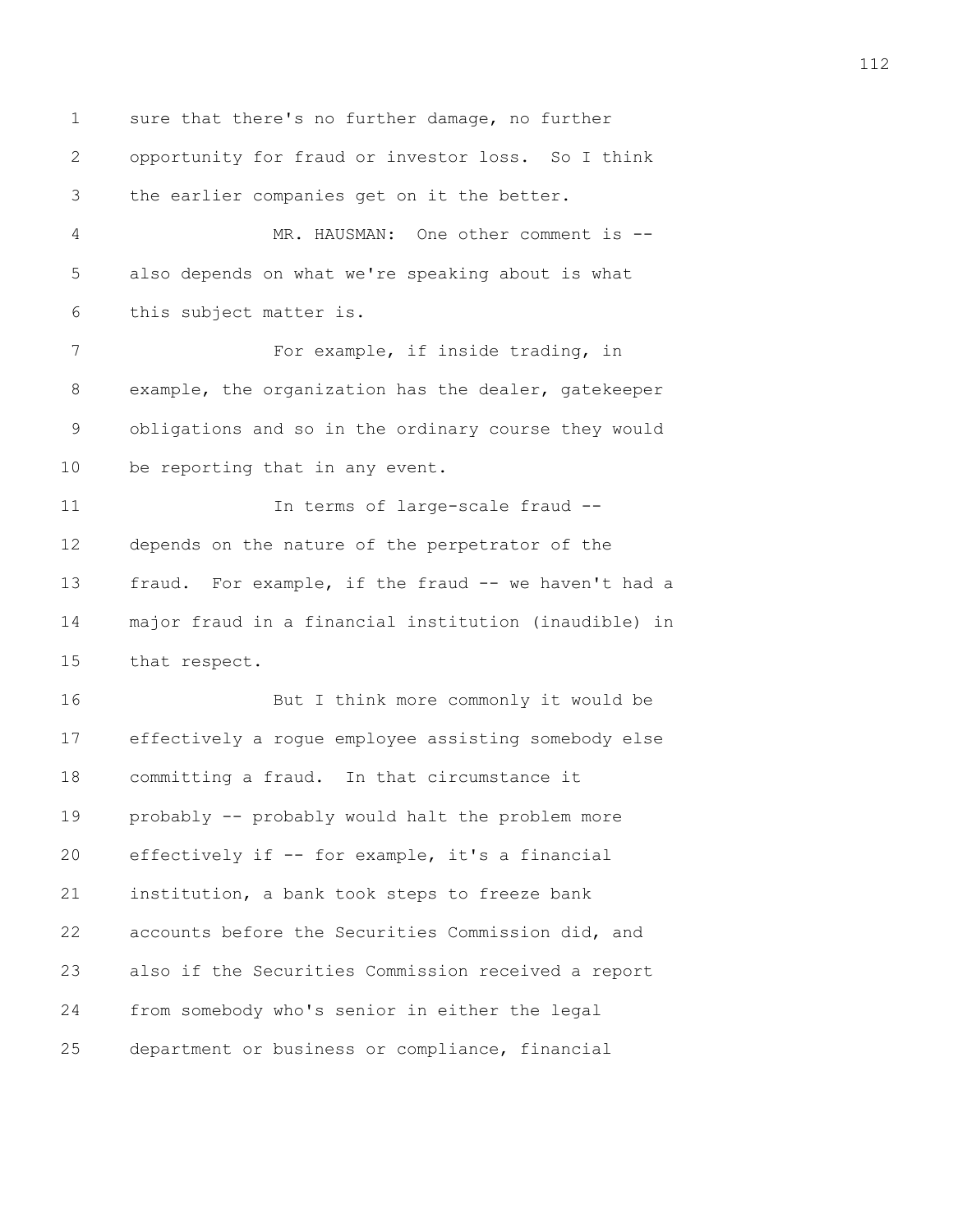1 sure that there's no further damage, no further 2 opportunity for fraud or investor loss. So I think 3 the earlier companies get on it the better. 4 MR. HAUSMAN: One other comment is -- 5 also depends on what we're speaking about is what 6 this subject matter is. 7 For example, if inside trading, in 8 example, the organization has the dealer, gatekeeper 9 obligations and so in the ordinary course they would 10 be reporting that in any event. 11 11 In terms of large-scale fraud --12 depends on the nature of the perpetrator of the 13 fraud. For example, if the fraud -- we haven't had a 14 major fraud in a financial institution (inaudible) in 15 that respect. 16 But I think more commonly it would be 17 effectively a rogue employee assisting somebody else 18 committing a fraud. In that circumstance it 19 probably -- probably would halt the problem more 20 effectively if -- for example, it's a financial 21 institution, a bank took steps to freeze bank 22 accounts before the Securities Commission did, and 23 also if the Securities Commission received a report 24 from somebody who's senior in either the legal 25 department or business or compliance, financial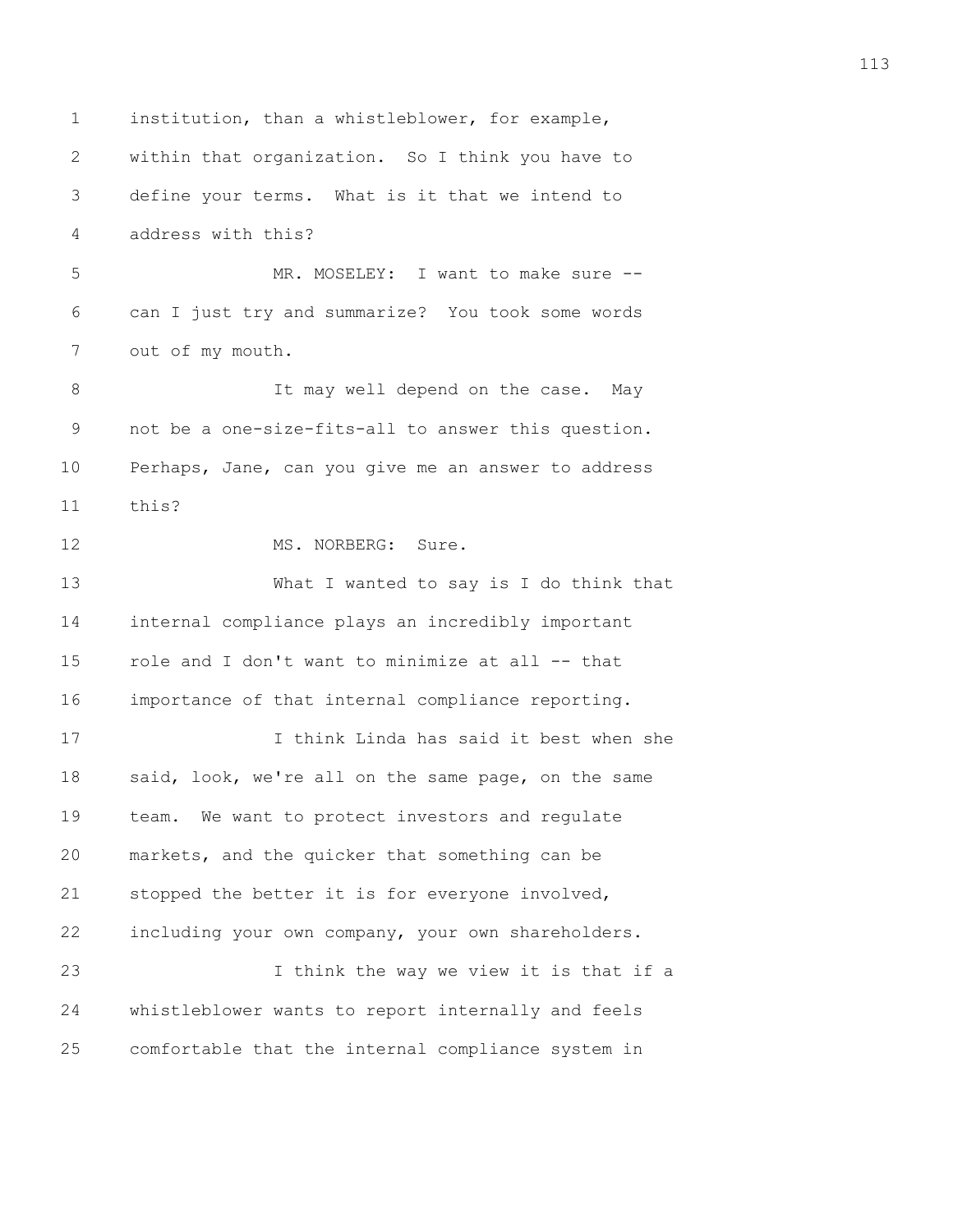1 institution, than a whistleblower, for example, 2 within that organization. So I think you have to 3 define your terms. What is it that we intend to 4 address with this? 5 MR. MOSELEY: I want to make sure --6 can I just try and summarize? You took some words 7 out of my mouth. 8 It may well depend on the case. May 9 not be a one-size-fits-all to answer this question. 10 Perhaps, Jane, can you give me an answer to address 11 this? 12 MS. NORBERG: Sure. 13 What I wanted to say is I do think that 14 internal compliance plays an incredibly important 15 role and I don't want to minimize at all -- that 16 importance of that internal compliance reporting. 17 I think Linda has said it best when she 18 said, look, we're all on the same page, on the same 19 team. We want to protect investors and regulate 20 markets, and the quicker that something can be 21 stopped the better it is for everyone involved, 22 including your own company, your own shareholders. 23 I think the way we view it is that if a 24 whistleblower wants to report internally and feels 25 comfortable that the internal compliance system in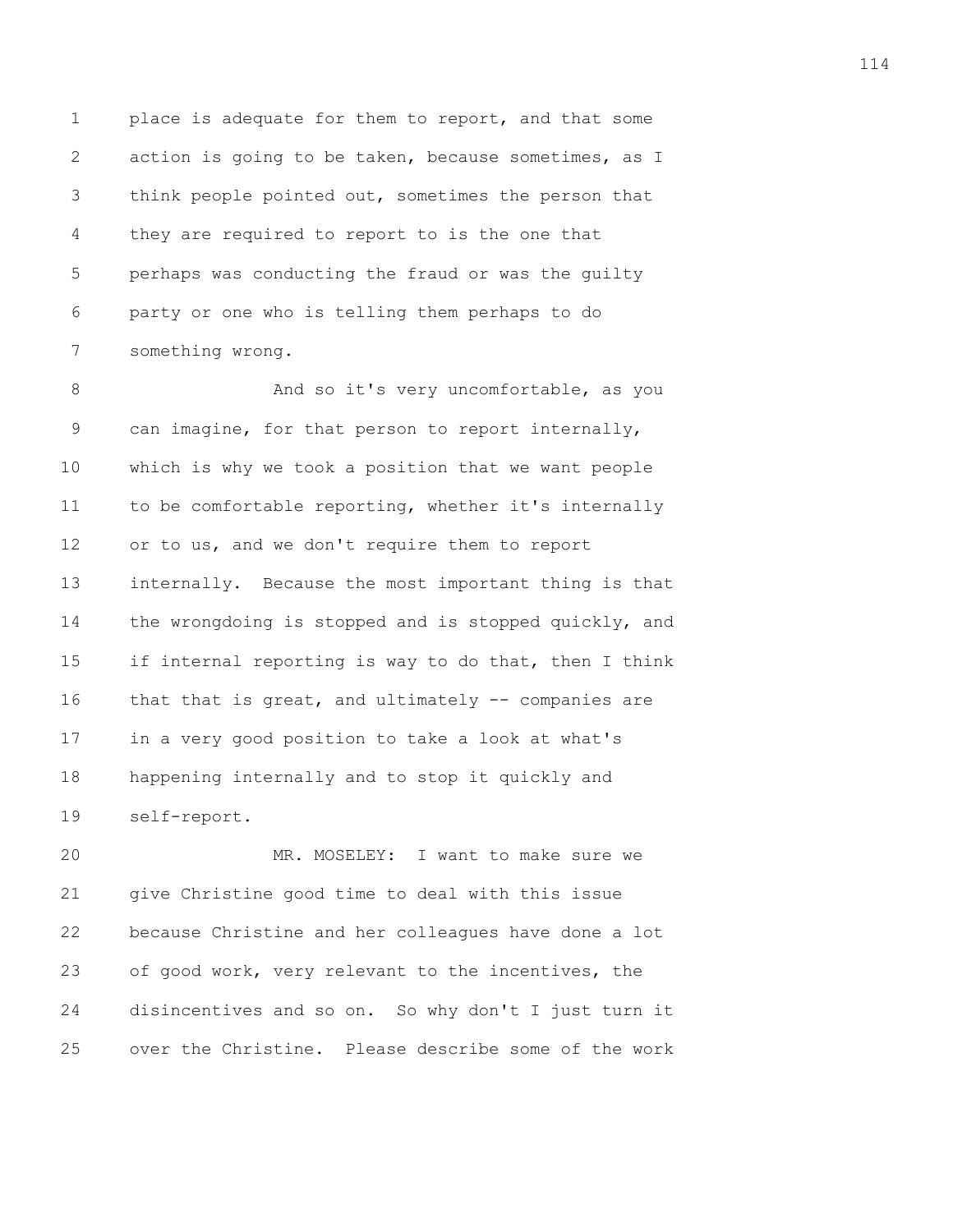1 place is adequate for them to report, and that some 2 action is going to be taken, because sometimes, as I 3 think people pointed out, sometimes the person that 4 they are required to report to is the one that 5 perhaps was conducting the fraud or was the guilty 6 party or one who is telling them perhaps to do 7 something wrong.

8 And so it's very uncomfortable, as you 9 can imagine, for that person to report internally, 10 which is why we took a position that we want people 11 to be comfortable reporting, whether it's internally 12 or to us, and we don't require them to report 13 internally. Because the most important thing is that 14 the wrongdoing is stopped and is stopped quickly, and 15 if internal reporting is way to do that, then I think 16 that that is great, and ultimately -- companies are 17 in a very good position to take a look at what's 18 happening internally and to stop it quickly and 19 self-report.

20 MR. MOSELEY: I want to make sure we 21 give Christine good time to deal with this issue 22 because Christine and her colleagues have done a lot 23 of good work, very relevant to the incentives, the 24 disincentives and so on. So why don't I just turn it 25 over the Christine. Please describe some of the work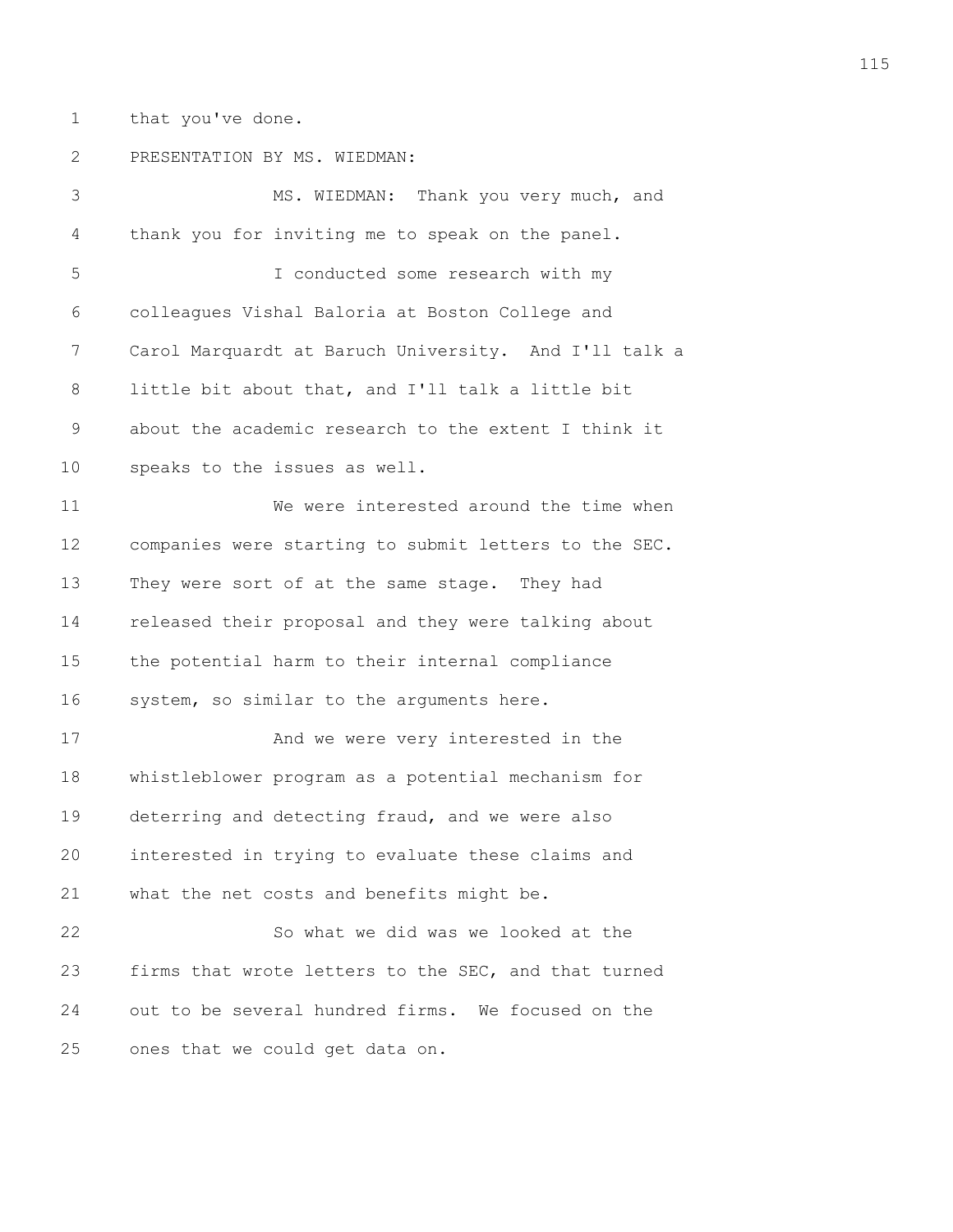1 that you've done.

## 2 PRESENTATION BY MS. WIEDMAN:

3 MS. WIEDMAN: Thank you very much, and 4 thank you for inviting me to speak on the panel. 5 I conducted some research with my 6 colleagues Vishal Baloria at Boston College and 7 Carol Marquardt at Baruch University. And I'll talk a 8 little bit about that, and I'll talk a little bit 9 about the academic research to the extent I think it 10 speaks to the issues as well. 11 We were interested around the time when 12 companies were starting to submit letters to the SEC. 13 They were sort of at the same stage. They had 14 released their proposal and they were talking about 15 the potential harm to their internal compliance 16 system, so similar to the arguments here. 17 And we were very interested in the 18 whistleblower program as a potential mechanism for 19 deterring and detecting fraud, and we were also 20 interested in trying to evaluate these claims and 21 what the net costs and benefits might be. 22 So what we did was we looked at the 23 firms that wrote letters to the SEC, and that turned 24 out to be several hundred firms. We focused on the 25 ones that we could get data on.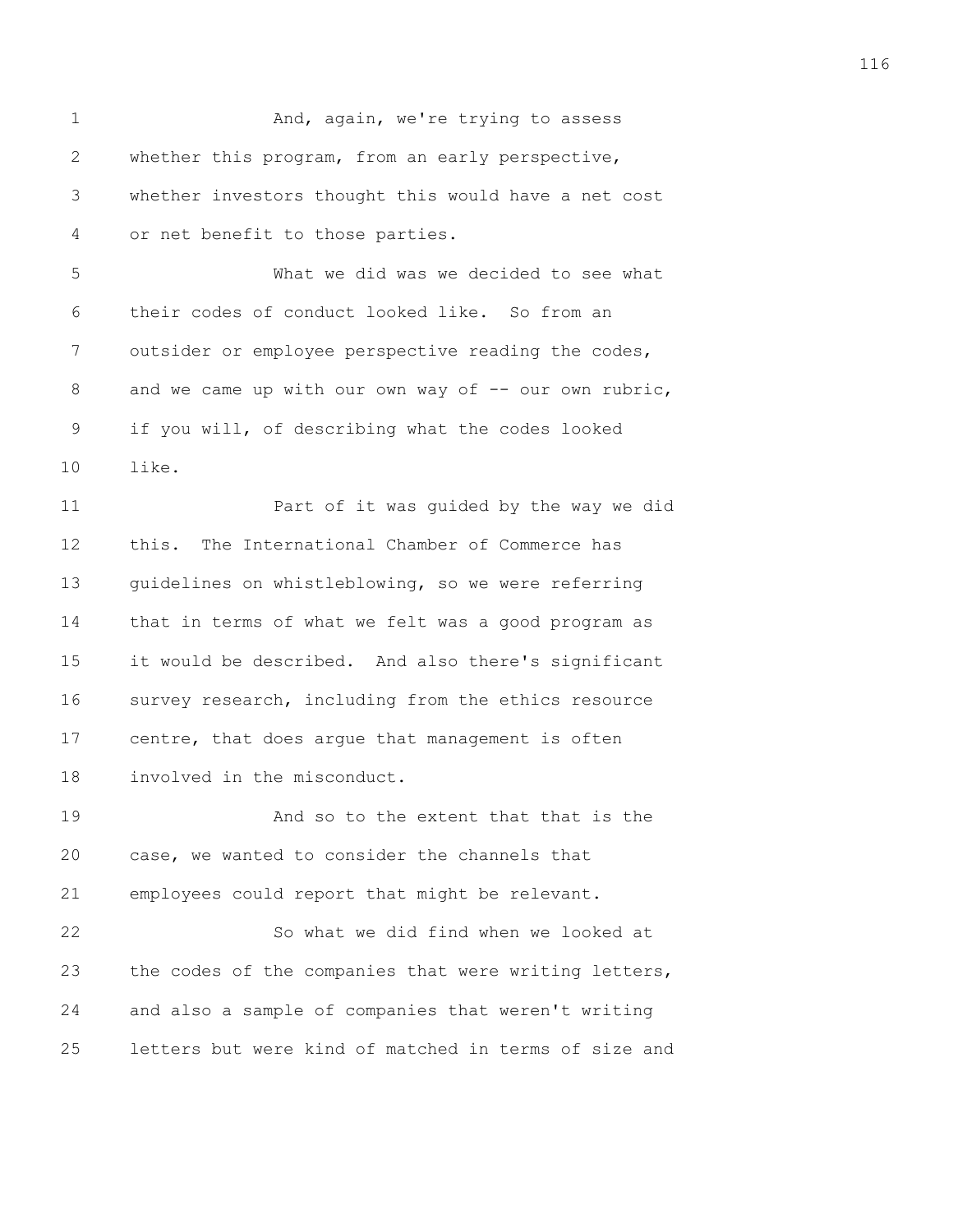1 And, again, we're trying to assess 2 whether this program, from an early perspective, 3 whether investors thought this would have a net cost 4 or net benefit to those parties. 5 What we did was we decided to see what 6 their codes of conduct looked like. So from an 7 outsider or employee perspective reading the codes, 8 and we came up with our own way of -- our own rubric, 9 if you will, of describing what the codes looked 10 like. 11 Part of it was guided by the way we did 12 this. The International Chamber of Commerce has 13 guidelines on whistleblowing, so we were referring 14 that in terms of what we felt was a good program as 15 it would be described. And also there's significant 16 survey research, including from the ethics resource 17 centre, that does argue that management is often 18 involved in the misconduct. 19 And so to the extent that that is the 20 case, we wanted to consider the channels that 21 employees could report that might be relevant. 22 So what we did find when we looked at 23 the codes of the companies that were writing letters, 24 and also a sample of companies that weren't writing 25 letters but were kind of matched in terms of size and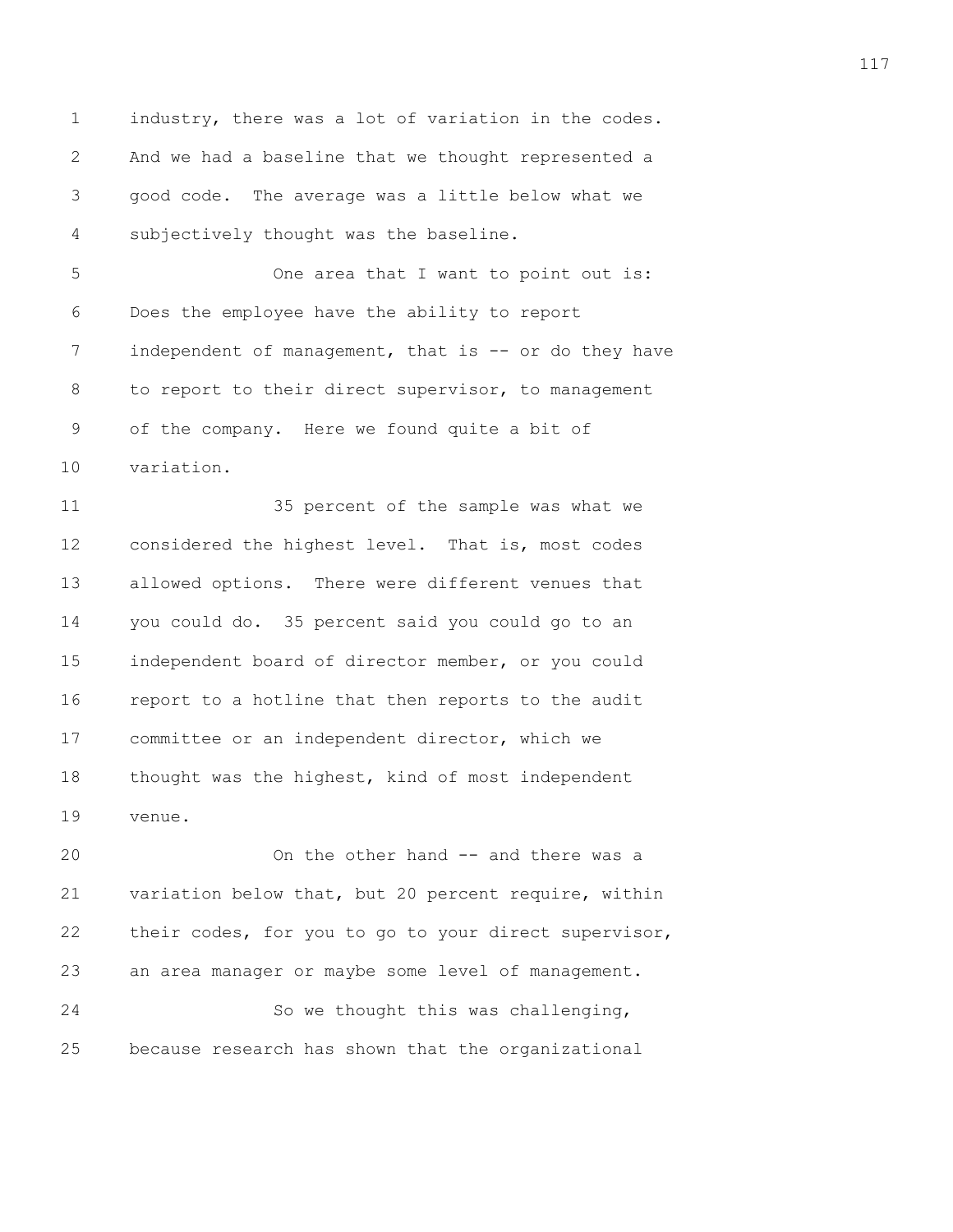1 industry, there was a lot of variation in the codes. 2 And we had a baseline that we thought represented a 3 good code. The average was a little below what we 4 subjectively thought was the baseline.

5 One area that I want to point out is: 6 Does the employee have the ability to report 7 independent of management, that is -- or do they have 8 to report to their direct supervisor, to management 9 of the company. Here we found quite a bit of 10 variation.

11 35 percent of the sample was what we 12 considered the highest level. That is, most codes 13 allowed options. There were different venues that 14 you could do. 35 percent said you could go to an 15 independent board of director member, or you could 16 report to a hotline that then reports to the audit 17 committee or an independent director, which we 18 thought was the highest, kind of most independent 19 venue.

20 On the other hand -- and there was a 21 variation below that, but 20 percent require, within 22 their codes, for you to go to your direct supervisor, 23 an area manager or maybe some level of management. 24 So we thought this was challenging, 25 because research has shown that the organizational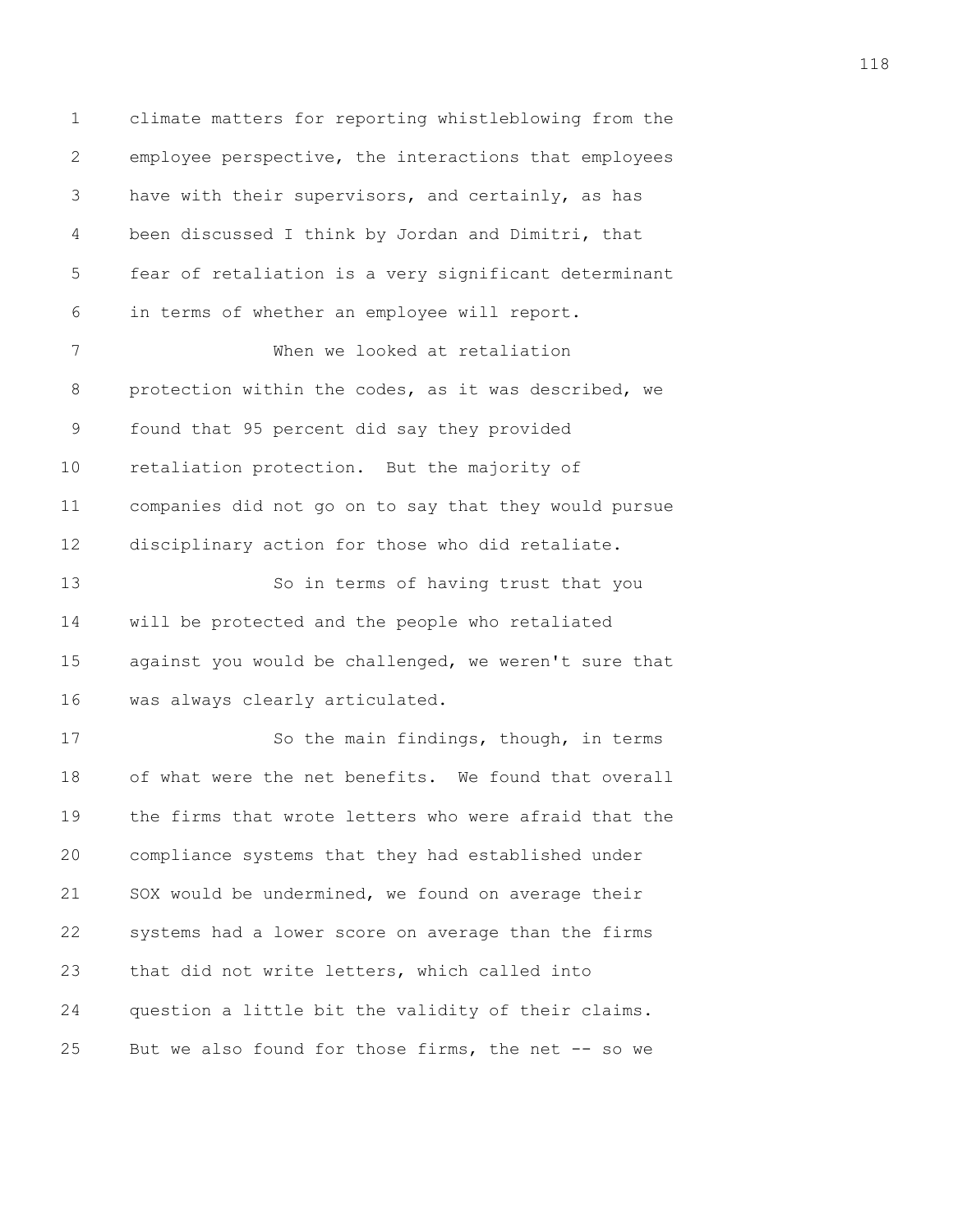1 climate matters for reporting whistleblowing from the 2 employee perspective, the interactions that employees 3 have with their supervisors, and certainly, as has 4 been discussed I think by Jordan and Dimitri, that 5 fear of retaliation is a very significant determinant 6 in terms of whether an employee will report. 7 When we looked at retaliation 8 protection within the codes, as it was described, we 9 found that 95 percent did say they provided 10 retaliation protection. But the majority of 11 companies did not go on to say that they would pursue 12 disciplinary action for those who did retaliate. 13 So in terms of having trust that you 14 will be protected and the people who retaliated 15 against you would be challenged, we weren't sure that 16 was always clearly articulated. 17 So the main findings, though, in terms 18 of what were the net benefits. We found that overall 19 the firms that wrote letters who were afraid that the 20 compliance systems that they had established under 21 SOX would be undermined, we found on average their 22 systems had a lower score on average than the firms 23 that did not write letters, which called into 24 question a little bit the validity of their claims. 25 But we also found for those firms, the net -- so we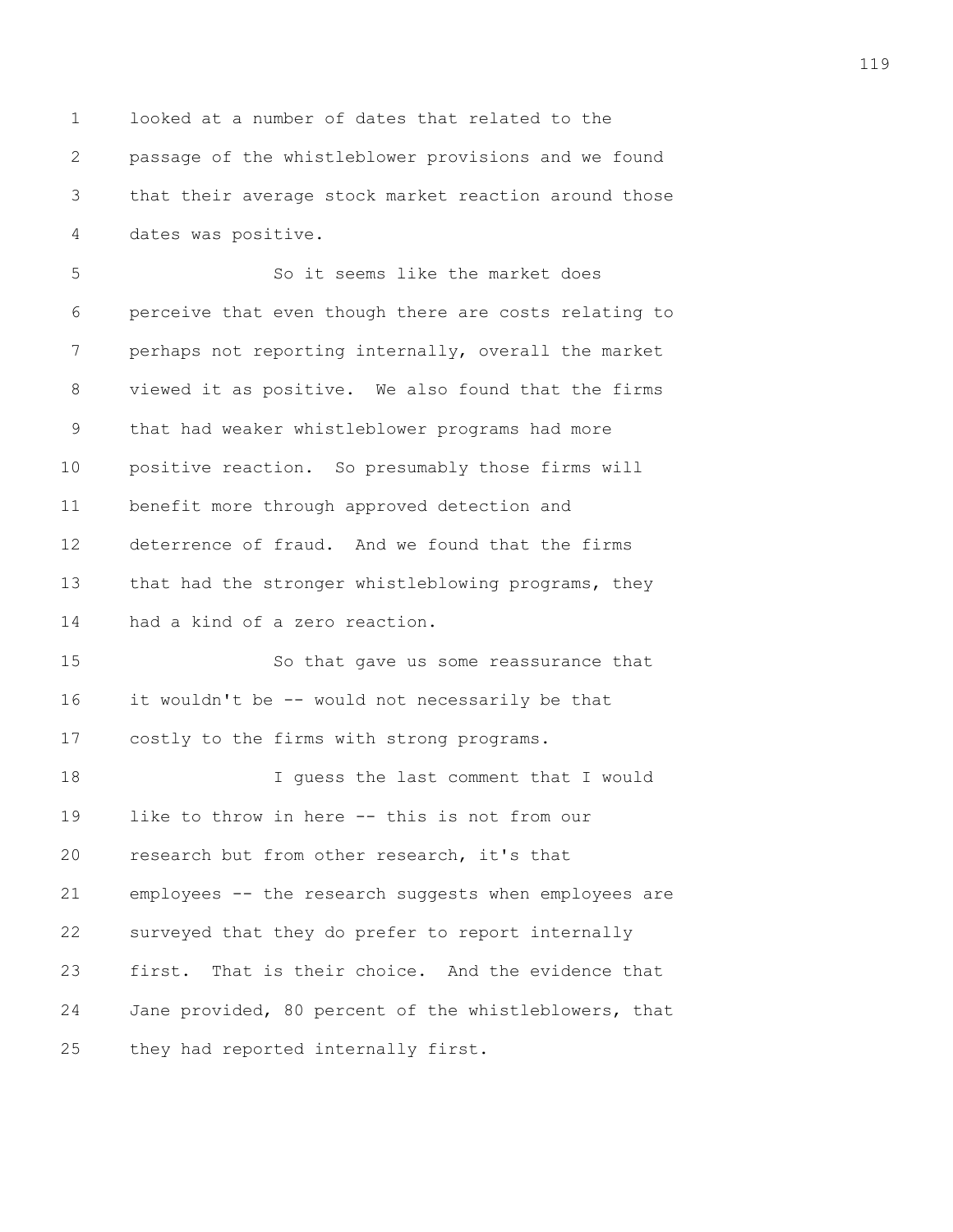1 looked at a number of dates that related to the 2 passage of the whistleblower provisions and we found 3 that their average stock market reaction around those 4 dates was positive.

5 So it seems like the market does 6 perceive that even though there are costs relating to 7 perhaps not reporting internally, overall the market 8 viewed it as positive. We also found that the firms 9 that had weaker whistleblower programs had more 10 positive reaction. So presumably those firms will 11 benefit more through approved detection and 12 deterrence of fraud. And we found that the firms 13 that had the stronger whistleblowing programs, they 14 had a kind of a zero reaction. 15 So that gave us some reassurance that

16 it wouldn't be -- would not necessarily be that 17 costly to the firms with strong programs.

18 I guess the last comment that I would 19 like to throw in here -- this is not from our 20 research but from other research, it's that 21 employees -- the research suggests when employees are 22 surveyed that they do prefer to report internally 23 first. That is their choice. And the evidence that 24 Jane provided, 80 percent of the whistleblowers, that 25 they had reported internally first.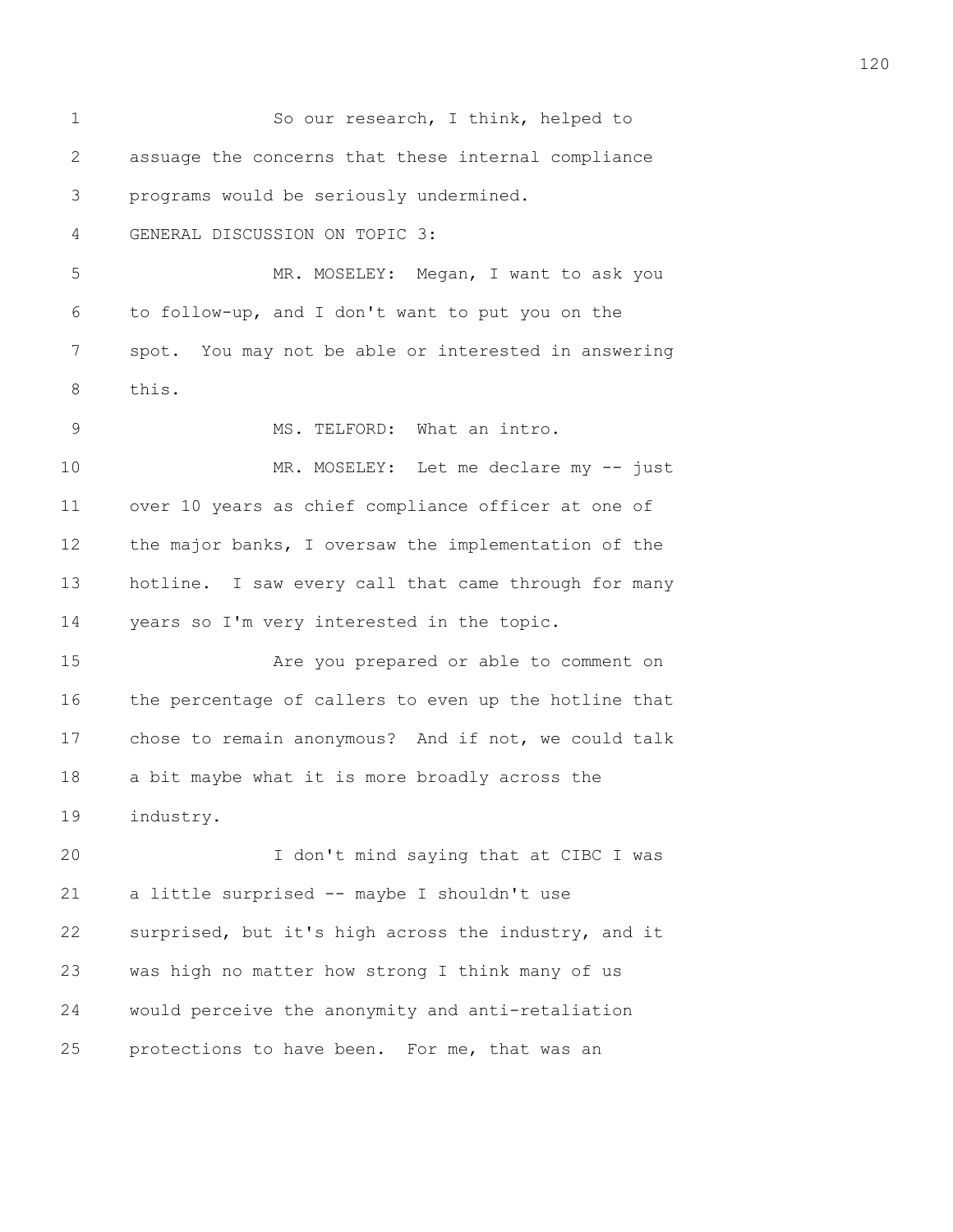| $\mathbf 1$ | So our research, I think, helped to                   |
|-------------|-------------------------------------------------------|
| 2           | assuage the concerns that these internal compliance   |
| 3           | programs would be seriously undermined.               |
| 4           | GENERAL DISCUSSION ON TOPIC 3:                        |
| 5           | MR. MOSELEY: Megan, I want to ask you                 |
| 6           | to follow-up, and I don't want to put you on the      |
| 7           | spot. You may not be able or interested in answering  |
| 8           | this.                                                 |
| 9           | MS. TELFORD: What an intro.                           |
| 10          | MR. MOSELEY: Let me declare my -- just                |
| 11          | over 10 years as chief compliance officer at one of   |
| 12          | the major banks, I oversaw the implementation of the  |
| 13          | hotline. I saw every call that came through for many  |
| 14          | years so I'm very interested in the topic.            |
| 15          | Are you prepared or able to comment on                |
| 16          | the percentage of callers to even up the hotline that |
| 17          | chose to remain anonymous? And if not, we could talk  |
| 18          | a bit maybe what it is more broadly across the        |
| 19          | industry.                                             |
| 20          | I don't mind saying that at CIBC I was                |
| 21          | a little surprised -- maybe I shouldn't use           |
| 22          | surprised, but it's high across the industry, and it  |
| 23          | was high no matter how strong I think many of us      |
| 24          | would perceive the anonymity and anti-retaliation     |
| 25          | protections to have been.<br>For me, that was an      |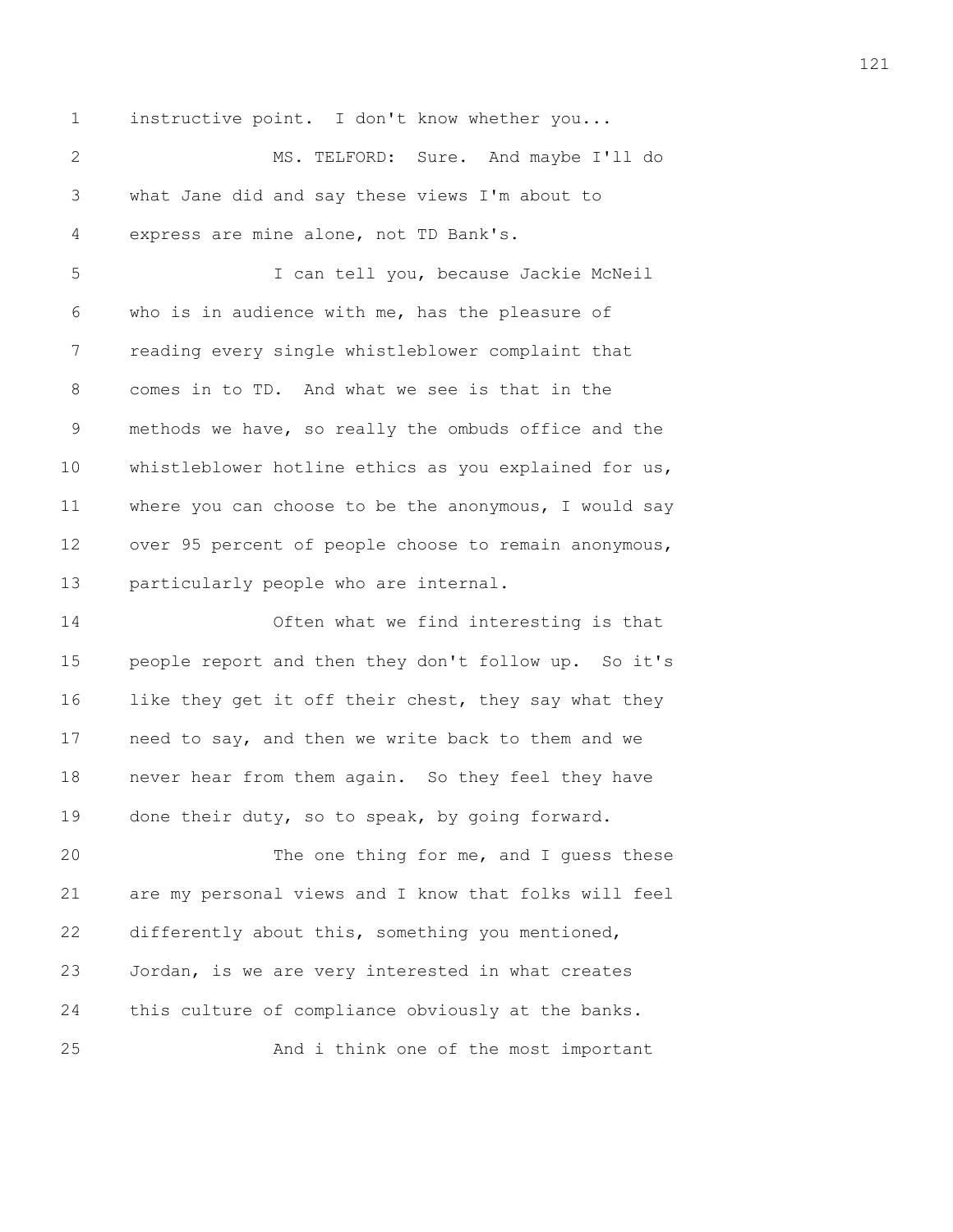1 instructive point. I don't know whether you...

2 MS. TELFORD: Sure. And maybe I'll do 3 what Jane did and say these views I'm about to 4 express are mine alone, not TD Bank's.

5 I can tell you, because Jackie McNeil 6 who is in audience with me, has the pleasure of 7 reading every single whistleblower complaint that 8 comes in to TD. And what we see is that in the 9 methods we have, so really the ombuds office and the 10 whistleblower hotline ethics as you explained for us, 11 where you can choose to be the anonymous, I would say 12 over 95 percent of people choose to remain anonymous, 13 particularly people who are internal.

14 Often what we find interesting is that 15 people report and then they don't follow up. So it's 16 like they get it off their chest, they say what they 17 need to say, and then we write back to them and we 18 never hear from them again. So they feel they have 19 done their duty, so to speak, by going forward.

20 The one thing for me, and I guess these 21 are my personal views and I know that folks will feel 22 differently about this, something you mentioned, 23 Jordan, is we are very interested in what creates 24 this culture of compliance obviously at the banks. 25 And i think one of the most important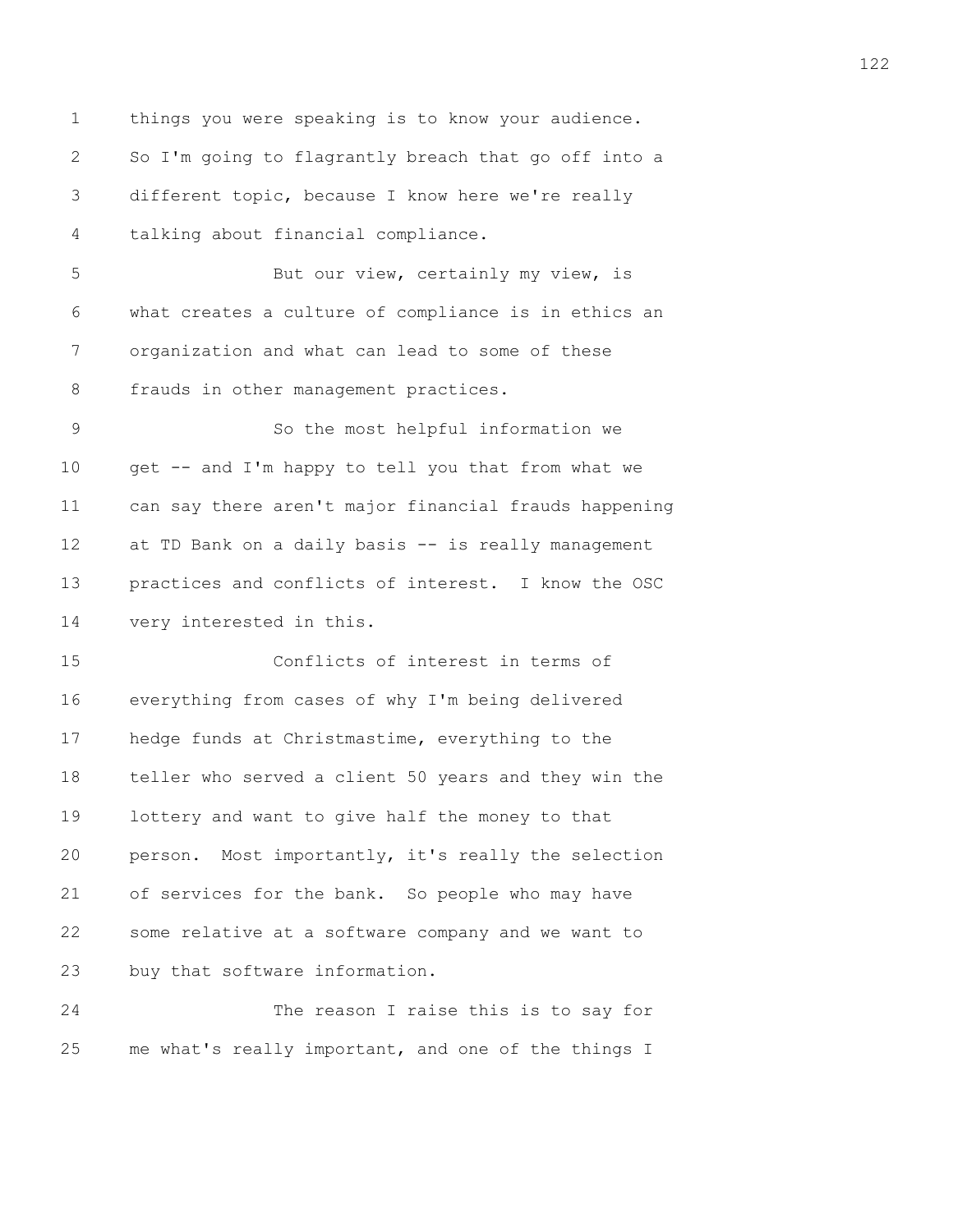1 things you were speaking is to know your audience. 2 So I'm going to flagrantly breach that go off into a 3 different topic, because I know here we're really 4 talking about financial compliance.

5 But our view, certainly my view, is 6 what creates a culture of compliance is in ethics an 7 organization and what can lead to some of these 8 frauds in other management practices.

9 So the most helpful information we 10 get -- and I'm happy to tell you that from what we 11 can say there aren't major financial frauds happening 12 at TD Bank on a daily basis -- is really management 13 practices and conflicts of interest. I know the OSC 14 very interested in this.

15 Conflicts of interest in terms of 16 everything from cases of why I'm being delivered 17 hedge funds at Christmastime, everything to the 18 teller who served a client 50 years and they win the 19 lottery and want to give half the money to that 20 person. Most importantly, it's really the selection 21 of services for the bank. So people who may have 22 some relative at a software company and we want to 23 buy that software information.

24 The reason I raise this is to say for 25 me what's really important, and one of the things I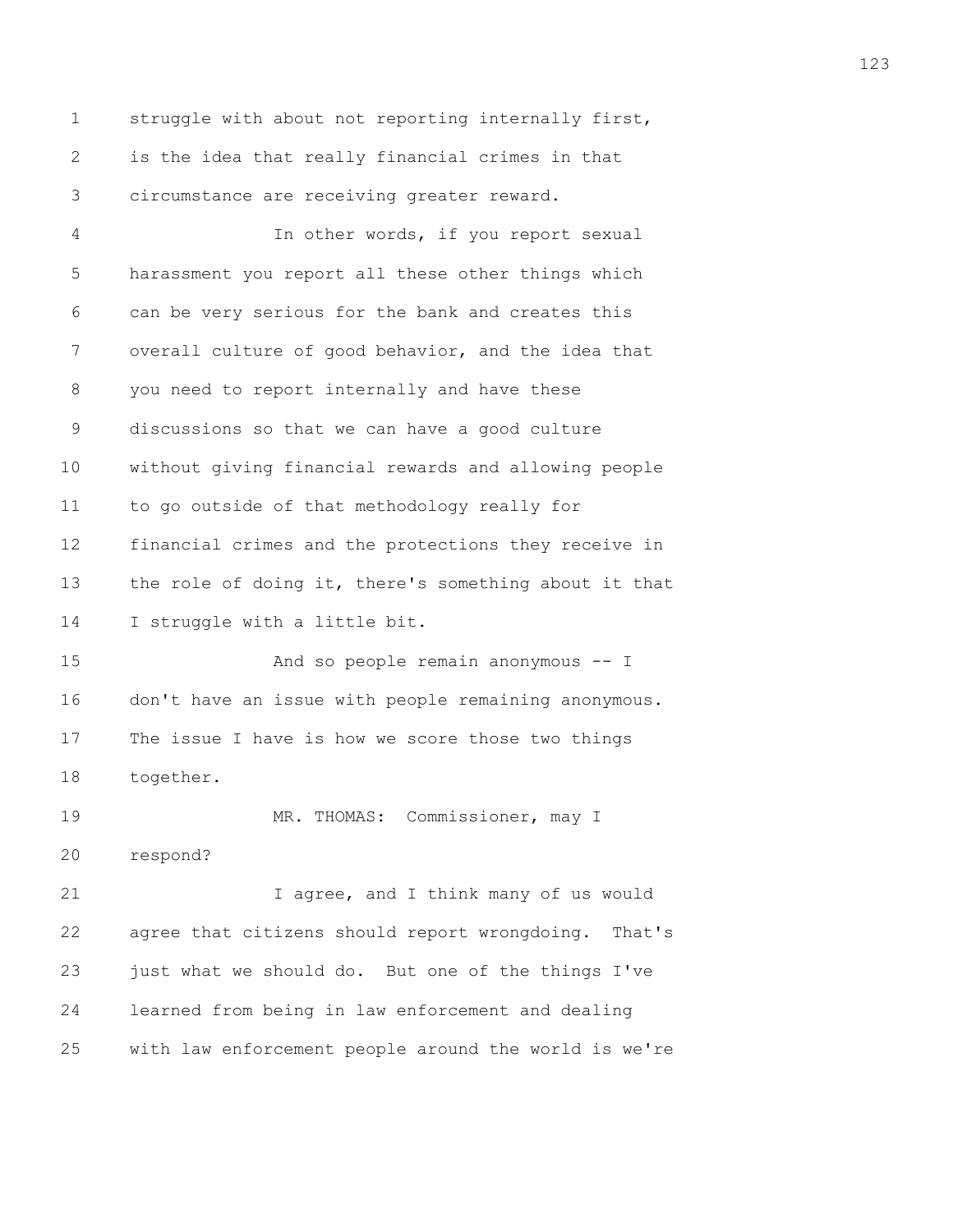1 struggle with about not reporting internally first, 2 is the idea that really financial crimes in that 3 circumstance are receiving greater reward.

4 In other words, if you report sexual 5 harassment you report all these other things which 6 can be very serious for the bank and creates this 7 overall culture of good behavior, and the idea that 8 you need to report internally and have these 9 discussions so that we can have a good culture 10 without giving financial rewards and allowing people 11 to go outside of that methodology really for 12 financial crimes and the protections they receive in 13 the role of doing it, there's something about it that 14 I struggle with a little bit.

15 And so people remain anonymous -- I 16 don't have an issue with people remaining anonymous. 17 The issue I have is how we score those two things 18 together.

19 MR. THOMAS: Commissioner, may I

20 respond?

21 I agree, and I think many of us would 22 agree that citizens should report wrongdoing. That's 23 just what we should do. But one of the things I've 24 learned from being in law enforcement and dealing 25 with law enforcement people around the world is we're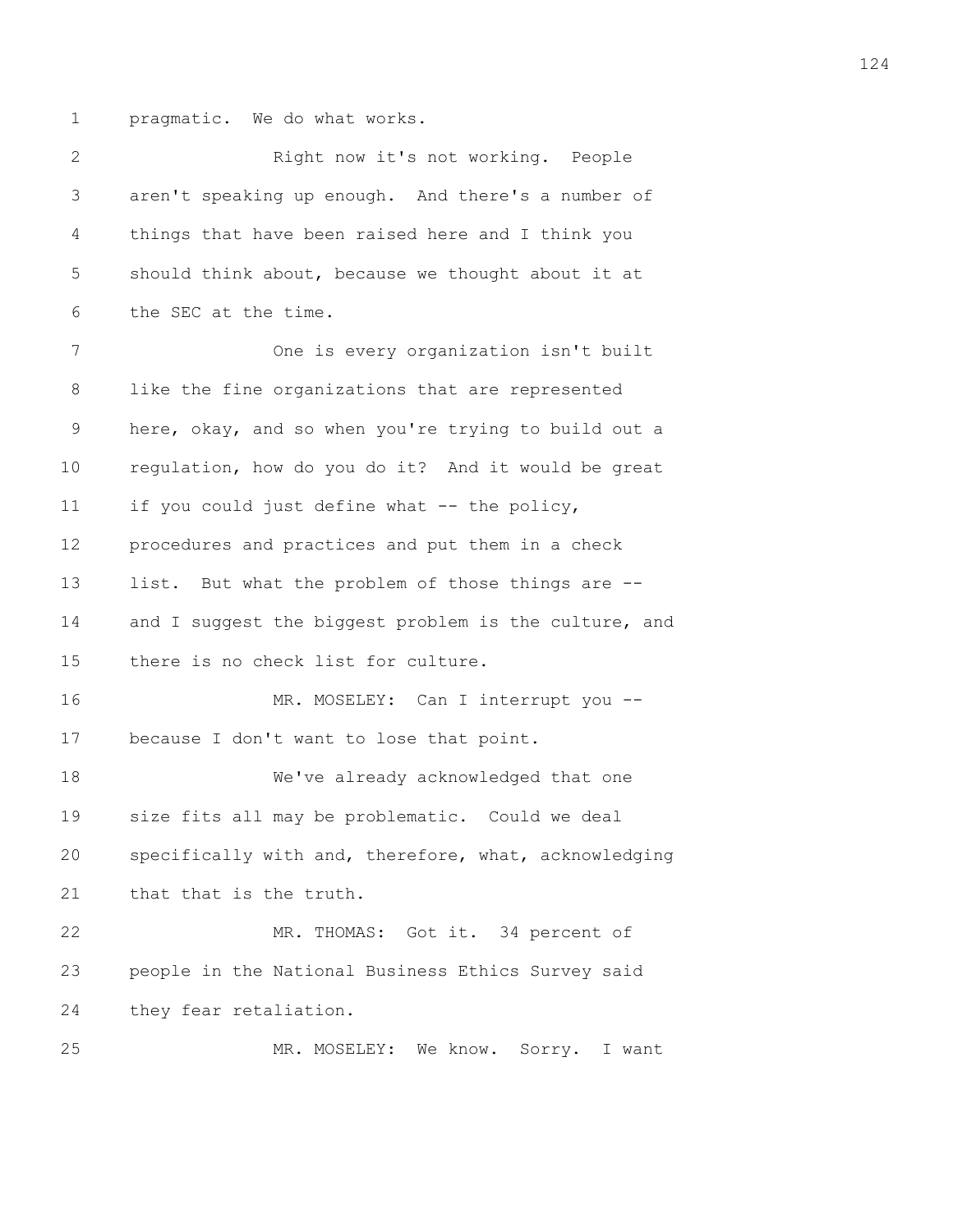1 pragmatic. We do what works.

2 Right now it's not working. People 3 aren't speaking up enough. And there's a number of 4 things that have been raised here and I think you 5 should think about, because we thought about it at 6 the SEC at the time. 7 One is every organization isn't built 8 like the fine organizations that are represented 9 here, okay, and so when you're trying to build out a 10 regulation, how do you do it? And it would be great 11 if you could just define what -- the policy, 12 procedures and practices and put them in a check 13 list. But what the problem of those things are -- 14 and I suggest the biggest problem is the culture, and 15 there is no check list for culture. 16 MR. MOSELEY: Can I interrupt you --17 because I don't want to lose that point. 18 We've already acknowledged that one 19 size fits all may be problematic. Could we deal 20 specifically with and, therefore, what, acknowledging 21 that that is the truth. 22 MR. THOMAS: Got it. 34 percent of 23 people in the National Business Ethics Survey said 24 they fear retaliation. 25 MR. MOSELEY: We know. Sorry. I want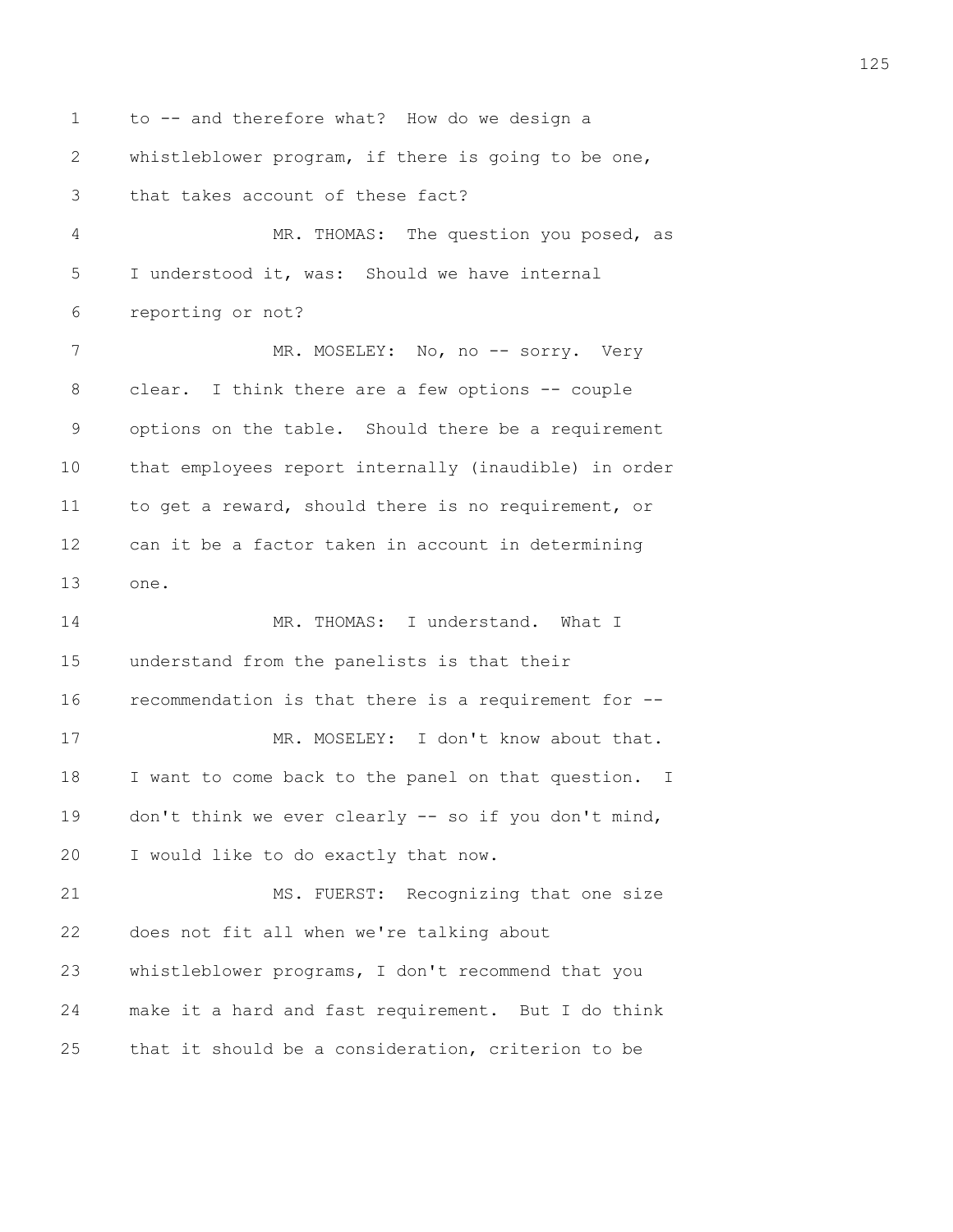1 to -- and therefore what? How do we design a 2 whistleblower program, if there is going to be one, 3 that takes account of these fact? 4 MR. THOMAS: The question you posed, as 5 I understood it, was: Should we have internal 6 reporting or not? 7 MR. MOSELEY: No, no -- sorry. Very 8 clear. I think there are a few options -- couple 9 options on the table. Should there be a requirement 10 that employees report internally (inaudible) in order 11 to get a reward, should there is no requirement, or 12 can it be a factor taken in account in determining 13 one. 14 MR. THOMAS: I understand. What I 15 understand from the panelists is that their 16 recommendation is that there is a requirement for -- 17 MR. MOSELEY: I don't know about that. 18 I want to come back to the panel on that question. I 19 don't think we ever clearly -- so if you don't mind, 20 I would like to do exactly that now. 21 MS. FUERST: Recognizing that one size 22 does not fit all when we're talking about 23 whistleblower programs, I don't recommend that you 24 make it a hard and fast requirement. But I do think 25 that it should be a consideration, criterion to be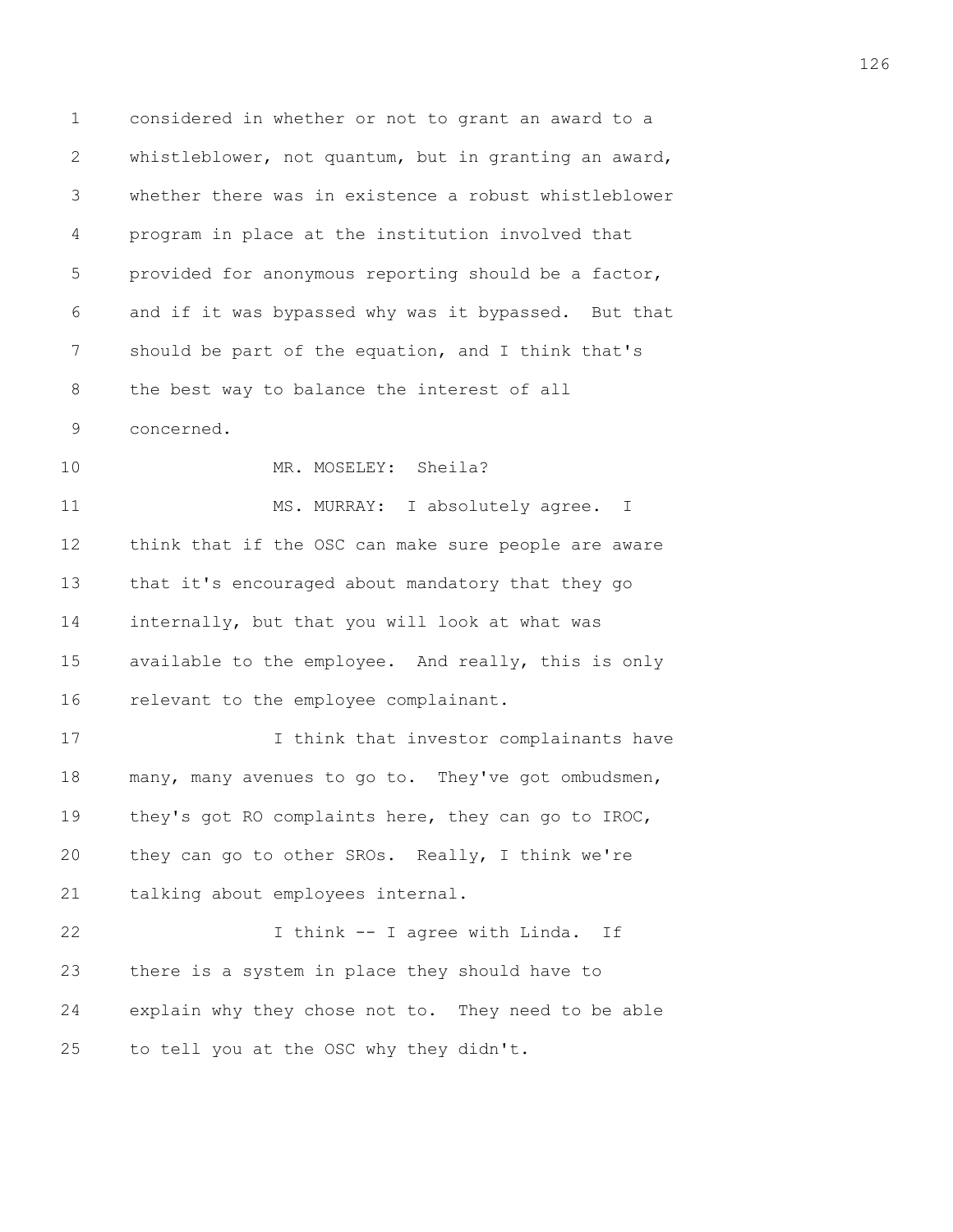1 considered in whether or not to grant an award to a 2 whistleblower, not quantum, but in granting an award, 3 whether there was in existence a robust whistleblower 4 program in place at the institution involved that 5 provided for anonymous reporting should be a factor, 6 and if it was bypassed why was it bypassed. But that 7 should be part of the equation, and I think that's 8 the best way to balance the interest of all 9 concerned. 10 MR. MOSELEY: Sheila? 11 MS. MURRAY: I absolutely agree. I 12 think that if the OSC can make sure people are aware 13 that it's encouraged about mandatory that they go 14 internally, but that you will look at what was 15 available to the employee. And really, this is only 16 relevant to the employee complainant. 17 I think that investor complainants have 18 many, many avenues to go to. They've got ombudsmen, 19 they's got RO complaints here, they can go to IROC, 20 they can go to other SROs. Really, I think we're 21 talking about employees internal. 22 I think -- I agree with Linda. If 23 there is a system in place they should have to 24 explain why they chose not to. They need to be able 25 to tell you at the OSC why they didn't.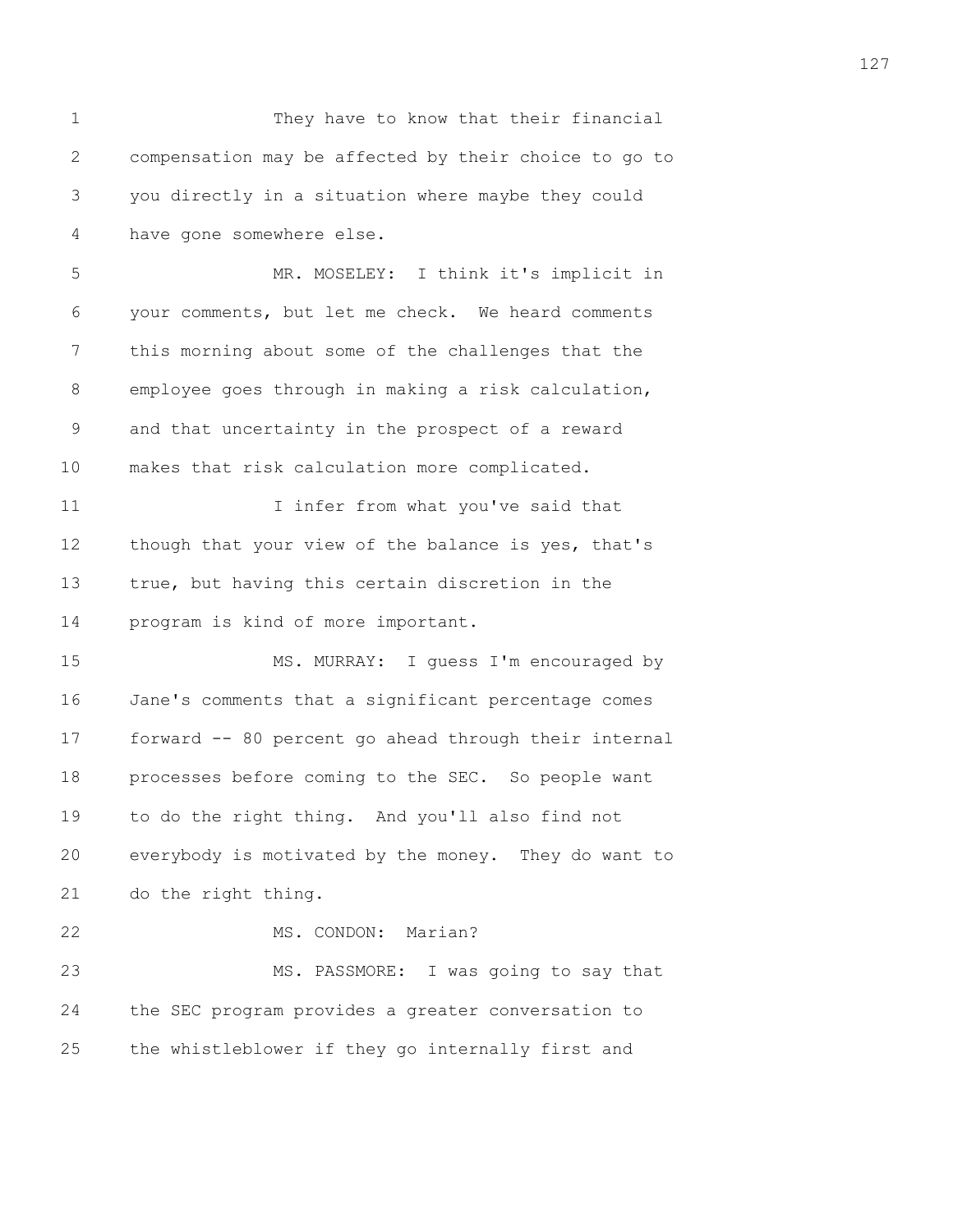1 They have to know that their financial 2 compensation may be affected by their choice to go to 3 you directly in a situation where maybe they could 4 have gone somewhere else. 5 MR. MOSELEY: I think it's implicit in 6 your comments, but let me check. We heard comments 7 this morning about some of the challenges that the 8 employee goes through in making a risk calculation, 9 and that uncertainty in the prospect of a reward 10 makes that risk calculation more complicated. 11 I infer from what you've said that 12 though that your view of the balance is yes, that's 13 true, but having this certain discretion in the 14 program is kind of more important. 15 MS. MURRAY: I guess I'm encouraged by 16 Jane's comments that a significant percentage comes 17 forward -- 80 percent go ahead through their internal 18 processes before coming to the SEC. So people want 19 to do the right thing. And you'll also find not 20 everybody is motivated by the money. They do want to 21 do the right thing. 22 MS. CONDON: Marian? 23 MS. PASSMORE: I was going to say that 24 the SEC program provides a greater conversation to 25 the whistleblower if they go internally first and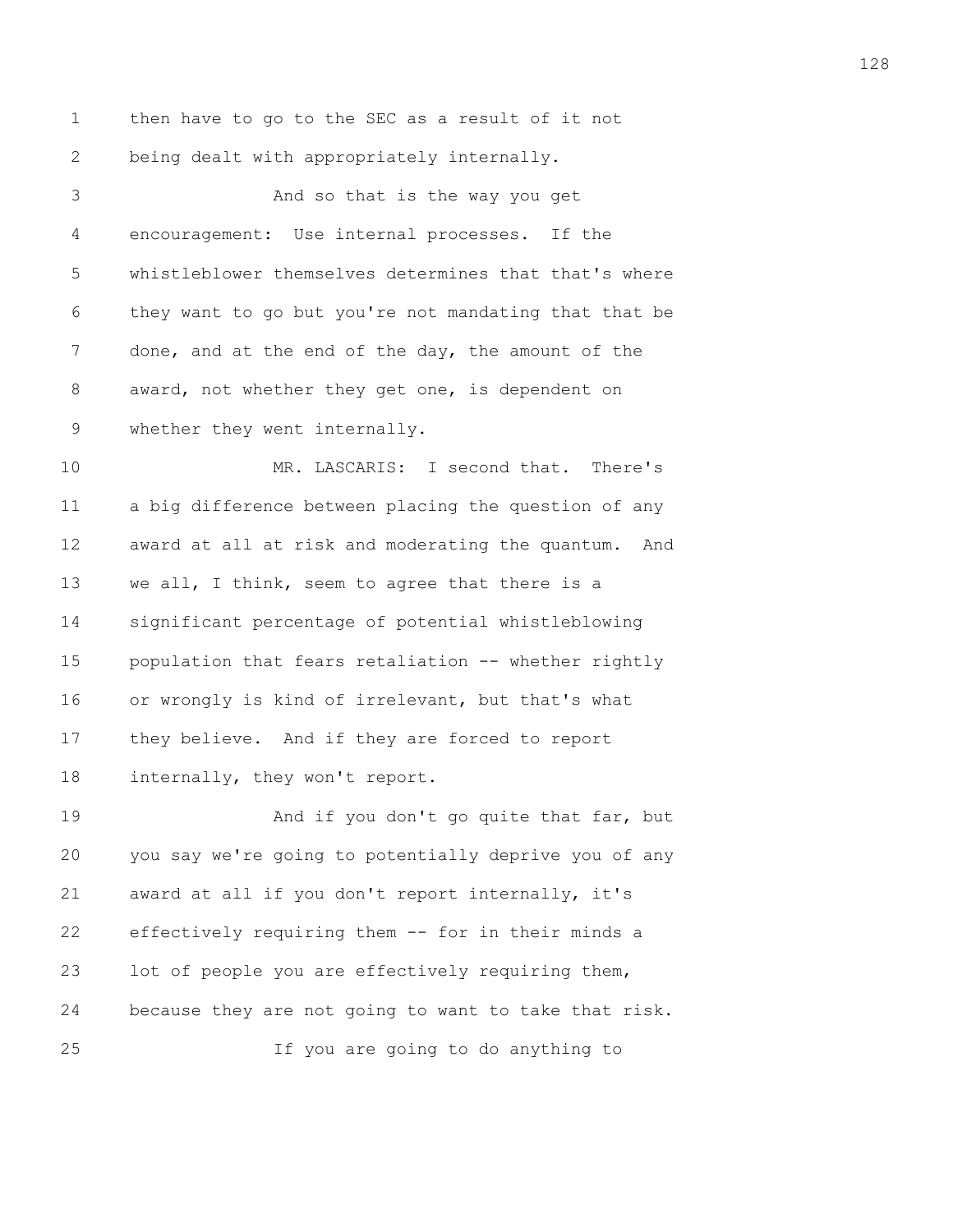1 then have to go to the SEC as a result of it not 2 being dealt with appropriately internally. 3 And so that is the way you get 4 encouragement: Use internal processes. If the 5 whistleblower themselves determines that that's where 6 they want to go but you're not mandating that that be 7 done, and at the end of the day, the amount of the 8 award, not whether they get one, is dependent on 9 whether they went internally. 10 MR. LASCARIS: I second that. There's 11 a big difference between placing the question of any 12 award at all at risk and moderating the quantum. And 13 we all, I think, seem to agree that there is a 14 significant percentage of potential whistleblowing 15 population that fears retaliation -- whether rightly 16 or wrongly is kind of irrelevant, but that's what 17 they believe. And if they are forced to report 18 internally, they won't report. 19 And if you don't go quite that far, but

20 you say we're going to potentially deprive you of any 21 award at all if you don't report internally, it's 22 effectively requiring them -- for in their minds a 23 lot of people you are effectively requiring them, 24 because they are not going to want to take that risk. 25 If you are going to do anything to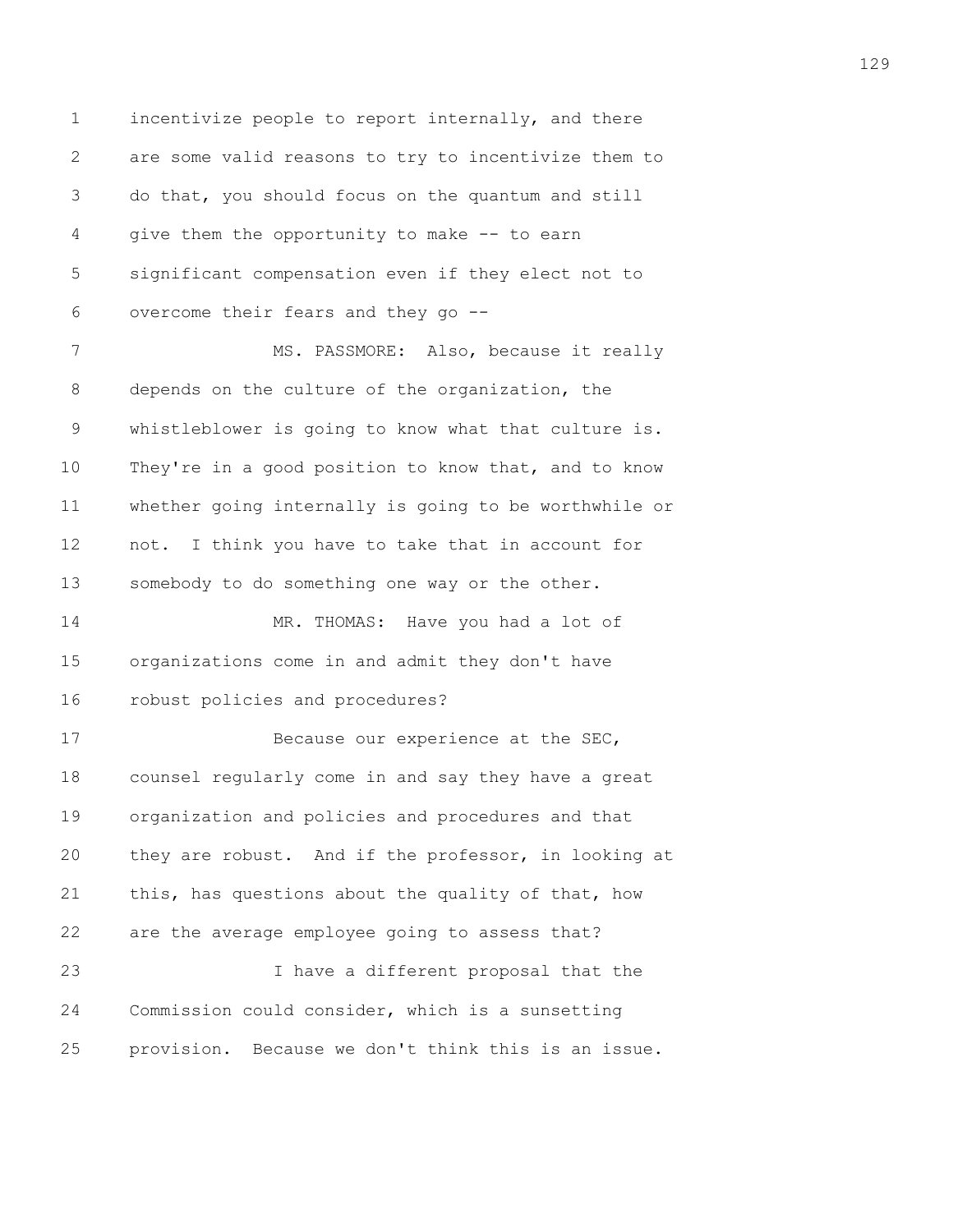1 incentivize people to report internally, and there 2 are some valid reasons to try to incentivize them to 3 do that, you should focus on the quantum and still 4 give them the opportunity to make -- to earn 5 significant compensation even if they elect not to 6 overcome their fears and they go -- 7 MS. PASSMORE: Also, because it really 8 depends on the culture of the organization, the 9 whistleblower is going to know what that culture is. 10 They're in a good position to know that, and to know 11 whether going internally is going to be worthwhile or 12 not. I think you have to take that in account for 13 somebody to do something one way or the other. 14 MR. THOMAS: Have you had a lot of 15 organizations come in and admit they don't have 16 robust policies and procedures? 17 Because our experience at the SEC, 18 counsel regularly come in and say they have a great 19 organization and policies and procedures and that 20 they are robust. And if the professor, in looking at 21 this, has questions about the quality of that, how 22 are the average employee going to assess that? 23 I have a different proposal that the 24 Commission could consider, which is a sunsetting 25 provision. Because we don't think this is an issue.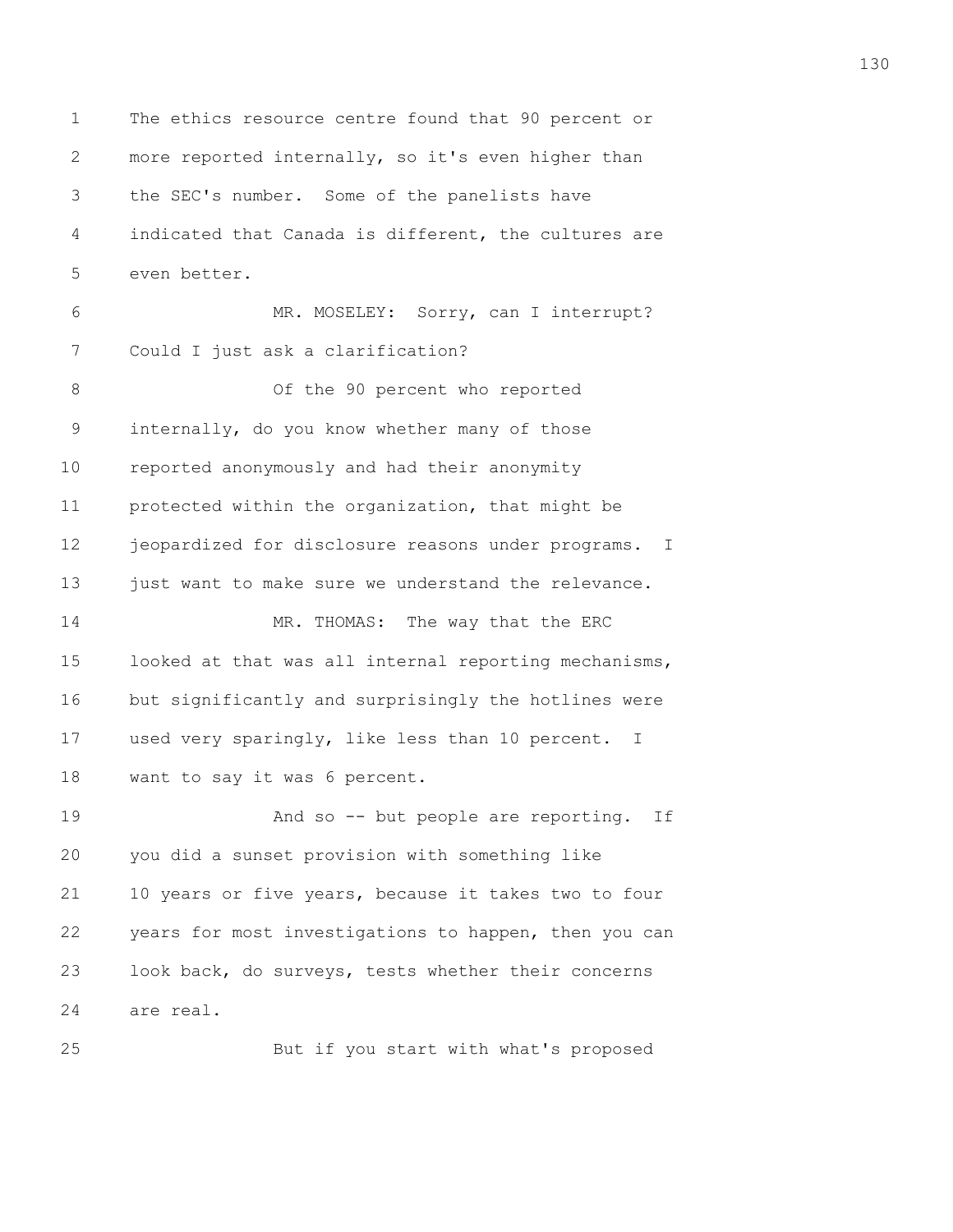1 The ethics resource centre found that 90 percent or 2 more reported internally, so it's even higher than 3 the SEC's number. Some of the panelists have 4 indicated that Canada is different, the cultures are 5 even better. 6 MR. MOSELEY: Sorry, can I interrupt? 7 Could I just ask a clarification? 8 Of the 90 percent who reported 9 internally, do you know whether many of those 10 reported anonymously and had their anonymity 11 protected within the organization, that might be 12 jeopardized for disclosure reasons under programs. I 13 just want to make sure we understand the relevance. 14 MR. THOMAS: The way that the ERC 15 looked at that was all internal reporting mechanisms, 16 but significantly and surprisingly the hotlines were 17 used very sparingly, like less than 10 percent. I 18 want to say it was 6 percent. 19 **And so -- but people are reporting.** If 20 you did a sunset provision with something like 21 10 years or five years, because it takes two to four 22 years for most investigations to happen, then you can 23 look back, do surveys, tests whether their concerns 24 are real. 25 But if you start with what's proposed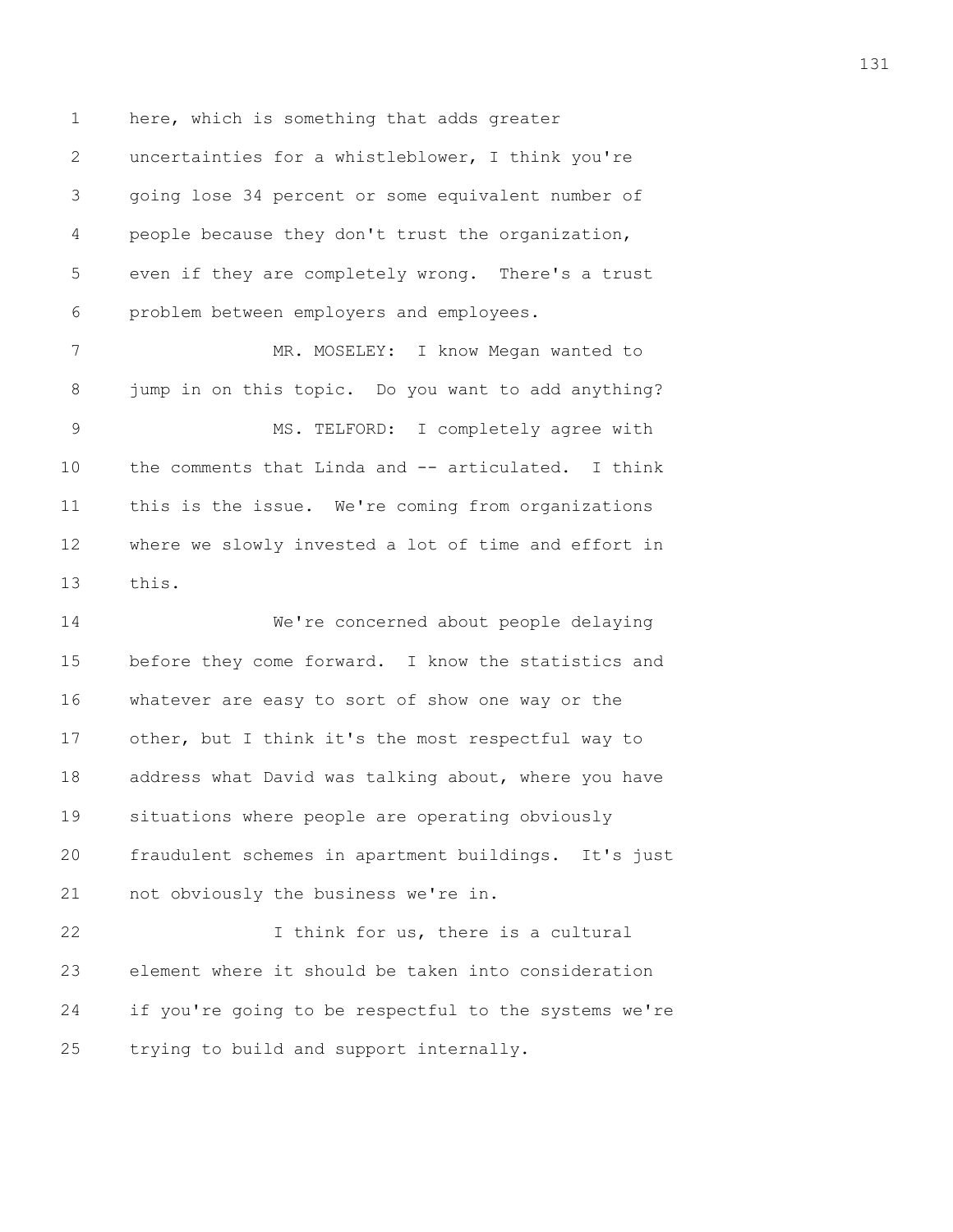1 here, which is something that adds greater 2 uncertainties for a whistleblower, I think you're 3 going lose 34 percent or some equivalent number of 4 people because they don't trust the organization, 5 even if they are completely wrong. There's a trust 6 problem between employers and employees.

7 MR. MOSELEY: I know Megan wanted to 8 jump in on this topic. Do you want to add anything? 9 MS. TELFORD: I completely agree with 10 the comments that Linda and -- articulated. I think 11 this is the issue. We're coming from organizations 12 where we slowly invested a lot of time and effort in 13 this.

14 We're concerned about people delaying 15 before they come forward. I know the statistics and 16 whatever are easy to sort of show one way or the 17 other, but I think it's the most respectful way to 18 address what David was talking about, where you have 19 situations where people are operating obviously 20 fraudulent schemes in apartment buildings. It's just 21 not obviously the business we're in.

22 I think for us, there is a cultural 23 element where it should be taken into consideration 24 if you're going to be respectful to the systems we're 25 trying to build and support internally.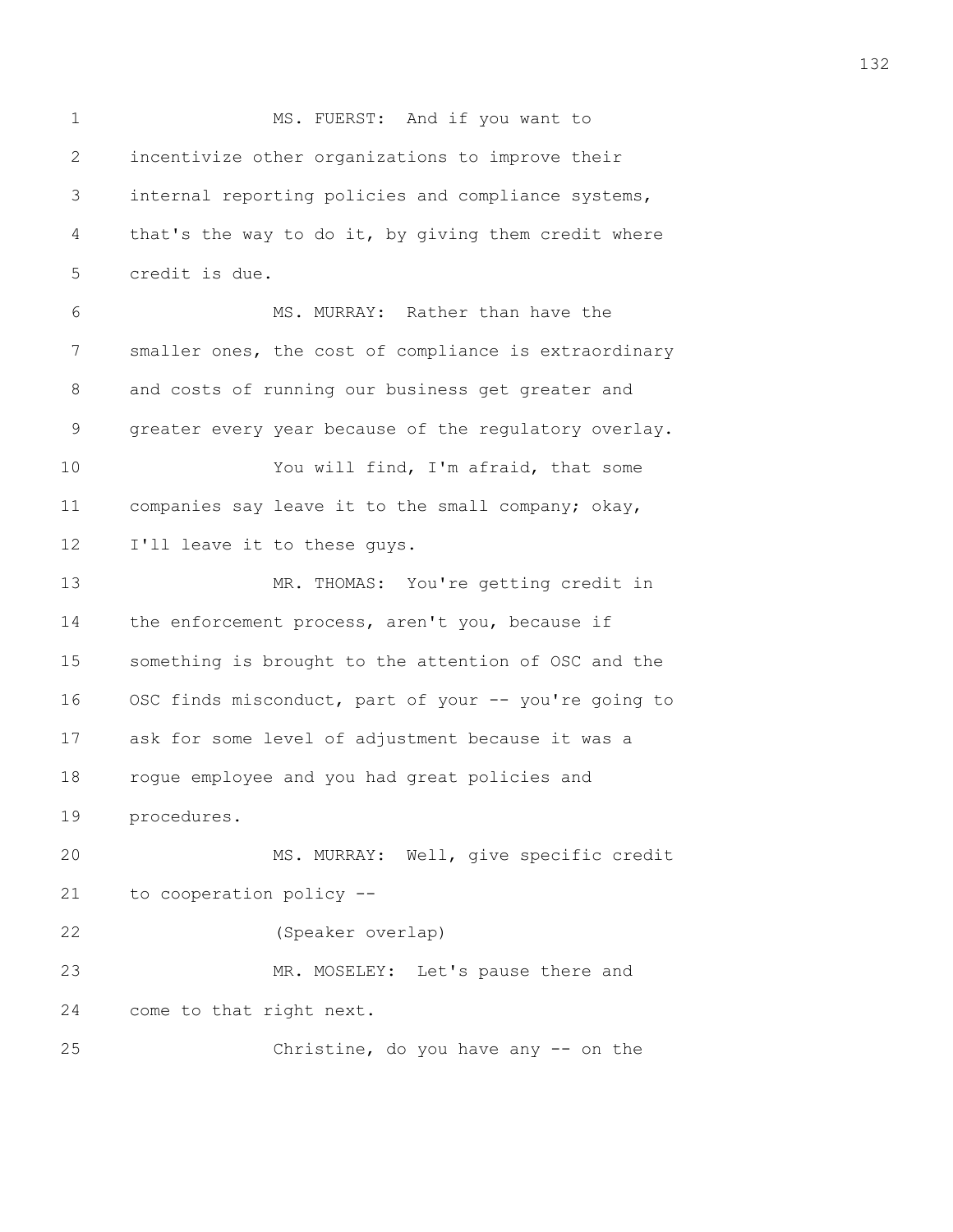1 MS. FUERST: And if you want to 2 incentivize other organizations to improve their 3 internal reporting policies and compliance systems, 4 that's the way to do it, by giving them credit where 5 credit is due. 6 MS. MURRAY: Rather than have the 7 smaller ones, the cost of compliance is extraordinary 8 and costs of running our business get greater and 9 greater every year because of the regulatory overlay. 10 You will find, I'm afraid, that some 11 companies say leave it to the small company; okay, 12 I'll leave it to these guys. 13 MR. THOMAS: You're getting credit in 14 the enforcement process, aren't you, because if 15 something is brought to the attention of OSC and the 16 OSC finds misconduct, part of your -- you're going to 17 ask for some level of adjustment because it was a 18 rogue employee and you had great policies and 19 procedures. 20 MS. MURRAY: Well, give specific credit 21 to cooperation policy -- 22 (Speaker overlap) 23 MR. MOSELEY: Let's pause there and 24 come to that right next. 25 Christine, do you have any -- on the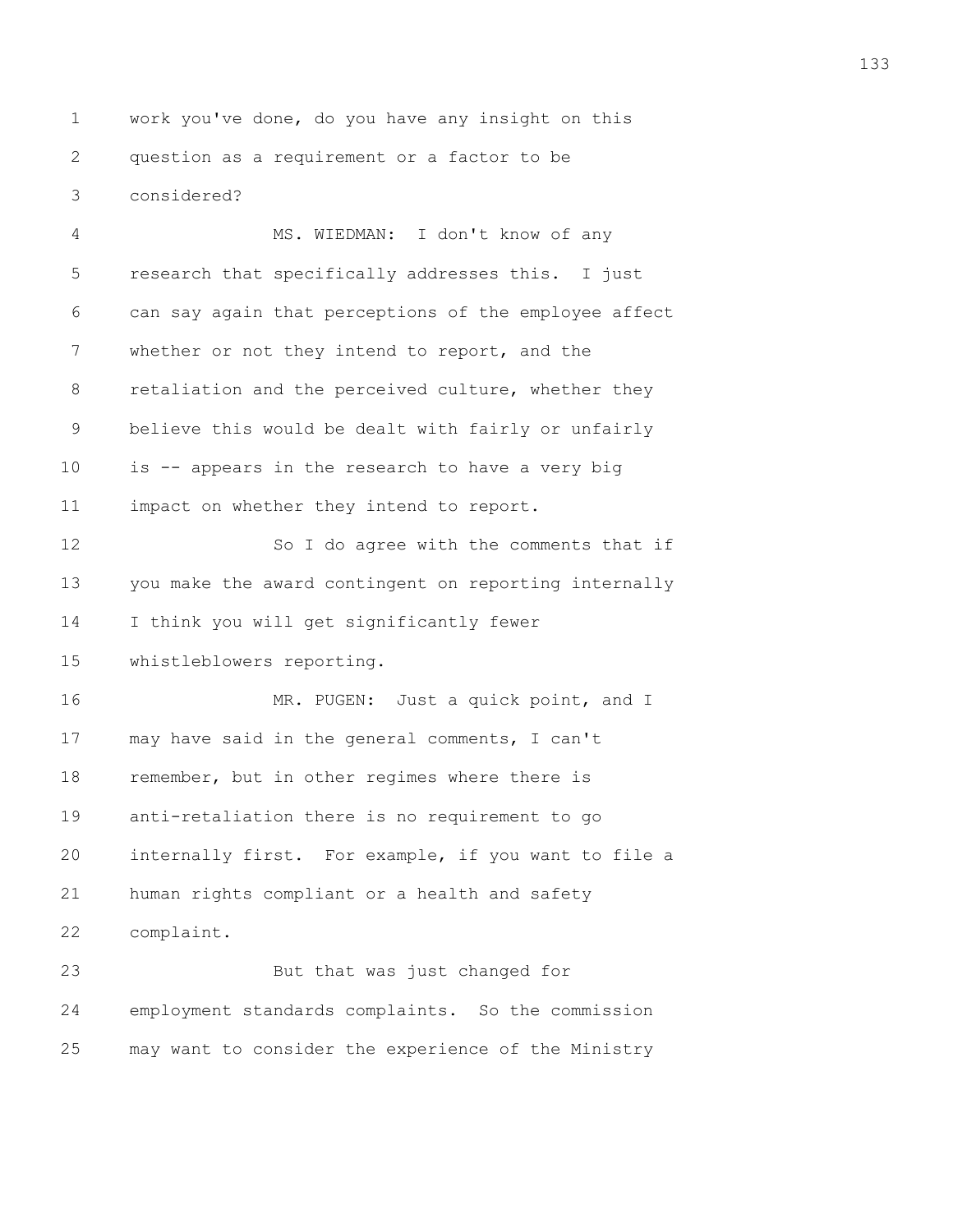1 work you've done, do you have any insight on this 2 question as a requirement or a factor to be 3 considered?

4 MS. WIEDMAN: I don't know of any 5 research that specifically addresses this. I just 6 can say again that perceptions of the employee affect 7 whether or not they intend to report, and the 8 retaliation and the perceived culture, whether they 9 believe this would be dealt with fairly or unfairly 10 is -- appears in the research to have a very big 11 impact on whether they intend to report. 12 So I do agree with the comments that if 13 you make the award contingent on reporting internally 14 I think you will get significantly fewer 15 whistleblowers reporting. 16 MR. PUGEN: Just a quick point, and I 17 may have said in the general comments, I can't 18 remember, but in other regimes where there is 19 anti-retaliation there is no requirement to go 20 internally first. For example, if you want to file a 21 human rights compliant or a health and safety 22 complaint. 23 But that was just changed for 24 employment standards complaints. So the commission 25 may want to consider the experience of the Ministry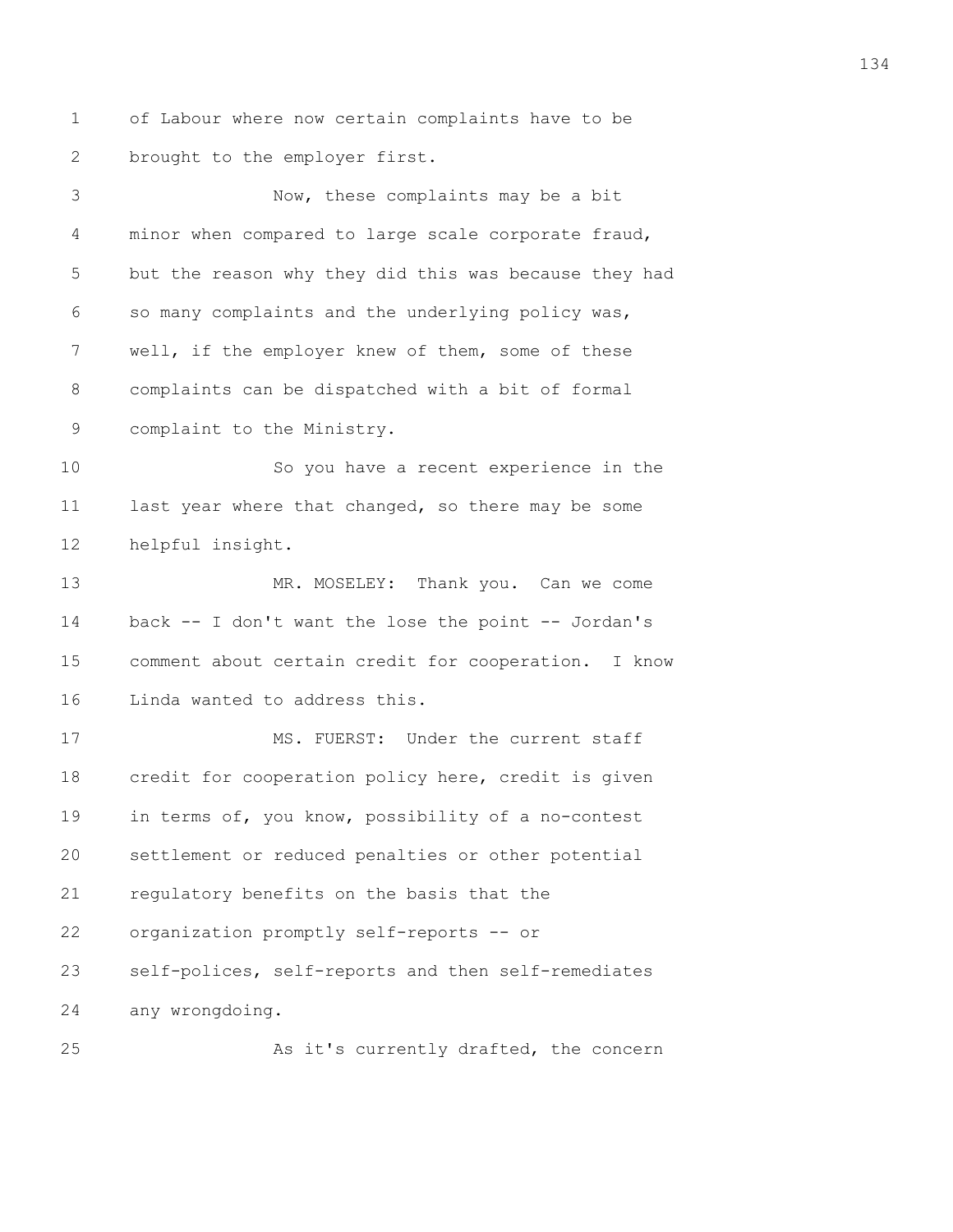1 of Labour where now certain complaints have to be 2 brought to the employer first.

3 Now, these complaints may be a bit 4 minor when compared to large scale corporate fraud, 5 but the reason why they did this was because they had 6 so many complaints and the underlying policy was, 7 well, if the employer knew of them, some of these 8 complaints can be dispatched with a bit of formal 9 complaint to the Ministry. 10 So you have a recent experience in the 11 last year where that changed, so there may be some 12 helpful insight. 13 MR. MOSELEY: Thank you. Can we come 14 back -- I don't want the lose the point -- Jordan's 15 comment about certain credit for cooperation. I know 16 Linda wanted to address this. 17 MS. FUERST: Under the current staff 18 credit for cooperation policy here, credit is given 19 in terms of, you know, possibility of a no-contest 20 settlement or reduced penalties or other potential 21 regulatory benefits on the basis that the 22 organization promptly self-reports -- or

23 self-polices, self-reports and then self-remediates 24 any wrongdoing.

25 As it's currently drafted, the concern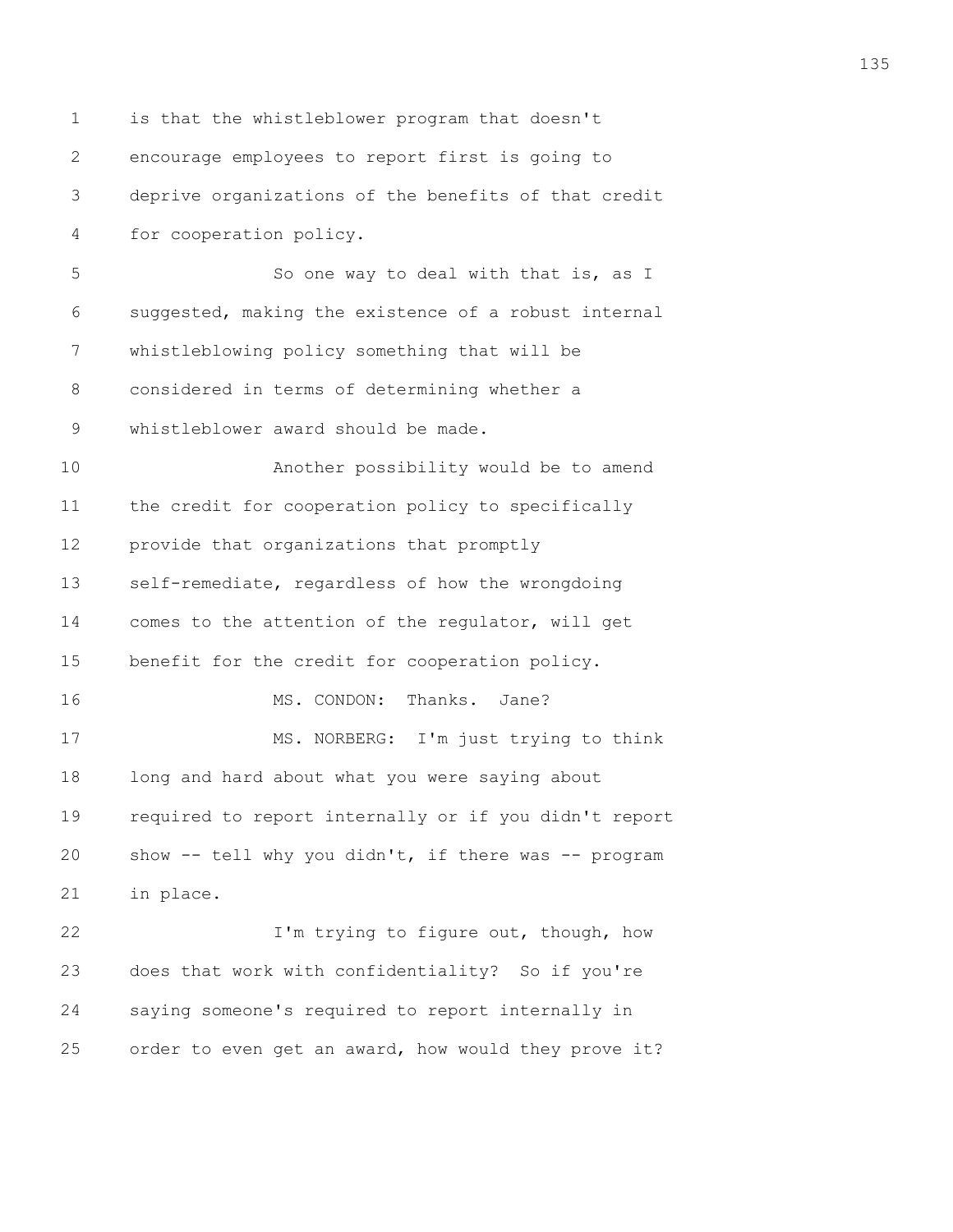1 is that the whistleblower program that doesn't 2 encourage employees to report first is going to 3 deprive organizations of the benefits of that credit 4 for cooperation policy. 5 So one way to deal with that is, as I 6 suggested, making the existence of a robust internal 7 whistleblowing policy something that will be 8 considered in terms of determining whether a 9 whistleblower award should be made. 10 Another possibility would be to amend 11 the credit for cooperation policy to specifically 12 provide that organizations that promptly 13 self-remediate, regardless of how the wrongdoing 14 comes to the attention of the regulator, will get 15 benefit for the credit for cooperation policy. 16 MS. CONDON: Thanks. Jane? 17 MS. NORBERG: I'm just trying to think 18 long and hard about what you were saying about 19 required to report internally or if you didn't report 20 show -- tell why you didn't, if there was -- program 21 in place. 22 I'm trying to figure out, though, how 23 does that work with confidentiality? So if you're 24 saying someone's required to report internally in 25 order to even get an award, how would they prove it?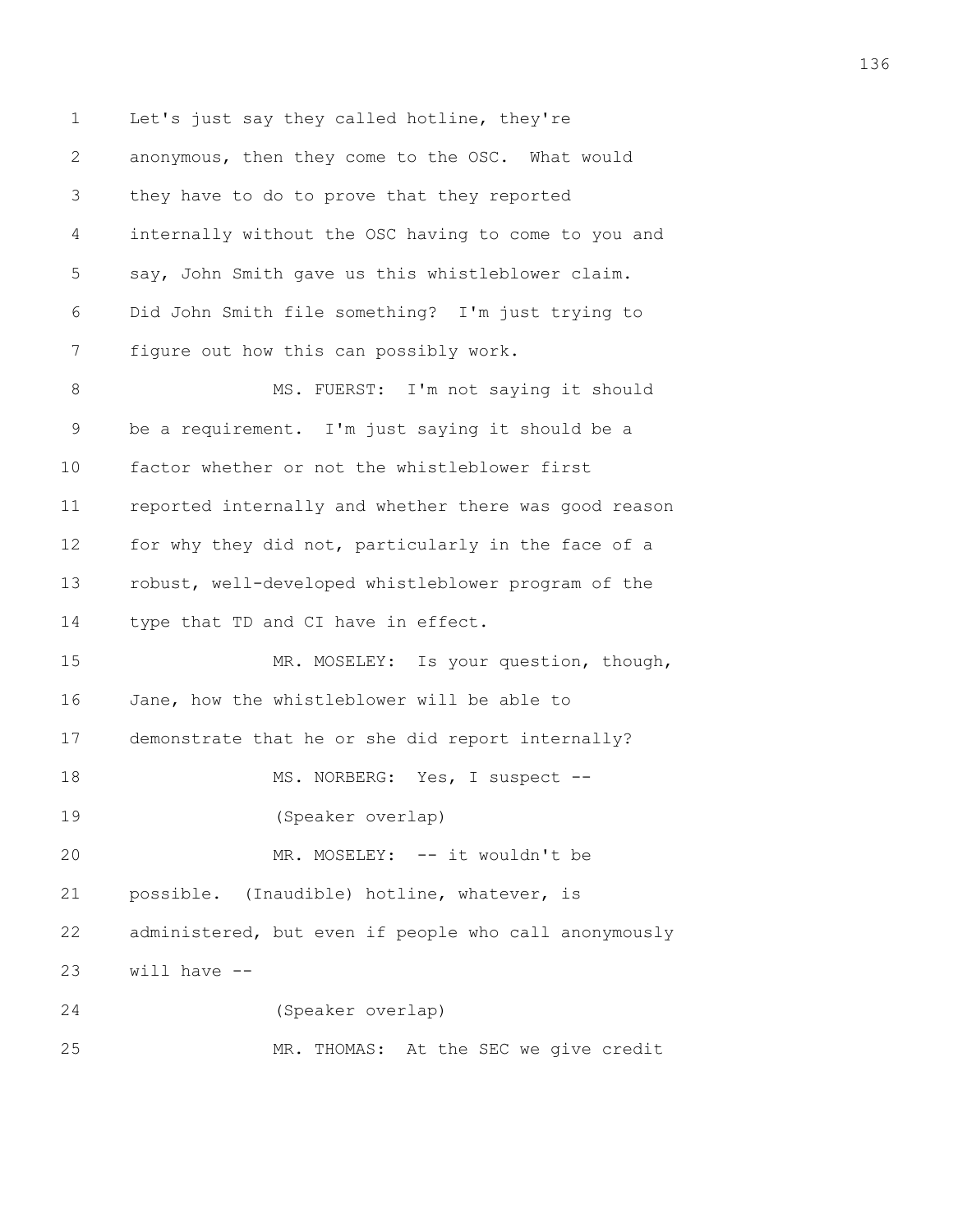1 Let's just say they called hotline, they're 2 anonymous, then they come to the OSC. What would 3 they have to do to prove that they reported 4 internally without the OSC having to come to you and 5 say, John Smith gave us this whistleblower claim. 6 Did John Smith file something? I'm just trying to 7 figure out how this can possibly work. 8 MS. FUERST: I'm not saying it should 9 be a requirement. I'm just saying it should be a 10 factor whether or not the whistleblower first 11 reported internally and whether there was good reason 12 for why they did not, particularly in the face of a 13 robust, well-developed whistleblower program of the 14 type that TD and CI have in effect. 15 MR. MOSELEY: Is your question, though, 16 Jane, how the whistleblower will be able to 17 demonstrate that he or she did report internally? 18 MS. NORBERG: Yes, I suspect --19 (Speaker overlap) 20 MR. MOSELEY: -- it wouldn't be 21 possible. (Inaudible) hotline, whatever, is 22 administered, but even if people who call anonymously 23 will have -- 24 (Speaker overlap) 25 MR. THOMAS: At the SEC we give credit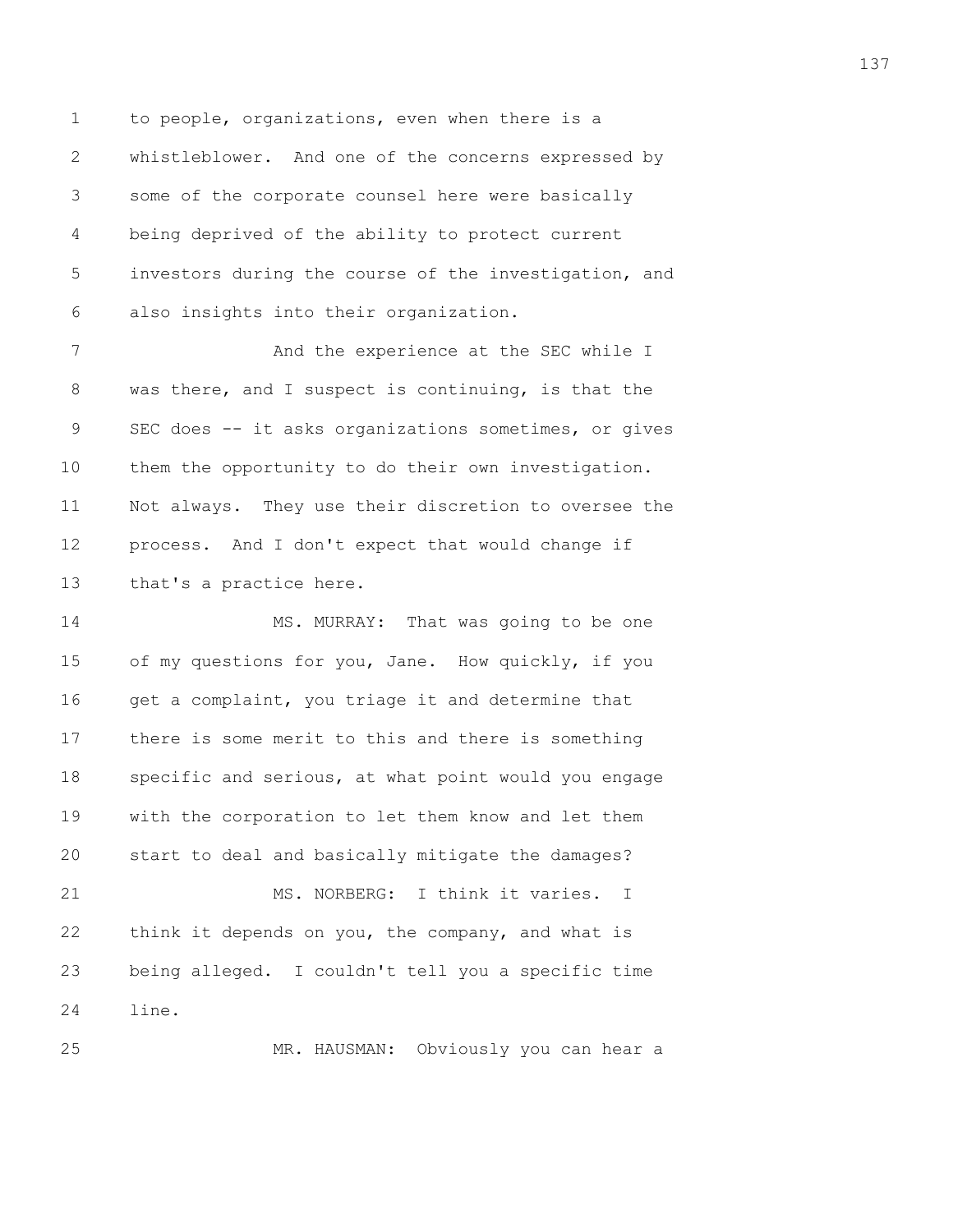1 to people, organizations, even when there is a 2 whistleblower. And one of the concerns expressed by 3 some of the corporate counsel here were basically 4 being deprived of the ability to protect current 5 investors during the course of the investigation, and 6 also insights into their organization.

7 And the experience at the SEC while I 8 was there, and I suspect is continuing, is that the 9 SEC does -- it asks organizations sometimes, or gives 10 them the opportunity to do their own investigation. 11 Not always. They use their discretion to oversee the 12 process. And I don't expect that would change if 13 that's a practice here.

14 MS. MURRAY: That was going to be one 15 of my questions for you, Jane. How quickly, if you 16 get a complaint, you triage it and determine that 17 there is some merit to this and there is something 18 specific and serious, at what point would you engage 19 with the corporation to let them know and let them 20 start to deal and basically mitigate the damages? 21 MS. NORBERG: I think it varies. I 22 think it depends on you, the company, and what is 23 being alleged. I couldn't tell you a specific time 24 line.

25 MR. HAUSMAN: Obviously you can hear a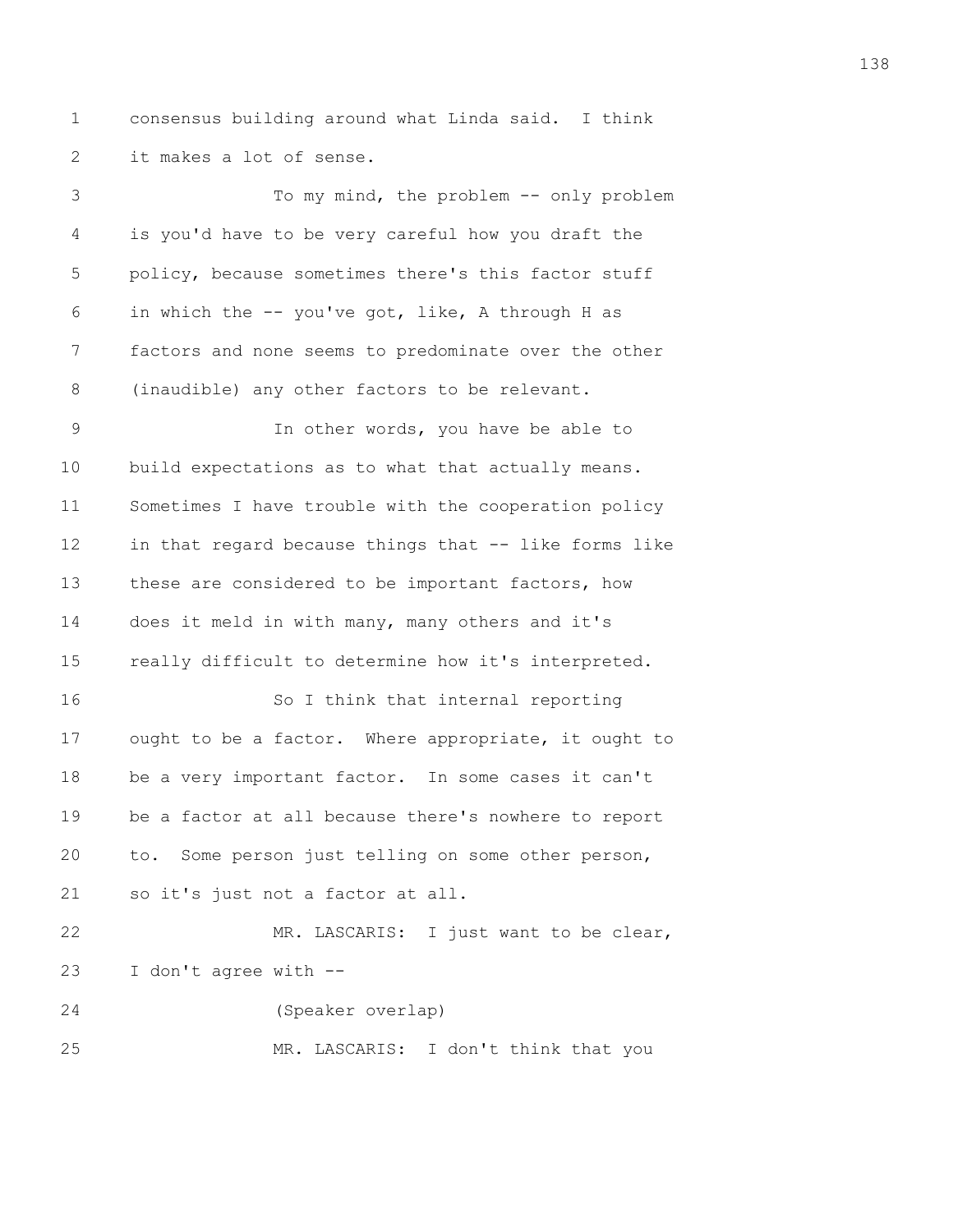1 consensus building around what Linda said. I think 2 it makes a lot of sense.

3 To my mind, the problem -- only problem 4 is you'd have to be very careful how you draft the 5 policy, because sometimes there's this factor stuff 6 in which the -- you've got, like, A through H as 7 factors and none seems to predominate over the other 8 (inaudible) any other factors to be relevant. 9 In other words, you have be able to 10 build expectations as to what that actually means. 11 Sometimes I have trouble with the cooperation policy 12 in that regard because things that -- like forms like 13 these are considered to be important factors, how 14 does it meld in with many, many others and it's 15 really difficult to determine how it's interpreted. 16 So I think that internal reporting 17 ought to be a factor. Where appropriate, it ought to 18 be a very important factor. In some cases it can't 19 be a factor at all because there's nowhere to report 20 to. Some person just telling on some other person, 21 so it's just not a factor at all. 22 MR. LASCARIS: I just want to be clear, 23 I don't agree with -- 24 (Speaker overlap)

25 MR. LASCARIS: I don't think that you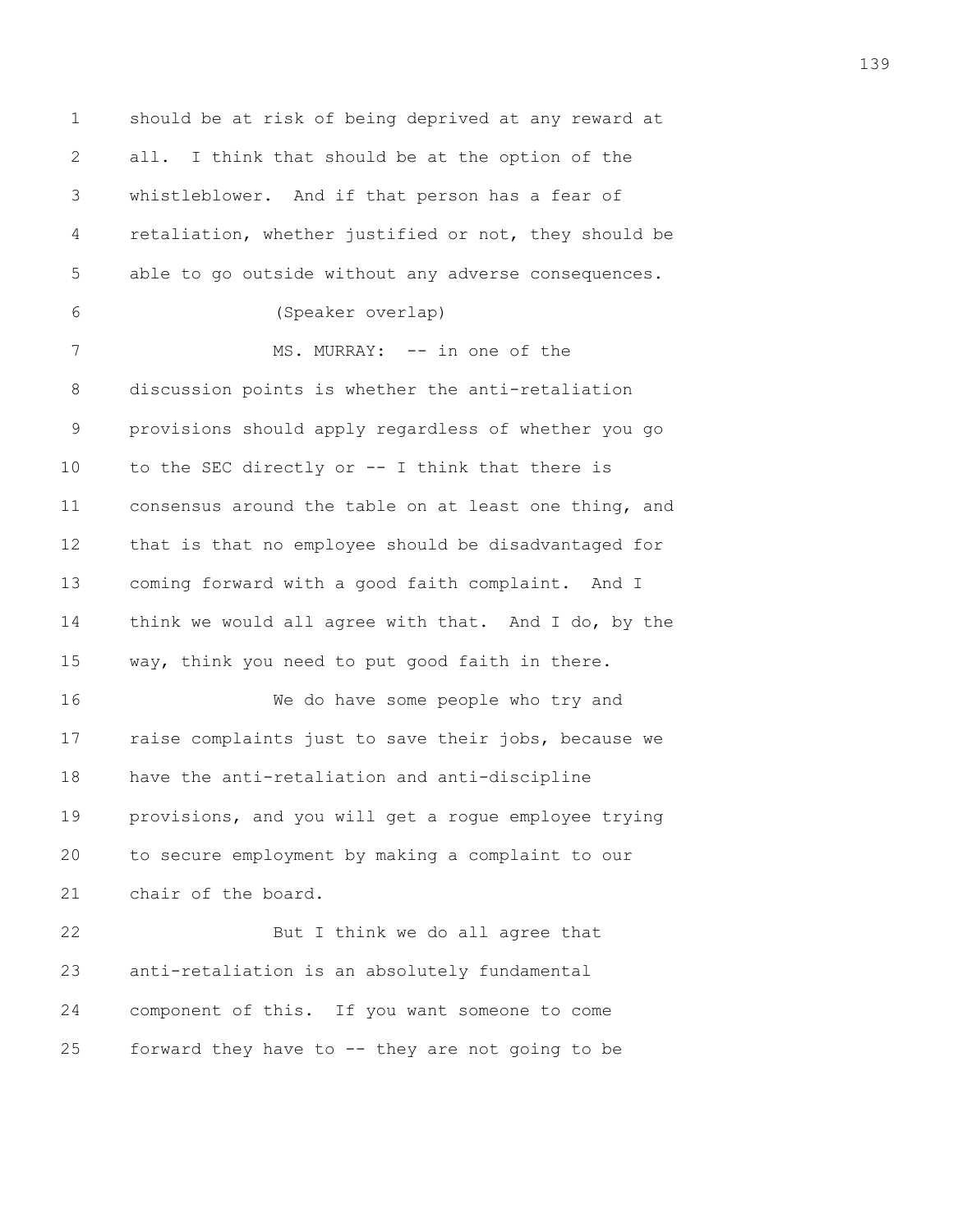1 should be at risk of being deprived at any reward at 2 all. I think that should be at the option of the 3 whistleblower. And if that person has a fear of 4 retaliation, whether justified or not, they should be 5 able to go outside without any adverse consequences. 6 (Speaker overlap) 7 MS. MURRAY: -- in one of the 8 discussion points is whether the anti-retaliation 9 provisions should apply regardless of whether you go 10 to the SEC directly or -- I think that there is 11 consensus around the table on at least one thing, and 12 that is that no employee should be disadvantaged for 13 coming forward with a good faith complaint. And I 14 think we would all agree with that. And I do, by the 15 way, think you need to put good faith in there. 16 We do have some people who try and 17 raise complaints just to save their jobs, because we 18 have the anti-retaliation and anti-discipline 19 provisions, and you will get a rogue employee trying 20 to secure employment by making a complaint to our 21 chair of the board. 22 But I think we do all agree that 23 anti-retaliation is an absolutely fundamental 24 component of this. If you want someone to come 25 forward they have to -- they are not going to be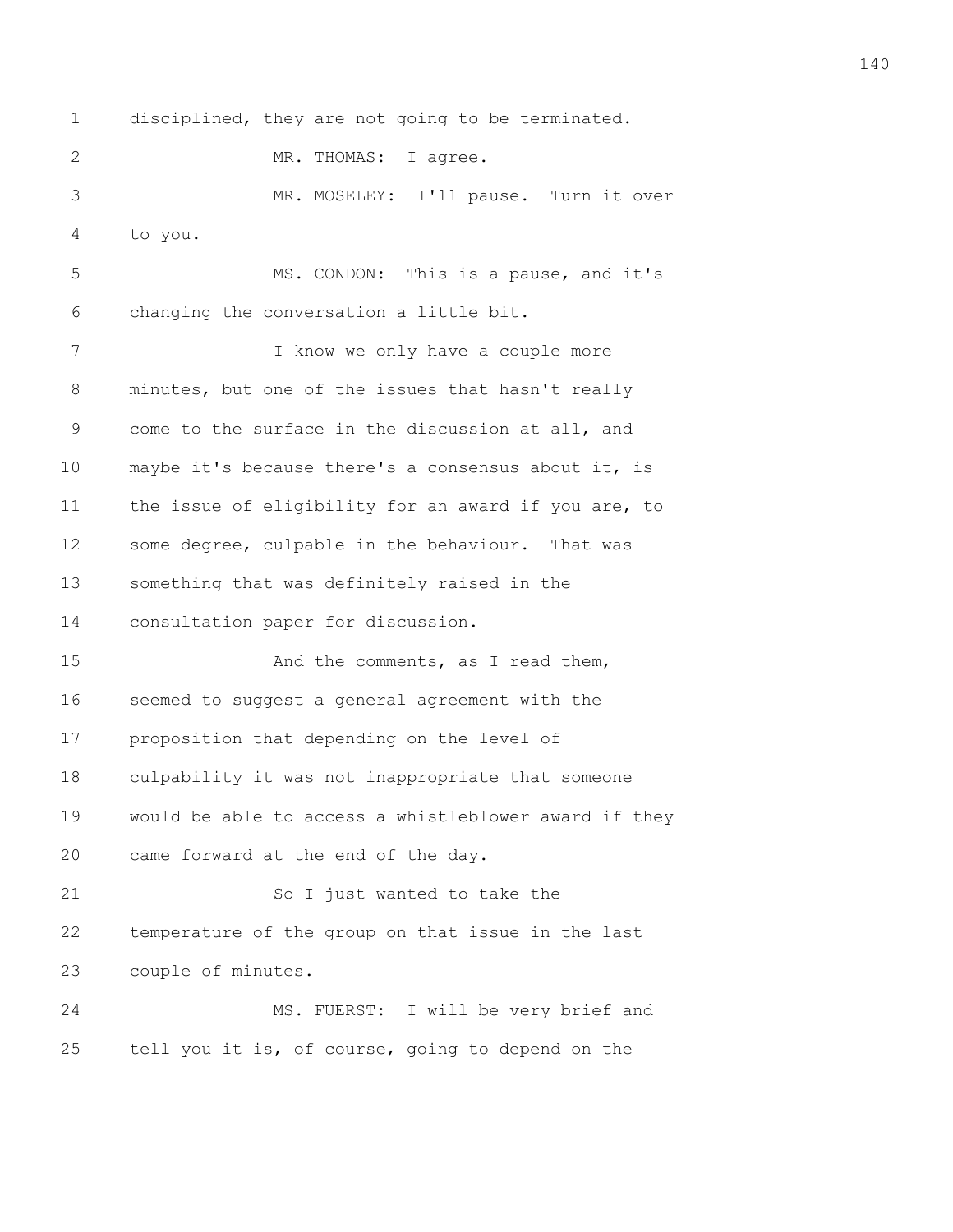1 disciplined, they are not going to be terminated.

2 MR. THOMAS: I agree.

3 MR. MOSELEY: I'll pause. Turn it over 4 to you.

5 MS. CONDON: This is a pause, and it's 6 changing the conversation a little bit.

7 I know we only have a couple more 8 minutes, but one of the issues that hasn't really 9 come to the surface in the discussion at all, and 10 maybe it's because there's a consensus about it, is 11 the issue of eligibility for an award if you are, to 12 some degree, culpable in the behaviour. That was 13 something that was definitely raised in the 14 consultation paper for discussion.

15 And the comments, as I read them, 16 seemed to suggest a general agreement with the 17 proposition that depending on the level of 18 culpability it was not inappropriate that someone 19 would be able to access a whistleblower award if they 20 came forward at the end of the day.

21 So I just wanted to take the 22 temperature of the group on that issue in the last 23 couple of minutes.

24 MS. FUERST: I will be very brief and 25 tell you it is, of course, going to depend on the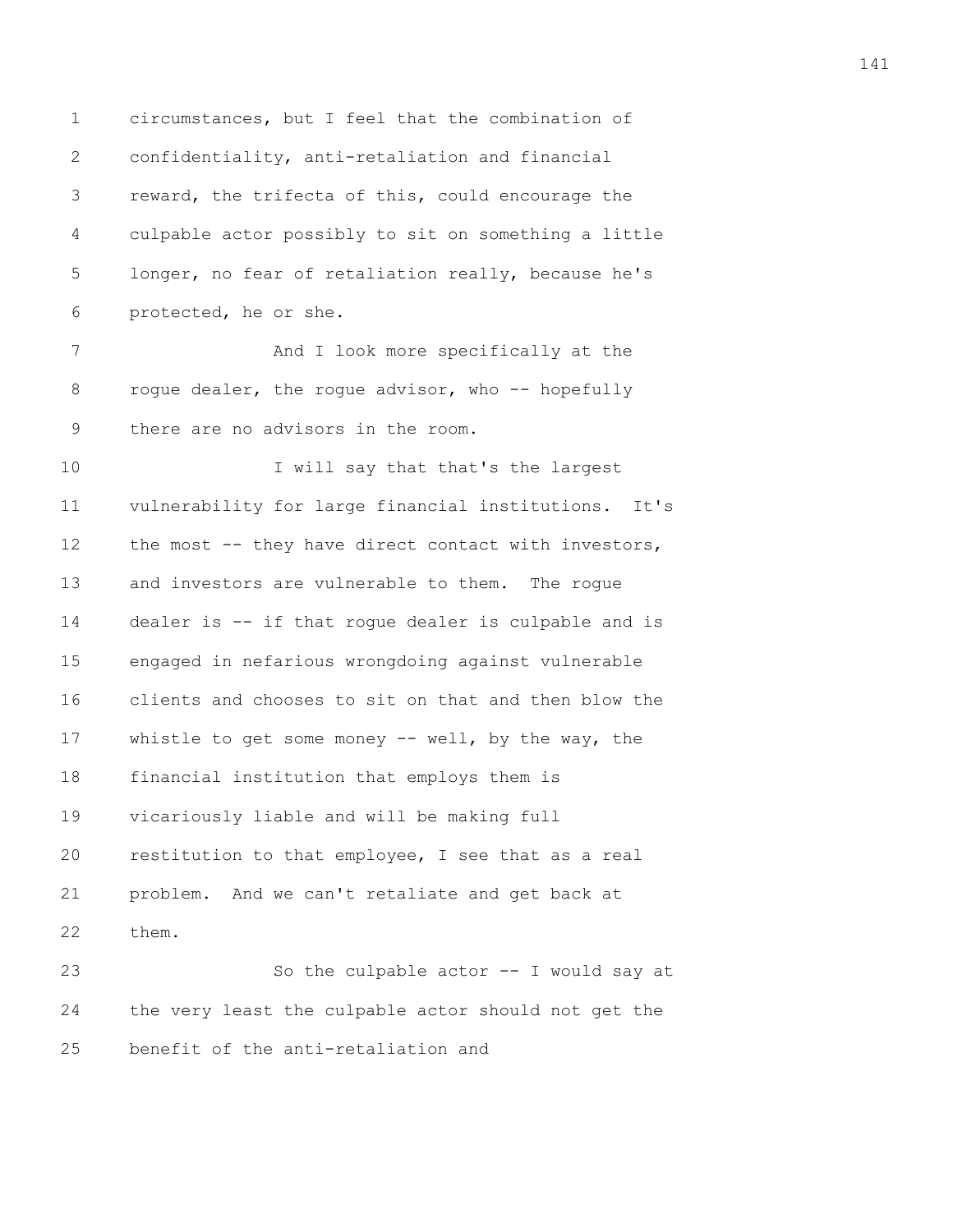1 circumstances, but I feel that the combination of 2 confidentiality, anti-retaliation and financial 3 reward, the trifecta of this, could encourage the 4 culpable actor possibly to sit on something a little 5 longer, no fear of retaliation really, because he's 6 protected, he or she. 7 And I look more specifically at the 8 roque dealer, the roque advisor, who -- hopefully 9 there are no advisors in the room. 10 I will say that that's the largest 11 vulnerability for large financial institutions. It's 12 the most -- they have direct contact with investors, 13 and investors are vulnerable to them. The rogue 14 dealer is -- if that rogue dealer is culpable and is 15 engaged in nefarious wrongdoing against vulnerable 16 clients and chooses to sit on that and then blow the 17 whistle to get some money -- well, by the way, the 18 financial institution that employs them is 19 vicariously liable and will be making full 20 restitution to that employee, I see that as a real 21 problem. And we can't retaliate and get back at 22 them. 23 So the culpable actor -- I would say at 24 the very least the culpable actor should not get the 25 benefit of the anti-retaliation and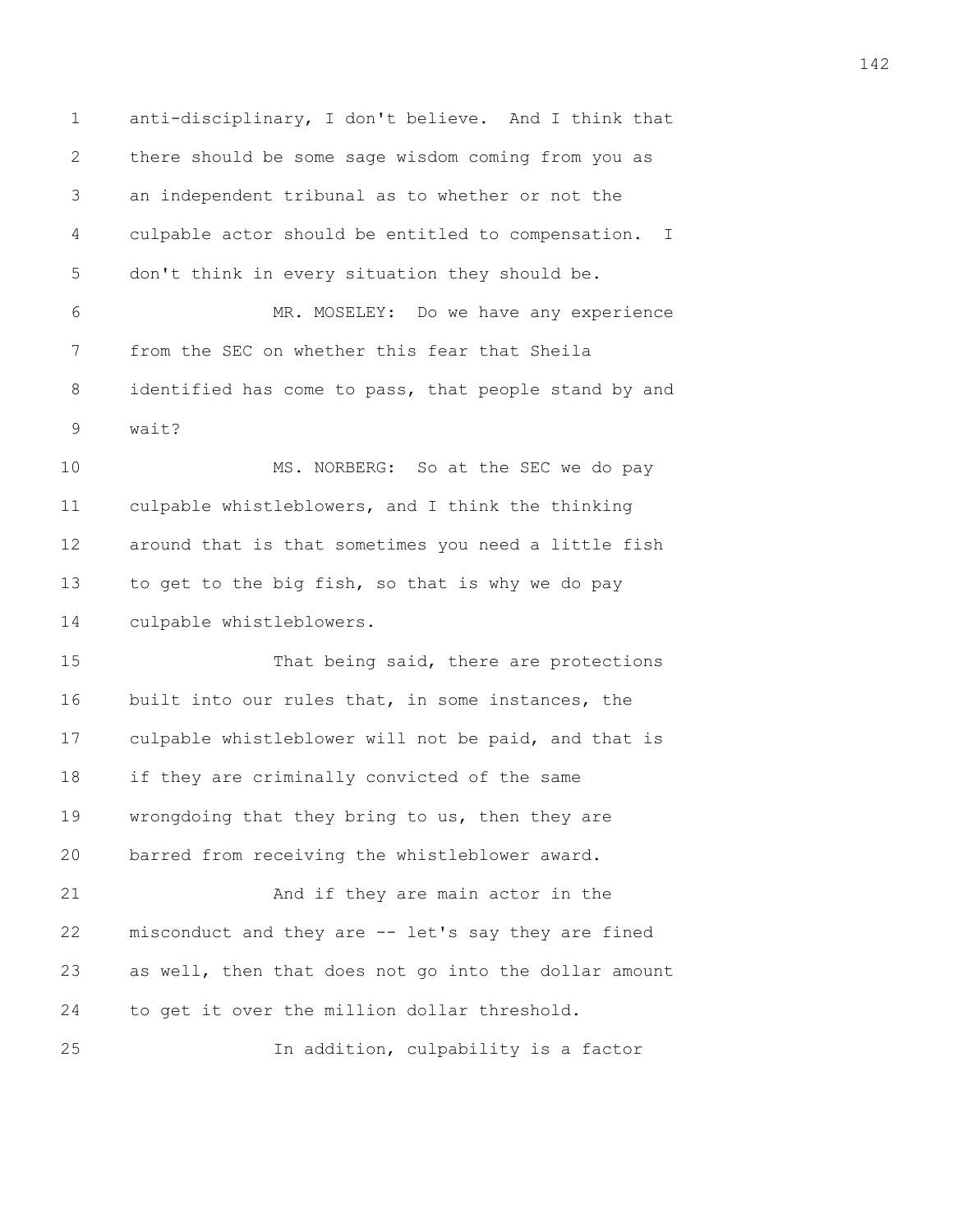1 anti-disciplinary, I don't believe. And I think that 2 there should be some sage wisdom coming from you as 3 an independent tribunal as to whether or not the 4 culpable actor should be entitled to compensation. I 5 don't think in every situation they should be. 6 MR. MOSELEY: Do we have any experience 7 from the SEC on whether this fear that Sheila 8 identified has come to pass, that people stand by and 9 wait? 10 MS. NORBERG: So at the SEC we do pay 11 culpable whistleblowers, and I think the thinking 12 around that is that sometimes you need a little fish 13 to get to the big fish, so that is why we do pay 14 culpable whistleblowers. 15 That being said, there are protections 16 built into our rules that, in some instances, the 17 culpable whistleblower will not be paid, and that is 18 if they are criminally convicted of the same 19 wrongdoing that they bring to us, then they are 20 barred from receiving the whistleblower award. 21 And if they are main actor in the 22 misconduct and they are -- let's say they are fined 23 as well, then that does not go into the dollar amount 24 to get it over the million dollar threshold. 25 In addition, culpability is a factor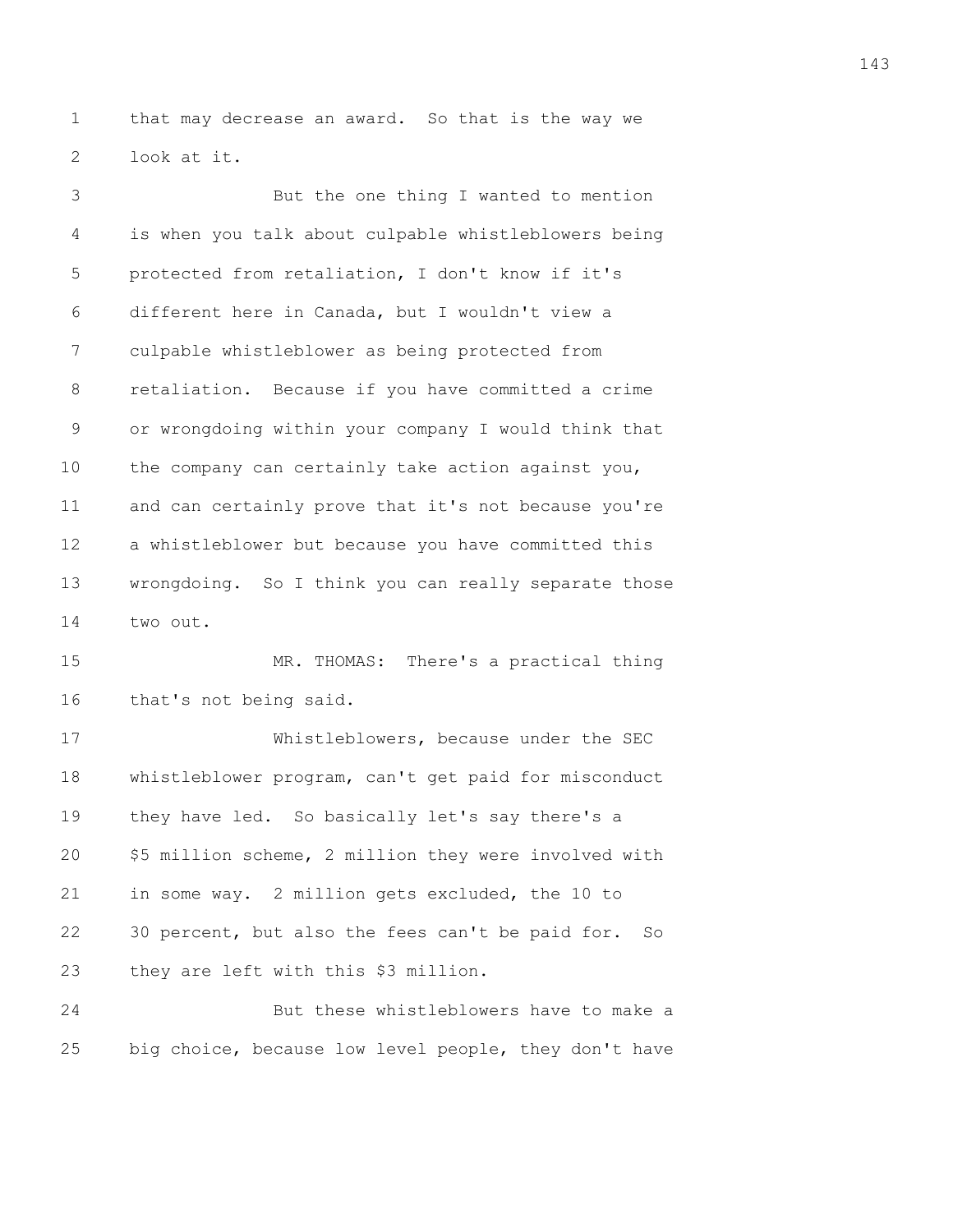1 that may decrease an award. So that is the way we 2 look at it.

3 But the one thing I wanted to mention 4 is when you talk about culpable whistleblowers being 5 protected from retaliation, I don't know if it's 6 different here in Canada, but I wouldn't view a 7 culpable whistleblower as being protected from 8 retaliation. Because if you have committed a crime 9 or wrongdoing within your company I would think that 10 the company can certainly take action against you, 11 and can certainly prove that it's not because you're 12 a whistleblower but because you have committed this 13 wrongdoing. So I think you can really separate those 14 two out.

15 MR. THOMAS: There's a practical thing 16 that's not being said.

17 Whistleblowers, because under the SEC 18 whistleblower program, can't get paid for misconduct 19 they have led. So basically let's say there's a 20 \$5 million scheme, 2 million they were involved with 21 in some way. 2 million gets excluded, the 10 to 22 30 percent, but also the fees can't be paid for. So 23 they are left with this \$3 million.

24 But these whistleblowers have to make a 25 big choice, because low level people, they don't have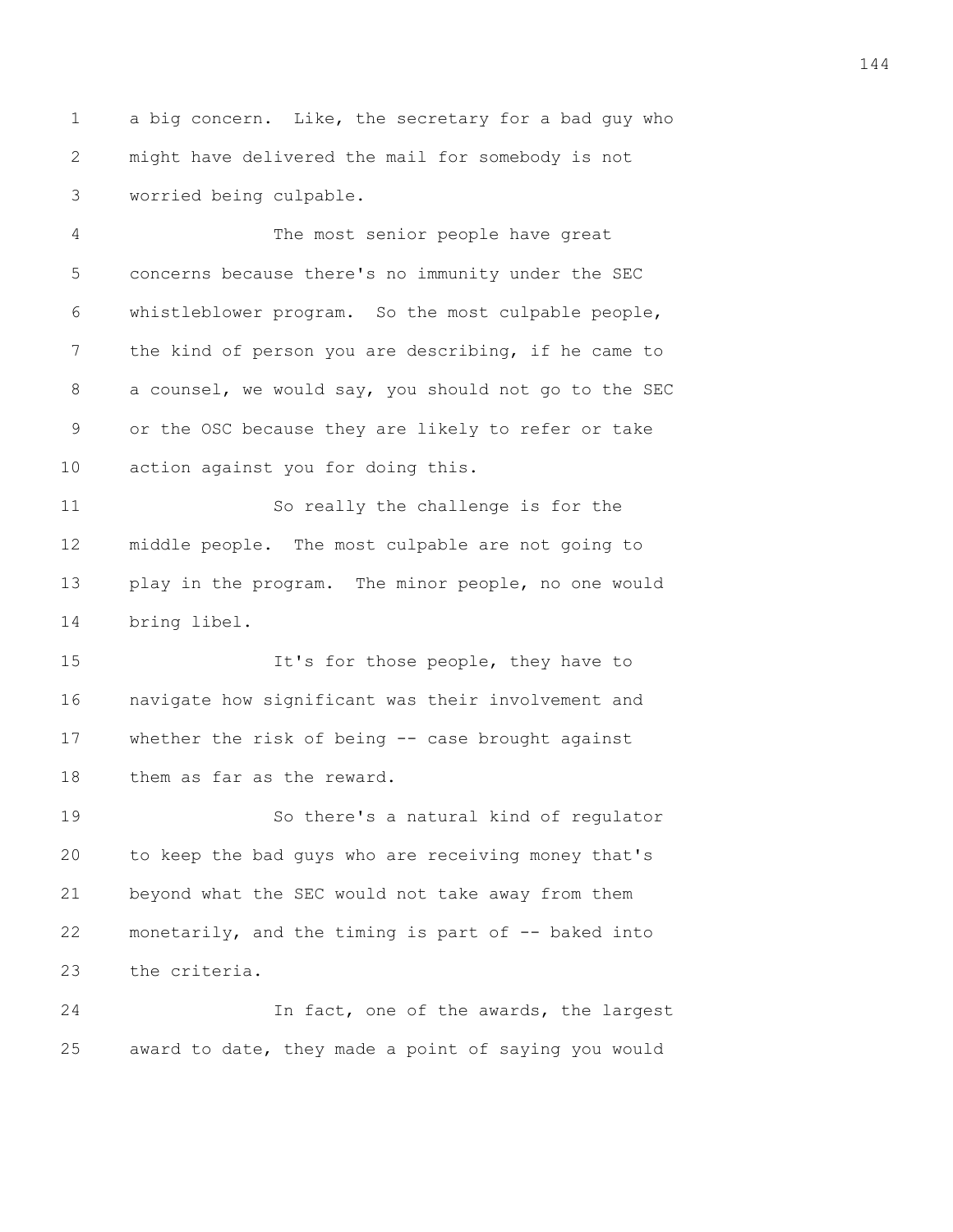1 a big concern. Like, the secretary for a bad guy who 2 might have delivered the mail for somebody is not 3 worried being culpable.

4 The most senior people have great 5 concerns because there's no immunity under the SEC 6 whistleblower program. So the most culpable people, 7 the kind of person you are describing, if he came to 8 a counsel, we would say, you should not go to the SEC 9 or the OSC because they are likely to refer or take 10 action against you for doing this.

11 So really the challenge is for the 12 middle people. The most culpable are not going to 13 play in the program. The minor people, no one would 14 bring libel.

15 It's for those people, they have to 16 navigate how significant was their involvement and 17 whether the risk of being -- case brought against 18 them as far as the reward.

19 So there's a natural kind of regulator 20 to keep the bad guys who are receiving money that's 21 beyond what the SEC would not take away from them 22 monetarily, and the timing is part of -- baked into 23 the criteria.

24 In fact, one of the awards, the largest 25 award to date, they made a point of saying you would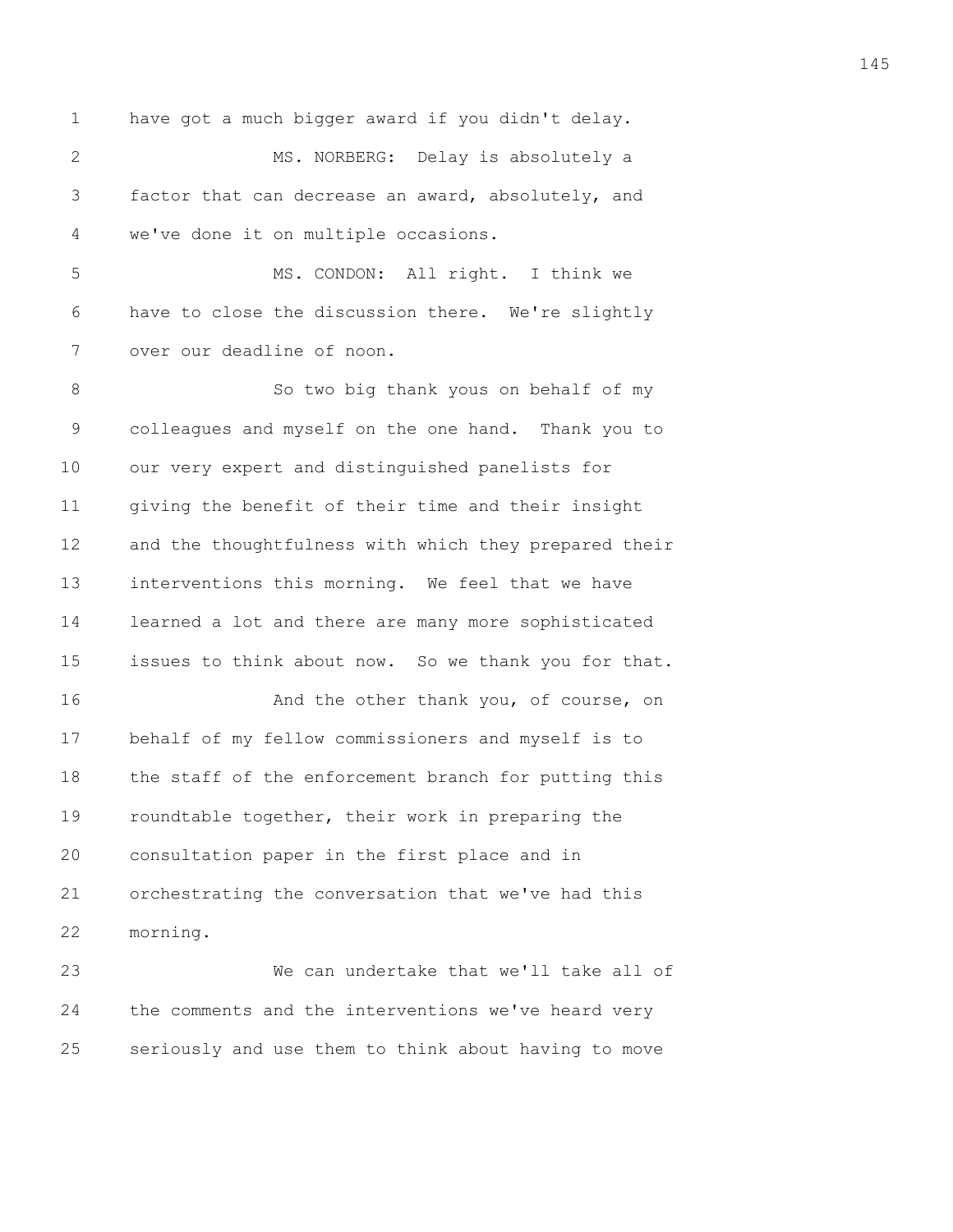1 have got a much bigger award if you didn't delay. 2 MS. NORBERG: Delay is absolutely a 3 factor that can decrease an award, absolutely, and 4 we've done it on multiple occasions. 5 MS. CONDON: All right. I think we 6 have to close the discussion there. We're slightly 7 over our deadline of noon. 8 So two big thank yous on behalf of my 9 colleagues and myself on the one hand. Thank you to 10 our very expert and distinguished panelists for 11 giving the benefit of their time and their insight 12 and the thoughtfulness with which they prepared their 13 interventions this morning. We feel that we have 14 learned a lot and there are many more sophisticated 15 issues to think about now. So we thank you for that. 16 **And the other thank you, of course, on** 17 behalf of my fellow commissioners and myself is to 18 the staff of the enforcement branch for putting this 19 roundtable together, their work in preparing the 20 consultation paper in the first place and in 21 orchestrating the conversation that we've had this 22 morning. 23 We can undertake that we'll take all of

24 the comments and the interventions we've heard very 25 seriously and use them to think about having to move